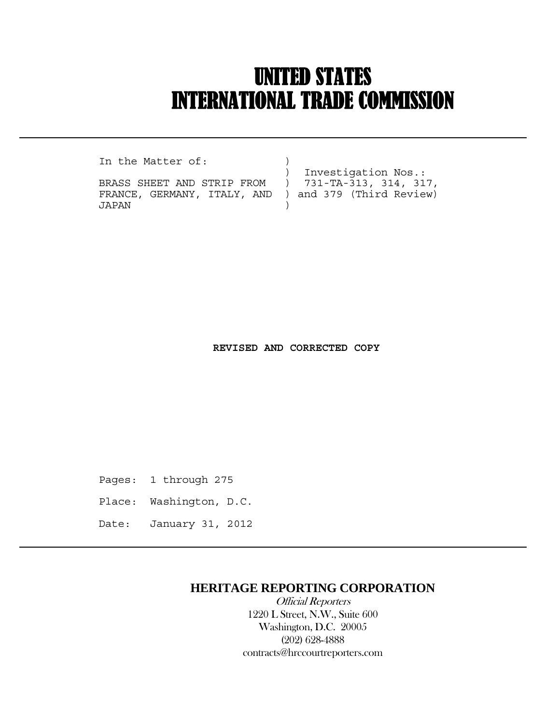# UNITED STATES INTERNATIONAL TRADE COMMISSION

In the Matter of:

 $\overline{a}$ 

FRANCE, GERMANY, ITALY, AND ) and 379 (Third Review) JAPAN )

) Investigation Nos.:<br>BRASS SHEET AND STRIP FROM ) 731-TA-313, 314, 31  $) 731-TA-313, 314, 317,$ 

 **REVISED AND CORRECTED COPY**

Pages: 1 through 275

- Place: Washington, D.C.
- Date: January 31, 2012

### **HERITAGE REPORTING CORPORATION**

 Official Reporters 1220 L Street, N.W., Suite 600 Washington, D.C. 20005 (202) 628-4888 contracts@hrccourtreporters.com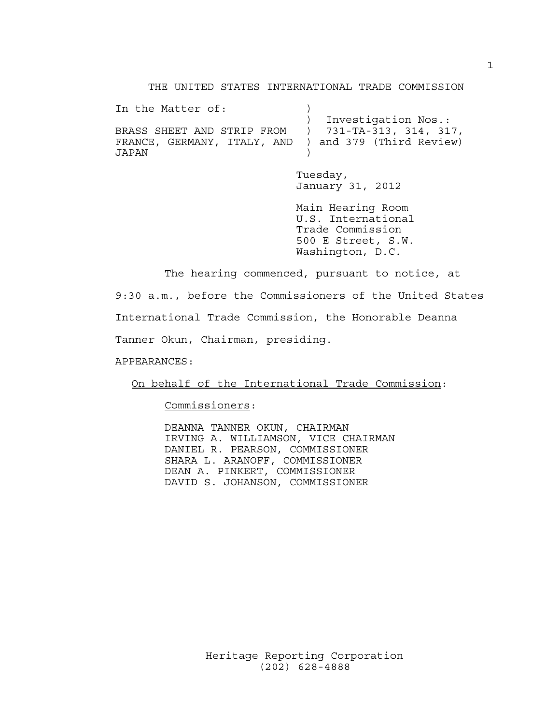THE UNITED STATES INTERNATIONAL TRADE COMMISSION

| In the Matter of:                                                       |                       |
|-------------------------------------------------------------------------|-----------------------|
|                                                                         | ) Investigation Nos.: |
| BRASS SHEET AND STRIP FROM                    731-TA-313,   314,   317, |                       |
| FRANCE, GERMANY, ITALY, AND ) and 379 (Third Review)                    |                       |
| JAPAN                                                                   |                       |

 Tuesday, January 31, 2012

 Main Hearing Room U.S. International Trade Commission 500 E Street, S.W. Washington, D.C.

 The hearing commenced, pursuant to notice, at 9:30 a.m., before the Commissioners of the United States International Trade Commission, the Honorable Deanna Tanner Okun, Chairman, presiding.

APPEARANCES:

On behalf of the International Trade Commission:

Commissioners:

 DEANNA TANNER OKUN, CHAIRMAN IRVING A. WILLIAMSON, VICE CHAIRMAN DANIEL R. PEARSON, COMMISSIONER SHARA L. ARANOFF, COMMISSIONER DEAN A. PINKERT, COMMISSIONER DAVID S. JOHANSON, COMMISSIONER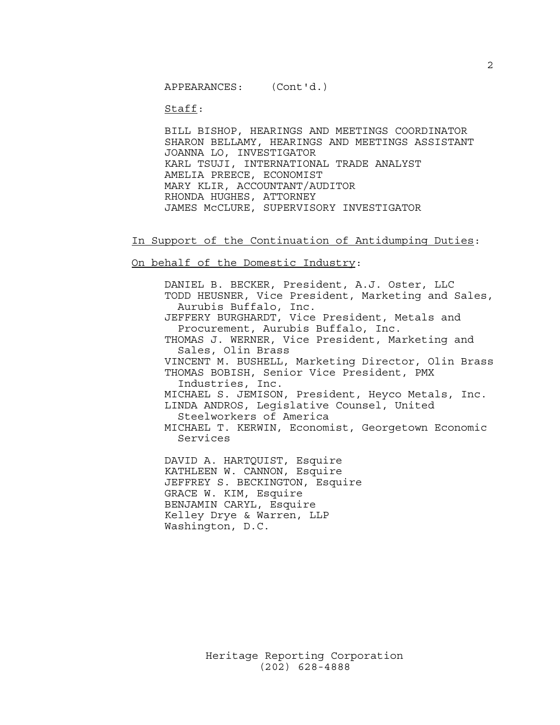APPEARANCES: (Cont'd.)

Staff:

 BILL BISHOP, HEARINGS AND MEETINGS COORDINATOR SHARON BELLAMY, HEARINGS AND MEETINGS ASSISTANT JOANNA LO, INVESTIGATOR KARL TSUJI, INTERNATIONAL TRADE ANALYST AMELIA PREECE, ECONOMIST MARY KLIR, ACCOUNTANT/AUDITOR RHONDA HUGHES, ATTORNEY JAMES McCLURE, SUPERVISORY INVESTIGATOR

In Support of the Continuation of Antidumping Duties:

On behalf of the Domestic Industry:

 DANIEL B. BECKER, President, A.J. Oster, LLC TODD HEUSNER, Vice President, Marketing and Sales, Aurubis Buffalo, Inc. JEFFERY BURGHARDT, Vice President, Metals and Procurement, Aurubis Buffalo, Inc. THOMAS J. WERNER, Vice President, Marketing and Sales, Olin Brass VINCENT M. BUSHELL, Marketing Director, Olin Brass THOMAS BOBISH, Senior Vice President, PMX Industries, Inc. MICHAEL S. JEMISON, President, Heyco Metals, Inc. LINDA ANDROS, Legislative Counsel, United Steelworkers of America MICHAEL T. KERWIN, Economist, Georgetown Economic Services DAVID A. HARTQUIST, Esquire KATHLEEN W. CANNON, Esquire

 JEFFREY S. BECKINGTON, Esquire GRACE W. KIM, Esquire BENJAMIN CARYL, Esquire Kelley Drye & Warren, LLP Washington, D.C.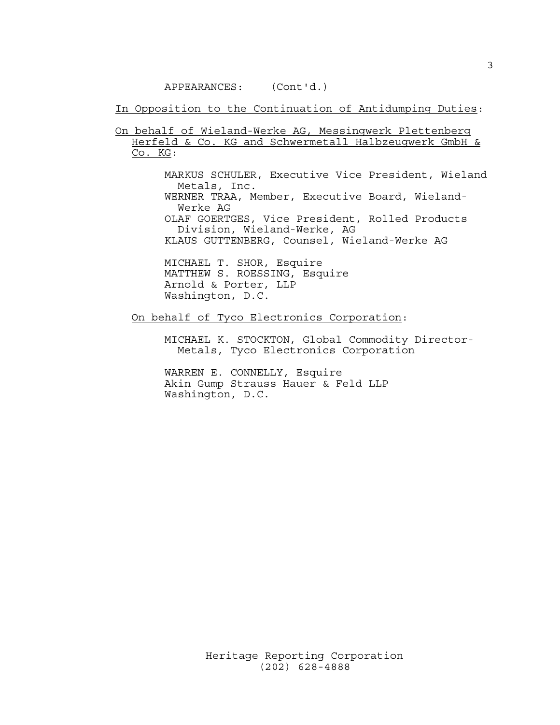#### APPEARANCES: (Cont'd.)

In Opposition to the Continuation of Antidumping Duties:

On behalf of Wieland-Werke AG, Messingwerk Plettenberg Herfeld & Co. KG and Schwermetall Halbzeugwerk GmbH & Co. KG:

> MARKUS SCHULER, Executive Vice President, Wieland Metals, Inc. WERNER TRAA, Member, Executive Board, Wieland- Werke AG OLAF GOERTGES, Vice President, Rolled Products

Division, Wieland-Werke, AG

KLAUS GUTTENBERG, Counsel, Wieland-Werke AG

 MICHAEL T. SHOR, Esquire MATTHEW S. ROESSING, Esquire Arnold & Porter, LLP Washington, D.C.

#### On behalf of Tyco Electronics Corporation:

 MICHAEL K. STOCKTON, Global Commodity Director- Metals, Tyco Electronics Corporation

 WARREN E. CONNELLY, Esquire Akin Gump Strauss Hauer & Feld LLP Washington, D.C.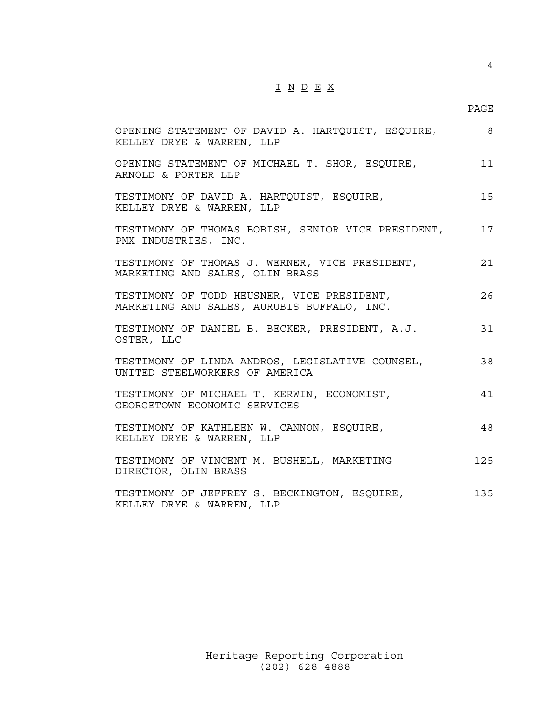## I N D E X

#### en de la provincia de la provincia de la provincia de la provincia de la provincia de la provincia de la provi

| OPENING STATEMENT OF DAVID A. HARTQUIST, ESQUIRE,<br>KELLEY DRYE & WARREN, LLP           | - 8 |
|------------------------------------------------------------------------------------------|-----|
| OPENING STATEMENT OF MICHAEL T. SHOR, ESQUIRE,<br>ARNOLD & PORTER LLP                    | 11  |
| TESTIMONY OF DAVID A. HARTQUIST, ESQUIRE,<br>KELLEY DRYE & WARREN, LLP                   | 15  |
| TESTIMONY OF THOMAS BOBISH, SENIOR VICE PRESIDENT,<br>PMX INDUSTRIES, INC.               | 17  |
| TESTIMONY OF THOMAS J. WERNER, VICE PRESIDENT,<br>MARKETING AND SALES, OLIN BRASS        | 21  |
| TESTIMONY OF TODD HEUSNER, VICE PRESIDENT,<br>MARKETING AND SALES, AURUBIS BUFFALO, INC. | 26  |
| TESTIMONY OF DANIEL B. BECKER, PRESIDENT, A.J.<br>OSTER, LLC                             | 31  |
| TESTIMONY OF LINDA ANDROS, LEGISLATIVE COUNSEL,<br>UNITED STEELWORKERS OF AMERICA        | 38  |
| TESTIMONY OF MICHAEL T. KERWIN, ECONOMIST,<br>GEORGETOWN ECONOMIC SERVICES               | 41  |
| TESTIMONY OF KATHLEEN W. CANNON, ESQUIRE,<br>KELLEY DRYE & WARREN, LLP                   | 48  |
| TESTIMONY OF VINCENT M. BUSHELL, MARKETING<br>DIRECTOR, OLIN BRASS                       | 125 |
| TESTIMONY OF JEFFREY S. BECKINGTON, ESQUIRE,<br>KELLEY DRYE & WARREN, LLP                | 135 |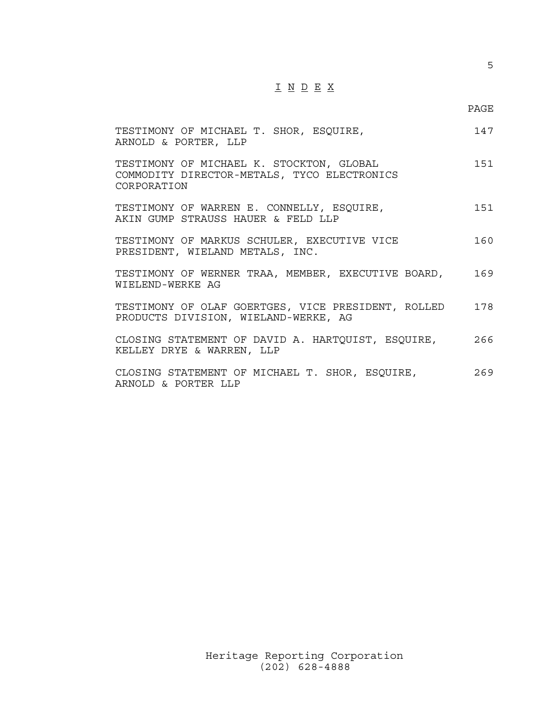## I N D E X

| TESTIMONY OF MICHAEL T. SHOR, ESQUIRE,<br>ARNOLD & PORTER, LLP                                         | 147 |
|--------------------------------------------------------------------------------------------------------|-----|
| TESTIMONY OF MICHAEL K. STOCKTON, GLOBAL<br>COMMODITY DIRECTOR-METALS, TYCO ELECTRONICS<br>CORPORATION | 151 |
| TESTIMONY OF WARREN E. CONNELLY, ESQUIRE,<br>AKIN GUMP STRAUSS HAUER & FELD LLP                        | 151 |
| TESTIMONY OF MARKUS SCHULER, EXECUTIVE VICE<br>PRESIDENT, WIELAND METALS, INC.                         | 160 |
| TESTIMONY OF WERNER TRAA, MEMBER, EXECUTIVE BOARD,<br>WIELEND-WERKE AG                                 | 169 |
| TESTIMONY OF OLAF GOERTGES, VICE PRESIDENT, ROLLED<br>PRODUCTS DIVISION, WIELAND-WERKE, AG             | 178 |
| CLOSING STATEMENT OF DAVID A. HARTOUIST, ESQUIRE,<br>KELLEY DRYE & WARREN, LLP                         | 266 |
| CLOSING STATEMENT OF MICHAEL T. SHOR, ESQUIRE,<br>ARNOLD & PORTER LLP                                  | 269 |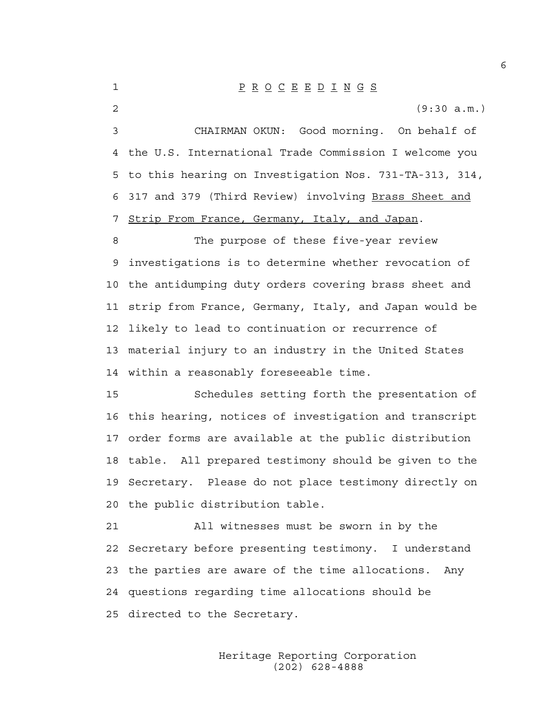1 P R O C E E D I N G S

2 (9:30 a.m.)

3 CHAIRMAN OKUN: Good morning. On behalf of 4 the U.S. International Trade Commission I welcome you 5 to this hearing on Investigation Nos. 731-TA-313, 314, 6 317 and 379 (Third Review) involving Brass Sheet and 7 Strip From France, Germany, Italy, and Japan.

8 The purpose of these five-year review 9 investigations is to determine whether revocation of 10 the antidumping duty orders covering brass sheet and 11 strip from France, Germany, Italy, and Japan would be 12 likely to lead to continuation or recurrence of 13 material injury to an industry in the United States 14 within a reasonably foreseeable time.

15 Schedules setting forth the presentation of 16 this hearing, notices of investigation and transcript 17 order forms are available at the public distribution 18 table. All prepared testimony should be given to the 19 Secretary. Please do not place testimony directly on 20 the public distribution table.

21 All witnesses must be sworn in by the 22 Secretary before presenting testimony. I understand 23 the parties are aware of the time allocations. Any 24 questions regarding time allocations should be 25 directed to the Secretary.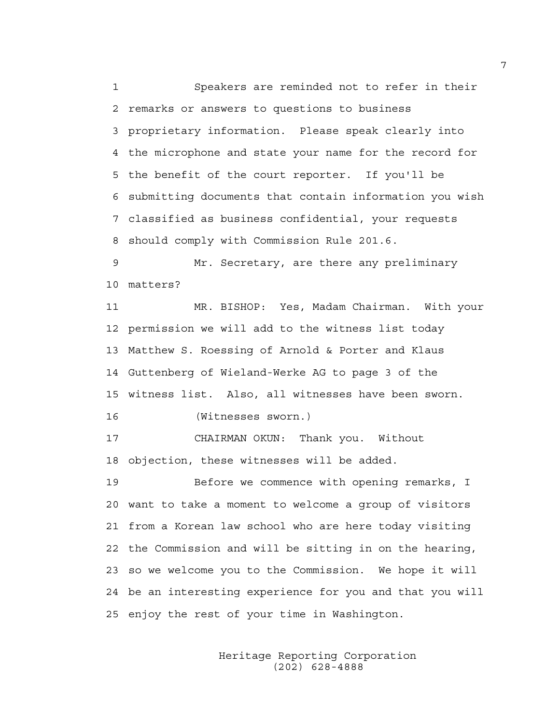1 Speakers are reminded not to refer in their 2 remarks or answers to questions to business 3 proprietary information. Please speak clearly into 4 the microphone and state your name for the record for 5 the benefit of the court reporter. If you'll be 6 submitting documents that contain information you wish 7 classified as business confidential, your requests 8 should comply with Commission Rule 201.6.

9 Mr. Secretary, are there any preliminary 10 matters?

11 MR. BISHOP: Yes, Madam Chairman. With your 12 permission we will add to the witness list today 13 Matthew S. Roessing of Arnold & Porter and Klaus 14 Guttenberg of Wieland-Werke AG to page 3 of the 15 witness list. Also, all witnesses have been sworn.

16 (Witnesses sworn.)

17 CHAIRMAN OKUN: Thank you. Without 18 objection, these witnesses will be added.

19 Before we commence with opening remarks, I 20 want to take a moment to welcome a group of visitors 21 from a Korean law school who are here today visiting 22 the Commission and will be sitting in on the hearing, 23 so we welcome you to the Commission. We hope it will 24 be an interesting experience for you and that you will 25 enjoy the rest of your time in Washington.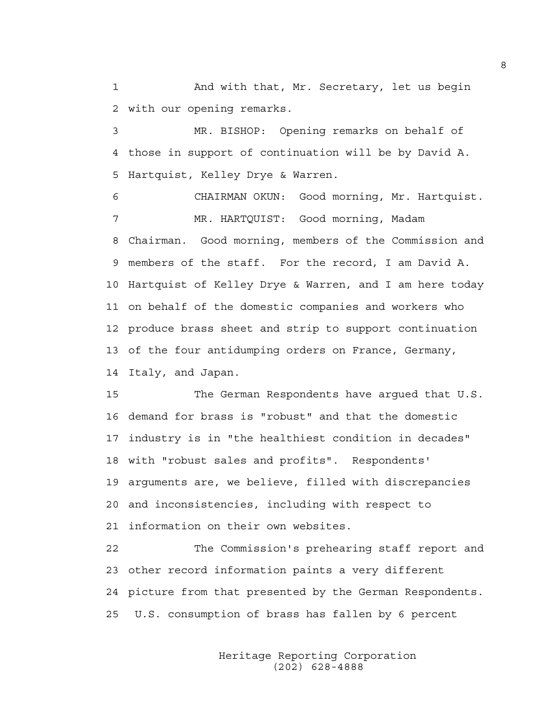1 And with that, Mr. Secretary, let us begin 2 with our opening remarks.

3 MR. BISHOP: Opening remarks on behalf of 4 those in support of continuation will be by David A. 5 Hartquist, Kelley Drye & Warren.

6 CHAIRMAN OKUN: Good morning, Mr. Hartquist. 7 MR. HARTQUIST: Good morning, Madam 8 Chairman. Good morning, members of the Commission and 9 members of the staff. For the record, I am David A. 10 Hartquist of Kelley Drye & Warren, and I am here today 11 on behalf of the domestic companies and workers who 12 produce brass sheet and strip to support continuation 13 of the four antidumping orders on France, Germany, 14 Italy, and Japan.

15 The German Respondents have argued that U.S. 16 demand for brass is "robust" and that the domestic 17 industry is in "the healthiest condition in decades" 18 with "robust sales and profits". Respondents' 19 arguments are, we believe, filled with discrepancies 20 and inconsistencies, including with respect to 21 information on their own websites.

22 The Commission's prehearing staff report and 23 other record information paints a very different 24 picture from that presented by the German Respondents. 25 U.S. consumption of brass has fallen by 6 percent

> Heritage Reporting Corporation (202) 628-4888

8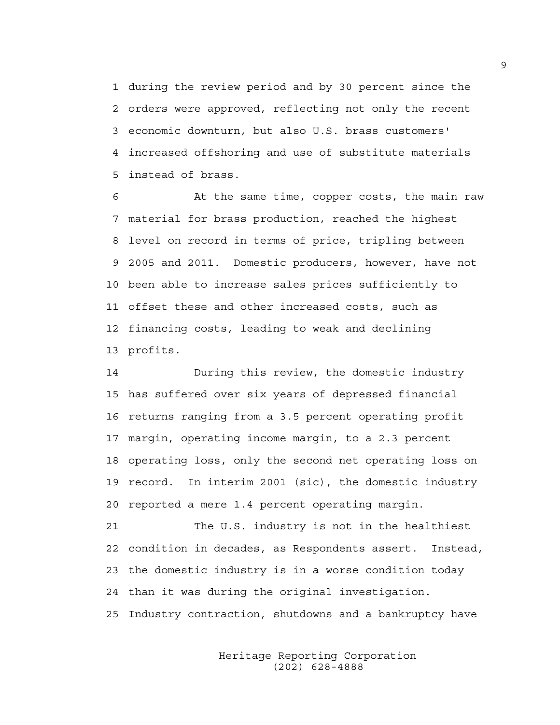1 during the review period and by 30 percent since the 2 orders were approved, reflecting not only the recent 3 economic downturn, but also U.S. brass customers' 4 increased offshoring and use of substitute materials 5 instead of brass.

6 At the same time, copper costs, the main raw 7 material for brass production, reached the highest 8 level on record in terms of price, tripling between 9 2005 and 2011. Domestic producers, however, have not 10 been able to increase sales prices sufficiently to 11 offset these and other increased costs, such as 12 financing costs, leading to weak and declining 13 profits.

14 During this review, the domestic industry 15 has suffered over six years of depressed financial 16 returns ranging from a 3.5 percent operating profit 17 margin, operating income margin, to a 2.3 percent 18 operating loss, only the second net operating loss on 19 record. In interim 2001 (sic), the domestic industry 20 reported a mere 1.4 percent operating margin.

21 The U.S. industry is not in the healthiest 22 condition in decades, as Respondents assert. Instead, 23 the domestic industry is in a worse condition today 24 than it was during the original investigation. 25 Industry contraction, shutdowns and a bankruptcy have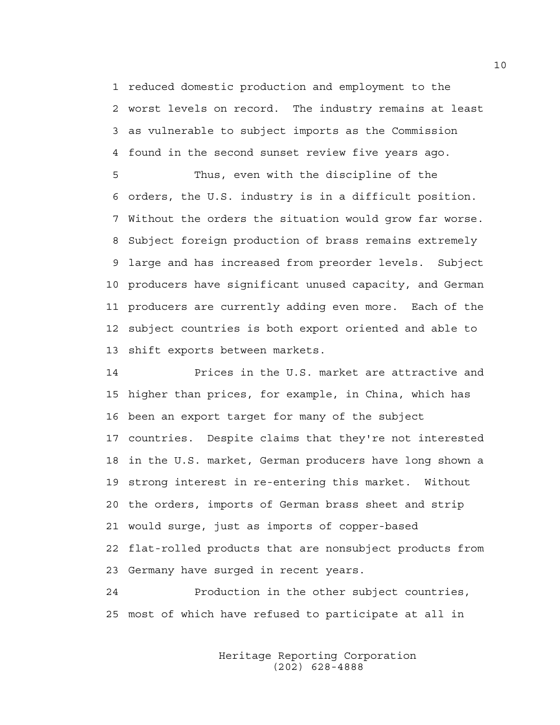1 reduced domestic production and employment to the 2 worst levels on record. The industry remains at least 3 as vulnerable to subject imports as the Commission 4 found in the second sunset review five years ago.

5 Thus, even with the discipline of the 6 orders, the U.S. industry is in a difficult position. 7 Without the orders the situation would grow far worse. 8 Subject foreign production of brass remains extremely 9 large and has increased from preorder levels. Subject 10 producers have significant unused capacity, and German 11 producers are currently adding even more. Each of the 12 subject countries is both export oriented and able to 13 shift exports between markets.

14 Prices in the U.S. market are attractive and 15 higher than prices, for example, in China, which has 16 been an export target for many of the subject 17 countries. Despite claims that they're not interested 18 in the U.S. market, German producers have long shown a 19 strong interest in re-entering this market. Without 20 the orders, imports of German brass sheet and strip 21 would surge, just as imports of copper-based 22 flat-rolled products that are nonsubject products from 23 Germany have surged in recent years.

24 Production in the other subject countries, 25 most of which have refused to participate at all in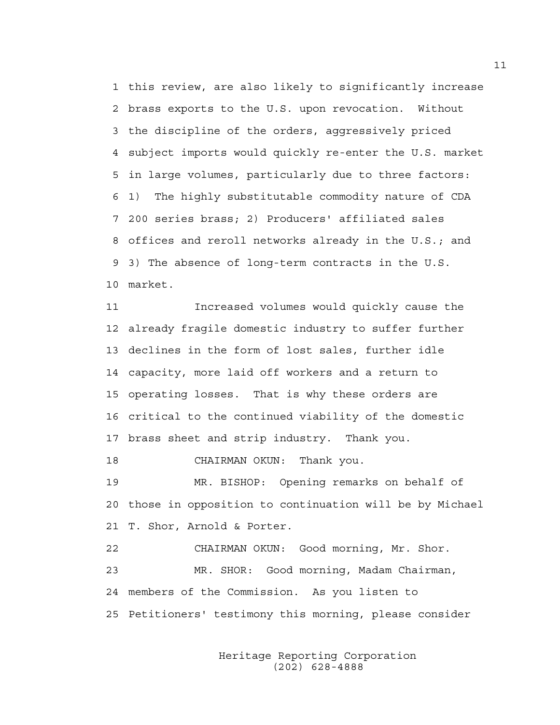1 this review, are also likely to significantly increase 2 brass exports to the U.S. upon revocation. Without 3 the discipline of the orders, aggressively priced 4 subject imports would quickly re-enter the U.S. market 5 in large volumes, particularly due to three factors: 6 1) The highly substitutable commodity nature of CDA 7 200 series brass; 2) Producers' affiliated sales 8 offices and reroll networks already in the U.S.; and 9 3) The absence of long-term contracts in the U.S. 10 market.

11 Increased volumes would quickly cause the 12 already fragile domestic industry to suffer further 13 declines in the form of lost sales, further idle 14 capacity, more laid off workers and a return to 15 operating losses. That is why these orders are 16 critical to the continued viability of the domestic 17 brass sheet and strip industry. Thank you.

18 CHAIRMAN OKUN: Thank you.

19 MR. BISHOP: Opening remarks on behalf of 20 those in opposition to continuation will be by Michael 21 T. Shor, Arnold & Porter.

22 CHAIRMAN OKUN: Good morning, Mr. Shor. 23 MR. SHOR: Good morning, Madam Chairman, 24 members of the Commission. As you listen to 25 Petitioners' testimony this morning, please consider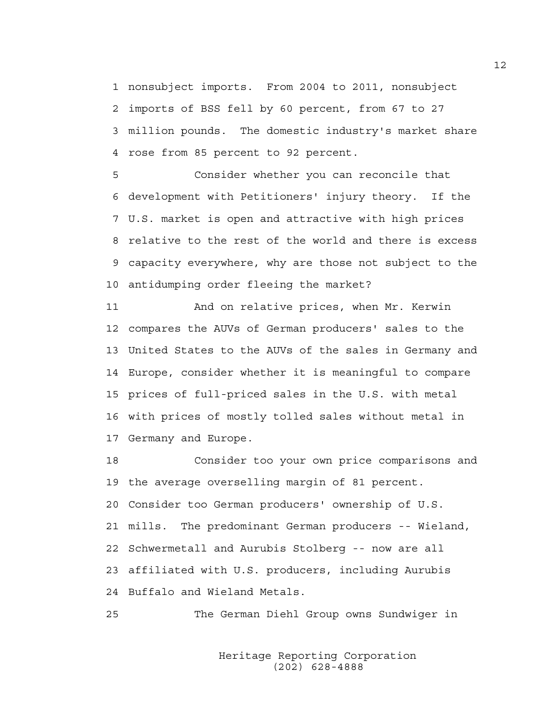1 nonsubject imports. From 2004 to 2011, nonsubject 2 imports of BSS fell by 60 percent, from 67 to 27 3 million pounds. The domestic industry's market share 4 rose from 85 percent to 92 percent.

5 Consider whether you can reconcile that 6 development with Petitioners' injury theory. If the 7 U.S. market is open and attractive with high prices 8 relative to the rest of the world and there is excess 9 capacity everywhere, why are those not subject to the 10 antidumping order fleeing the market?

11 And on relative prices, when Mr. Kerwin 12 compares the AUVs of German producers' sales to the 13 United States to the AUVs of the sales in Germany and 14 Europe, consider whether it is meaningful to compare 15 prices of full-priced sales in the U.S. with metal 16 with prices of mostly tolled sales without metal in 17 Germany and Europe.

18 Consider too your own price comparisons and 19 the average overselling margin of 81 percent. 20 Consider too German producers' ownership of U.S. 21 mills. The predominant German producers -- Wieland, 22 Schwermetall and Aurubis Stolberg -- now are all 23 affiliated with U.S. producers, including Aurubis 24 Buffalo and Wieland Metals.

25 The German Diehl Group owns Sundwiger in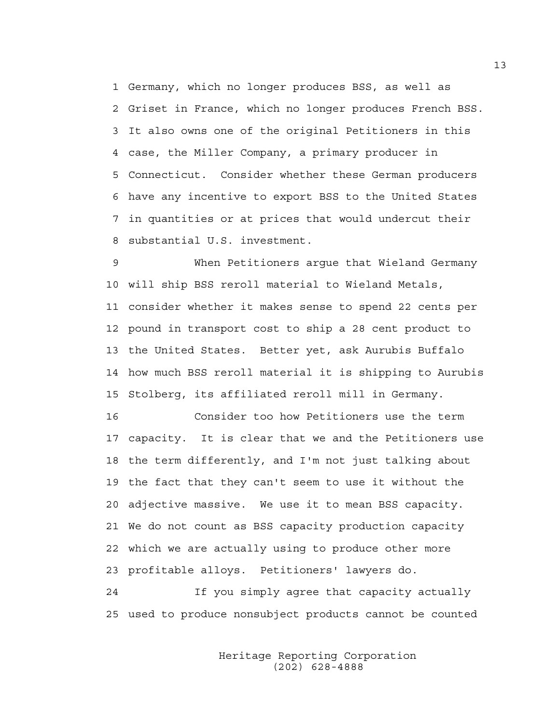1 Germany, which no longer produces BSS, as well as 2 Griset in France, which no longer produces French BSS. 3 It also owns one of the original Petitioners in this 4 case, the Miller Company, a primary producer in 5 Connecticut. Consider whether these German producers 6 have any incentive to export BSS to the United States 7 in quantities or at prices that would undercut their 8 substantial U.S. investment.

9 When Petitioners argue that Wieland Germany 10 will ship BSS reroll material to Wieland Metals, 11 consider whether it makes sense to spend 22 cents per 12 pound in transport cost to ship a 28 cent product to 13 the United States. Better yet, ask Aurubis Buffalo 14 how much BSS reroll material it is shipping to Aurubis 15 Stolberg, its affiliated reroll mill in Germany.

16 Consider too how Petitioners use the term 17 capacity. It is clear that we and the Petitioners use 18 the term differently, and I'm not just talking about 19 the fact that they can't seem to use it without the 20 adjective massive. We use it to mean BSS capacity. 21 We do not count as BSS capacity production capacity 22 which we are actually using to produce other more 23 profitable alloys. Petitioners' lawyers do.

24 If you simply agree that capacity actually 25 used to produce nonsubject products cannot be counted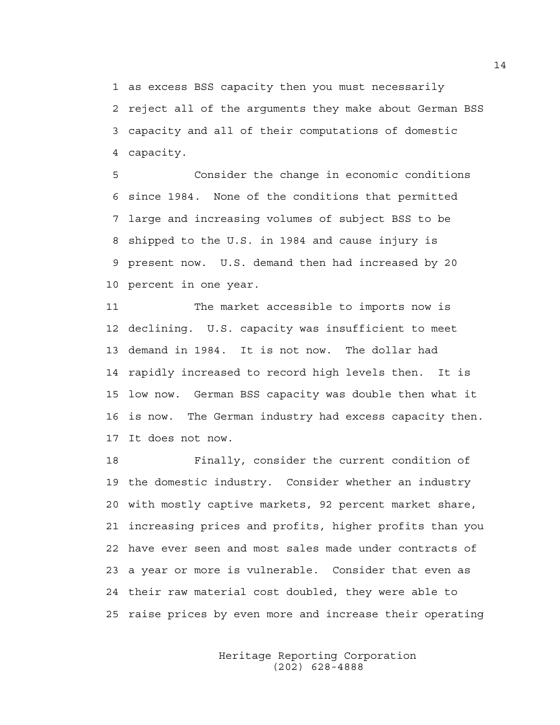1 as excess BSS capacity then you must necessarily 2 reject all of the arguments they make about German BSS 3 capacity and all of their computations of domestic 4 capacity.

5 Consider the change in economic conditions 6 since 1984. None of the conditions that permitted 7 large and increasing volumes of subject BSS to be 8 shipped to the U.S. in 1984 and cause injury is 9 present now. U.S. demand then had increased by 20 10 percent in one year.

11 The market accessible to imports now is 12 declining. U.S. capacity was insufficient to meet 13 demand in 1984. It is not now. The dollar had 14 rapidly increased to record high levels then. It is 15 low now. German BSS capacity was double then what it 16 is now. The German industry had excess capacity then. 17 It does not now.

18 Finally, consider the current condition of 19 the domestic industry. Consider whether an industry 20 with mostly captive markets, 92 percent market share, 21 increasing prices and profits, higher profits than you 22 have ever seen and most sales made under contracts of 23 a year or more is vulnerable. Consider that even as 24 their raw material cost doubled, they were able to 25 raise prices by even more and increase their operating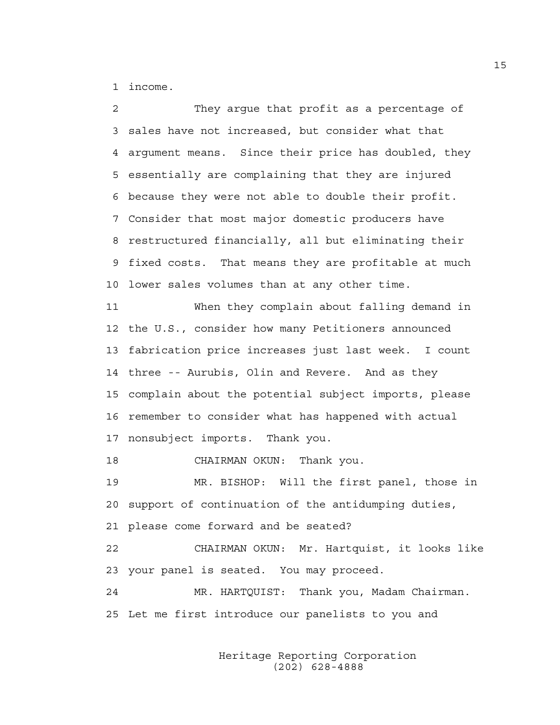1 income.

2 They argue that profit as a percentage of 3 sales have not increased, but consider what that 4 argument means. Since their price has doubled, they 5 essentially are complaining that they are injured 6 because they were not able to double their profit. 7 Consider that most major domestic producers have 8 restructured financially, all but eliminating their 9 fixed costs. That means they are profitable at much 10 lower sales volumes than at any other time. 11 When they complain about falling demand in 12 the U.S., consider how many Petitioners announced 13 fabrication price increases just last week. I count 14 three -- Aurubis, Olin and Revere. And as they 15 complain about the potential subject imports, please 16 remember to consider what has happened with actual 17 nonsubject imports. Thank you. 18 CHAIRMAN OKUN: Thank you. 19 MR. BISHOP: Will the first panel, those in 20 support of continuation of the antidumping duties, 21 please come forward and be seated? 22 CHAIRMAN OKUN: Mr. Hartquist, it looks like 23 your panel is seated. You may proceed.

24 MR. HARTQUIST: Thank you, Madam Chairman. 25 Let me first introduce our panelists to you and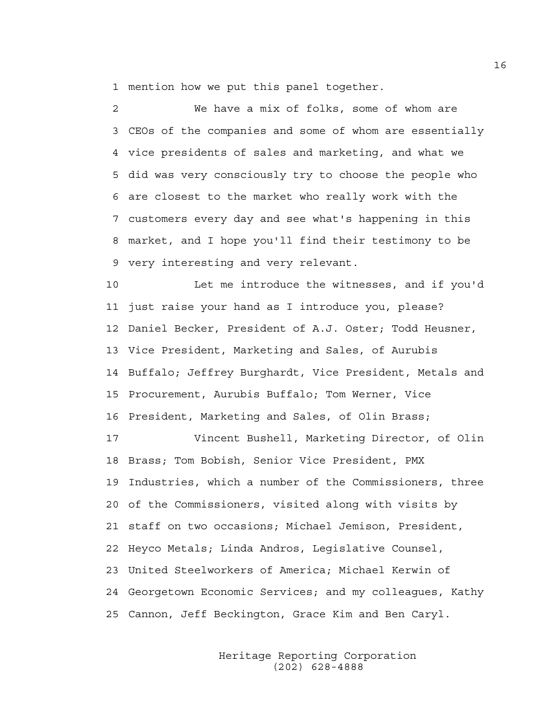1 mention how we put this panel together.

2 We have a mix of folks, some of whom are 3 CEOs of the companies and some of whom are essentially 4 vice presidents of sales and marketing, and what we 5 did was very consciously try to choose the people who 6 are closest to the market who really work with the 7 customers every day and see what's happening in this 8 market, and I hope you'll find their testimony to be 9 very interesting and very relevant.

10 Let me introduce the witnesses, and if you'd 11 just raise your hand as I introduce you, please? 12 Daniel Becker, President of A.J. Oster; Todd Heusner, 13 Vice President, Marketing and Sales, of Aurubis 14 Buffalo; Jeffrey Burghardt, Vice President, Metals and 15 Procurement, Aurubis Buffalo; Tom Werner, Vice 16 President, Marketing and Sales, of Olin Brass;

17 Vincent Bushell, Marketing Director, of Olin 18 Brass; Tom Bobish, Senior Vice President, PMX 19 Industries, which a number of the Commissioners, three 20 of the Commissioners, visited along with visits by 21 staff on two occasions; Michael Jemison, President, 22 Heyco Metals; Linda Andros, Legislative Counsel, 23 United Steelworkers of America; Michael Kerwin of 24 Georgetown Economic Services; and my colleagues, Kathy 25 Cannon, Jeff Beckington, Grace Kim and Ben Caryl.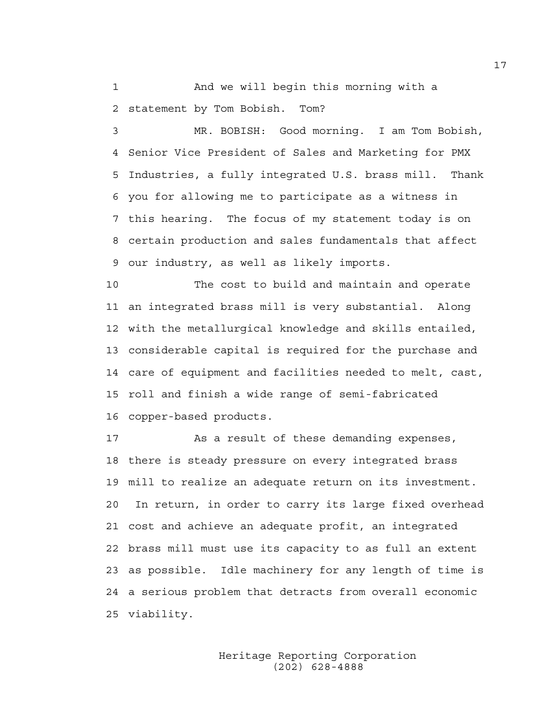1 And we will begin this morning with a 2 statement by Tom Bobish. Tom?

3 MR. BOBISH: Good morning. I am Tom Bobish, 4 Senior Vice President of Sales and Marketing for PMX 5 Industries, a fully integrated U.S. brass mill. Thank 6 you for allowing me to participate as a witness in 7 this hearing. The focus of my statement today is on 8 certain production and sales fundamentals that affect 9 our industry, as well as likely imports.

10 The cost to build and maintain and operate 11 an integrated brass mill is very substantial. Along 12 with the metallurgical knowledge and skills entailed, 13 considerable capital is required for the purchase and 14 care of equipment and facilities needed to melt, cast, 15 roll and finish a wide range of semi-fabricated 16 copper-based products.

17 As a result of these demanding expenses, 18 there is steady pressure on every integrated brass 19 mill to realize an adequate return on its investment. 20 In return, in order to carry its large fixed overhead 21 cost and achieve an adequate profit, an integrated 22 brass mill must use its capacity to as full an extent 23 as possible. Idle machinery for any length of time is 24 a serious problem that detracts from overall economic 25 viability.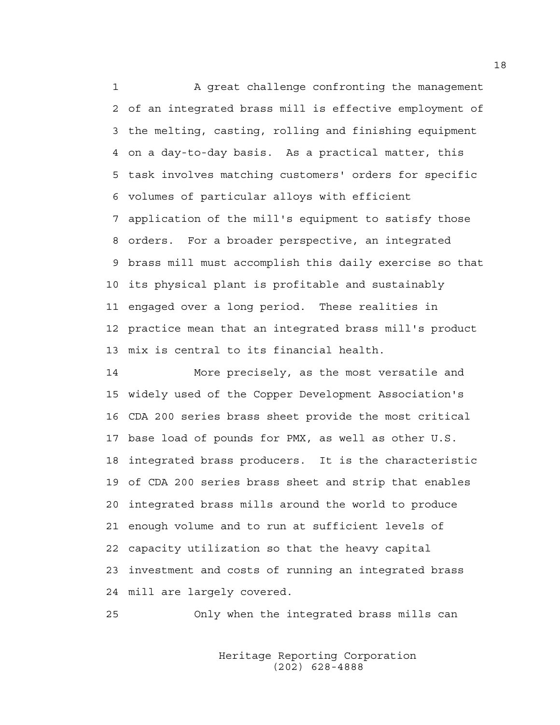1 A great challenge confronting the management 2 of an integrated brass mill is effective employment of 3 the melting, casting, rolling and finishing equipment 4 on a day-to-day basis. As a practical matter, this 5 task involves matching customers' orders for specific 6 volumes of particular alloys with efficient 7 application of the mill's equipment to satisfy those 8 orders. For a broader perspective, an integrated 9 brass mill must accomplish this daily exercise so that 10 its physical plant is profitable and sustainably 11 engaged over a long period. These realities in 12 practice mean that an integrated brass mill's product 13 mix is central to its financial health.

14 More precisely, as the most versatile and 15 widely used of the Copper Development Association's 16 CDA 200 series brass sheet provide the most critical 17 base load of pounds for PMX, as well as other U.S. 18 integrated brass producers. It is the characteristic 19 of CDA 200 series brass sheet and strip that enables 20 integrated brass mills around the world to produce 21 enough volume and to run at sufficient levels of 22 capacity utilization so that the heavy capital 23 investment and costs of running an integrated brass 24 mill are largely covered.

25 Only when the integrated brass mills can

 Heritage Reporting Corporation (202) 628-4888

18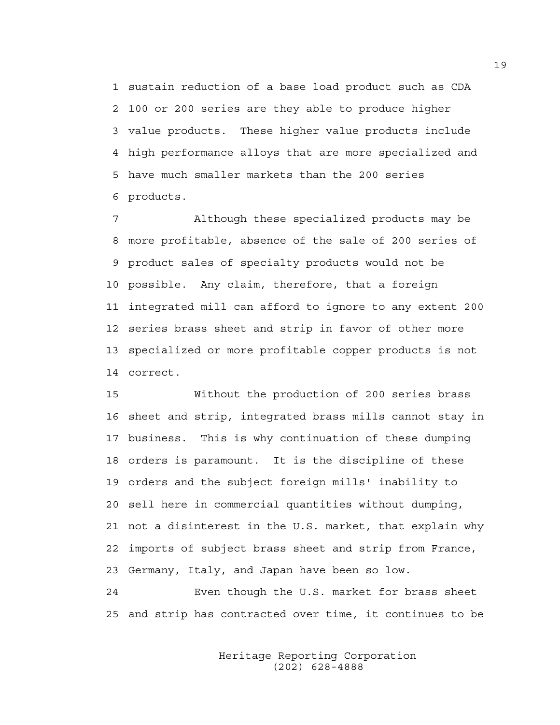1 sustain reduction of a base load product such as CDA 2 100 or 200 series are they able to produce higher 3 value products. These higher value products include 4 high performance alloys that are more specialized and 5 have much smaller markets than the 200 series 6 products.

7 Although these specialized products may be 8 more profitable, absence of the sale of 200 series of 9 product sales of specialty products would not be 10 possible. Any claim, therefore, that a foreign 11 integrated mill can afford to ignore to any extent 200 12 series brass sheet and strip in favor of other more 13 specialized or more profitable copper products is not 14 correct.

15 Without the production of 200 series brass 16 sheet and strip, integrated brass mills cannot stay in 17 business. This is why continuation of these dumping 18 orders is paramount. It is the discipline of these 19 orders and the subject foreign mills' inability to 20 sell here in commercial quantities without dumping, 21 not a disinterest in the U.S. market, that explain why 22 imports of subject brass sheet and strip from France, 23 Germany, Italy, and Japan have been so low.

24 Even though the U.S. market for brass sheet 25 and strip has contracted over time, it continues to be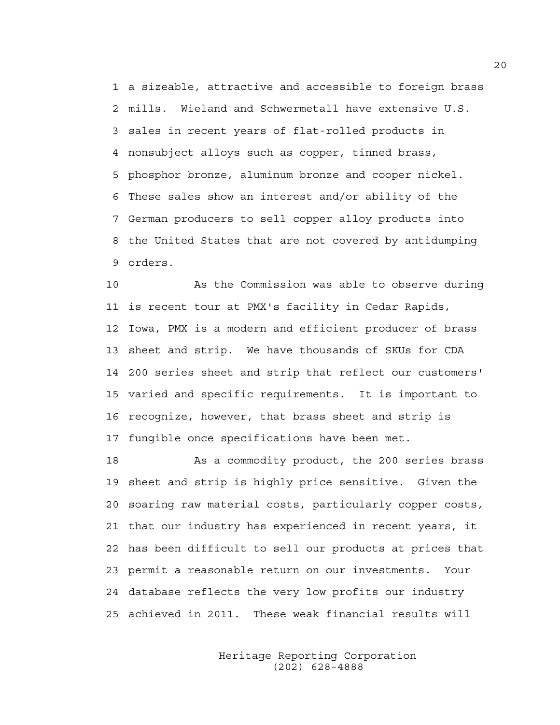1 a sizeable, attractive and accessible to foreign brass 2 mills. Wieland and Schwermetall have extensive U.S. 3 sales in recent years of flat-rolled products in 4 nonsubject alloys such as copper, tinned brass, 5 phosphor bronze, aluminum bronze and cooper nickel. 6 These sales show an interest and/or ability of the 7 German producers to sell copper alloy products into 8 the United States that are not covered by antidumping 9 orders.

10 As the Commission was able to observe during 11 is recent tour at PMX's facility in Cedar Rapids, 12 Iowa, PMX is a modern and efficient producer of brass 13 sheet and strip. We have thousands of SKUs for CDA 14 200 series sheet and strip that reflect our customers' 15 varied and specific requirements. It is important to 16 recognize, however, that brass sheet and strip is 17 fungible once specifications have been met.

18 As a commodity product, the 200 series brass 19 sheet and strip is highly price sensitive. Given the 20 soaring raw material costs, particularly copper costs, 21 that our industry has experienced in recent years, it 22 has been difficult to sell our products at prices that 23 permit a reasonable return on our investments. Your 24 database reflects the very low profits our industry 25 achieved in 2011. These weak financial results will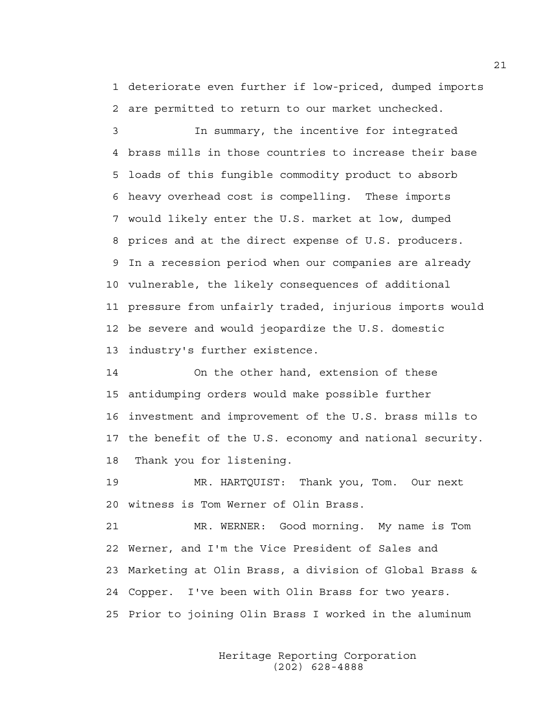1 deteriorate even further if low-priced, dumped imports 2 are permitted to return to our market unchecked.

3 In summary, the incentive for integrated 4 brass mills in those countries to increase their base 5 loads of this fungible commodity product to absorb 6 heavy overhead cost is compelling. These imports 7 would likely enter the U.S. market at low, dumped 8 prices and at the direct expense of U.S. producers. 9 In a recession period when our companies are already 10 vulnerable, the likely consequences of additional 11 pressure from unfairly traded, injurious imports would 12 be severe and would jeopardize the U.S. domestic 13 industry's further existence.

14 On the other hand, extension of these 15 antidumping orders would make possible further 16 investment and improvement of the U.S. brass mills to 17 the benefit of the U.S. economy and national security. 18 Thank you for listening.

19 MR. HARTQUIST: Thank you, Tom. Our next 20 witness is Tom Werner of Olin Brass.

21 MR. WERNER: Good morning. My name is Tom 22 Werner, and I'm the Vice President of Sales and 23 Marketing at Olin Brass, a division of Global Brass & 24 Copper. I've been with Olin Brass for two years. 25 Prior to joining Olin Brass I worked in the aluminum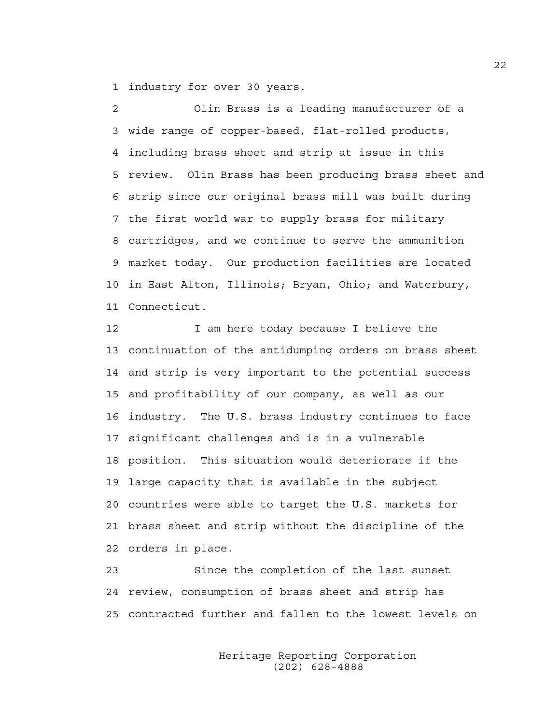1 industry for over 30 years.

2 Olin Brass is a leading manufacturer of a 3 wide range of copper-based, flat-rolled products, 4 including brass sheet and strip at issue in this 5 review. Olin Brass has been producing brass sheet and 6 strip since our original brass mill was built during 7 the first world war to supply brass for military 8 cartridges, and we continue to serve the ammunition 9 market today. Our production facilities are located 10 in East Alton, Illinois; Bryan, Ohio; and Waterbury, 11 Connecticut.

12 12 I am here today because I believe the 13 continuation of the antidumping orders on brass sheet 14 and strip is very important to the potential success 15 and profitability of our company, as well as our 16 industry. The U.S. brass industry continues to face 17 significant challenges and is in a vulnerable 18 position. This situation would deteriorate if the 19 large capacity that is available in the subject 20 countries were able to target the U.S. markets for 21 brass sheet and strip without the discipline of the 22 orders in place.

23 Since the completion of the last sunset 24 review, consumption of brass sheet and strip has 25 contracted further and fallen to the lowest levels on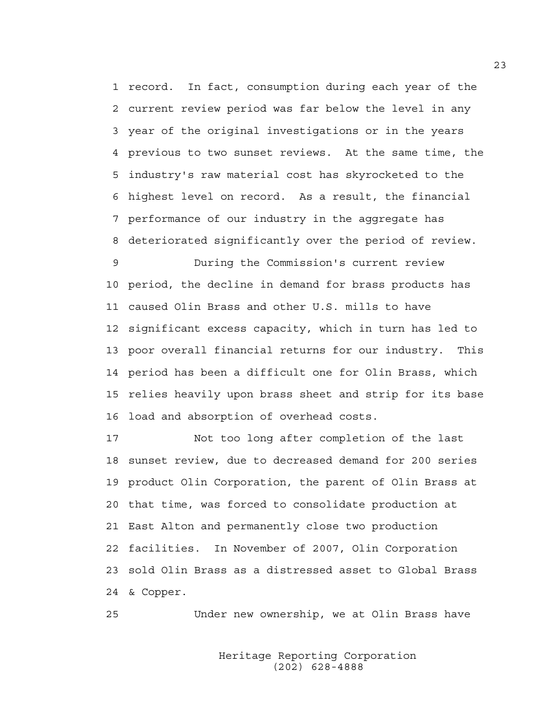1 record. In fact, consumption during each year of the 2 current review period was far below the level in any 3 year of the original investigations or in the years 4 previous to two sunset reviews. At the same time, the 5 industry's raw material cost has skyrocketed to the 6 highest level on record. As a result, the financial 7 performance of our industry in the aggregate has 8 deteriorated significantly over the period of review.

9 During the Commission's current review 10 period, the decline in demand for brass products has 11 caused Olin Brass and other U.S. mills to have 12 significant excess capacity, which in turn has led to 13 poor overall financial returns for our industry. This 14 period has been a difficult one for Olin Brass, which 15 relies heavily upon brass sheet and strip for its base 16 load and absorption of overhead costs.

17 Not too long after completion of the last 18 sunset review, due to decreased demand for 200 series 19 product Olin Corporation, the parent of Olin Brass at 20 that time, was forced to consolidate production at 21 East Alton and permanently close two production 22 facilities. In November of 2007, Olin Corporation 23 sold Olin Brass as a distressed asset to Global Brass 24 & Copper.

25 Under new ownership, we at Olin Brass have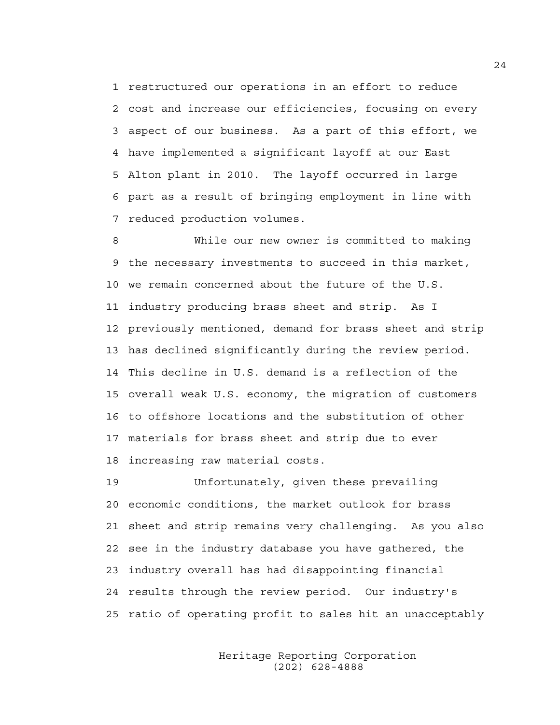1 restructured our operations in an effort to reduce 2 cost and increase our efficiencies, focusing on every 3 aspect of our business. As a part of this effort, we 4 have implemented a significant layoff at our East 5 Alton plant in 2010. The layoff occurred in large 6 part as a result of bringing employment in line with 7 reduced production volumes.

8 While our new owner is committed to making 9 the necessary investments to succeed in this market, 10 we remain concerned about the future of the U.S. 11 industry producing brass sheet and strip. As I 12 previously mentioned, demand for brass sheet and strip 13 has declined significantly during the review period. 14 This decline in U.S. demand is a reflection of the 15 overall weak U.S. economy, the migration of customers 16 to offshore locations and the substitution of other 17 materials for brass sheet and strip due to ever 18 increasing raw material costs.

19 Unfortunately, given these prevailing 20 economic conditions, the market outlook for brass 21 sheet and strip remains very challenging. As you also 22 see in the industry database you have gathered, the 23 industry overall has had disappointing financial 24 results through the review period. Our industry's 25 ratio of operating profit to sales hit an unacceptably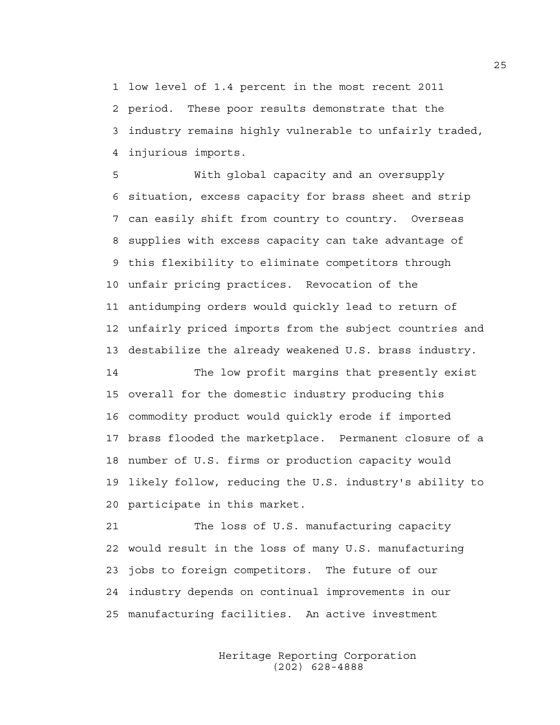1 low level of 1.4 percent in the most recent 2011 2 period. These poor results demonstrate that the 3 industry remains highly vulnerable to unfairly traded, 4 injurious imports.

5 With global capacity and an oversupply 6 situation, excess capacity for brass sheet and strip 7 can easily shift from country to country. Overseas 8 supplies with excess capacity can take advantage of 9 this flexibility to eliminate competitors through 10 unfair pricing practices. Revocation of the 11 antidumping orders would quickly lead to return of 12 unfairly priced imports from the subject countries and 13 destabilize the already weakened U.S. brass industry.

14 The low profit margins that presently exist 15 overall for the domestic industry producing this 16 commodity product would quickly erode if imported 17 brass flooded the marketplace. Permanent closure of a 18 number of U.S. firms or production capacity would 19 likely follow, reducing the U.S. industry's ability to 20 participate in this market.

21 The loss of U.S. manufacturing capacity 22 would result in the loss of many U.S. manufacturing 23 jobs to foreign competitors. The future of our 24 industry depends on continual improvements in our 25 manufacturing facilities. An active investment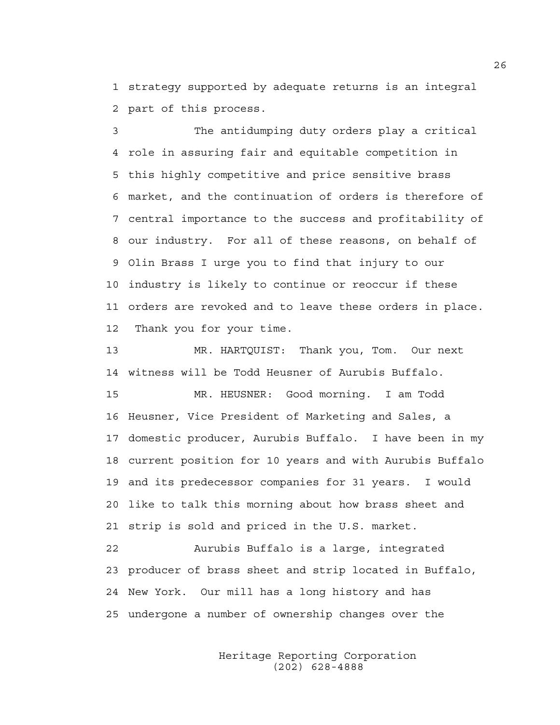1 strategy supported by adequate returns is an integral 2 part of this process.

3 The antidumping duty orders play a critical 4 role in assuring fair and equitable competition in 5 this highly competitive and price sensitive brass 6 market, and the continuation of orders is therefore of 7 central importance to the success and profitability of 8 our industry. For all of these reasons, on behalf of 9 Olin Brass I urge you to find that injury to our 10 industry is likely to continue or reoccur if these 11 orders are revoked and to leave these orders in place. 12 Thank you for your time.

13 MR. HARTQUIST: Thank you, Tom. Our next 14 witness will be Todd Heusner of Aurubis Buffalo.

15 MR. HEUSNER: Good morning. I am Todd 16 Heusner, Vice President of Marketing and Sales, a 17 domestic producer, Aurubis Buffalo. I have been in my 18 current position for 10 years and with Aurubis Buffalo 19 and its predecessor companies for 31 years. I would 20 like to talk this morning about how brass sheet and 21 strip is sold and priced in the U.S. market.

22 Aurubis Buffalo is a large, integrated 23 producer of brass sheet and strip located in Buffalo, 24 New York. Our mill has a long history and has 25 undergone a number of ownership changes over the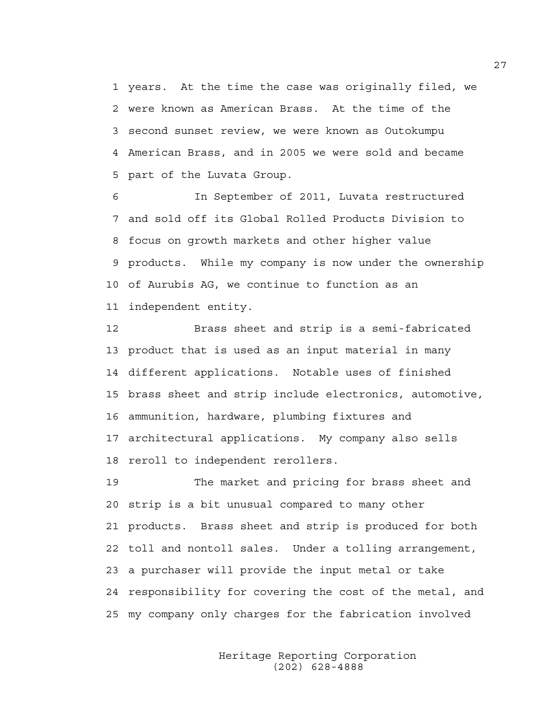1 years. At the time the case was originally filed, we 2 were known as American Brass. At the time of the 3 second sunset review, we were known as Outokumpu 4 American Brass, and in 2005 we were sold and became 5 part of the Luvata Group.

6 In September of 2011, Luvata restructured 7 and sold off its Global Rolled Products Division to 8 focus on growth markets and other higher value 9 products. While my company is now under the ownership 10 of Aurubis AG, we continue to function as an 11 independent entity.

12 Brass sheet and strip is a semi-fabricated 13 product that is used as an input material in many 14 different applications. Notable uses of finished 15 brass sheet and strip include electronics, automotive, 16 ammunition, hardware, plumbing fixtures and 17 architectural applications. My company also sells 18 reroll to independent rerollers.

19 The market and pricing for brass sheet and 20 strip is a bit unusual compared to many other 21 products. Brass sheet and strip is produced for both 22 toll and nontoll sales. Under a tolling arrangement, 23 a purchaser will provide the input metal or take 24 responsibility for covering the cost of the metal, and 25 my company only charges for the fabrication involved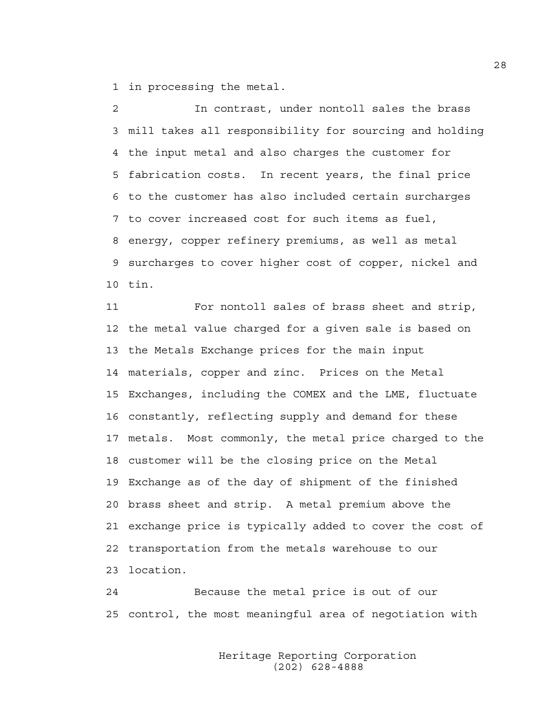1 in processing the metal.

2 In contrast, under nontoll sales the brass 3 mill takes all responsibility for sourcing and holding 4 the input metal and also charges the customer for 5 fabrication costs. In recent years, the final price 6 to the customer has also included certain surcharges 7 to cover increased cost for such items as fuel, 8 energy, copper refinery premiums, as well as metal 9 surcharges to cover higher cost of copper, nickel and 10 tin.

11 For nontoll sales of brass sheet and strip, 12 the metal value charged for a given sale is based on 13 the Metals Exchange prices for the main input 14 materials, copper and zinc. Prices on the Metal 15 Exchanges, including the COMEX and the LME, fluctuate 16 constantly, reflecting supply and demand for these 17 metals. Most commonly, the metal price charged to the 18 customer will be the closing price on the Metal 19 Exchange as of the day of shipment of the finished 20 brass sheet and strip. A metal premium above the 21 exchange price is typically added to cover the cost of 22 transportation from the metals warehouse to our 23 location.

24 Because the metal price is out of our 25 control, the most meaningful area of negotiation with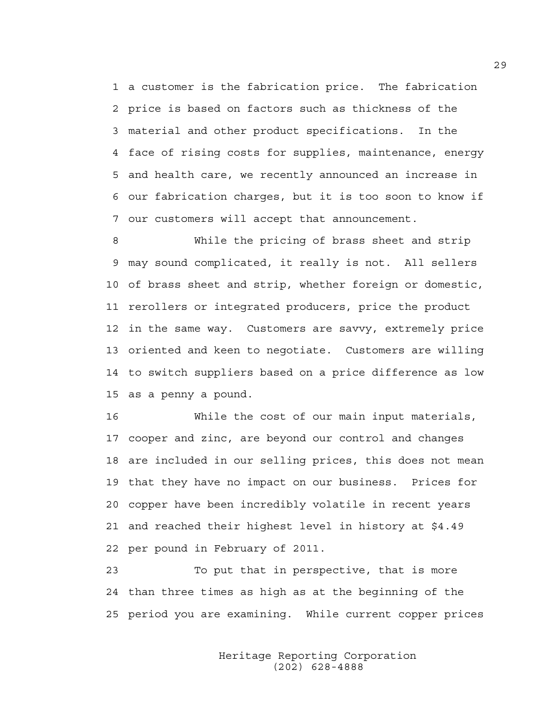1 a customer is the fabrication price. The fabrication 2 price is based on factors such as thickness of the 3 material and other product specifications. In the 4 face of rising costs for supplies, maintenance, energy 5 and health care, we recently announced an increase in 6 our fabrication charges, but it is too soon to know if 7 our customers will accept that announcement.

8 While the pricing of brass sheet and strip 9 may sound complicated, it really is not. All sellers 10 of brass sheet and strip, whether foreign or domestic, 11 rerollers or integrated producers, price the product 12 in the same way. Customers are savvy, extremely price 13 oriented and keen to negotiate. Customers are willing 14 to switch suppliers based on a price difference as low 15 as a penny a pound.

16 While the cost of our main input materials, 17 cooper and zinc, are beyond our control and changes 18 are included in our selling prices, this does not mean 19 that they have no impact on our business. Prices for 20 copper have been incredibly volatile in recent years 21 and reached their highest level in history at \$4.49 22 per pound in February of 2011.

23 To put that in perspective, that is more 24 than three times as high as at the beginning of the 25 period you are examining. While current copper prices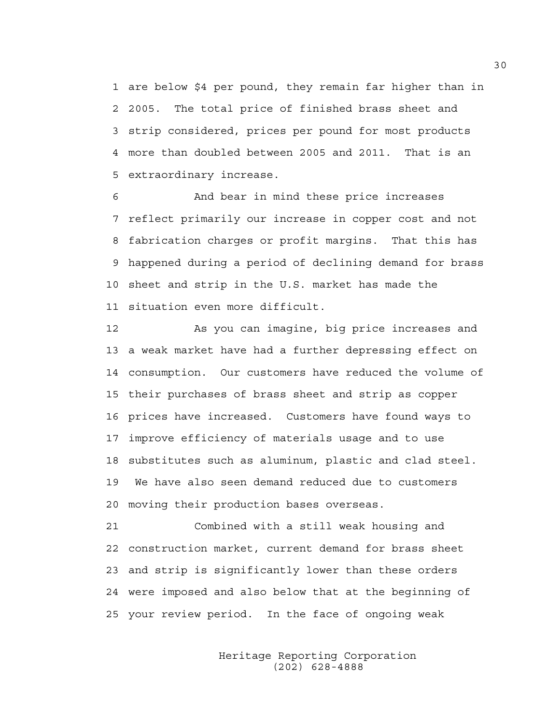1 are below \$4 per pound, they remain far higher than in 2 2005. The total price of finished brass sheet and 3 strip considered, prices per pound for most products 4 more than doubled between 2005 and 2011. That is an 5 extraordinary increase.

6 And bear in mind these price increases 7 reflect primarily our increase in copper cost and not 8 fabrication charges or profit margins. That this has 9 happened during a period of declining demand for brass 10 sheet and strip in the U.S. market has made the 11 situation even more difficult.

12 As you can imagine, big price increases and 13 a weak market have had a further depressing effect on 14 consumption. Our customers have reduced the volume of 15 their purchases of brass sheet and strip as copper 16 prices have increased. Customers have found ways to 17 improve efficiency of materials usage and to use 18 substitutes such as aluminum, plastic and clad steel. 19 We have also seen demand reduced due to customers 20 moving their production bases overseas.

21 Combined with a still weak housing and 22 construction market, current demand for brass sheet 23 and strip is significantly lower than these orders 24 were imposed and also below that at the beginning of 25 your review period. In the face of ongoing weak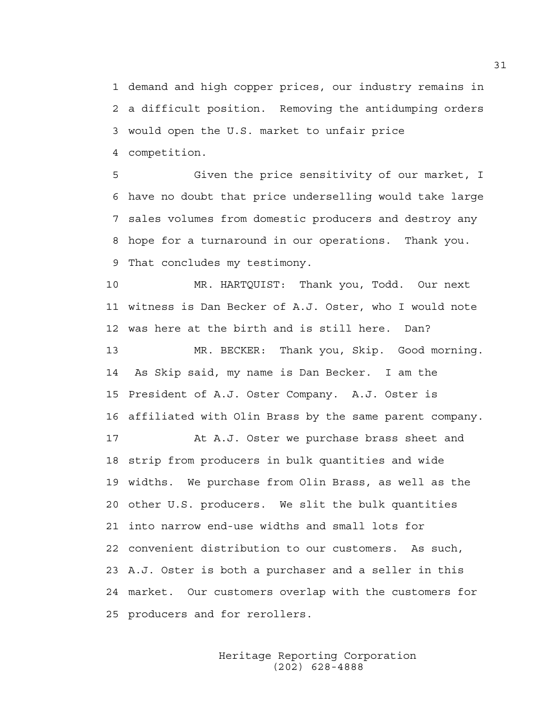1 demand and high copper prices, our industry remains in 2 a difficult position. Removing the antidumping orders 3 would open the U.S. market to unfair price 4 competition.

5 Given the price sensitivity of our market, I 6 have no doubt that price underselling would take large 7 sales volumes from domestic producers and destroy any 8 hope for a turnaround in our operations. Thank you. 9 That concludes my testimony.

10 MR. HARTQUIST: Thank you, Todd. Our next 11 witness is Dan Becker of A.J. Oster, who I would note 12 was here at the birth and is still here. Dan?

13 MR. BECKER: Thank you, Skip. Good morning. 14 As Skip said, my name is Dan Becker. I am the 15 President of A.J. Oster Company. A.J. Oster is 16 affiliated with Olin Brass by the same parent company.

17 At A.J. Oster we purchase brass sheet and 18 strip from producers in bulk quantities and wide 19 widths. We purchase from Olin Brass, as well as the 20 other U.S. producers. We slit the bulk quantities 21 into narrow end-use widths and small lots for 22 convenient distribution to our customers. As such, 23 A.J. Oster is both a purchaser and a seller in this 24 market. Our customers overlap with the customers for 25 producers and for rerollers.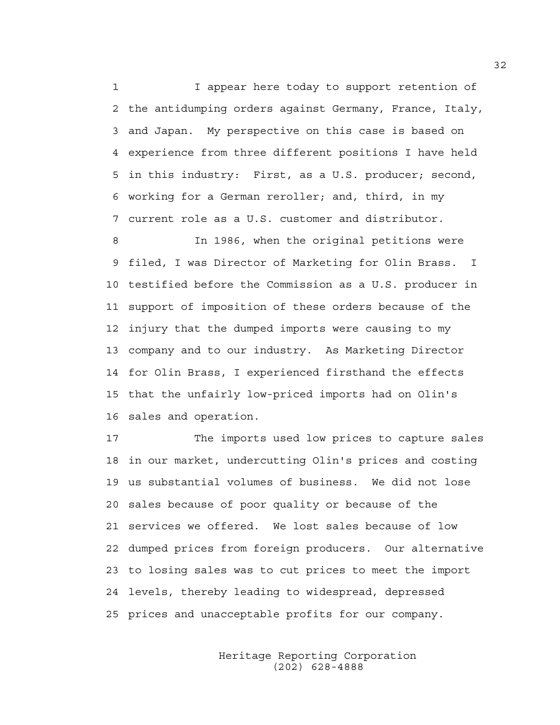1 I appear here today to support retention of 2 the antidumping orders against Germany, France, Italy, 3 and Japan. My perspective on this case is based on 4 experience from three different positions I have held 5 in this industry: First, as a U.S. producer; second, 6 working for a German reroller; and, third, in my 7 current role as a U.S. customer and distributor.

8 In 1986, when the original petitions were 9 filed, I was Director of Marketing for Olin Brass. I 10 testified before the Commission as a U.S. producer in 11 support of imposition of these orders because of the 12 injury that the dumped imports were causing to my 13 company and to our industry. As Marketing Director 14 for Olin Brass, I experienced firsthand the effects 15 that the unfairly low-priced imports had on Olin's 16 sales and operation.

17 The imports used low prices to capture sales 18 in our market, undercutting Olin's prices and costing 19 us substantial volumes of business. We did not lose 20 sales because of poor quality or because of the 21 services we offered. We lost sales because of low 22 dumped prices from foreign producers. Our alternative 23 to losing sales was to cut prices to meet the import 24 levels, thereby leading to widespread, depressed 25 prices and unacceptable profits for our company.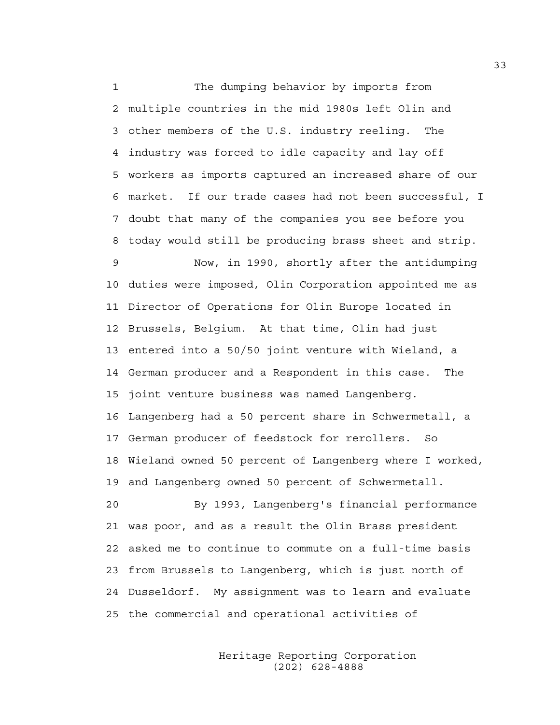1 The dumping behavior by imports from 2 multiple countries in the mid 1980s left Olin and 3 other members of the U.S. industry reeling. The 4 industry was forced to idle capacity and lay off 5 workers as imports captured an increased share of our 6 market. If our trade cases had not been successful, I 7 doubt that many of the companies you see before you 8 today would still be producing brass sheet and strip. 9 Now, in 1990, shortly after the antidumping 10 duties were imposed, Olin Corporation appointed me as 11 Director of Operations for Olin Europe located in 12 Brussels, Belgium. At that time, Olin had just 13 entered into a 50/50 joint venture with Wieland, a 14 German producer and a Respondent in this case. The 15 joint venture business was named Langenberg. 16 Langenberg had a 50 percent share in Schwermetall, a 17 German producer of feedstock for rerollers. So 18 Wieland owned 50 percent of Langenberg where I worked, 19 and Langenberg owned 50 percent of Schwermetall. 20 By 1993, Langenberg's financial performance 21 was poor, and as a result the Olin Brass president 22 asked me to continue to commute on a full-time basis 23 from Brussels to Langenberg, which is just north of 24 Dusseldorf. My assignment was to learn and evaluate

25 the commercial and operational activities of

 Heritage Reporting Corporation (202) 628-4888

33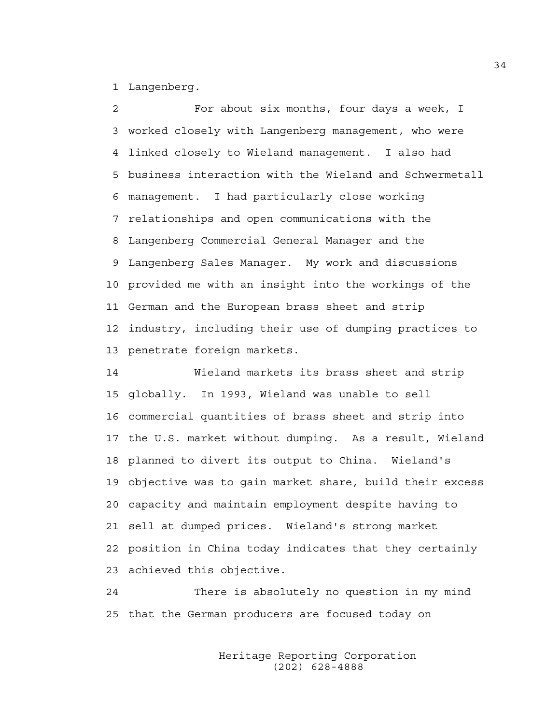1 Langenberg.

2 For about six months, four days a week, I 3 worked closely with Langenberg management, who were 4 linked closely to Wieland management. I also had 5 business interaction with the Wieland and Schwermetall 6 management. I had particularly close working 7 relationships and open communications with the 8 Langenberg Commercial General Manager and the 9 Langenberg Sales Manager. My work and discussions 10 provided me with an insight into the workings of the 11 German and the European brass sheet and strip 12 industry, including their use of dumping practices to 13 penetrate foreign markets.

14 Wieland markets its brass sheet and strip 15 globally. In 1993, Wieland was unable to sell 16 commercial quantities of brass sheet and strip into 17 the U.S. market without dumping. As a result, Wieland 18 planned to divert its output to China. Wieland's 19 objective was to gain market share, build their excess 20 capacity and maintain employment despite having to 21 sell at dumped prices. Wieland's strong market 22 position in China today indicates that they certainly 23 achieved this objective.

24 There is absolutely no question in my mind 25 that the German producers are focused today on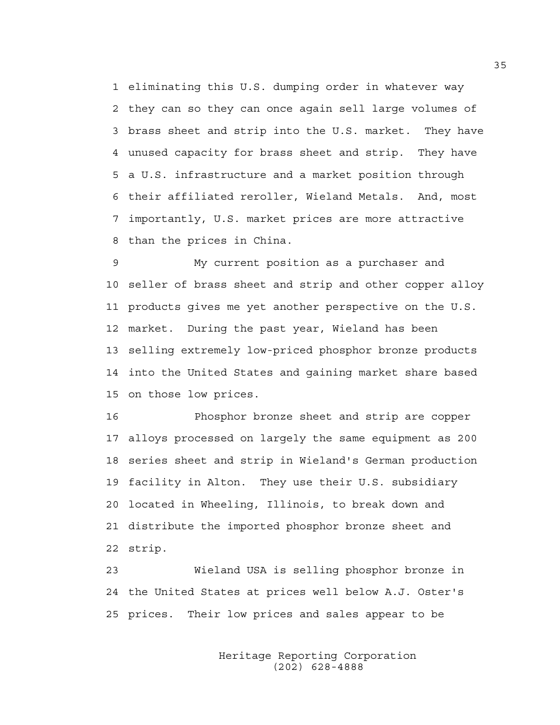1 eliminating this U.S. dumping order in whatever way 2 they can so they can once again sell large volumes of 3 brass sheet and strip into the U.S. market. They have 4 unused capacity for brass sheet and strip. They have 5 a U.S. infrastructure and a market position through 6 their affiliated reroller, Wieland Metals. And, most 7 importantly, U.S. market prices are more attractive 8 than the prices in China.

9 My current position as a purchaser and 10 seller of brass sheet and strip and other copper alloy 11 products gives me yet another perspective on the U.S. 12 market. During the past year, Wieland has been 13 selling extremely low-priced phosphor bronze products 14 into the United States and gaining market share based 15 on those low prices.

16 Phosphor bronze sheet and strip are copper 17 alloys processed on largely the same equipment as 200 18 series sheet and strip in Wieland's German production 19 facility in Alton. They use their U.S. subsidiary 20 located in Wheeling, Illinois, to break down and 21 distribute the imported phosphor bronze sheet and 22 strip.

23 Wieland USA is selling phosphor bronze in 24 the United States at prices well below A.J. Oster's 25 prices. Their low prices and sales appear to be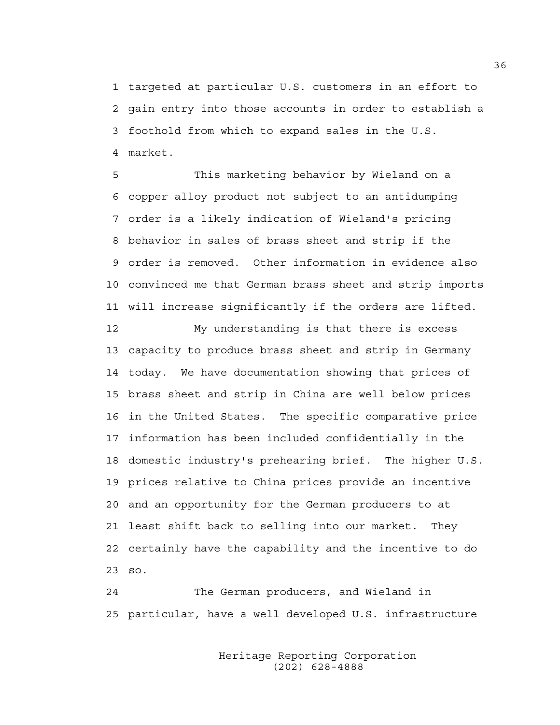1 targeted at particular U.S. customers in an effort to 2 gain entry into those accounts in order to establish a 3 foothold from which to expand sales in the U.S. 4 market.

5 This marketing behavior by Wieland on a 6 copper alloy product not subject to an antidumping 7 order is a likely indication of Wieland's pricing 8 behavior in sales of brass sheet and strip if the 9 order is removed. Other information in evidence also 10 convinced me that German brass sheet and strip imports 11 will increase significantly if the orders are lifted.

12 My understanding is that there is excess 13 capacity to produce brass sheet and strip in Germany 14 today. We have documentation showing that prices of 15 brass sheet and strip in China are well below prices 16 in the United States. The specific comparative price 17 information has been included confidentially in the 18 domestic industry's prehearing brief. The higher U.S. 19 prices relative to China prices provide an incentive 20 and an opportunity for the German producers to at 21 least shift back to selling into our market. They 22 certainly have the capability and the incentive to do 23 so.

24 The German producers, and Wieland in 25 particular, have a well developed U.S. infrastructure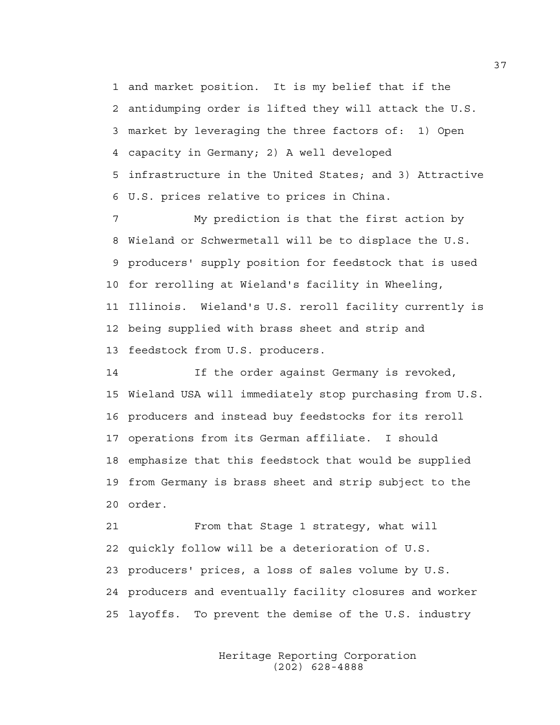1 and market position. It is my belief that if the 2 antidumping order is lifted they will attack the U.S. 3 market by leveraging the three factors of: 1) Open 4 capacity in Germany; 2) A well developed 5 infrastructure in the United States; and 3) Attractive 6 U.S. prices relative to prices in China.

7 My prediction is that the first action by 8 Wieland or Schwermetall will be to displace the U.S. 9 producers' supply position for feedstock that is used 10 for rerolling at Wieland's facility in Wheeling, 11 Illinois. Wieland's U.S. reroll facility currently is 12 being supplied with brass sheet and strip and 13 feedstock from U.S. producers.

14 If the order against Germany is revoked, 15 Wieland USA will immediately stop purchasing from U.S. 16 producers and instead buy feedstocks for its reroll 17 operations from its German affiliate. I should 18 emphasize that this feedstock that would be supplied 19 from Germany is brass sheet and strip subject to the 20 order.

21 From that Stage 1 strategy, what will 22 quickly follow will be a deterioration of U.S. 23 producers' prices, a loss of sales volume by U.S. 24 producers and eventually facility closures and worker 25 layoffs. To prevent the demise of the U.S. industry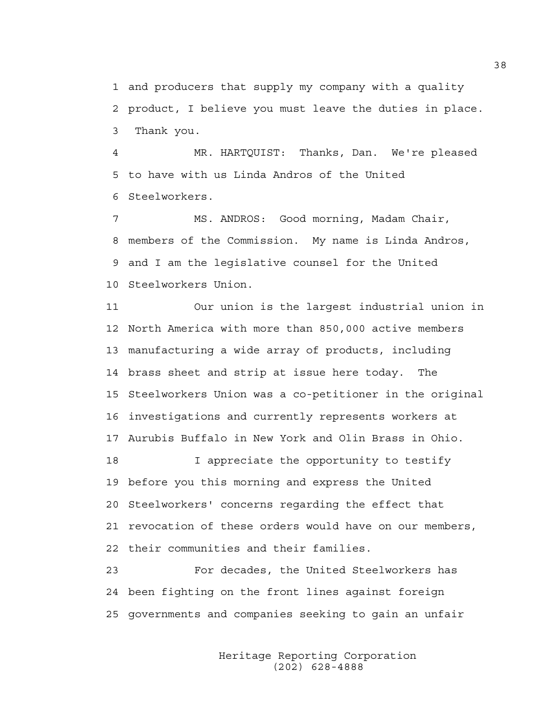1 and producers that supply my company with a quality 2 product, I believe you must leave the duties in place. 3 Thank you.

4 MR. HARTQUIST: Thanks, Dan. We're pleased 5 to have with us Linda Andros of the United 6 Steelworkers.

7 MS. ANDROS: Good morning, Madam Chair, 8 members of the Commission. My name is Linda Andros, 9 and I am the legislative counsel for the United 10 Steelworkers Union.

11 Our union is the largest industrial union in 12 North America with more than 850,000 active members 13 manufacturing a wide array of products, including 14 brass sheet and strip at issue here today. The 15 Steelworkers Union was a co-petitioner in the original 16 investigations and currently represents workers at 17 Aurubis Buffalo in New York and Olin Brass in Ohio.

18 I appreciate the opportunity to testify 19 before you this morning and express the United 20 Steelworkers' concerns regarding the effect that 21 revocation of these orders would have on our members, 22 their communities and their families.

23 For decades, the United Steelworkers has 24 been fighting on the front lines against foreign 25 governments and companies seeking to gain an unfair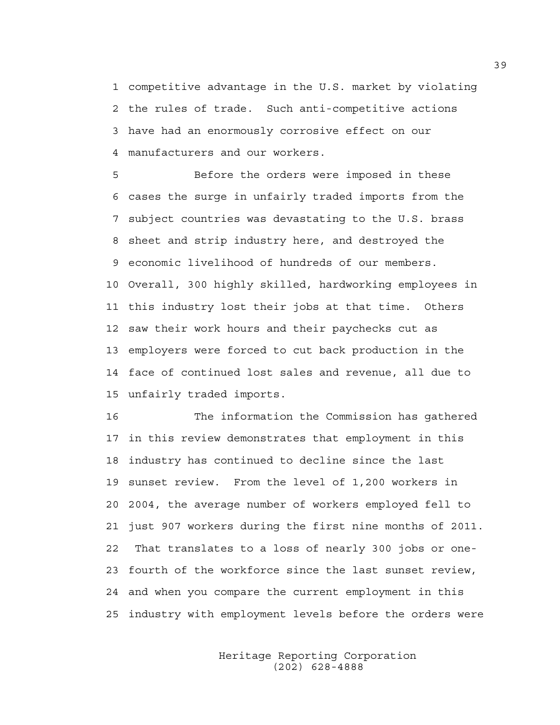1 competitive advantage in the U.S. market by violating 2 the rules of trade. Such anti-competitive actions 3 have had an enormously corrosive effect on our 4 manufacturers and our workers.

5 Before the orders were imposed in these 6 cases the surge in unfairly traded imports from the 7 subject countries was devastating to the U.S. brass 8 sheet and strip industry here, and destroyed the 9 economic livelihood of hundreds of our members. 10 Overall, 300 highly skilled, hardworking employees in 11 this industry lost their jobs at that time. Others 12 saw their work hours and their paychecks cut as 13 employers were forced to cut back production in the 14 face of continued lost sales and revenue, all due to 15 unfairly traded imports.

16 The information the Commission has gathered 17 in this review demonstrates that employment in this 18 industry has continued to decline since the last 19 sunset review. From the level of 1,200 workers in 20 2004, the average number of workers employed fell to 21 just 907 workers during the first nine months of 2011. 22 That translates to a loss of nearly 300 jobs or one-23 fourth of the workforce since the last sunset review, 24 and when you compare the current employment in this 25 industry with employment levels before the orders were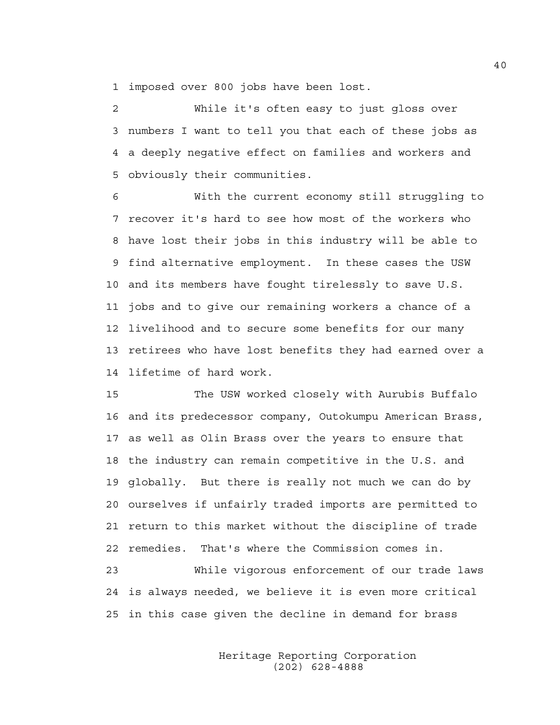1 imposed over 800 jobs have been lost.

2 While it's often easy to just gloss over 3 numbers I want to tell you that each of these jobs as 4 a deeply negative effect on families and workers and 5 obviously their communities.

6 With the current economy still struggling to 7 recover it's hard to see how most of the workers who 8 have lost their jobs in this industry will be able to 9 find alternative employment. In these cases the USW 10 and its members have fought tirelessly to save U.S. 11 jobs and to give our remaining workers a chance of a 12 livelihood and to secure some benefits for our many 13 retirees who have lost benefits they had earned over a 14 lifetime of hard work.

15 The USW worked closely with Aurubis Buffalo 16 and its predecessor company, Outokumpu American Brass, 17 as well as Olin Brass over the years to ensure that 18 the industry can remain competitive in the U.S. and 19 globally. But there is really not much we can do by 20 ourselves if unfairly traded imports are permitted to 21 return to this market without the discipline of trade 22 remedies. That's where the Commission comes in.

23 While vigorous enforcement of our trade laws 24 is always needed, we believe it is even more critical 25 in this case given the decline in demand for brass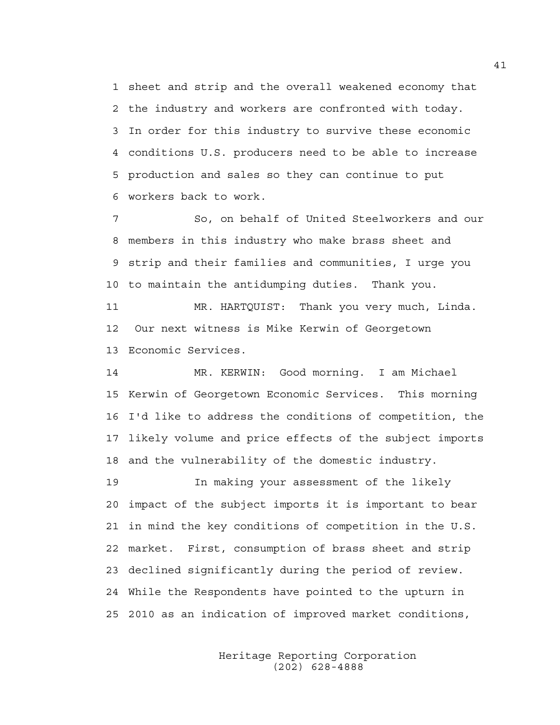1 sheet and strip and the overall weakened economy that 2 the industry and workers are confronted with today. 3 In order for this industry to survive these economic 4 conditions U.S. producers need to be able to increase 5 production and sales so they can continue to put 6 workers back to work.

7 So, on behalf of United Steelworkers and our 8 members in this industry who make brass sheet and 9 strip and their families and communities, I urge you 10 to maintain the antidumping duties. Thank you.

11 MR. HARTQUIST: Thank you very much, Linda. 12 Our next witness is Mike Kerwin of Georgetown 13 Economic Services.

14 MR. KERWIN: Good morning. I am Michael 15 Kerwin of Georgetown Economic Services. This morning 16 I'd like to address the conditions of competition, the 17 likely volume and price effects of the subject imports 18 and the vulnerability of the domestic industry.

19 In making your assessment of the likely 20 impact of the subject imports it is important to bear 21 in mind the key conditions of competition in the U.S. 22 market. First, consumption of brass sheet and strip 23 declined significantly during the period of review. 24 While the Respondents have pointed to the upturn in 25 2010 as an indication of improved market conditions,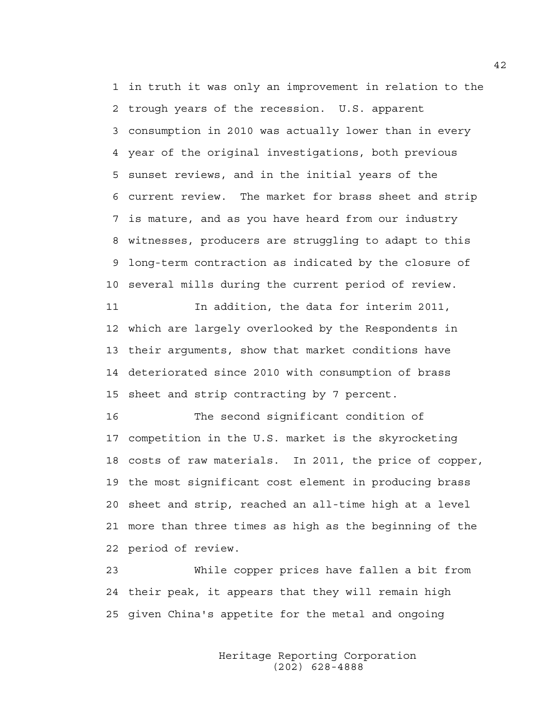1 in truth it was only an improvement in relation to the 2 trough years of the recession. U.S. apparent 3 consumption in 2010 was actually lower than in every 4 year of the original investigations, both previous 5 sunset reviews, and in the initial years of the 6 current review. The market for brass sheet and strip 7 is mature, and as you have heard from our industry 8 witnesses, producers are struggling to adapt to this 9 long-term contraction as indicated by the closure of 10 several mills during the current period of review. 11 In addition, the data for interim 2011,

12 which are largely overlooked by the Respondents in 13 their arguments, show that market conditions have 14 deteriorated since 2010 with consumption of brass 15 sheet and strip contracting by 7 percent.

16 The second significant condition of 17 competition in the U.S. market is the skyrocketing 18 costs of raw materials. In 2011, the price of copper, 19 the most significant cost element in producing brass 20 sheet and strip, reached an all-time high at a level 21 more than three times as high as the beginning of the 22 period of review.

23 While copper prices have fallen a bit from 24 their peak, it appears that they will remain high 25 given China's appetite for the metal and ongoing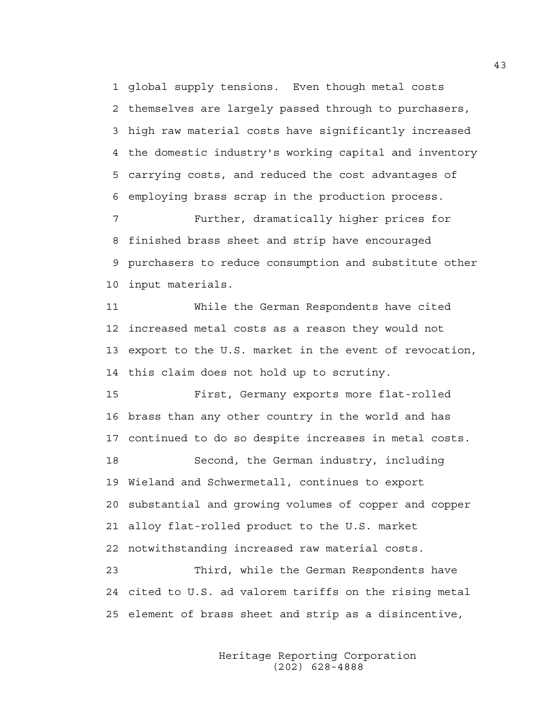1 global supply tensions. Even though metal costs 2 themselves are largely passed through to purchasers, 3 high raw material costs have significantly increased 4 the domestic industry's working capital and inventory 5 carrying costs, and reduced the cost advantages of 6 employing brass scrap in the production process.

7 Further, dramatically higher prices for 8 finished brass sheet and strip have encouraged 9 purchasers to reduce consumption and substitute other 10 input materials.

11 While the German Respondents have cited 12 increased metal costs as a reason they would not 13 export to the U.S. market in the event of revocation, 14 this claim does not hold up to scrutiny.

15 First, Germany exports more flat-rolled 16 brass than any other country in the world and has 17 continued to do so despite increases in metal costs. 18 Second, the German industry, including 19 Wieland and Schwermetall, continues to export 20 substantial and growing volumes of copper and copper 21 alloy flat-rolled product to the U.S. market 22 notwithstanding increased raw material costs. 23 Third, while the German Respondents have

24 cited to U.S. ad valorem tariffs on the rising metal 25 element of brass sheet and strip as a disincentive,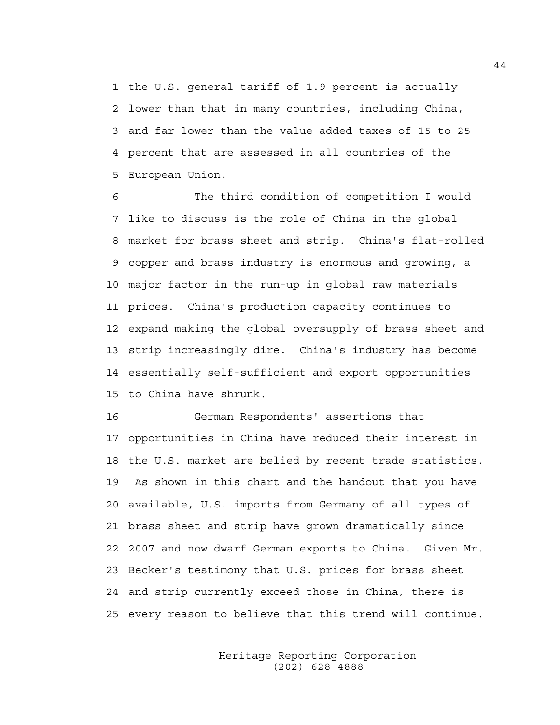1 the U.S. general tariff of 1.9 percent is actually 2 lower than that in many countries, including China, 3 and far lower than the value added taxes of 15 to 25 4 percent that are assessed in all countries of the 5 European Union.

6 The third condition of competition I would 7 like to discuss is the role of China in the global 8 market for brass sheet and strip. China's flat-rolled 9 copper and brass industry is enormous and growing, a 10 major factor in the run-up in global raw materials 11 prices. China's production capacity continues to 12 expand making the global oversupply of brass sheet and 13 strip increasingly dire. China's industry has become 14 essentially self-sufficient and export opportunities 15 to China have shrunk.

16 German Respondents' assertions that 17 opportunities in China have reduced their interest in 18 the U.S. market are belied by recent trade statistics. 19 As shown in this chart and the handout that you have 20 available, U.S. imports from Germany of all types of 21 brass sheet and strip have grown dramatically since 22 2007 and now dwarf German exports to China. Given Mr. 23 Becker's testimony that U.S. prices for brass sheet 24 and strip currently exceed those in China, there is 25 every reason to believe that this trend will continue.

> Heritage Reporting Corporation (202) 628-4888

44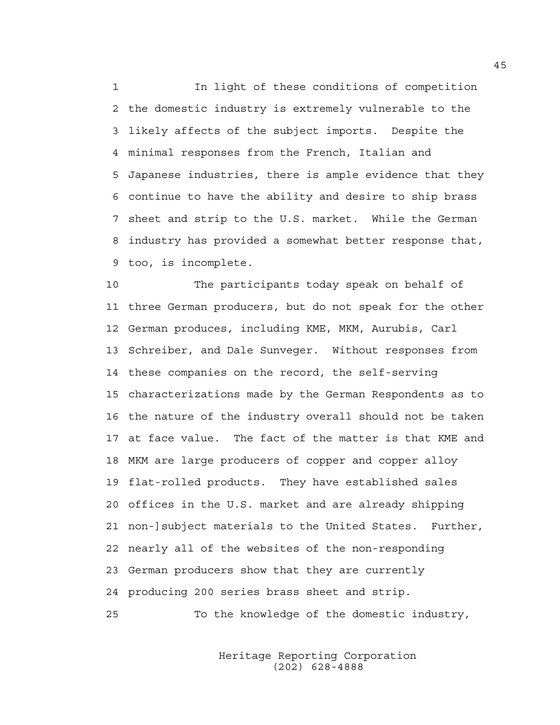1 In light of these conditions of competition 2 the domestic industry is extremely vulnerable to the 3 likely affects of the subject imports. Despite the 4 minimal responses from the French, Italian and 5 Japanese industries, there is ample evidence that they 6 continue to have the ability and desire to ship brass 7 sheet and strip to the U.S. market. While the German 8 industry has provided a somewhat better response that, 9 too, is incomplete.

10 The participants today speak on behalf of 11 three German producers, but do not speak for the other 12 German produces, including KME, MKM, Aurubis, Carl 13 Schreiber, and Dale Sunveger. Without responses from 14 these companies on the record, the self-serving 15 characterizations made by the German Respondents as to 16 the nature of the industry overall should not be taken 17 at face value. The fact of the matter is that KME and 18 MKM are large producers of copper and copper alloy 19 flat-rolled products. They have established sales 20 offices in the U.S. market and are already shipping 21 non-]subject materials to the United States. Further, 22 nearly all of the websites of the non-responding 23 German producers show that they are currently 24 producing 200 series brass sheet and strip.

25 To the knowledge of the domestic industry,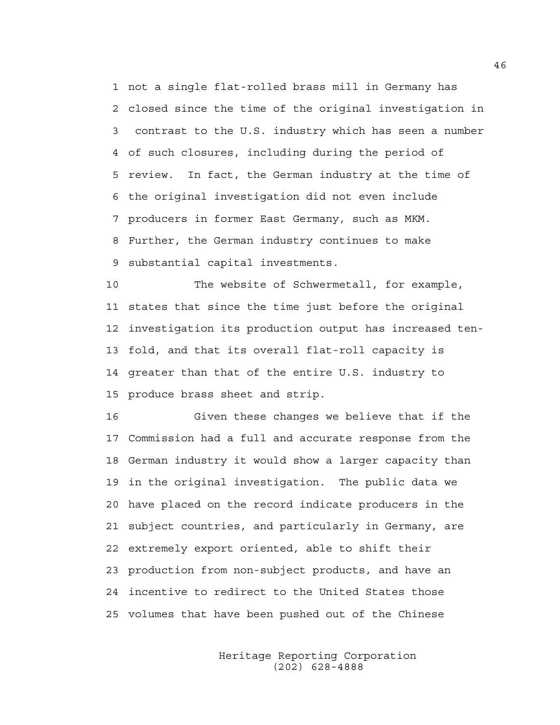1 not a single flat-rolled brass mill in Germany has 2 closed since the time of the original investigation in 3 contrast to the U.S. industry which has seen a number 4 of such closures, including during the period of 5 review. In fact, the German industry at the time of 6 the original investigation did not even include 7 producers in former East Germany, such as MKM. 8 Further, the German industry continues to make 9 substantial capital investments.

10 The website of Schwermetall, for example, 11 states that since the time just before the original 12 investigation its production output has increased ten-13 fold, and that its overall flat-roll capacity is 14 greater than that of the entire U.S. industry to 15 produce brass sheet and strip.

16 Given these changes we believe that if the 17 Commission had a full and accurate response from the 18 German industry it would show a larger capacity than 19 in the original investigation. The public data we 20 have placed on the record indicate producers in the 21 subject countries, and particularly in Germany, are 22 extremely export oriented, able to shift their 23 production from non-subject products, and have an 24 incentive to redirect to the United States those 25 volumes that have been pushed out of the Chinese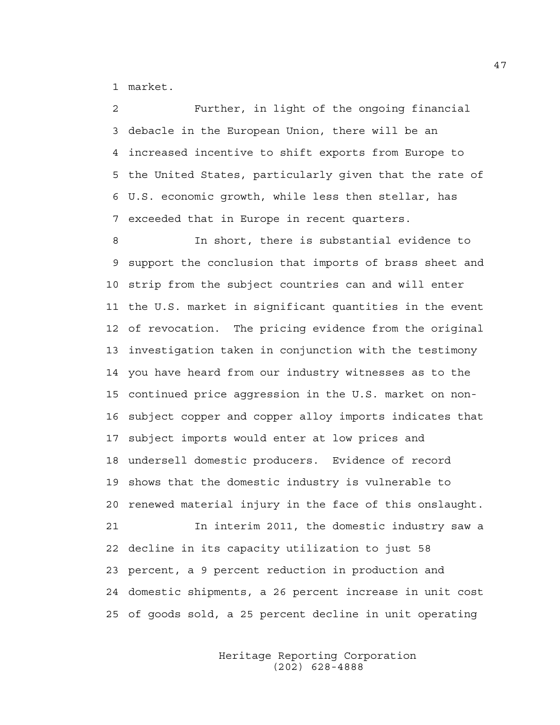1 market.

2 Further, in light of the ongoing financial 3 debacle in the European Union, there will be an 4 increased incentive to shift exports from Europe to 5 the United States, particularly given that the rate of 6 U.S. economic growth, while less then stellar, has 7 exceeded that in Europe in recent quarters.

8 In short, there is substantial evidence to 9 support the conclusion that imports of brass sheet and 10 strip from the subject countries can and will enter 11 the U.S. market in significant quantities in the event 12 of revocation. The pricing evidence from the original 13 investigation taken in conjunction with the testimony 14 you have heard from our industry witnesses as to the 15 continued price aggression in the U.S. market on non-16 subject copper and copper alloy imports indicates that 17 subject imports would enter at low prices and 18 undersell domestic producers. Evidence of record 19 shows that the domestic industry is vulnerable to 20 renewed material injury in the face of this onslaught. 21 In interim 2011, the domestic industry saw a 22 decline in its capacity utilization to just 58 23 percent, a 9 percent reduction in production and 24 domestic shipments, a 26 percent increase in unit cost 25 of goods sold, a 25 percent decline in unit operating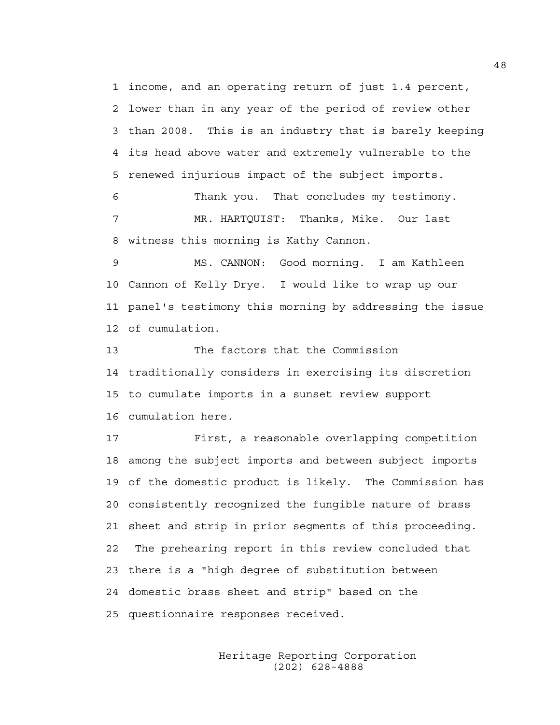1 income, and an operating return of just 1.4 percent, 2 lower than in any year of the period of review other 3 than 2008. This is an industry that is barely keeping 4 its head above water and extremely vulnerable to the 5 renewed injurious impact of the subject imports.

6 Thank you. That concludes my testimony. 7 MR. HARTQUIST: Thanks, Mike. Our last 8 witness this morning is Kathy Cannon.

9 MS. CANNON: Good morning. I am Kathleen 10 Cannon of Kelly Drye. I would like to wrap up our 11 panel's testimony this morning by addressing the issue 12 of cumulation.

13 The factors that the Commission 14 traditionally considers in exercising its discretion 15 to cumulate imports in a sunset review support 16 cumulation here.

17 First, a reasonable overlapping competition 18 among the subject imports and between subject imports 19 of the domestic product is likely. The Commission has 20 consistently recognized the fungible nature of brass 21 sheet and strip in prior segments of this proceeding. 22 The prehearing report in this review concluded that 23 there is a "high degree of substitution between 24 domestic brass sheet and strip" based on the 25 questionnaire responses received.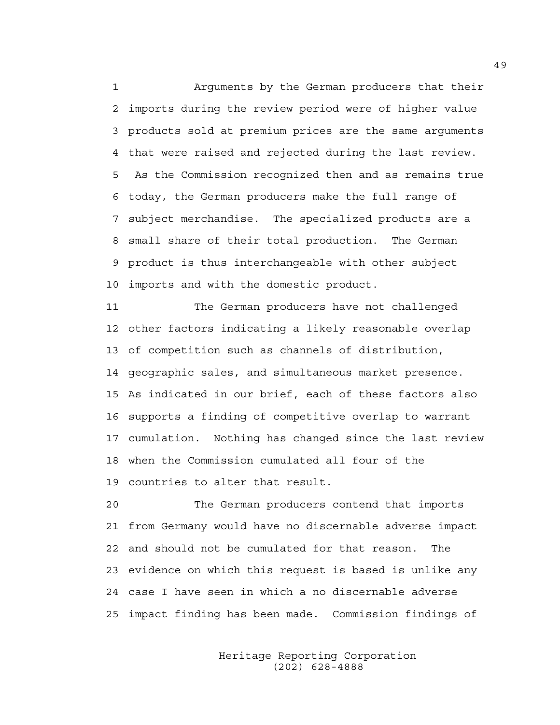1 Arguments by the German producers that their 2 imports during the review period were of higher value 3 products sold at premium prices are the same arguments 4 that were raised and rejected during the last review. 5 As the Commission recognized then and as remains true 6 today, the German producers make the full range of 7 subject merchandise. The specialized products are a 8 small share of their total production. The German 9 product is thus interchangeable with other subject 10 imports and with the domestic product.

11 The German producers have not challenged 12 other factors indicating a likely reasonable overlap 13 of competition such as channels of distribution, 14 geographic sales, and simultaneous market presence. 15 As indicated in our brief, each of these factors also 16 supports a finding of competitive overlap to warrant 17 cumulation. Nothing has changed since the last review 18 when the Commission cumulated all four of the 19 countries to alter that result.

20 The German producers contend that imports 21 from Germany would have no discernable adverse impact 22 and should not be cumulated for that reason. The 23 evidence on which this request is based is unlike any 24 case I have seen in which a no discernable adverse 25 impact finding has been made. Commission findings of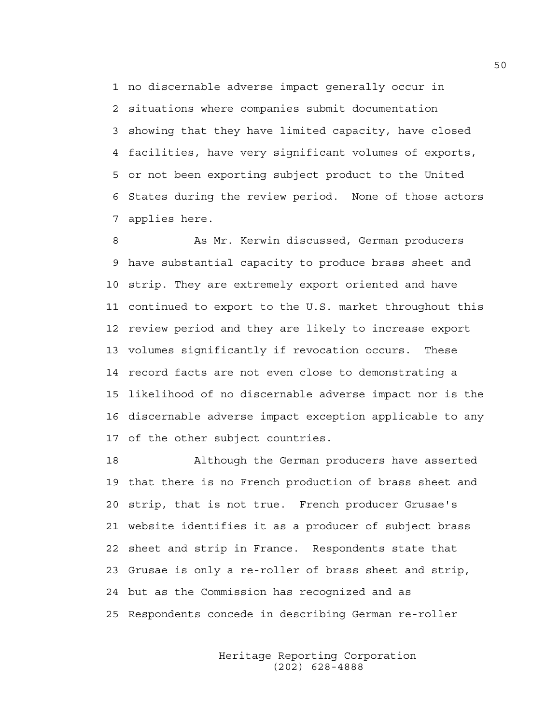1 no discernable adverse impact generally occur in 2 situations where companies submit documentation 3 showing that they have limited capacity, have closed 4 facilities, have very significant volumes of exports, 5 or not been exporting subject product to the United 6 States during the review period. None of those actors 7 applies here.

8 As Mr. Kerwin discussed, German producers 9 have substantial capacity to produce brass sheet and 10 strip. They are extremely export oriented and have 11 continued to export to the U.S. market throughout this 12 review period and they are likely to increase export 13 volumes significantly if revocation occurs. These 14 record facts are not even close to demonstrating a 15 likelihood of no discernable adverse impact nor is the 16 discernable adverse impact exception applicable to any 17 of the other subject countries.

18 Although the German producers have asserted 19 that there is no French production of brass sheet and 20 strip, that is not true. French producer Grusae's 21 website identifies it as a producer of subject brass 22 sheet and strip in France. Respondents state that 23 Grusae is only a re-roller of brass sheet and strip, 24 but as the Commission has recognized and as 25 Respondents concede in describing German re-roller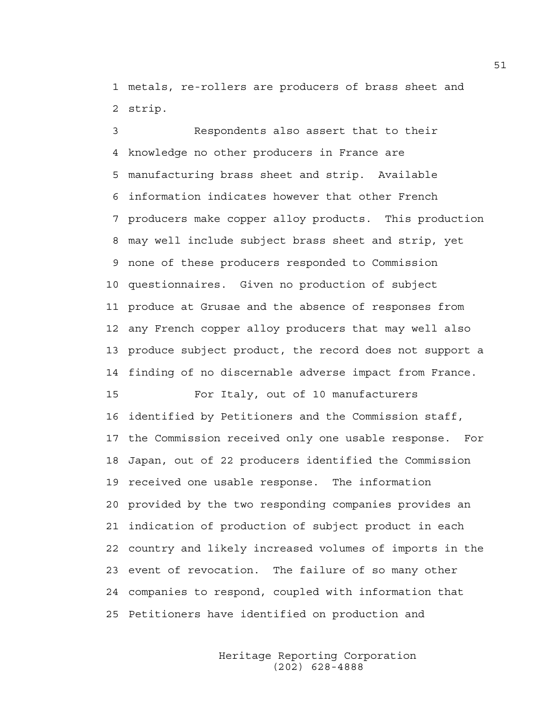1 metals, re-rollers are producers of brass sheet and 2 strip.

3 Respondents also assert that to their 4 knowledge no other producers in France are 5 manufacturing brass sheet and strip. Available 6 information indicates however that other French 7 producers make copper alloy products. This production 8 may well include subject brass sheet and strip, yet 9 none of these producers responded to Commission 10 questionnaires. Given no production of subject 11 produce at Grusae and the absence of responses from 12 any French copper alloy producers that may well also 13 produce subject product, the record does not support a 14 finding of no discernable adverse impact from France.

15 For Italy, out of 10 manufacturers 16 identified by Petitioners and the Commission staff, 17 the Commission received only one usable response. For 18 Japan, out of 22 producers identified the Commission 19 received one usable response. The information 20 provided by the two responding companies provides an 21 indication of production of subject product in each 22 country and likely increased volumes of imports in the 23 event of revocation. The failure of so many other 24 companies to respond, coupled with information that 25 Petitioners have identified on production and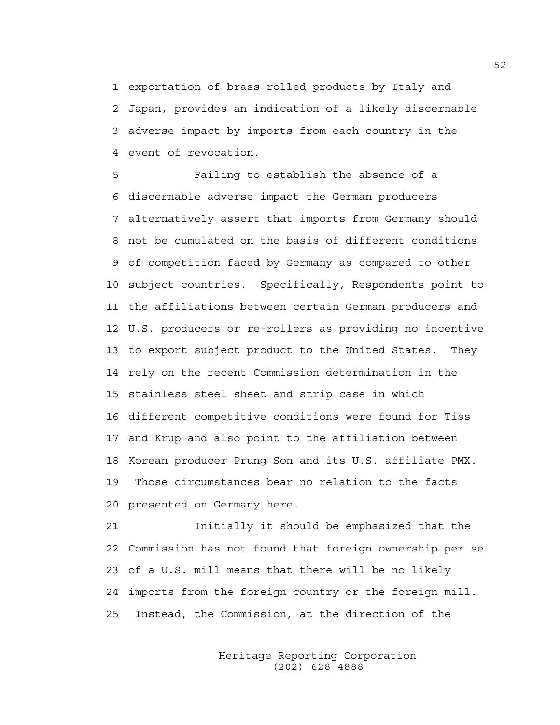1 exportation of brass rolled products by Italy and 2 Japan, provides an indication of a likely discernable 3 adverse impact by imports from each country in the 4 event of revocation.

5 Failing to establish the absence of a 6 discernable adverse impact the German producers 7 alternatively assert that imports from Germany should 8 not be cumulated on the basis of different conditions 9 of competition faced by Germany as compared to other 10 subject countries. Specifically, Respondents point to 11 the affiliations between certain German producers and 12 U.S. producers or re-rollers as providing no incentive 13 to export subject product to the United States. They 14 rely on the recent Commission determination in the 15 stainless steel sheet and strip case in which 16 different competitive conditions were found for Tiss 17 and Krup and also point to the affiliation between 18 Korean producer Prung Son and its U.S. affiliate PMX. 19 Those circumstances bear no relation to the facts 20 presented on Germany here.

21 Initially it should be emphasized that the 22 Commission has not found that foreign ownership per se 23 of a U.S. mill means that there will be no likely 24 imports from the foreign country or the foreign mill. 25 Instead, the Commission, at the direction of the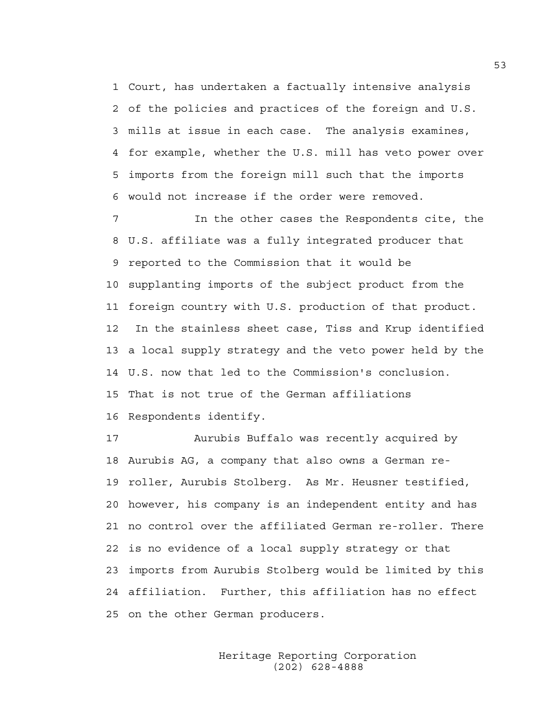1 Court, has undertaken a factually intensive analysis 2 of the policies and practices of the foreign and U.S. 3 mills at issue in each case. The analysis examines, 4 for example, whether the U.S. mill has veto power over 5 imports from the foreign mill such that the imports 6 would not increase if the order were removed.

7 In the other cases the Respondents cite, the 8 U.S. affiliate was a fully integrated producer that 9 reported to the Commission that it would be 10 supplanting imports of the subject product from the 11 foreign country with U.S. production of that product. 12 In the stainless sheet case, Tiss and Krup identified 13 a local supply strategy and the veto power held by the 14 U.S. now that led to the Commission's conclusion. 15 That is not true of the German affiliations 16 Respondents identify.

17 Aurubis Buffalo was recently acquired by 18 Aurubis AG, a company that also owns a German re-19 roller, Aurubis Stolberg. As Mr. Heusner testified, 20 however, his company is an independent entity and has 21 no control over the affiliated German re-roller. There 22 is no evidence of a local supply strategy or that 23 imports from Aurubis Stolberg would be limited by this 24 affiliation. Further, this affiliation has no effect 25 on the other German producers.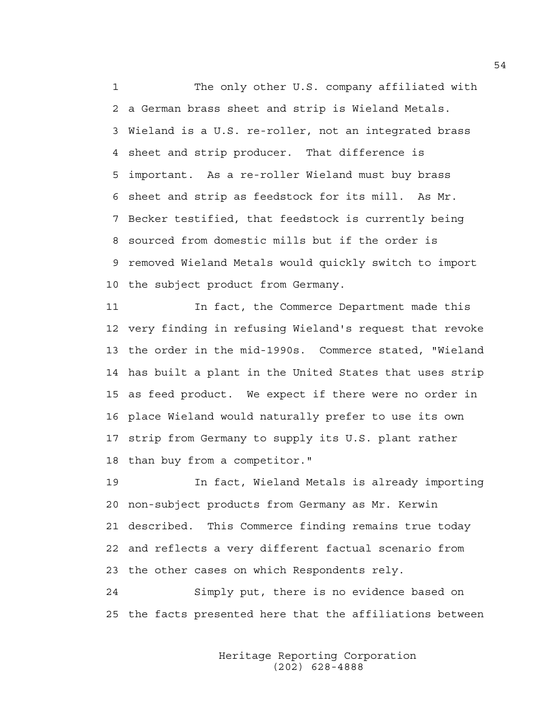1 The only other U.S. company affiliated with 2 a German brass sheet and strip is Wieland Metals. 3 Wieland is a U.S. re-roller, not an integrated brass 4 sheet and strip producer. That difference is 5 important. As a re-roller Wieland must buy brass 6 sheet and strip as feedstock for its mill. As Mr. 7 Becker testified, that feedstock is currently being 8 sourced from domestic mills but if the order is 9 removed Wieland Metals would quickly switch to import 10 the subject product from Germany.

11 In fact, the Commerce Department made this 12 very finding in refusing Wieland's request that revoke 13 the order in the mid-1990s. Commerce stated, "Wieland 14 has built a plant in the United States that uses strip 15 as feed product. We expect if there were no order in 16 place Wieland would naturally prefer to use its own 17 strip from Germany to supply its U.S. plant rather 18 than buy from a competitor."

19 In fact, Wieland Metals is already importing 20 non-subject products from Germany as Mr. Kerwin 21 described. This Commerce finding remains true today 22 and reflects a very different factual scenario from 23 the other cases on which Respondents rely.

24 Simply put, there is no evidence based on 25 the facts presented here that the affiliations between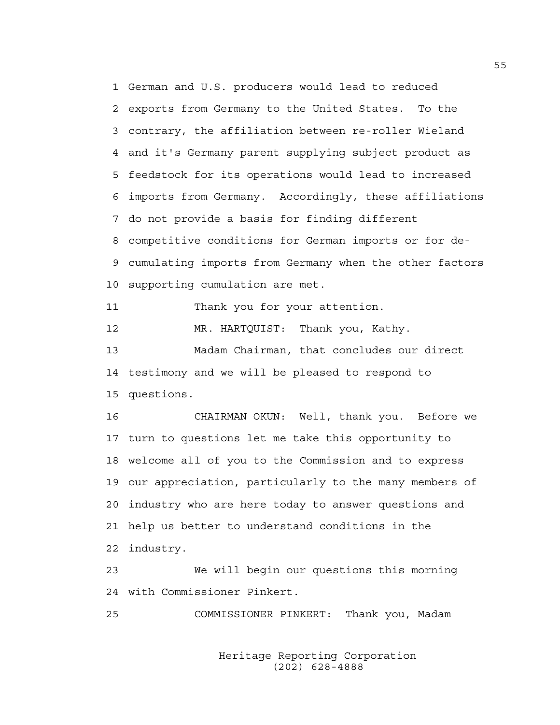1 German and U.S. producers would lead to reduced 2 exports from Germany to the United States. To the 3 contrary, the affiliation between re-roller Wieland 4 and it's Germany parent supplying subject product as 5 feedstock for its operations would lead to increased 6 imports from Germany. Accordingly, these affiliations 7 do not provide a basis for finding different 8 competitive conditions for German imports or for de-9 cumulating imports from Germany when the other factors 10 supporting cumulation are met.

11 Thank you for your attention.

12 MR. HARTOUIST: Thank you, Kathy.

13 Madam Chairman, that concludes our direct 14 testimony and we will be pleased to respond to 15 questions.

16 CHAIRMAN OKUN: Well, thank you. Before we 17 turn to questions let me take this opportunity to 18 welcome all of you to the Commission and to express 19 our appreciation, particularly to the many members of 20 industry who are here today to answer questions and 21 help us better to understand conditions in the 22 industry.

23 We will begin our questions this morning 24 with Commissioner Pinkert.

25 COMMISSIONER PINKERT: Thank you, Madam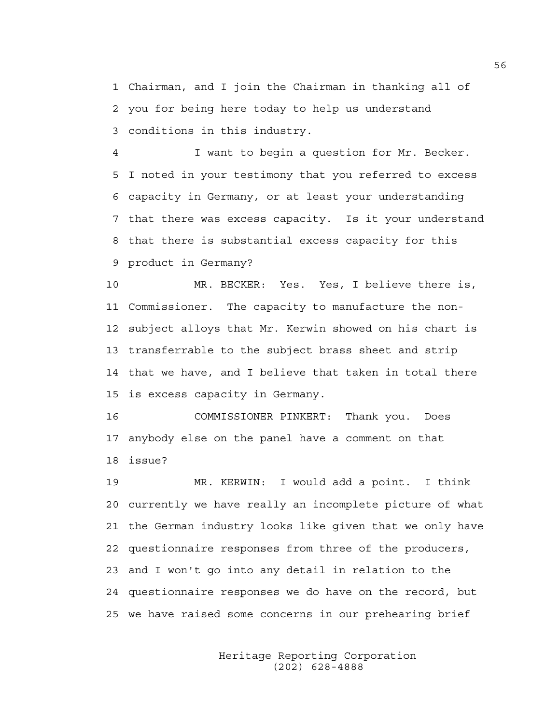1 Chairman, and I join the Chairman in thanking all of 2 you for being here today to help us understand 3 conditions in this industry.

4 I want to begin a question for Mr. Becker. 5 I noted in your testimony that you referred to excess 6 capacity in Germany, or at least your understanding 7 that there was excess capacity. Is it your understand 8 that there is substantial excess capacity for this 9 product in Germany?

10 MR. BECKER: Yes. Yes, I believe there is, 11 Commissioner. The capacity to manufacture the non-12 subject alloys that Mr. Kerwin showed on his chart is 13 transferrable to the subject brass sheet and strip 14 that we have, and I believe that taken in total there 15 is excess capacity in Germany.

16 COMMISSIONER PINKERT: Thank you. Does 17 anybody else on the panel have a comment on that 18 issue?

19 MR. KERWIN: I would add a point. I think 20 currently we have really an incomplete picture of what 21 the German industry looks like given that we only have 22 questionnaire responses from three of the producers, 23 and I won't go into any detail in relation to the 24 questionnaire responses we do have on the record, but 25 we have raised some concerns in our prehearing brief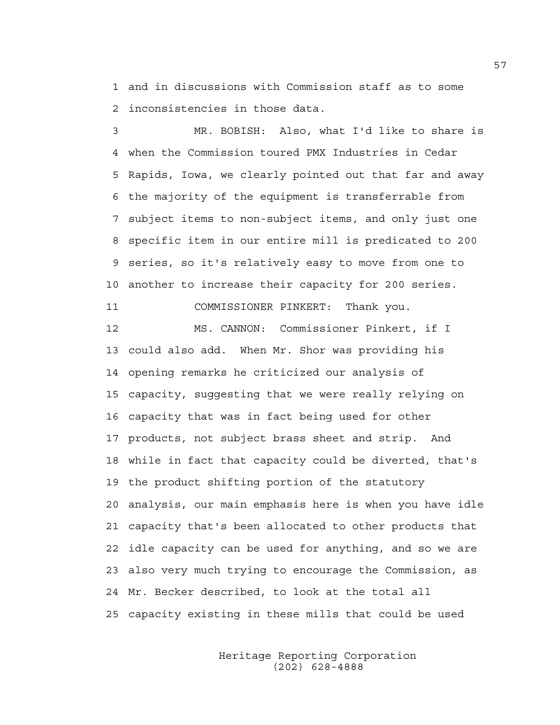1 and in discussions with Commission staff as to some 2 inconsistencies in those data.

3 MR. BOBISH: Also, what I'd like to share is 4 when the Commission toured PMX Industries in Cedar 5 Rapids, Iowa, we clearly pointed out that far and away 6 the majority of the equipment is transferrable from 7 subject items to non-subject items, and only just one 8 specific item in our entire mill is predicated to 200 9 series, so it's relatively easy to move from one to 10 another to increase their capacity for 200 series. 11 COMMISSIONER PINKERT: Thank you. 12 MS. CANNON: Commissioner Pinkert, if I 13 could also add. When Mr. Shor was providing his 14 opening remarks he criticized our analysis of 15 capacity, suggesting that we were really relying on 16 capacity that was in fact being used for other 17 products, not subject brass sheet and strip. And 18 while in fact that capacity could be diverted, that's 19 the product shifting portion of the statutory 20 analysis, our main emphasis here is when you have idle

21 capacity that's been allocated to other products that 22 idle capacity can be used for anything, and so we are 23 also very much trying to encourage the Commission, as 24 Mr. Becker described, to look at the total all 25 capacity existing in these mills that could be used

> Heritage Reporting Corporation (202) 628-4888

57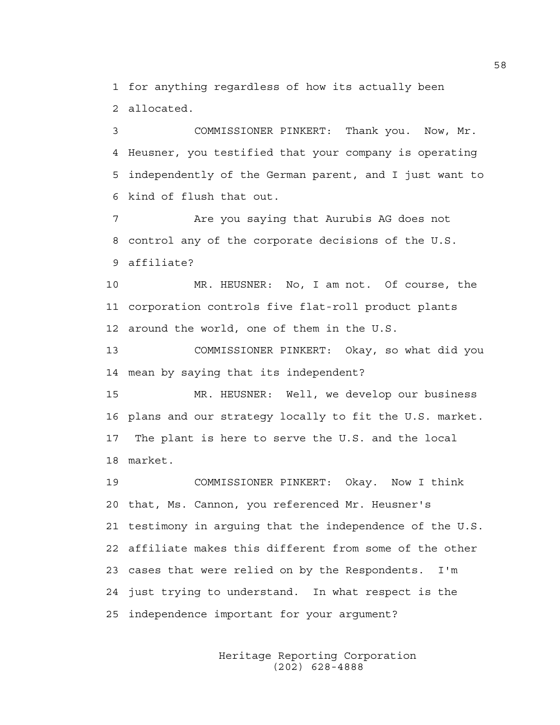1 for anything regardless of how its actually been 2 allocated.

3 COMMISSIONER PINKERT: Thank you. Now, Mr. 4 Heusner, you testified that your company is operating 5 independently of the German parent, and I just want to 6 kind of flush that out.

7 Are you saying that Aurubis AG does not 8 control any of the corporate decisions of the U.S. 9 affiliate?

10 MR. HEUSNER: No, I am not. Of course, the 11 corporation controls five flat-roll product plants 12 around the world, one of them in the U.S.

13 COMMISSIONER PINKERT: Okay, so what did you 14 mean by saying that its independent?

15 MR. HEUSNER: Well, we develop our business 16 plans and our strategy locally to fit the U.S. market. 17 The plant is here to serve the U.S. and the local 18 market.

19 COMMISSIONER PINKERT: Okay. Now I think 20 that, Ms. Cannon, you referenced Mr. Heusner's 21 testimony in arguing that the independence of the U.S. 22 affiliate makes this different from some of the other 23 cases that were relied on by the Respondents. I'm 24 just trying to understand. In what respect is the 25 independence important for your argument?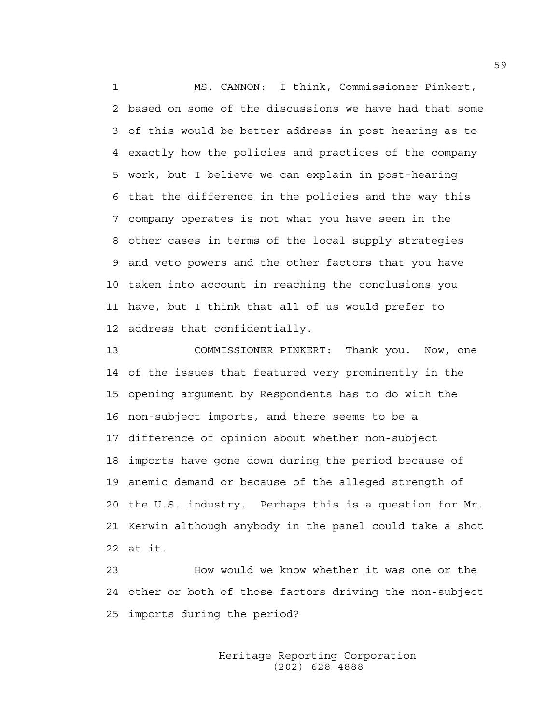1 MS. CANNON: I think, Commissioner Pinkert, 2 based on some of the discussions we have had that some 3 of this would be better address in post-hearing as to 4 exactly how the policies and practices of the company 5 work, but I believe we can explain in post-hearing 6 that the difference in the policies and the way this 7 company operates is not what you have seen in the 8 other cases in terms of the local supply strategies 9 and veto powers and the other factors that you have 10 taken into account in reaching the conclusions you 11 have, but I think that all of us would prefer to 12 address that confidentially.

13 COMMISSIONER PINKERT: Thank you. Now, one 14 of the issues that featured very prominently in the 15 opening argument by Respondents has to do with the 16 non-subject imports, and there seems to be a 17 difference of opinion about whether non-subject 18 imports have gone down during the period because of 19 anemic demand or because of the alleged strength of 20 the U.S. industry. Perhaps this is a question for Mr. 21 Kerwin although anybody in the panel could take a shot 22 at it.

23 How would we know whether it was one or the 24 other or both of those factors driving the non-subject 25 imports during the period?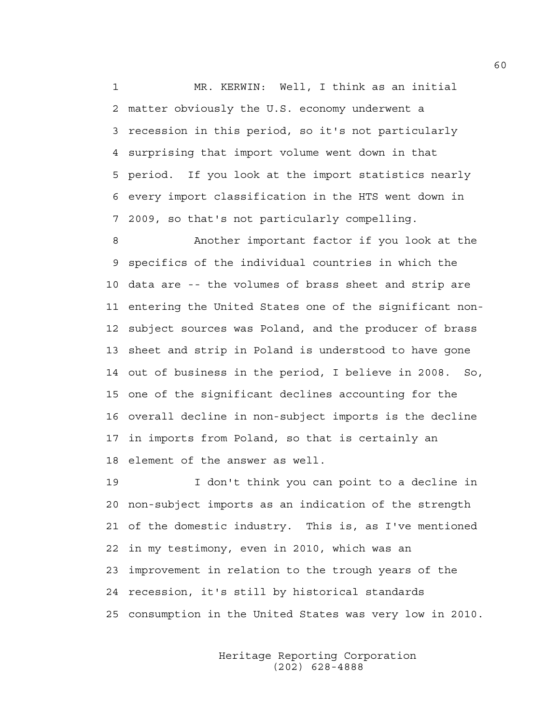1 MR. KERWIN: Well, I think as an initial 2 matter obviously the U.S. economy underwent a 3 recession in this period, so it's not particularly 4 surprising that import volume went down in that 5 period. If you look at the import statistics nearly 6 every import classification in the HTS went down in 7 2009, so that's not particularly compelling.

8 Another important factor if you look at the 9 specifics of the individual countries in which the 10 data are -- the volumes of brass sheet and strip are 11 entering the United States one of the significant non-12 subject sources was Poland, and the producer of brass 13 sheet and strip in Poland is understood to have gone 14 out of business in the period, I believe in 2008. So, 15 one of the significant declines accounting for the 16 overall decline in non-subject imports is the decline 17 in imports from Poland, so that is certainly an 18 element of the answer as well.

19 I don't think you can point to a decline in 20 non-subject imports as an indication of the strength 21 of the domestic industry. This is, as I've mentioned 22 in my testimony, even in 2010, which was an 23 improvement in relation to the trough years of the 24 recession, it's still by historical standards 25 consumption in the United States was very low in 2010.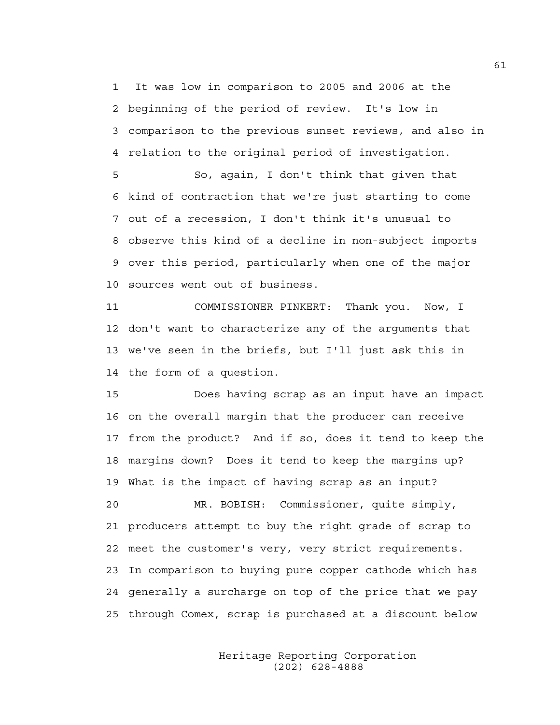1 It was low in comparison to 2005 and 2006 at the 2 beginning of the period of review. It's low in 3 comparison to the previous sunset reviews, and also in 4 relation to the original period of investigation.

5 So, again, I don't think that given that 6 kind of contraction that we're just starting to come 7 out of a recession, I don't think it's unusual to 8 observe this kind of a decline in non-subject imports 9 over this period, particularly when one of the major 10 sources went out of business.

11 COMMISSIONER PINKERT: Thank you. Now, I 12 don't want to characterize any of the arguments that 13 we've seen in the briefs, but I'll just ask this in 14 the form of a question.

15 Does having scrap as an input have an impact 16 on the overall margin that the producer can receive 17 from the product? And if so, does it tend to keep the 18 margins down? Does it tend to keep the margins up? 19 What is the impact of having scrap as an input?

20 MR. BOBISH: Commissioner, quite simply, 21 producers attempt to buy the right grade of scrap to 22 meet the customer's very, very strict requirements. 23 In comparison to buying pure copper cathode which has 24 generally a surcharge on top of the price that we pay 25 through Comex, scrap is purchased at a discount below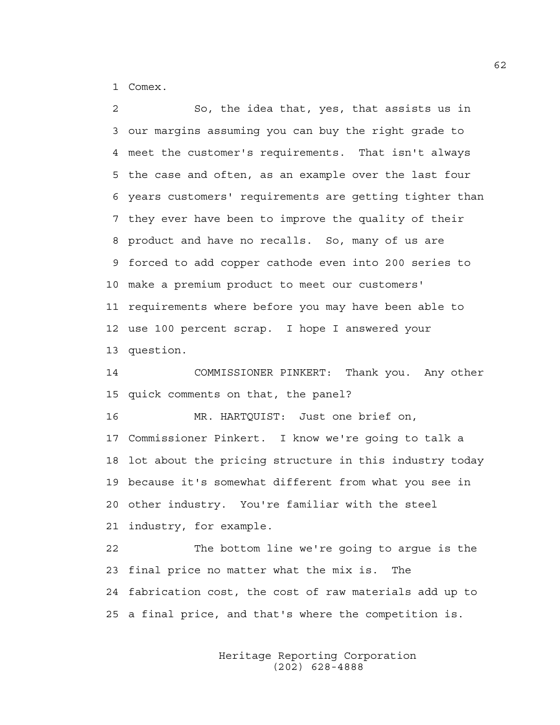1 Comex.

2 So, the idea that, yes, that assists us in 3 our margins assuming you can buy the right grade to 4 meet the customer's requirements. That isn't always 5 the case and often, as an example over the last four 6 years customers' requirements are getting tighter than 7 they ever have been to improve the quality of their 8 product and have no recalls. So, many of us are 9 forced to add copper cathode even into 200 series to 10 make a premium product to meet our customers' 11 requirements where before you may have been able to 12 use 100 percent scrap. I hope I answered your 13 question.

14 COMMISSIONER PINKERT: Thank you. Any other 15 quick comments on that, the panel?

16 MR. HARTQUIST: Just one brief on, 17 Commissioner Pinkert. I know we're going to talk a 18 lot about the pricing structure in this industry today 19 because it's somewhat different from what you see in 20 other industry. You're familiar with the steel 21 industry, for example.

22 The bottom line we're going to argue is the 23 final price no matter what the mix is. The 24 fabrication cost, the cost of raw materials add up to 25 a final price, and that's where the competition is.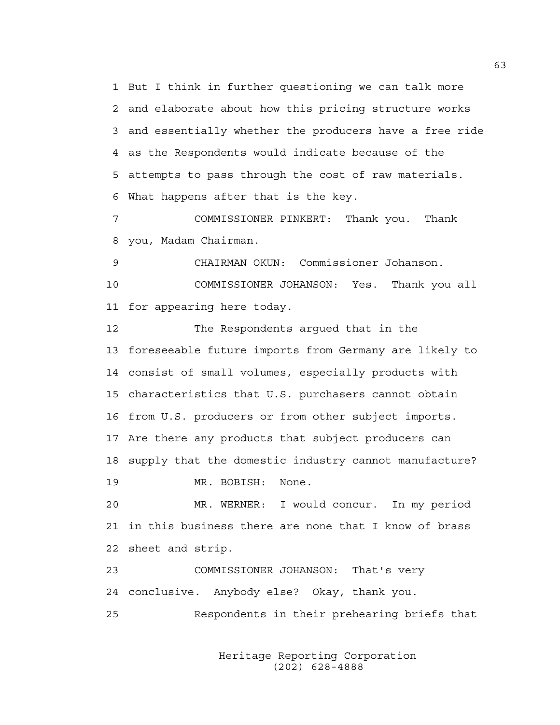1 But I think in further questioning we can talk more 2 and elaborate about how this pricing structure works 3 and essentially whether the producers have a free ride 4 as the Respondents would indicate because of the 5 attempts to pass through the cost of raw materials. 6 What happens after that is the key.

7 COMMISSIONER PINKERT: Thank you. Thank 8 you, Madam Chairman.

9 CHAIRMAN OKUN: Commissioner Johanson. 10 COMMISSIONER JOHANSON: Yes. Thank you all 11 for appearing here today.

12 The Respondents argued that in the 13 foreseeable future imports from Germany are likely to 14 consist of small volumes, especially products with 15 characteristics that U.S. purchasers cannot obtain 16 from U.S. producers or from other subject imports. 17 Are there any products that subject producers can 18 supply that the domestic industry cannot manufacture? 19 MR. BOBISH: None.

20 MR. WERNER: I would concur. In my period 21 in this business there are none that I know of brass 22 sheet and strip.

23 COMMISSIONER JOHANSON: That's very 24 conclusive. Anybody else? Okay, thank you. 25 Respondents in their prehearing briefs that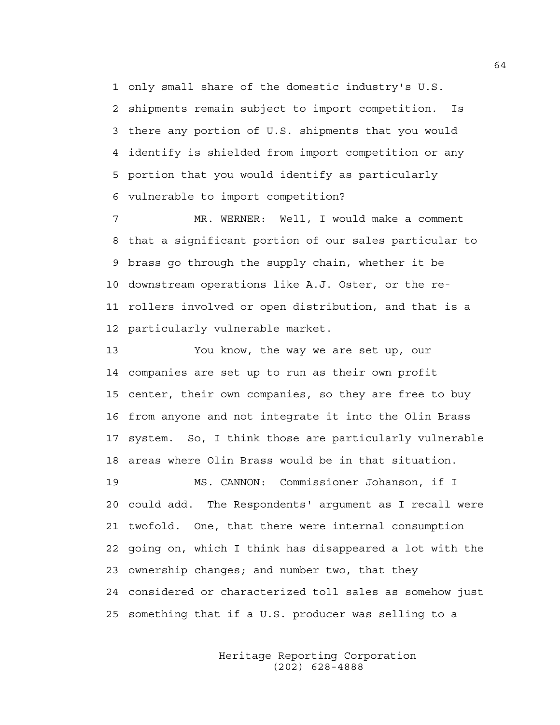1 only small share of the domestic industry's U.S. 2 shipments remain subject to import competition. Is 3 there any portion of U.S. shipments that you would 4 identify is shielded from import competition or any 5 portion that you would identify as particularly 6 vulnerable to import competition?

7 MR. WERNER: Well, I would make a comment 8 that a significant portion of our sales particular to 9 brass go through the supply chain, whether it be 10 downstream operations like A.J. Oster, or the re-11 rollers involved or open distribution, and that is a 12 particularly vulnerable market.

13 You know, the way we are set up, our 14 companies are set up to run as their own profit 15 center, their own companies, so they are free to buy 16 from anyone and not integrate it into the Olin Brass 17 system. So, I think those are particularly vulnerable 18 areas where Olin Brass would be in that situation. 19 MS. CANNON: Commissioner Johanson, if I

20 could add. The Respondents' argument as I recall were 21 twofold. One, that there were internal consumption 22 going on, which I think has disappeared a lot with the 23 ownership changes; and number two, that they 24 considered or characterized toll sales as somehow just 25 something that if a U.S. producer was selling to a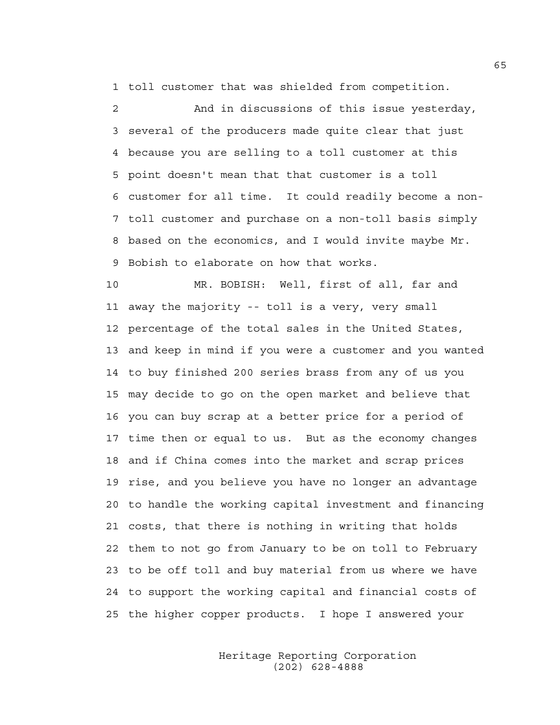1 toll customer that was shielded from competition.

2 And in discussions of this issue yesterday, 3 several of the producers made quite clear that just 4 because you are selling to a toll customer at this 5 point doesn't mean that that customer is a toll 6 customer for all time. It could readily become a non-7 toll customer and purchase on a non-toll basis simply 8 based on the economics, and I would invite maybe Mr. 9 Bobish to elaborate on how that works.

10 MR. BOBISH: Well, first of all, far and 11 away the majority -- toll is a very, very small 12 percentage of the total sales in the United States, 13 and keep in mind if you were a customer and you wanted 14 to buy finished 200 series brass from any of us you 15 may decide to go on the open market and believe that 16 you can buy scrap at a better price for a period of 17 time then or equal to us. But as the economy changes 18 and if China comes into the market and scrap prices 19 rise, and you believe you have no longer an advantage 20 to handle the working capital investment and financing 21 costs, that there is nothing in writing that holds 22 them to not go from January to be on toll to February 23 to be off toll and buy material from us where we have 24 to support the working capital and financial costs of 25 the higher copper products. I hope I answered your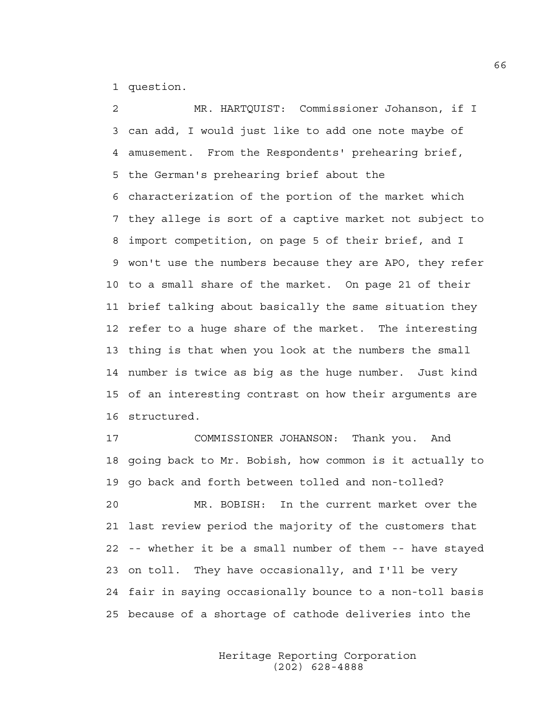1 question.

2 MR. HARTQUIST: Commissioner Johanson, if I 3 can add, I would just like to add one note maybe of 4 amusement. From the Respondents' prehearing brief, 5 the German's prehearing brief about the 6 characterization of the portion of the market which 7 they allege is sort of a captive market not subject to 8 import competition, on page 5 of their brief, and I 9 won't use the numbers because they are APO, they refer 10 to a small share of the market. On page 21 of their 11 brief talking about basically the same situation they 12 refer to a huge share of the market. The interesting 13 thing is that when you look at the numbers the small 14 number is twice as big as the huge number. Just kind 15 of an interesting contrast on how their arguments are 16 structured.

17 COMMISSIONER JOHANSON: Thank you. And 18 going back to Mr. Bobish, how common is it actually to 19 go back and forth between tolled and non-tolled?

20 MR. BOBISH: In the current market over the 21 last review period the majority of the customers that 22 -- whether it be a small number of them -- have stayed 23 on toll. They have occasionally, and I'll be very 24 fair in saying occasionally bounce to a non-toll basis 25 because of a shortage of cathode deliveries into the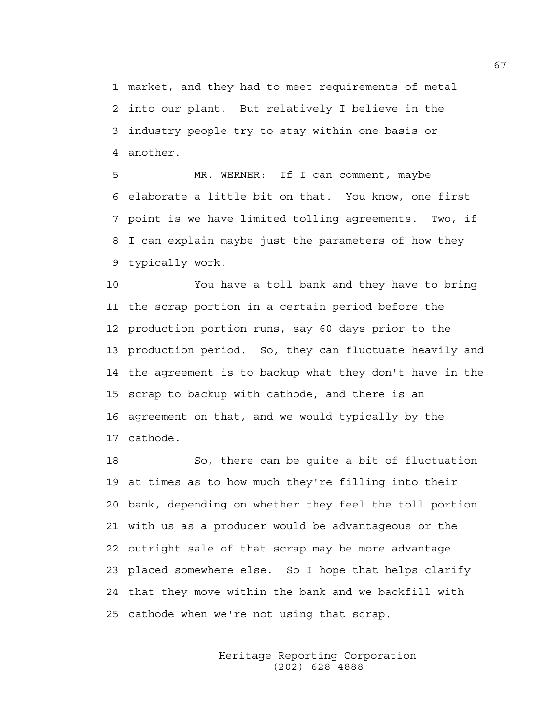1 market, and they had to meet requirements of metal 2 into our plant. But relatively I believe in the 3 industry people try to stay within one basis or 4 another.

5 MR. WERNER: If I can comment, maybe 6 elaborate a little bit on that. You know, one first 7 point is we have limited tolling agreements. Two, if 8 I can explain maybe just the parameters of how they 9 typically work.

10 You have a toll bank and they have to bring 11 the scrap portion in a certain period before the 12 production portion runs, say 60 days prior to the 13 production period. So, they can fluctuate heavily and 14 the agreement is to backup what they don't have in the 15 scrap to backup with cathode, and there is an 16 agreement on that, and we would typically by the 17 cathode.

18 So, there can be quite a bit of fluctuation 19 at times as to how much they're filling into their 20 bank, depending on whether they feel the toll portion 21 with us as a producer would be advantageous or the 22 outright sale of that scrap may be more advantage 23 placed somewhere else. So I hope that helps clarify 24 that they move within the bank and we backfill with 25 cathode when we're not using that scrap.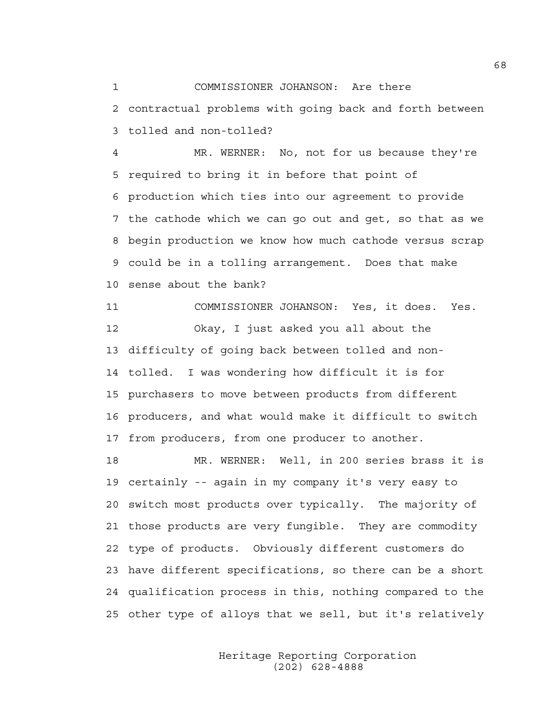1 COMMISSIONER JOHANSON: Are there 2 contractual problems with going back and forth between 3 tolled and non-tolled?

4 MR. WERNER: No, not for us because they're 5 required to bring it in before that point of 6 production which ties into our agreement to provide 7 the cathode which we can go out and get, so that as we 8 begin production we know how much cathode versus scrap 9 could be in a tolling arrangement. Does that make 10 sense about the bank?

11 COMMISSIONER JOHANSON: Yes, it does. Yes. 12 Okay, I just asked you all about the 13 difficulty of going back between tolled and non-14 tolled. I was wondering how difficult it is for 15 purchasers to move between products from different 16 producers, and what would make it difficult to switch 17 from producers, from one producer to another.

18 MR. WERNER: Well, in 200 series brass it is 19 certainly -- again in my company it's very easy to 20 switch most products over typically. The majority of 21 those products are very fungible. They are commodity 22 type of products. Obviously different customers do 23 have different specifications, so there can be a short 24 qualification process in this, nothing compared to the 25 other type of alloys that we sell, but it's relatively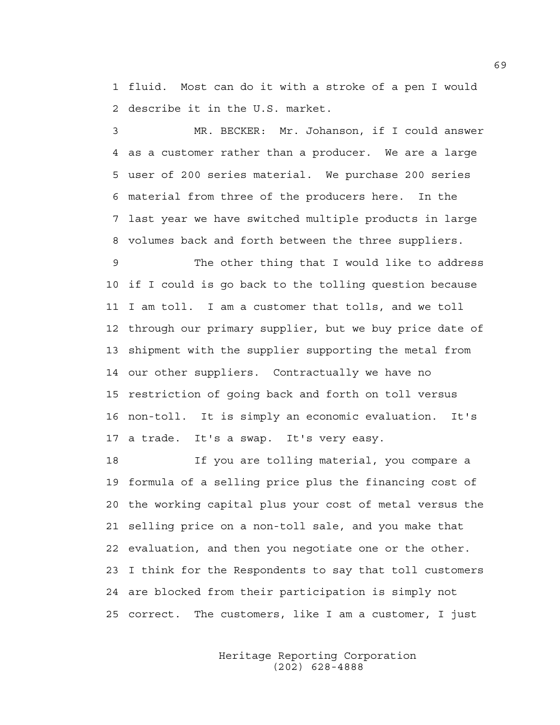1 fluid. Most can do it with a stroke of a pen I would 2 describe it in the U.S. market.

3 MR. BECKER: Mr. Johanson, if I could answer 4 as a customer rather than a producer. We are a large 5 user of 200 series material. We purchase 200 series 6 material from three of the producers here. In the 7 last year we have switched multiple products in large 8 volumes back and forth between the three suppliers.

9 The other thing that I would like to address 10 if I could is go back to the tolling question because 11 I am toll. I am a customer that tolls, and we toll 12 through our primary supplier, but we buy price date of 13 shipment with the supplier supporting the metal from 14 our other suppliers. Contractually we have no 15 restriction of going back and forth on toll versus 16 non-toll. It is simply an economic evaluation. It's 17 a trade. It's a swap. It's very easy.

18 If you are tolling material, you compare a 19 formula of a selling price plus the financing cost of 20 the working capital plus your cost of metal versus the 21 selling price on a non-toll sale, and you make that 22 evaluation, and then you negotiate one or the other. 23 I think for the Respondents to say that toll customers 24 are blocked from their participation is simply not 25 correct. The customers, like I am a customer, I just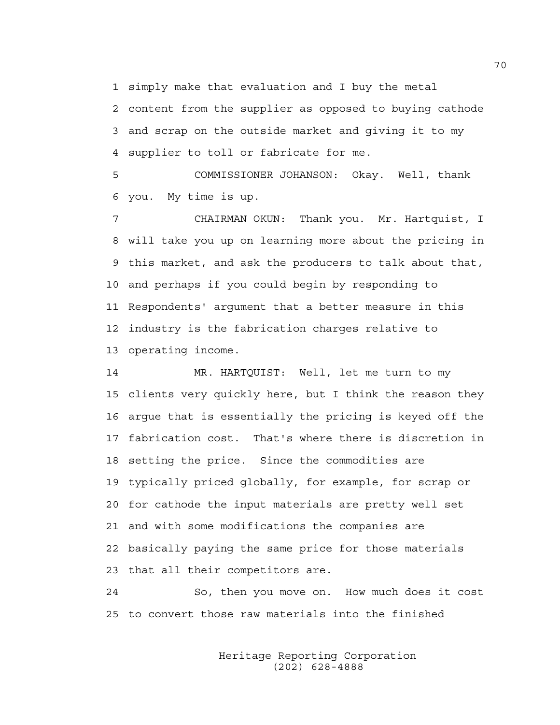1 simply make that evaluation and I buy the metal

2 content from the supplier as opposed to buying cathode 3 and scrap on the outside market and giving it to my 4 supplier to toll or fabricate for me.

5 COMMISSIONER JOHANSON: Okay. Well, thank 6 you. My time is up.

7 CHAIRMAN OKUN: Thank you. Mr. Hartquist, I 8 will take you up on learning more about the pricing in 9 this market, and ask the producers to talk about that, 10 and perhaps if you could begin by responding to 11 Respondents' argument that a better measure in this 12 industry is the fabrication charges relative to 13 operating income.

14 MR. HARTQUIST: Well, let me turn to my 15 clients very quickly here, but I think the reason they 16 argue that is essentially the pricing is keyed off the 17 fabrication cost. That's where there is discretion in 18 setting the price. Since the commodities are 19 typically priced globally, for example, for scrap or 20 for cathode the input materials are pretty well set 21 and with some modifications the companies are 22 basically paying the same price for those materials 23 that all their competitors are.

24 So, then you move on. How much does it cost 25 to convert those raw materials into the finished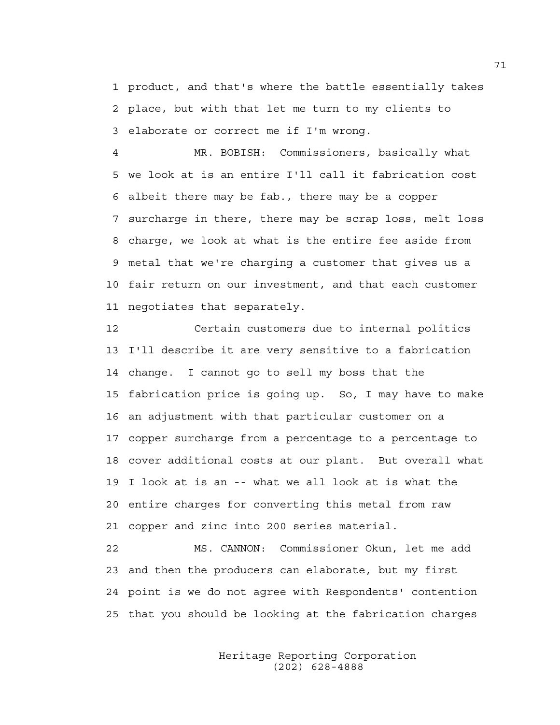1 product, and that's where the battle essentially takes 2 place, but with that let me turn to my clients to 3 elaborate or correct me if I'm wrong.

4 MR. BOBISH: Commissioners, basically what 5 we look at is an entire I'll call it fabrication cost 6 albeit there may be fab., there may be a copper 7 surcharge in there, there may be scrap loss, melt loss 8 charge, we look at what is the entire fee aside from 9 metal that we're charging a customer that gives us a 10 fair return on our investment, and that each customer 11 negotiates that separately.

12 Certain customers due to internal politics 13 I'll describe it are very sensitive to a fabrication 14 change. I cannot go to sell my boss that the 15 fabrication price is going up. So, I may have to make 16 an adjustment with that particular customer on a 17 copper surcharge from a percentage to a percentage to 18 cover additional costs at our plant. But overall what 19 I look at is an -- what we all look at is what the 20 entire charges for converting this metal from raw 21 copper and zinc into 200 series material.

22 MS. CANNON: Commissioner Okun, let me add 23 and then the producers can elaborate, but my first 24 point is we do not agree with Respondents' contention 25 that you should be looking at the fabrication charges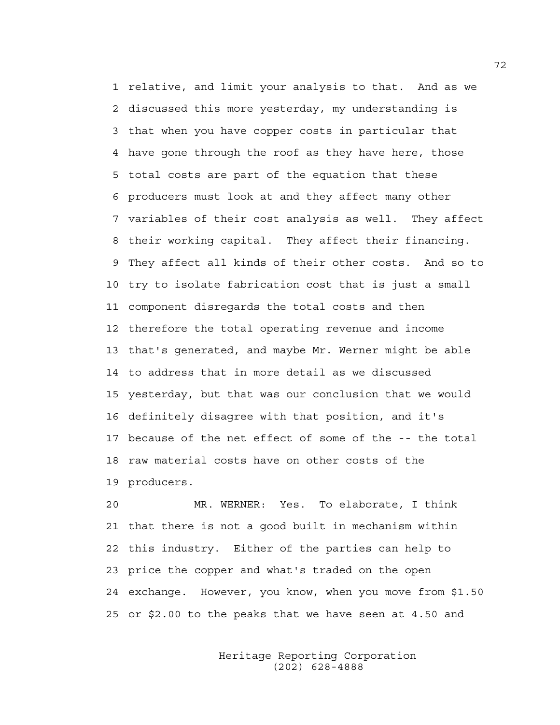1 relative, and limit your analysis to that. And as we 2 discussed this more yesterday, my understanding is 3 that when you have copper costs in particular that 4 have gone through the roof as they have here, those 5 total costs are part of the equation that these 6 producers must look at and they affect many other 7 variables of their cost analysis as well. They affect 8 their working capital. They affect their financing. 9 They affect all kinds of their other costs. And so to 10 try to isolate fabrication cost that is just a small 11 component disregards the total costs and then 12 therefore the total operating revenue and income 13 that's generated, and maybe Mr. Werner might be able 14 to address that in more detail as we discussed 15 yesterday, but that was our conclusion that we would 16 definitely disagree with that position, and it's 17 because of the net effect of some of the -- the total 18 raw material costs have on other costs of the 19 producers.

20 MR. WERNER: Yes. To elaborate, I think 21 that there is not a good built in mechanism within 22 this industry. Either of the parties can help to 23 price the copper and what's traded on the open 24 exchange. However, you know, when you move from \$1.50 25 or \$2.00 to the peaks that we have seen at 4.50 and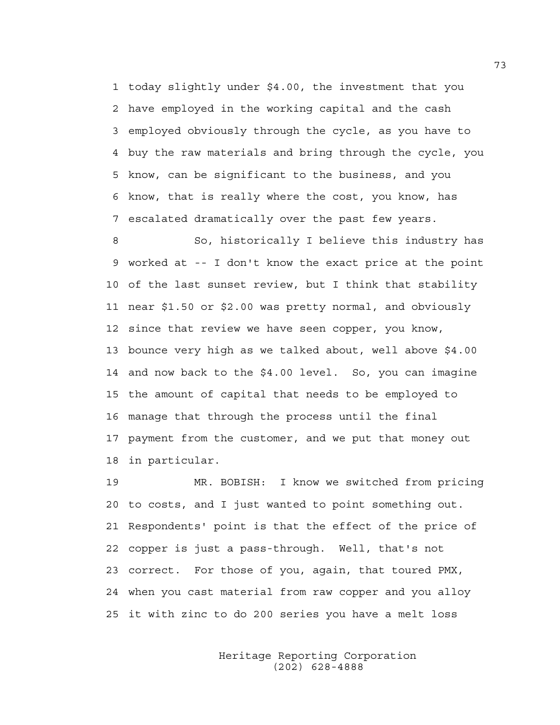1 today slightly under \$4.00, the investment that you 2 have employed in the working capital and the cash 3 employed obviously through the cycle, as you have to 4 buy the raw materials and bring through the cycle, you 5 know, can be significant to the business, and you 6 know, that is really where the cost, you know, has 7 escalated dramatically over the past few years.

8 So, historically I believe this industry has 9 worked at -- I don't know the exact price at the point 10 of the last sunset review, but I think that stability 11 near \$1.50 or \$2.00 was pretty normal, and obviously 12 since that review we have seen copper, you know, 13 bounce very high as we talked about, well above \$4.00 14 and now back to the \$4.00 level. So, you can imagine 15 the amount of capital that needs to be employed to 16 manage that through the process until the final 17 payment from the customer, and we put that money out 18 in particular.

19 MR. BOBISH: I know we switched from pricing 20 to costs, and I just wanted to point something out. 21 Respondents' point is that the effect of the price of 22 copper is just a pass-through. Well, that's not 23 correct. For those of you, again, that toured PMX, 24 when you cast material from raw copper and you alloy 25 it with zinc to do 200 series you have a melt loss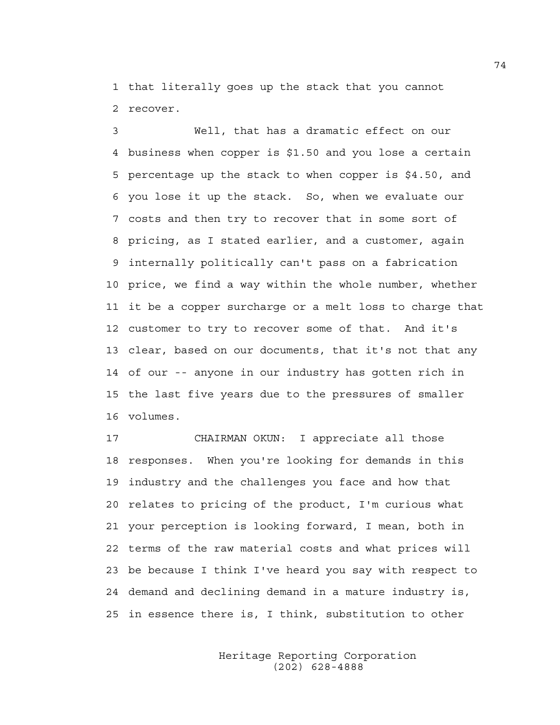1 that literally goes up the stack that you cannot 2 recover.

3 Well, that has a dramatic effect on our 4 business when copper is \$1.50 and you lose a certain 5 percentage up the stack to when copper is \$4.50, and 6 you lose it up the stack. So, when we evaluate our 7 costs and then try to recover that in some sort of 8 pricing, as I stated earlier, and a customer, again 9 internally politically can't pass on a fabrication 10 price, we find a way within the whole number, whether 11 it be a copper surcharge or a melt loss to charge that 12 customer to try to recover some of that. And it's 13 clear, based on our documents, that it's not that any 14 of our -- anyone in our industry has gotten rich in 15 the last five years due to the pressures of smaller 16 volumes.

17 CHAIRMAN OKUN: I appreciate all those 18 responses. When you're looking for demands in this 19 industry and the challenges you face and how that 20 relates to pricing of the product, I'm curious what 21 your perception is looking forward, I mean, both in 22 terms of the raw material costs and what prices will 23 be because I think I've heard you say with respect to 24 demand and declining demand in a mature industry is, 25 in essence there is, I think, substitution to other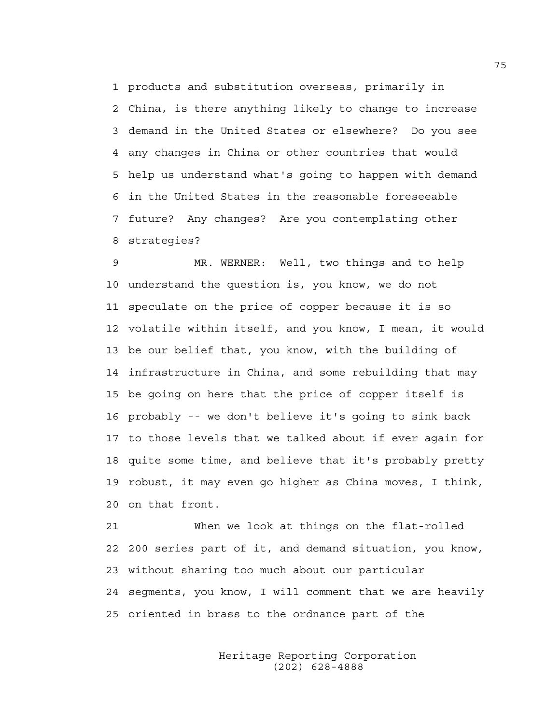1 products and substitution overseas, primarily in 2 China, is there anything likely to change to increase 3 demand in the United States or elsewhere? Do you see 4 any changes in China or other countries that would 5 help us understand what's going to happen with demand 6 in the United States in the reasonable foreseeable 7 future? Any changes? Are you contemplating other 8 strategies?

9 MR. WERNER: Well, two things and to help 10 understand the question is, you know, we do not 11 speculate on the price of copper because it is so 12 volatile within itself, and you know, I mean, it would 13 be our belief that, you know, with the building of 14 infrastructure in China, and some rebuilding that may 15 be going on here that the price of copper itself is 16 probably -- we don't believe it's going to sink back 17 to those levels that we talked about if ever again for 18 quite some time, and believe that it's probably pretty 19 robust, it may even go higher as China moves, I think, 20 on that front.

21 When we look at things on the flat-rolled 22 200 series part of it, and demand situation, you know, 23 without sharing too much about our particular 24 segments, you know, I will comment that we are heavily 25 oriented in brass to the ordnance part of the

> Heritage Reporting Corporation (202) 628-4888

75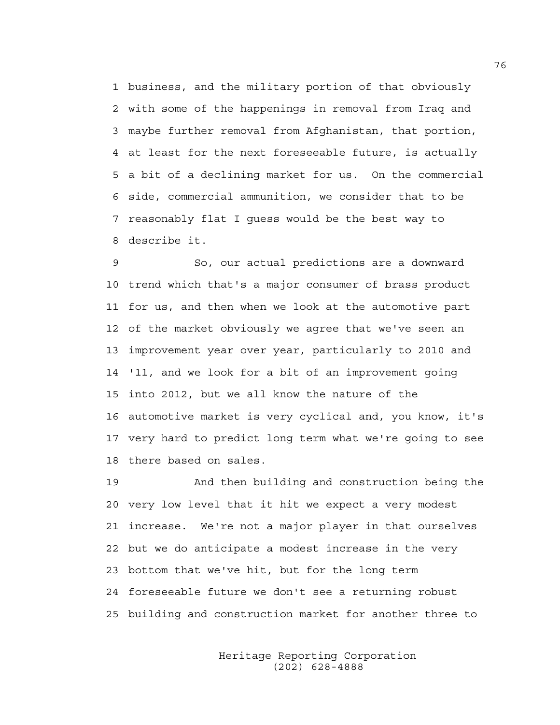1 business, and the military portion of that obviously 2 with some of the happenings in removal from Iraq and 3 maybe further removal from Afghanistan, that portion, 4 at least for the next foreseeable future, is actually 5 a bit of a declining market for us. On the commercial 6 side, commercial ammunition, we consider that to be 7 reasonably flat I guess would be the best way to 8 describe it.

9 So, our actual predictions are a downward 10 trend which that's a major consumer of brass product 11 for us, and then when we look at the automotive part 12 of the market obviously we agree that we've seen an 13 improvement year over year, particularly to 2010 and 14 '11, and we look for a bit of an improvement going 15 into 2012, but we all know the nature of the 16 automotive market is very cyclical and, you know, it's 17 very hard to predict long term what we're going to see 18 there based on sales.

19 And then building and construction being the 20 very low level that it hit we expect a very modest 21 increase. We're not a major player in that ourselves 22 but we do anticipate a modest increase in the very 23 bottom that we've hit, but for the long term 24 foreseeable future we don't see a returning robust 25 building and construction market for another three to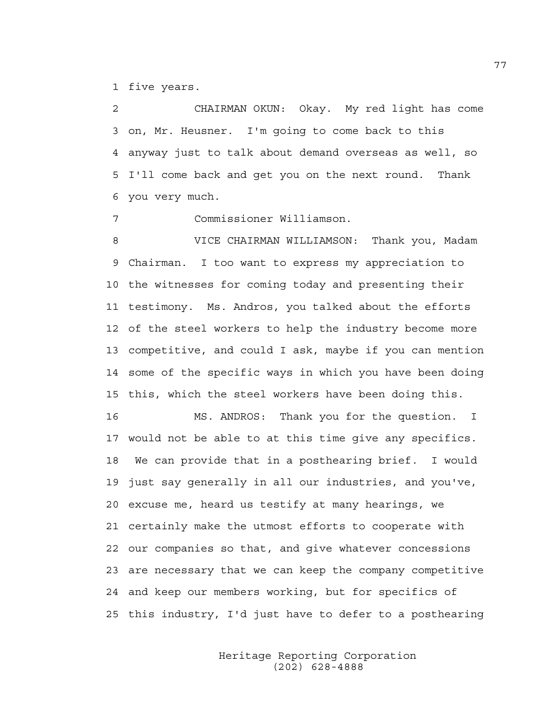1 five years.

2 CHAIRMAN OKUN: Okay. My red light has come 3 on, Mr. Heusner. I'm going to come back to this 4 anyway just to talk about demand overseas as well, so 5 I'll come back and get you on the next round. Thank 6 you very much.

7 Commissioner Williamson.

8 VICE CHAIRMAN WILLIAMSON: Thank you, Madam 9 Chairman. I too want to express my appreciation to 10 the witnesses for coming today and presenting their 11 testimony. Ms. Andros, you talked about the efforts 12 of the steel workers to help the industry become more 13 competitive, and could I ask, maybe if you can mention 14 some of the specific ways in which you have been doing 15 this, which the steel workers have been doing this.

16 MS. ANDROS: Thank you for the question. I 17 would not be able to at this time give any specifics. 18 We can provide that in a posthearing brief. I would 19 just say generally in all our industries, and you've, 20 excuse me, heard us testify at many hearings, we 21 certainly make the utmost efforts to cooperate with 22 our companies so that, and give whatever concessions 23 are necessary that we can keep the company competitive 24 and keep our members working, but for specifics of 25 this industry, I'd just have to defer to a posthearing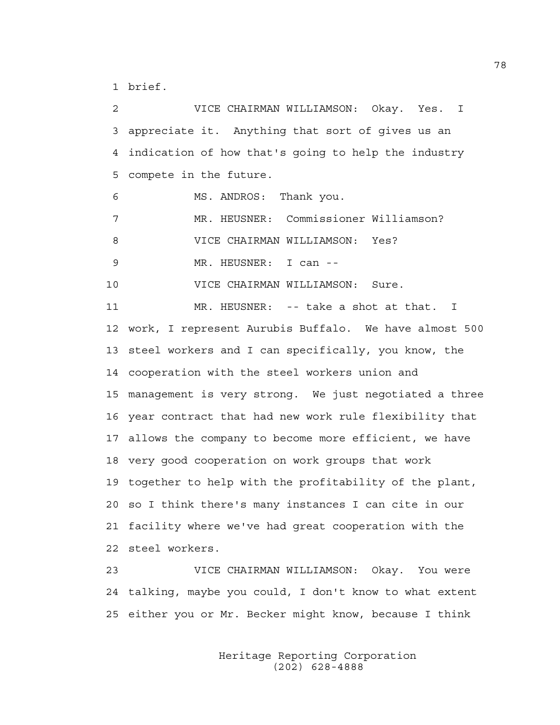1 brief.

2 VICE CHAIRMAN WILLIAMSON: Okay. Yes. I 3 appreciate it. Anything that sort of gives us an 4 indication of how that's going to help the industry 5 compete in the future. 6 MS. ANDROS: Thank you. 7 MR. HEUSNER: Commissioner Williamson? 8 VICE CHAIRMAN WILLIAMSON: Yes? 9 MR. HEUSNER: I can -- 10 VICE CHAIRMAN WILLIAMSON: Sure. 11 MR. HEUSNER: -- take a shot at that. I 12 work, I represent Aurubis Buffalo. We have almost 500 13 steel workers and I can specifically, you know, the 14 cooperation with the steel workers union and 15 management is very strong. We just negotiated a three 16 year contract that had new work rule flexibility that 17 allows the company to become more efficient, we have 18 very good cooperation on work groups that work 19 together to help with the profitability of the plant, 20 so I think there's many instances I can cite in our 21 facility where we've had great cooperation with the 22 steel workers. 23 VICE CHAIRMAN WILLIAMSON: Okay. You were

24 talking, maybe you could, I don't know to what extent 25 either you or Mr. Becker might know, because I think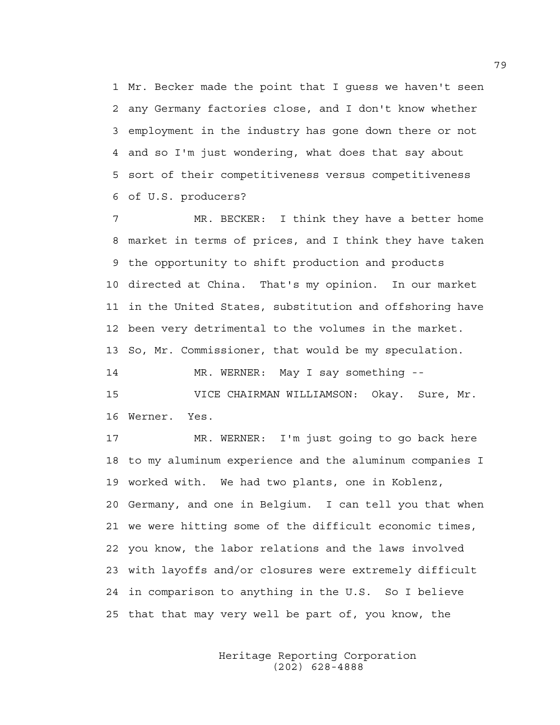1 Mr. Becker made the point that I guess we haven't seen 2 any Germany factories close, and I don't know whether 3 employment in the industry has gone down there or not 4 and so I'm just wondering, what does that say about 5 sort of their competitiveness versus competitiveness 6 of U.S. producers?

7 MR. BECKER: I think they have a better home 8 market in terms of prices, and I think they have taken 9 the opportunity to shift production and products 10 directed at China. That's my opinion. In our market 11 in the United States, substitution and offshoring have 12 been very detrimental to the volumes in the market. 13 So, Mr. Commissioner, that would be my speculation.

14 MR. WERNER: May I say something --

15 VICE CHAIRMAN WILLIAMSON: Okay. Sure, Mr. 16 Werner. Yes.

17 MR. WERNER: I'm just going to go back here 18 to my aluminum experience and the aluminum companies I 19 worked with. We had two plants, one in Koblenz, 20 Germany, and one in Belgium. I can tell you that when 21 we were hitting some of the difficult economic times, 22 you know, the labor relations and the laws involved 23 with layoffs and/or closures were extremely difficult 24 in comparison to anything in the U.S. So I believe 25 that that may very well be part of, you know, the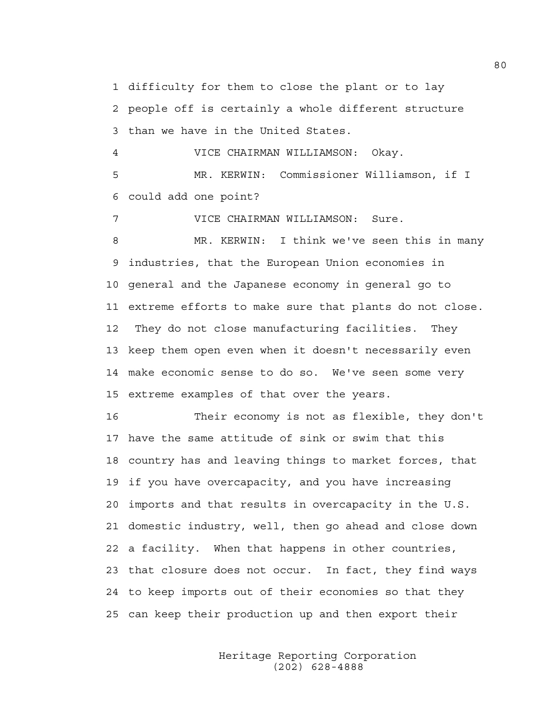1 difficulty for them to close the plant or to lay 2 people off is certainly a whole different structure 3 than we have in the United States.

4 VICE CHAIRMAN WILLIAMSON: Okay. 5 MR. KERWIN: Commissioner Williamson, if I 6 could add one point?

7 VICE CHAIRMAN WILLIAMSON: Sure.

8 MR. KERWIN: I think we've seen this in many 9 industries, that the European Union economies in 10 general and the Japanese economy in general go to 11 extreme efforts to make sure that plants do not close. 12 They do not close manufacturing facilities. They 13 keep them open even when it doesn't necessarily even 14 make economic sense to do so. We've seen some very 15 extreme examples of that over the years.

16 Their economy is not as flexible, they don't 17 have the same attitude of sink or swim that this 18 country has and leaving things to market forces, that 19 if you have overcapacity, and you have increasing 20 imports and that results in overcapacity in the U.S. 21 domestic industry, well, then go ahead and close down 22 a facility. When that happens in other countries, 23 that closure does not occur. In fact, they find ways 24 to keep imports out of their economies so that they 25 can keep their production up and then export their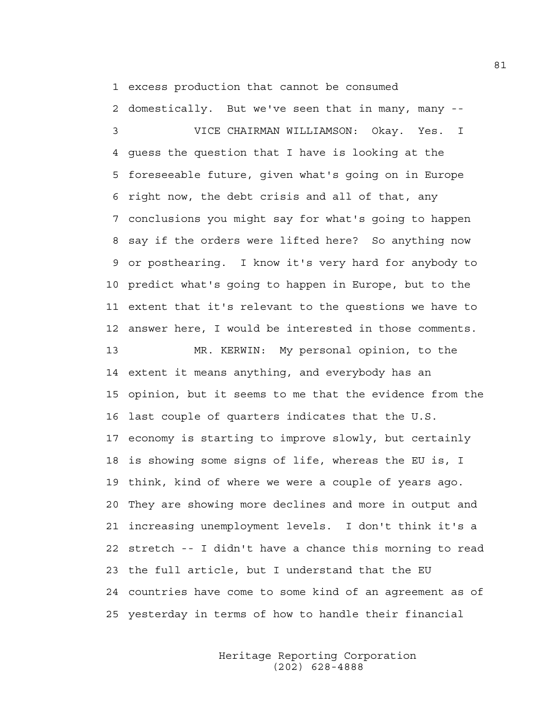1 excess production that cannot be consumed

2 domestically. But we've seen that in many, many --

3 VICE CHAIRMAN WILLIAMSON: Okay. Yes. I 4 guess the question that I have is looking at the 5 foreseeable future, given what's going on in Europe 6 right now, the debt crisis and all of that, any 7 conclusions you might say for what's going to happen 8 say if the orders were lifted here? So anything now 9 or posthearing. I know it's very hard for anybody to 10 predict what's going to happen in Europe, but to the 11 extent that it's relevant to the questions we have to 12 answer here, I would be interested in those comments.

13 MR. KERWIN: My personal opinion, to the 14 extent it means anything, and everybody has an 15 opinion, but it seems to me that the evidence from the 16 last couple of quarters indicates that the U.S. 17 economy is starting to improve slowly, but certainly 18 is showing some signs of life, whereas the EU is, I 19 think, kind of where we were a couple of years ago. 20 They are showing more declines and more in output and 21 increasing unemployment levels. I don't think it's a 22 stretch -- I didn't have a chance this morning to read 23 the full article, but I understand that the EU 24 countries have come to some kind of an agreement as of 25 yesterday in terms of how to handle their financial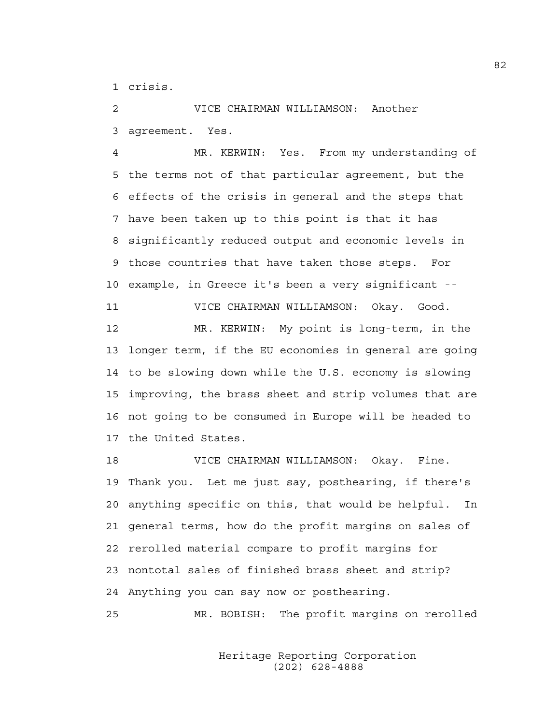1 crisis.

2 VICE CHAIRMAN WILLIAMSON: Another 3 agreement. Yes.

4 MR. KERWIN: Yes. From my understanding of 5 the terms not of that particular agreement, but the 6 effects of the crisis in general and the steps that 7 have been taken up to this point is that it has 8 significantly reduced output and economic levels in 9 those countries that have taken those steps. For 10 example, in Greece it's been a very significant -- 11 VICE CHAIRMAN WILLIAMSON: Okay. Good. 12 MR. KERWIN: My point is long-term, in the 13 longer term, if the EU economies in general are going 14 to be slowing down while the U.S. economy is slowing 15 improving, the brass sheet and strip volumes that are 16 not going to be consumed in Europe will be headed to 17 the United States.

18 VICE CHAIRMAN WILLIAMSON: Okay. Fine. 19 Thank you. Let me just say, posthearing, if there's 20 anything specific on this, that would be helpful. In 21 general terms, how do the profit margins on sales of 22 rerolled material compare to profit margins for 23 nontotal sales of finished brass sheet and strip? 24 Anything you can say now or posthearing.

25 MR. BOBISH: The profit margins on rerolled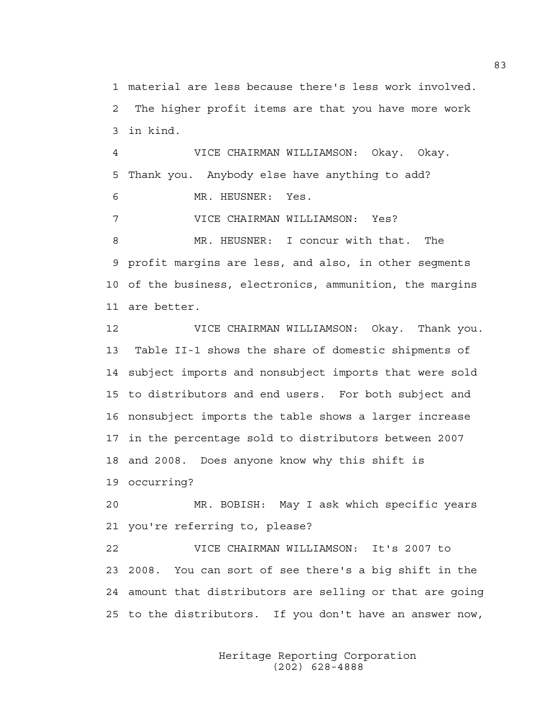1 material are less because there's less work involved. 2 The higher profit items are that you have more work 3 in kind.

4 VICE CHAIRMAN WILLIAMSON: Okay. Okay. 5 Thank you. Anybody else have anything to add? 6 MR. HEUSNER: Yes.

7 VICE CHAIRMAN WILLIAMSON: Yes?

8 MR. HEUSNER: I concur with that. The 9 profit margins are less, and also, in other segments 10 of the business, electronics, ammunition, the margins 11 are better.

12 VICE CHAIRMAN WILLIAMSON: Okay. Thank you. 13 Table II-1 shows the share of domestic shipments of 14 subject imports and nonsubject imports that were sold 15 to distributors and end users. For both subject and 16 nonsubject imports the table shows a larger increase 17 in the percentage sold to distributors between 2007 18 and 2008. Does anyone know why this shift is 19 occurring?

20 MR. BOBISH: May I ask which specific years 21 you're referring to, please?

22 VICE CHAIRMAN WILLIAMSON: It's 2007 to 23 2008. You can sort of see there's a big shift in the 24 amount that distributors are selling or that are going 25 to the distributors. If you don't have an answer now,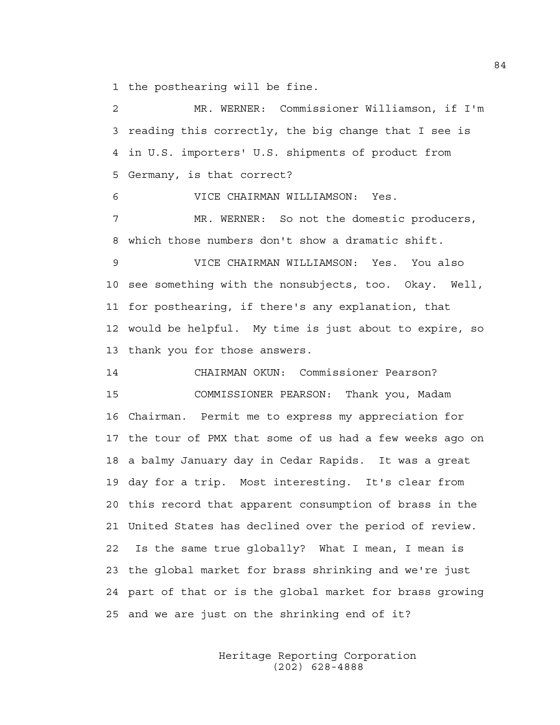1 the posthearing will be fine.

2 MR. WERNER: Commissioner Williamson, if I'm 3 reading this correctly, the big change that I see is 4 in U.S. importers' U.S. shipments of product from 5 Germany, is that correct? 6 VICE CHAIRMAN WILLIAMSON: Yes. 7 MR. WERNER: So not the domestic producers, 8 which those numbers don't show a dramatic shift. 9 VICE CHAIRMAN WILLIAMSON: Yes. You also 10 see something with the nonsubjects, too. Okay. Well, 11 for posthearing, if there's any explanation, that 12 would be helpful. My time is just about to expire, so 13 thank you for those answers. 14 CHAIRMAN OKUN: Commissioner Pearson? 15 COMMISSIONER PEARSON: Thank you, Madam 16 Chairman. Permit me to express my appreciation for 17 the tour of PMX that some of us had a few weeks ago on 18 a balmy January day in Cedar Rapids. It was a great 19 day for a trip. Most interesting. It's clear from 20 this record that apparent consumption of brass in the 21 United States has declined over the period of review. 22 Is the same true globally? What I mean, I mean is 23 the global market for brass shrinking and we're just 24 part of that or is the global market for brass growing 25 and we are just on the shrinking end of it?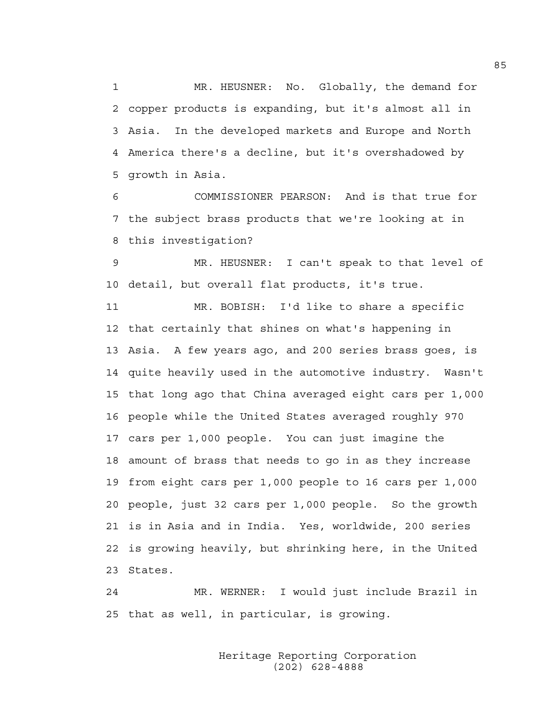1 MR. HEUSNER: No. Globally, the demand for 2 copper products is expanding, but it's almost all in 3 Asia. In the developed markets and Europe and North 4 America there's a decline, but it's overshadowed by 5 growth in Asia.

6 COMMISSIONER PEARSON: And is that true for 7 the subject brass products that we're looking at in 8 this investigation?

9 MR. HEUSNER: I can't speak to that level of 10 detail, but overall flat products, it's true.

11 MR. BOBISH: I'd like to share a specific 12 that certainly that shines on what's happening in 13 Asia. A few years ago, and 200 series brass goes, is 14 quite heavily used in the automotive industry. Wasn't 15 that long ago that China averaged eight cars per 1,000 16 people while the United States averaged roughly 970 17 cars per 1,000 people. You can just imagine the 18 amount of brass that needs to go in as they increase 19 from eight cars per 1,000 people to 16 cars per 1,000 20 people, just 32 cars per 1,000 people. So the growth 21 is in Asia and in India. Yes, worldwide, 200 series 22 is growing heavily, but shrinking here, in the United 23 States.

24 MR. WERNER: I would just include Brazil in 25 that as well, in particular, is growing.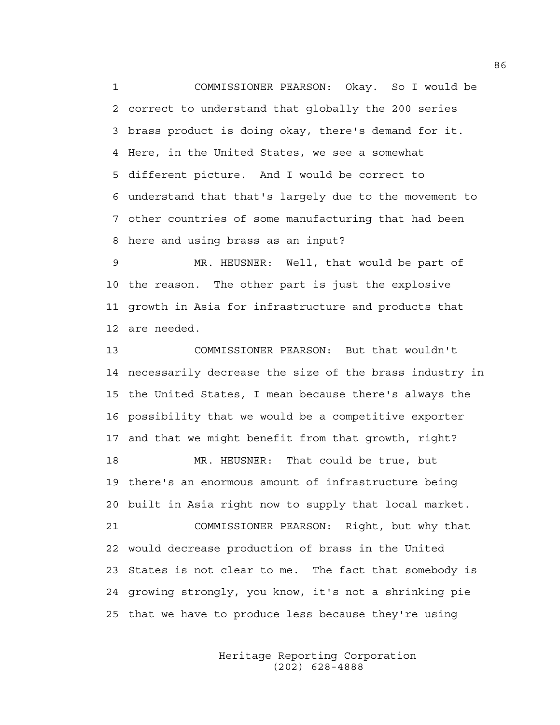1 COMMISSIONER PEARSON: Okay. So I would be 2 correct to understand that globally the 200 series 3 brass product is doing okay, there's demand for it. 4 Here, in the United States, we see a somewhat 5 different picture. And I would be correct to 6 understand that that's largely due to the movement to 7 other countries of some manufacturing that had been 8 here and using brass as an input?

9 MR. HEUSNER: Well, that would be part of 10 the reason. The other part is just the explosive 11 growth in Asia for infrastructure and products that 12 are needed.

13 COMMISSIONER PEARSON: But that wouldn't 14 necessarily decrease the size of the brass industry in 15 the United States, I mean because there's always the 16 possibility that we would be a competitive exporter 17 and that we might benefit from that growth, right? 18 MR. HEUSNER: That could be true, but 19 there's an enormous amount of infrastructure being 20 built in Asia right now to supply that local market. 21 COMMISSIONER PEARSON: Right, but why that 22 would decrease production of brass in the United 23 States is not clear to me. The fact that somebody is 24 growing strongly, you know, it's not a shrinking pie 25 that we have to produce less because they're using

> Heritage Reporting Corporation (202) 628-4888

86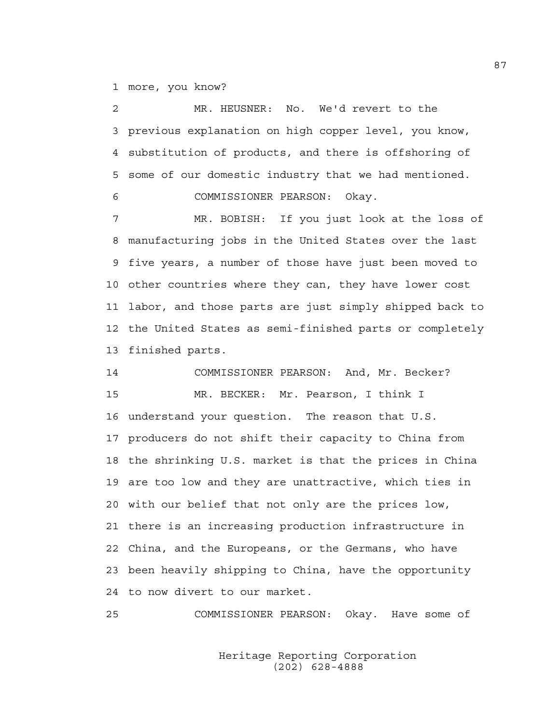1 more, you know?

2 MR. HEUSNER: No. We'd revert to the 3 previous explanation on high copper level, you know, 4 substitution of products, and there is offshoring of 5 some of our domestic industry that we had mentioned. 6 COMMISSIONER PEARSON: Okay.

7 MR. BOBISH: If you just look at the loss of 8 manufacturing jobs in the United States over the last 9 five years, a number of those have just been moved to 10 other countries where they can, they have lower cost 11 labor, and those parts are just simply shipped back to 12 the United States as semi-finished parts or completely 13 finished parts.

14 COMMISSIONER PEARSON: And, Mr. Becker? 15 MR. BECKER: Mr. Pearson, I think I 16 understand your question. The reason that U.S. 17 producers do not shift their capacity to China from 18 the shrinking U.S. market is that the prices in China 19 are too low and they are unattractive, which ties in 20 with our belief that not only are the prices low, 21 there is an increasing production infrastructure in 22 China, and the Europeans, or the Germans, who have 23 been heavily shipping to China, have the opportunity 24 to now divert to our market.

25 COMMISSIONER PEARSON: Okay. Have some of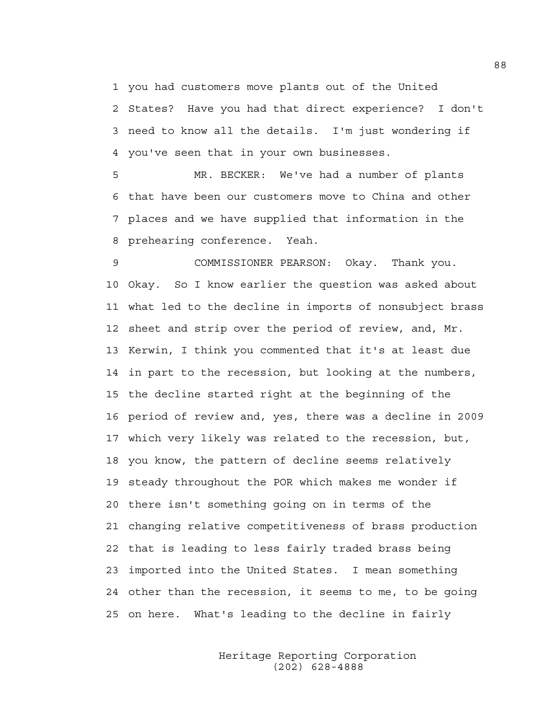1 you had customers move plants out of the United

2 States? Have you had that direct experience? I don't 3 need to know all the details. I'm just wondering if 4 you've seen that in your own businesses.

5 MR. BECKER: We've had a number of plants 6 that have been our customers move to China and other 7 places and we have supplied that information in the 8 prehearing conference. Yeah.

9 COMMISSIONER PEARSON: Okay. Thank you. 10 Okay. So I know earlier the question was asked about 11 what led to the decline in imports of nonsubject brass 12 sheet and strip over the period of review, and, Mr. 13 Kerwin, I think you commented that it's at least due 14 in part to the recession, but looking at the numbers, 15 the decline started right at the beginning of the 16 period of review and, yes, there was a decline in 2009 17 which very likely was related to the recession, but, 18 you know, the pattern of decline seems relatively 19 steady throughout the POR which makes me wonder if 20 there isn't something going on in terms of the 21 changing relative competitiveness of brass production 22 that is leading to less fairly traded brass being 23 imported into the United States. I mean something 24 other than the recession, it seems to me, to be going 25 on here. What's leading to the decline in fairly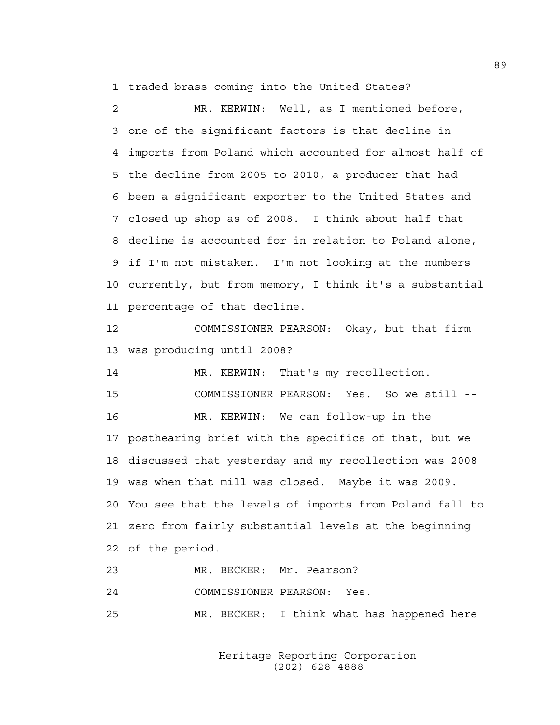1 traded brass coming into the United States?

2 MR. KERWIN: Well, as I mentioned before, 3 one of the significant factors is that decline in 4 imports from Poland which accounted for almost half of 5 the decline from 2005 to 2010, a producer that had 6 been a significant exporter to the United States and 7 closed up shop as of 2008. I think about half that 8 decline is accounted for in relation to Poland alone, 9 if I'm not mistaken. I'm not looking at the numbers 10 currently, but from memory, I think it's a substantial 11 percentage of that decline.

12 COMMISSIONER PEARSON: Okay, but that firm 13 was producing until 2008?

14 MR. KERWIN: That's my recollection. 15 COMMISSIONER PEARSON: Yes. So we still -- 16 MR. KERWIN: We can follow-up in the 17 posthearing brief with the specifics of that, but we 18 discussed that yesterday and my recollection was 2008 19 was when that mill was closed. Maybe it was 2009. 20 You see that the levels of imports from Poland fall to 21 zero from fairly substantial levels at the beginning 22 of the period.

23 MR. BECKER: Mr. Pearson?

24 COMMISSIONER PEARSON: Yes.

25 MR. BECKER: I think what has happened here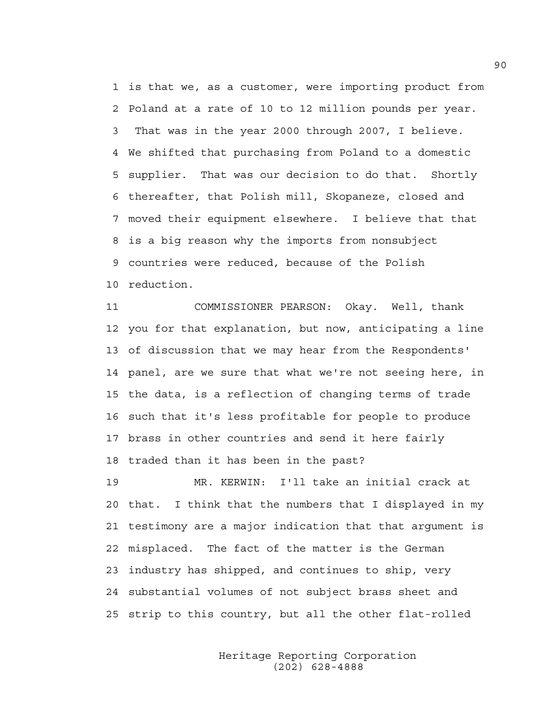1 is that we, as a customer, were importing product from 2 Poland at a rate of 10 to 12 million pounds per year. 3 That was in the year 2000 through 2007, I believe. 4 We shifted that purchasing from Poland to a domestic 5 supplier. That was our decision to do that. Shortly 6 thereafter, that Polish mill, Skopaneze, closed and 7 moved their equipment elsewhere. I believe that that 8 is a big reason why the imports from nonsubject 9 countries were reduced, because of the Polish 10 reduction.

11 COMMISSIONER PEARSON: Okay. Well, thank 12 you for that explanation, but now, anticipating a line 13 of discussion that we may hear from the Respondents' 14 panel, are we sure that what we're not seeing here, in 15 the data, is a reflection of changing terms of trade 16 such that it's less profitable for people to produce 17 brass in other countries and send it here fairly 18 traded than it has been in the past?

19 MR. KERWIN: I'll take an initial crack at 20 that. I think that the numbers that I displayed in my 21 testimony are a major indication that that argument is 22 misplaced. The fact of the matter is the German 23 industry has shipped, and continues to ship, very 24 substantial volumes of not subject brass sheet and 25 strip to this country, but all the other flat-rolled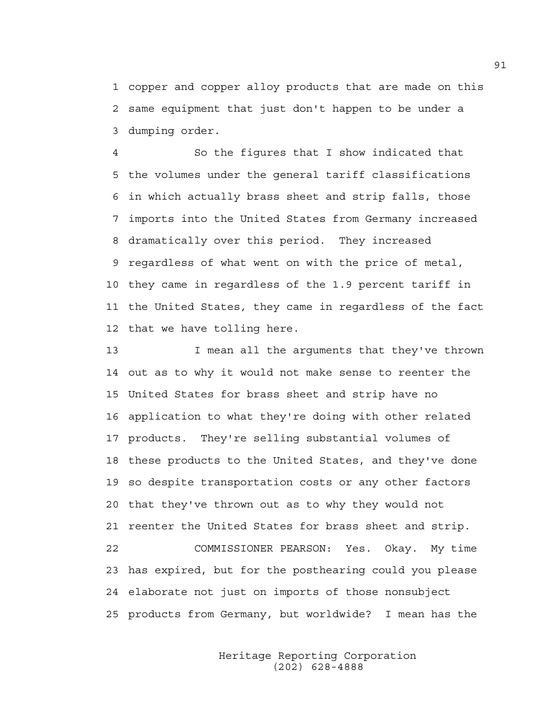1 copper and copper alloy products that are made on this 2 same equipment that just don't happen to be under a 3 dumping order.

4 So the figures that I show indicated that 5 the volumes under the general tariff classifications 6 in which actually brass sheet and strip falls, those 7 imports into the United States from Germany increased 8 dramatically over this period. They increased 9 regardless of what went on with the price of metal, 10 they came in regardless of the 1.9 percent tariff in 11 the United States, they came in regardless of the fact 12 that we have tolling here.

13 I mean all the arguments that they've thrown 14 out as to why it would not make sense to reenter the 15 United States for brass sheet and strip have no 16 application to what they're doing with other related 17 products. They're selling substantial volumes of 18 these products to the United States, and they've done 19 so despite transportation costs or any other factors 20 that they've thrown out as to why they would not 21 reenter the United States for brass sheet and strip. 22 COMMISSIONER PEARSON: Yes. Okay. My time 23 has expired, but for the posthearing could you please 24 elaborate not just on imports of those nonsubject 25 products from Germany, but worldwide? I mean has the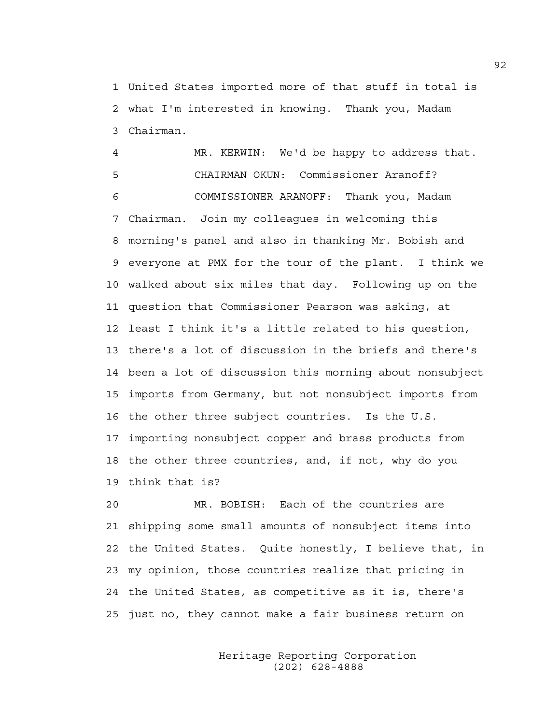1 United States imported more of that stuff in total is 2 what I'm interested in knowing. Thank you, Madam 3 Chairman.

4 MR. KERWIN: We'd be happy to address that. 5 CHAIRMAN OKUN: Commissioner Aranoff? 6 COMMISSIONER ARANOFF: Thank you, Madam 7 Chairman. Join my colleagues in welcoming this 8 morning's panel and also in thanking Mr. Bobish and 9 everyone at PMX for the tour of the plant. I think we 10 walked about six miles that day. Following up on the 11 question that Commissioner Pearson was asking, at 12 least I think it's a little related to his question, 13 there's a lot of discussion in the briefs and there's 14 been a lot of discussion this morning about nonsubject 15 imports from Germany, but not nonsubject imports from 16 the other three subject countries. Is the U.S. 17 importing nonsubject copper and brass products from 18 the other three countries, and, if not, why do you 19 think that is?

20 MR. BOBISH: Each of the countries are 21 shipping some small amounts of nonsubject items into 22 the United States. Quite honestly, I believe that, in 23 my opinion, those countries realize that pricing in 24 the United States, as competitive as it is, there's 25 just no, they cannot make a fair business return on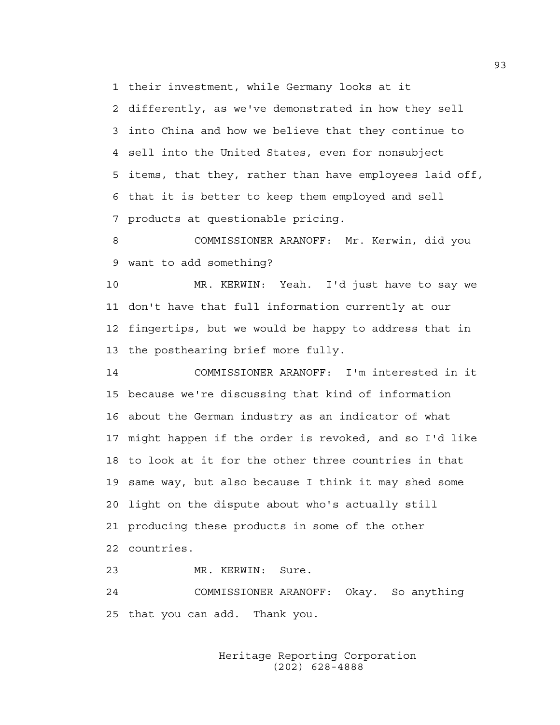1 their investment, while Germany looks at it

2 differently, as we've demonstrated in how they sell 3 into China and how we believe that they continue to 4 sell into the United States, even for nonsubject 5 items, that they, rather than have employees laid off, 6 that it is better to keep them employed and sell 7 products at questionable pricing.

8 COMMISSIONER ARANOFF: Mr. Kerwin, did you 9 want to add something?

10 MR. KERWIN: Yeah. I'd just have to say we 11 don't have that full information currently at our 12 fingertips, but we would be happy to address that in 13 the posthearing brief more fully.

14 COMMISSIONER ARANOFF: I'm interested in it 15 because we're discussing that kind of information 16 about the German industry as an indicator of what 17 might happen if the order is revoked, and so I'd like 18 to look at it for the other three countries in that 19 same way, but also because I think it may shed some 20 light on the dispute about who's actually still 21 producing these products in some of the other 22 countries.

23 MR. KERWIN: Sure. 24 COMMISSIONER ARANOFF: Okay. So anything 25 that you can add. Thank you.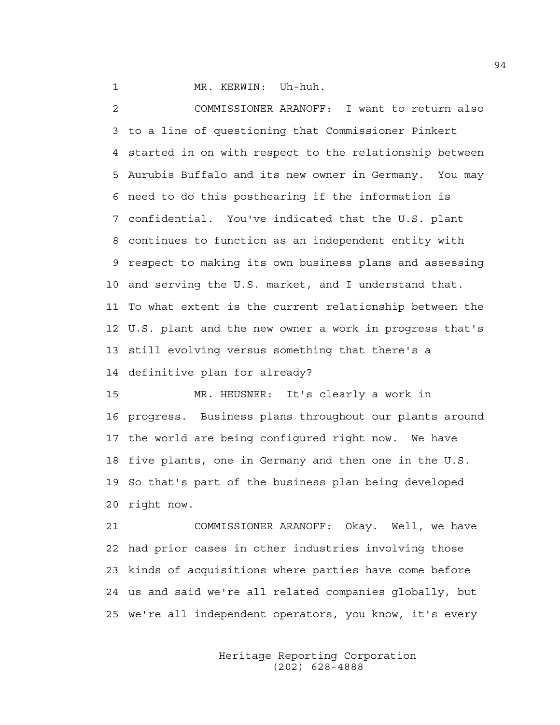1 MR. KERWIN: Uh-huh.

2 COMMISSIONER ARANOFF: I want to return also 3 to a line of questioning that Commissioner Pinkert 4 started in on with respect to the relationship between 5 Aurubis Buffalo and its new owner in Germany. You may 6 need to do this posthearing if the information is 7 confidential. You've indicated that the U.S. plant 8 continues to function as an independent entity with 9 respect to making its own business plans and assessing 10 and serving the U.S. market, and I understand that. 11 To what extent is the current relationship between the 12 U.S. plant and the new owner a work in progress that's 13 still evolving versus something that there's a 14 definitive plan for already?

15 MR. HEUSNER: It's clearly a work in 16 progress. Business plans throughout our plants around 17 the world are being configured right now. We have 18 five plants, one in Germany and then one in the U.S. 19 So that's part of the business plan being developed 20 right now.

21 COMMISSIONER ARANOFF: Okay. Well, we have 22 had prior cases in other industries involving those 23 kinds of acquisitions where parties have come before 24 us and said we're all related companies globally, but 25 we're all independent operators, you know, it's every

> Heritage Reporting Corporation (202) 628-4888

94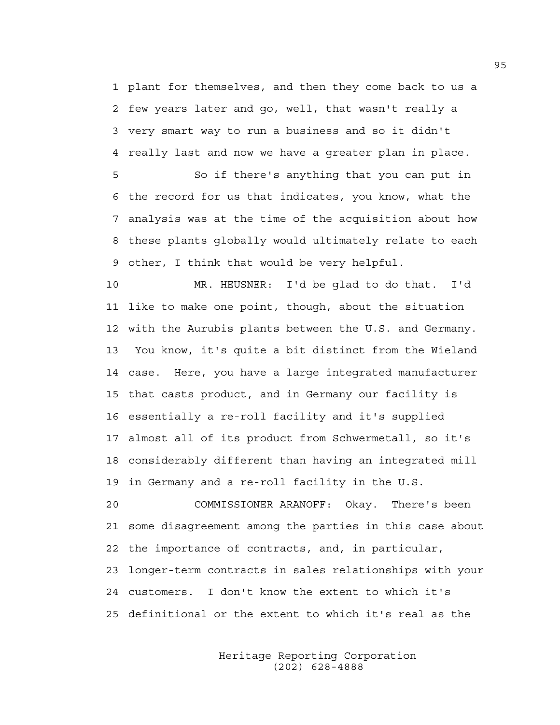1 plant for themselves, and then they come back to us a 2 few years later and go, well, that wasn't really a 3 very smart way to run a business and so it didn't 4 really last and now we have a greater plan in place.

5 So if there's anything that you can put in 6 the record for us that indicates, you know, what the 7 analysis was at the time of the acquisition about how 8 these plants globally would ultimately relate to each 9 other, I think that would be very helpful.

10 MR. HEUSNER: I'd be glad to do that. I'd 11 like to make one point, though, about the situation 12 with the Aurubis plants between the U.S. and Germany. 13 You know, it's quite a bit distinct from the Wieland 14 case. Here, you have a large integrated manufacturer 15 that casts product, and in Germany our facility is 16 essentially a re-roll facility and it's supplied 17 almost all of its product from Schwermetall, so it's 18 considerably different than having an integrated mill 19 in Germany and a re-roll facility in the U.S.

20 COMMISSIONER ARANOFF: Okay. There's been 21 some disagreement among the parties in this case about 22 the importance of contracts, and, in particular, 23 longer-term contracts in sales relationships with your 24 customers. I don't know the extent to which it's 25 definitional or the extent to which it's real as the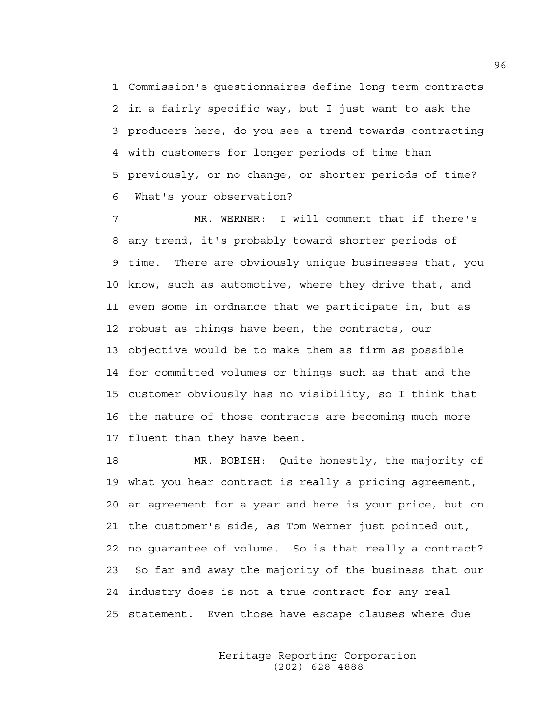1 Commission's questionnaires define long-term contracts 2 in a fairly specific way, but I just want to ask the 3 producers here, do you see a trend towards contracting 4 with customers for longer periods of time than 5 previously, or no change, or shorter periods of time? 6 What's your observation?

7 MR. WERNER: I will comment that if there's 8 any trend, it's probably toward shorter periods of 9 time. There are obviously unique businesses that, you 10 know, such as automotive, where they drive that, and 11 even some in ordnance that we participate in, but as 12 robust as things have been, the contracts, our 13 objective would be to make them as firm as possible 14 for committed volumes or things such as that and the 15 customer obviously has no visibility, so I think that 16 the nature of those contracts are becoming much more 17 fluent than they have been.

18 MR. BOBISH: Quite honestly, the majority of 19 what you hear contract is really a pricing agreement, 20 an agreement for a year and here is your price, but on 21 the customer's side, as Tom Werner just pointed out, 22 no guarantee of volume. So is that really a contract? 23 So far and away the majority of the business that our 24 industry does is not a true contract for any real 25 statement. Even those have escape clauses where due

> Heritage Reporting Corporation (202) 628-4888

96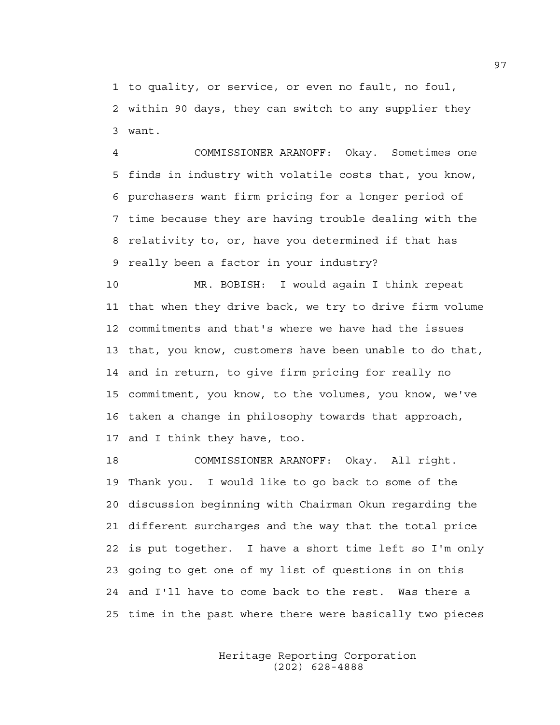1 to quality, or service, or even no fault, no foul, 2 within 90 days, they can switch to any supplier they 3 want.

4 COMMISSIONER ARANOFF: Okay. Sometimes one 5 finds in industry with volatile costs that, you know, 6 purchasers want firm pricing for a longer period of 7 time because they are having trouble dealing with the 8 relativity to, or, have you determined if that has 9 really been a factor in your industry?

10 MR. BOBISH: I would again I think repeat 11 that when they drive back, we try to drive firm volume 12 commitments and that's where we have had the issues 13 that, you know, customers have been unable to do that, 14 and in return, to give firm pricing for really no 15 commitment, you know, to the volumes, you know, we've 16 taken a change in philosophy towards that approach, 17 and I think they have, too.

18 COMMISSIONER ARANOFF: Okay. All right. 19 Thank you. I would like to go back to some of the 20 discussion beginning with Chairman Okun regarding the 21 different surcharges and the way that the total price 22 is put together. I have a short time left so I'm only 23 going to get one of my list of questions in on this 24 and I'll have to come back to the rest. Was there a 25 time in the past where there were basically two pieces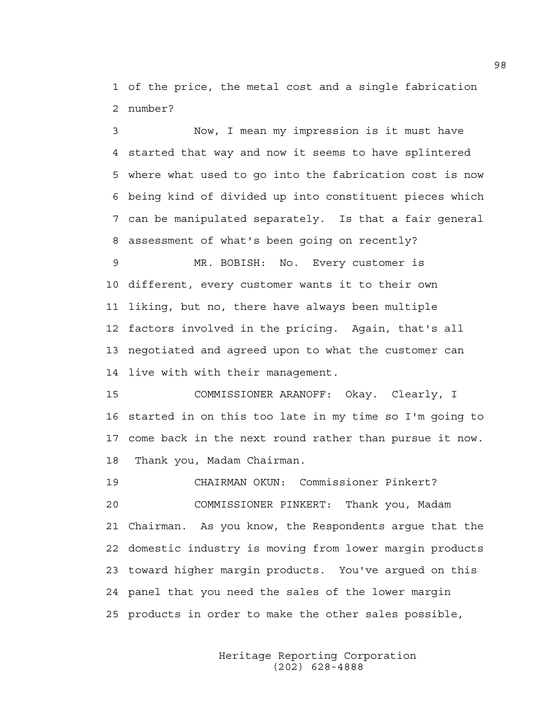1 of the price, the metal cost and a single fabrication 2 number?

3 Now, I mean my impression is it must have 4 started that way and now it seems to have splintered 5 where what used to go into the fabrication cost is now 6 being kind of divided up into constituent pieces which 7 can be manipulated separately. Is that a fair general 8 assessment of what's been going on recently?

9 MR. BOBISH: No. Every customer is 10 different, every customer wants it to their own 11 liking, but no, there have always been multiple 12 factors involved in the pricing. Again, that's all 13 negotiated and agreed upon to what the customer can 14 live with with their management.

15 COMMISSIONER ARANOFF: Okay. Clearly, I 16 started in on this too late in my time so I'm going to 17 come back in the next round rather than pursue it now. 18 Thank you, Madam Chairman.

19 CHAIRMAN OKUN: Commissioner Pinkert? 20 COMMISSIONER PINKERT: Thank you, Madam 21 Chairman. As you know, the Respondents argue that the 22 domestic industry is moving from lower margin products 23 toward higher margin products. You've argued on this 24 panel that you need the sales of the lower margin 25 products in order to make the other sales possible,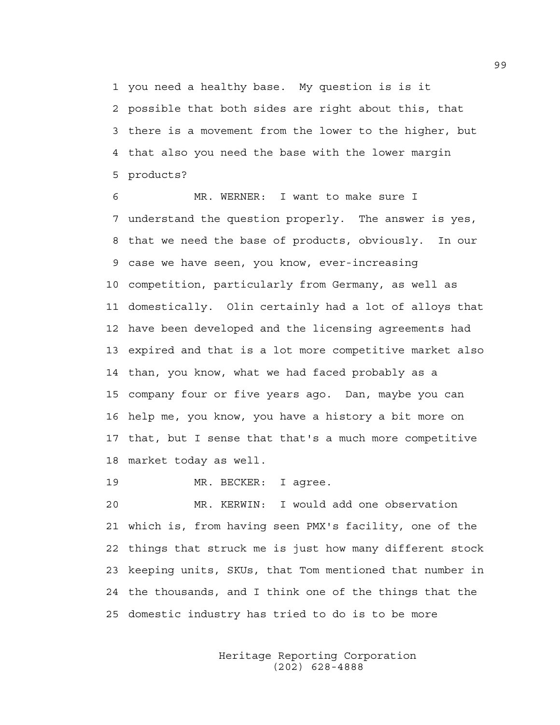1 you need a healthy base. My question is is it 2 possible that both sides are right about this, that 3 there is a movement from the lower to the higher, but 4 that also you need the base with the lower margin 5 products?

6 MR. WERNER: I want to make sure I 7 understand the question properly. The answer is yes, 8 that we need the base of products, obviously. In our 9 case we have seen, you know, ever-increasing 10 competition, particularly from Germany, as well as 11 domestically. Olin certainly had a lot of alloys that 12 have been developed and the licensing agreements had 13 expired and that is a lot more competitive market also 14 than, you know, what we had faced probably as a 15 company four or five years ago. Dan, maybe you can 16 help me, you know, you have a history a bit more on 17 that, but I sense that that's a much more competitive 18 market today as well.

19 MR. BECKER: I agree.

20 MR. KERWIN: I would add one observation 21 which is, from having seen PMX's facility, one of the 22 things that struck me is just how many different stock 23 keeping units, SKUs, that Tom mentioned that number in 24 the thousands, and I think one of the things that the 25 domestic industry has tried to do is to be more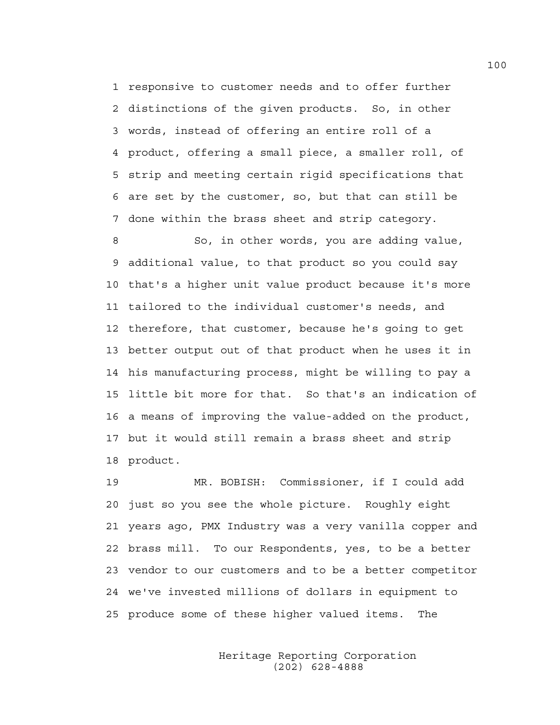1 responsive to customer needs and to offer further 2 distinctions of the given products. So, in other 3 words, instead of offering an entire roll of a 4 product, offering a small piece, a smaller roll, of 5 strip and meeting certain rigid specifications that 6 are set by the customer, so, but that can still be 7 done within the brass sheet and strip category.

8 So, in other words, you are adding value, 9 additional value, to that product so you could say 10 that's a higher unit value product because it's more 11 tailored to the individual customer's needs, and 12 therefore, that customer, because he's going to get 13 better output out of that product when he uses it in 14 his manufacturing process, might be willing to pay a 15 little bit more for that. So that's an indication of 16 a means of improving the value-added on the product, 17 but it would still remain a brass sheet and strip 18 product.

19 MR. BOBISH: Commissioner, if I could add 20 just so you see the whole picture. Roughly eight 21 years ago, PMX Industry was a very vanilla copper and 22 brass mill. To our Respondents, yes, to be a better 23 vendor to our customers and to be a better competitor 24 we've invested millions of dollars in equipment to 25 produce some of these higher valued items. The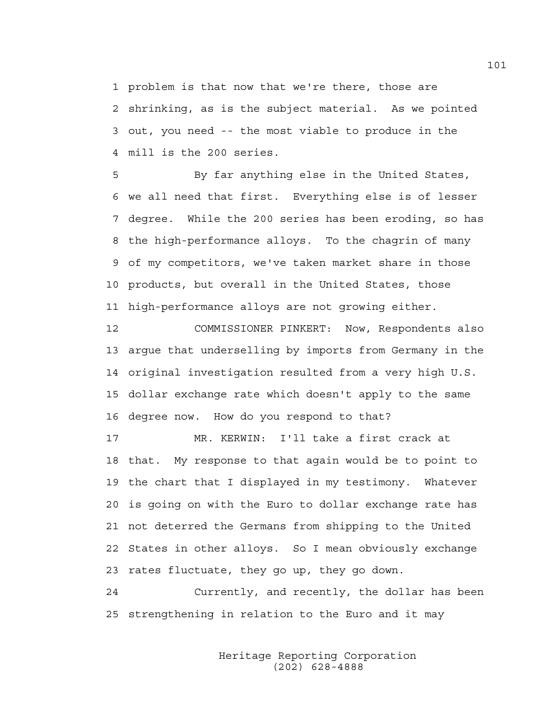1 problem is that now that we're there, those are 2 shrinking, as is the subject material. As we pointed 3 out, you need -- the most viable to produce in the 4 mill is the 200 series.

5 By far anything else in the United States, 6 we all need that first. Everything else is of lesser 7 degree. While the 200 series has been eroding, so has 8 the high-performance alloys. To the chagrin of many 9 of my competitors, we've taken market share in those 10 products, but overall in the United States, those 11 high-performance alloys are not growing either.

12 COMMISSIONER PINKERT: Now, Respondents also 13 argue that underselling by imports from Germany in the 14 original investigation resulted from a very high U.S. 15 dollar exchange rate which doesn't apply to the same 16 degree now. How do you respond to that?

17 MR. KERWIN: I'll take a first crack at 18 that. My response to that again would be to point to 19 the chart that I displayed in my testimony. Whatever 20 is going on with the Euro to dollar exchange rate has 21 not deterred the Germans from shipping to the United 22 States in other alloys. So I mean obviously exchange 23 rates fluctuate, they go up, they go down.

24 Currently, and recently, the dollar has been 25 strengthening in relation to the Euro and it may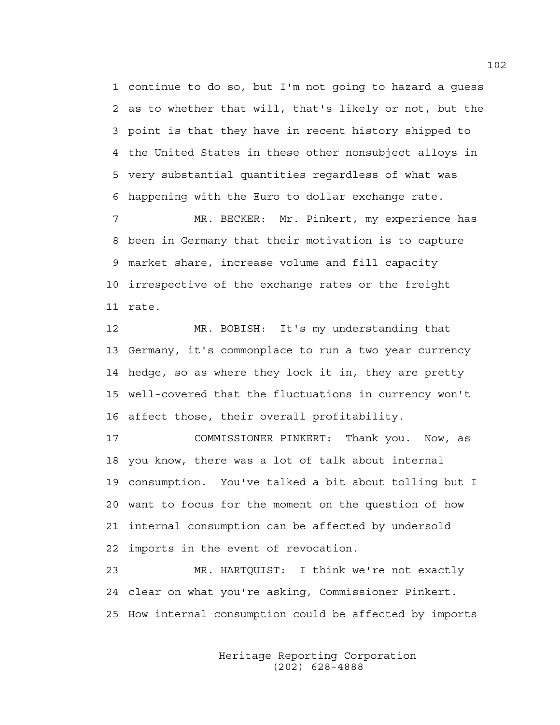1 continue to do so, but I'm not going to hazard a guess 2 as to whether that will, that's likely or not, but the 3 point is that they have in recent history shipped to 4 the United States in these other nonsubject alloys in 5 very substantial quantities regardless of what was 6 happening with the Euro to dollar exchange rate.

7 MR. BECKER: Mr. Pinkert, my experience has 8 been in Germany that their motivation is to capture 9 market share, increase volume and fill capacity 10 irrespective of the exchange rates or the freight 11 rate.

12 MR. BOBISH: It's my understanding that 13 Germany, it's commonplace to run a two year currency 14 hedge, so as where they lock it in, they are pretty 15 well-covered that the fluctuations in currency won't 16 affect those, their overall profitability.

17 COMMISSIONER PINKERT: Thank you. Now, as 18 you know, there was a lot of talk about internal 19 consumption. You've talked a bit about tolling but I 20 want to focus for the moment on the question of how 21 internal consumption can be affected by undersold 22 imports in the event of revocation.

23 MR. HARTQUIST: I think we're not exactly 24 clear on what you're asking, Commissioner Pinkert. 25 How internal consumption could be affected by imports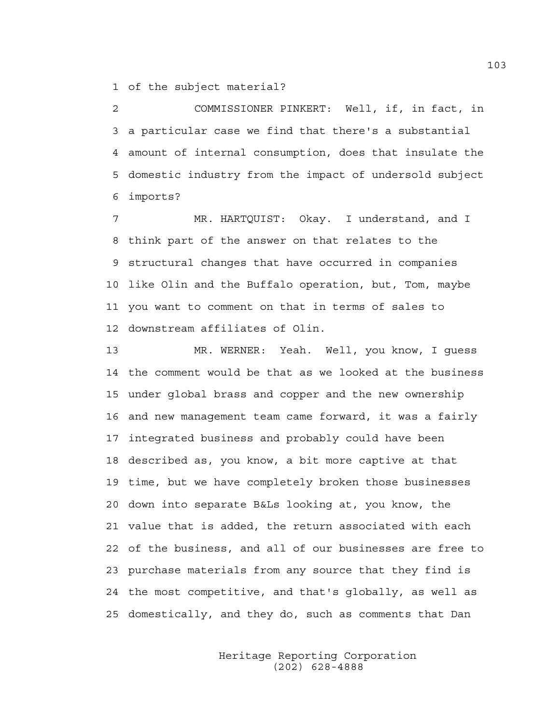1 of the subject material?

2 COMMISSIONER PINKERT: Well, if, in fact, in 3 a particular case we find that there's a substantial 4 amount of internal consumption, does that insulate the 5 domestic industry from the impact of undersold subject 6 imports?

7 MR. HARTQUIST: Okay. I understand, and I 8 think part of the answer on that relates to the 9 structural changes that have occurred in companies 10 like Olin and the Buffalo operation, but, Tom, maybe 11 you want to comment on that in terms of sales to 12 downstream affiliates of Olin.

13 MR. WERNER: Yeah. Well, you know, I guess 14 the comment would be that as we looked at the business 15 under global brass and copper and the new ownership 16 and new management team came forward, it was a fairly 17 integrated business and probably could have been 18 described as, you know, a bit more captive at that 19 time, but we have completely broken those businesses 20 down into separate B&Ls looking at, you know, the 21 value that is added, the return associated with each 22 of the business, and all of our businesses are free to 23 purchase materials from any source that they find is 24 the most competitive, and that's globally, as well as 25 domestically, and they do, such as comments that Dan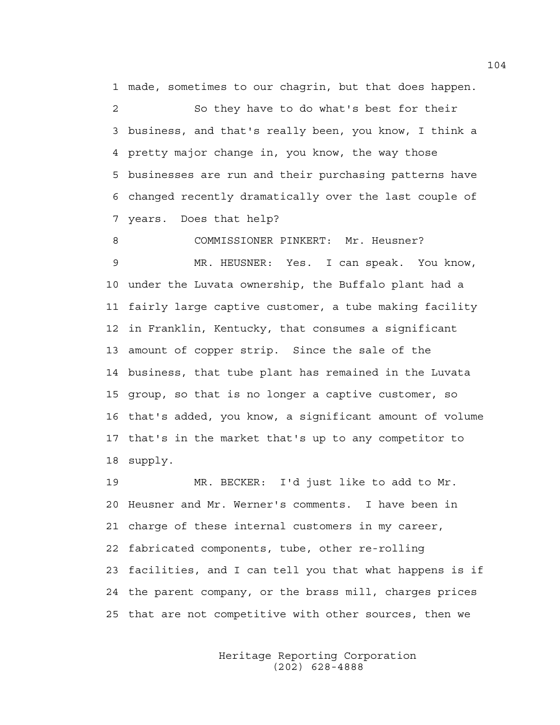1 made, sometimes to our chagrin, but that does happen.

2 So they have to do what's best for their 3 business, and that's really been, you know, I think a 4 pretty major change in, you know, the way those 5 businesses are run and their purchasing patterns have 6 changed recently dramatically over the last couple of 7 years. Does that help?

8 COMMISSIONER PINKERT: Mr. Heusner? 9 MR. HEUSNER: Yes. I can speak. You know, 10 under the Luvata ownership, the Buffalo plant had a 11 fairly large captive customer, a tube making facility 12 in Franklin, Kentucky, that consumes a significant 13 amount of copper strip. Since the sale of the 14 business, that tube plant has remained in the Luvata 15 group, so that is no longer a captive customer, so 16 that's added, you know, a significant amount of volume 17 that's in the market that's up to any competitor to 18 supply.

19 MR. BECKER: I'd just like to add to Mr. 20 Heusner and Mr. Werner's comments. I have been in 21 charge of these internal customers in my career, 22 fabricated components, tube, other re-rolling 23 facilities, and I can tell you that what happens is if 24 the parent company, or the brass mill, charges prices 25 that are not competitive with other sources, then we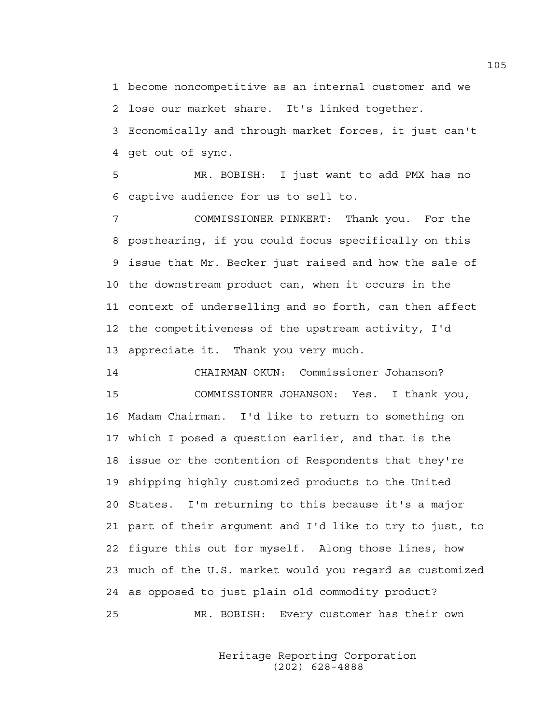1 become noncompetitive as an internal customer and we 2 lose our market share. It's linked together.

3 Economically and through market forces, it just can't 4 get out of sync.

5 MR. BOBISH: I just want to add PMX has no 6 captive audience for us to sell to.

7 COMMISSIONER PINKERT: Thank you. For the 8 posthearing, if you could focus specifically on this 9 issue that Mr. Becker just raised and how the sale of 10 the downstream product can, when it occurs in the 11 context of underselling and so forth, can then affect 12 the competitiveness of the upstream activity, I'd 13 appreciate it. Thank you very much.

14 CHAIRMAN OKUN: Commissioner Johanson? 15 COMMISSIONER JOHANSON: Yes. I thank you, 16 Madam Chairman. I'd like to return to something on 17 which I posed a question earlier, and that is the 18 issue or the contention of Respondents that they're 19 shipping highly customized products to the United 20 States. I'm returning to this because it's a major 21 part of their argument and I'd like to try to just, to 22 figure this out for myself. Along those lines, how 23 much of the U.S. market would you regard as customized 24 as opposed to just plain old commodity product? 25 MR. BOBISH: Every customer has their own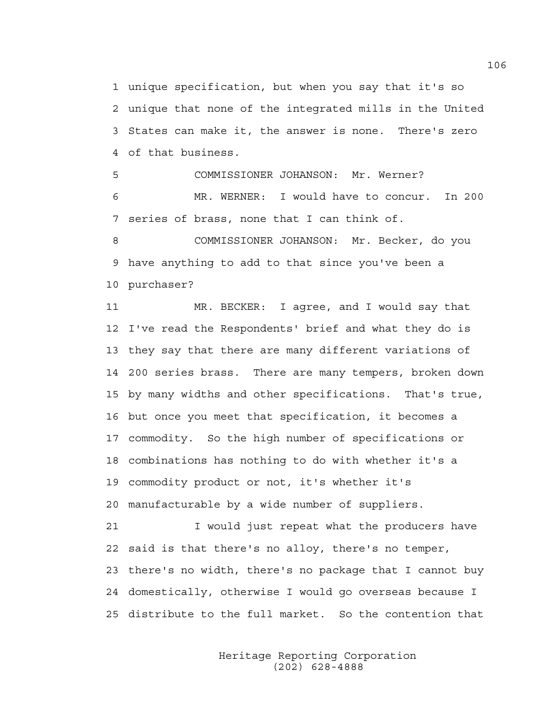1 unique specification, but when you say that it's so 2 unique that none of the integrated mills in the United 3 States can make it, the answer is none. There's zero 4 of that business.

5 COMMISSIONER JOHANSON: Mr. Werner? 6 MR. WERNER: I would have to concur. In 200 7 series of brass, none that I can think of.

8 COMMISSIONER JOHANSON: Mr. Becker, do you 9 have anything to add to that since you've been a 10 purchaser?

11 MR. BECKER: I agree, and I would say that 12 I've read the Respondents' brief and what they do is 13 they say that there are many different variations of 14 200 series brass. There are many tempers, broken down 15 by many widths and other specifications. That's true, 16 but once you meet that specification, it becomes a 17 commodity. So the high number of specifications or 18 combinations has nothing to do with whether it's a 19 commodity product or not, it's whether it's 20 manufacturable by a wide number of suppliers.

21 I would just repeat what the producers have 22 said is that there's no alloy, there's no temper, 23 there's no width, there's no package that I cannot buy 24 domestically, otherwise I would go overseas because I 25 distribute to the full market. So the contention that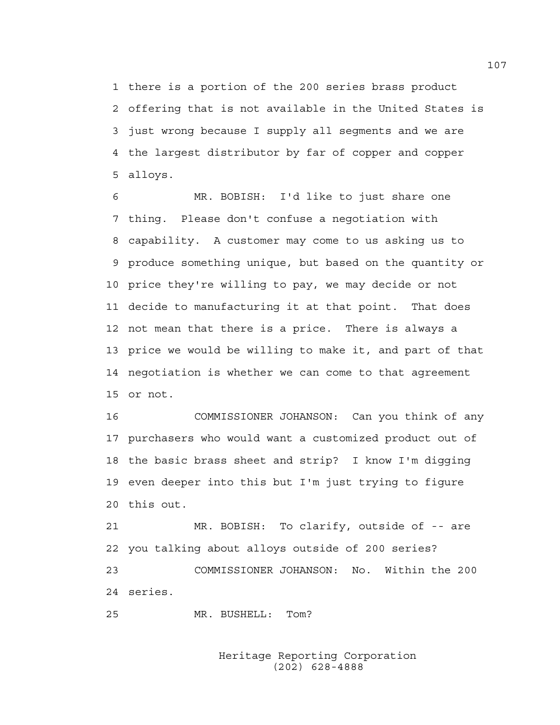1 there is a portion of the 200 series brass product 2 offering that is not available in the United States is 3 just wrong because I supply all segments and we are 4 the largest distributor by far of copper and copper 5 alloys.

6 MR. BOBISH: I'd like to just share one 7 thing. Please don't confuse a negotiation with 8 capability. A customer may come to us asking us to 9 produce something unique, but based on the quantity or 10 price they're willing to pay, we may decide or not 11 decide to manufacturing it at that point. That does 12 not mean that there is a price. There is always a 13 price we would be willing to make it, and part of that 14 negotiation is whether we can come to that agreement 15 or not.

16 COMMISSIONER JOHANSON: Can you think of any 17 purchasers who would want a customized product out of 18 the basic brass sheet and strip? I know I'm digging 19 even deeper into this but I'm just trying to figure 20 this out.

21 MR. BOBISH: To clarify, outside of -- are 22 you talking about alloys outside of 200 series? 23 COMMISSIONER JOHANSON: No. Within the 200 24 series.

25 MR. BUSHELL: Tom?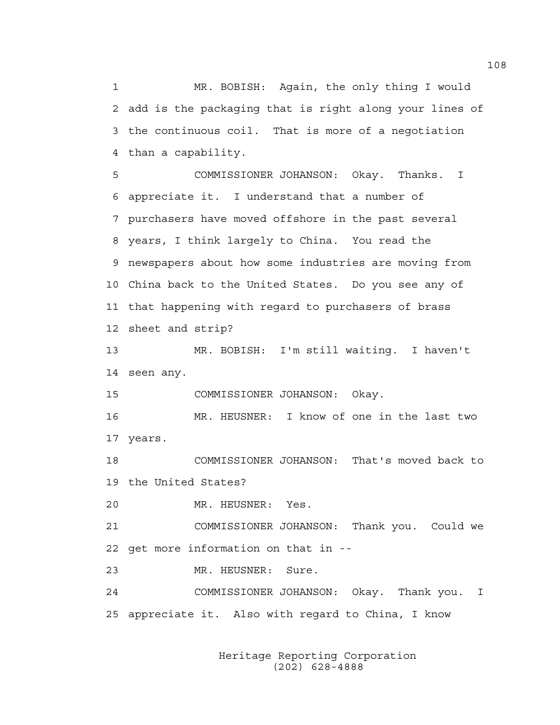1 MR. BOBISH: Again, the only thing I would 2 add is the packaging that is right along your lines of 3 the continuous coil. That is more of a negotiation 4 than a capability.

5 COMMISSIONER JOHANSON: Okay. Thanks. I 6 appreciate it. I understand that a number of 7 purchasers have moved offshore in the past several 8 years, I think largely to China. You read the 9 newspapers about how some industries are moving from 10 China back to the United States. Do you see any of 11 that happening with regard to purchasers of brass 12 sheet and strip?

13 MR. BOBISH: I'm still waiting. I haven't 14 seen any.

15 COMMISSIONER JOHANSON: Okay.

16 MR. HEUSNER: I know of one in the last two 17 years.

18 COMMISSIONER JOHANSON: That's moved back to 19 the United States?

20 MR. HEUSNER: Yes.

21 COMMISSIONER JOHANSON: Thank you. Could we 22 get more information on that in --

23 MR. HEUSNER: Sure.

24 COMMISSIONER JOHANSON: Okay. Thank you. I 25 appreciate it. Also with regard to China, I know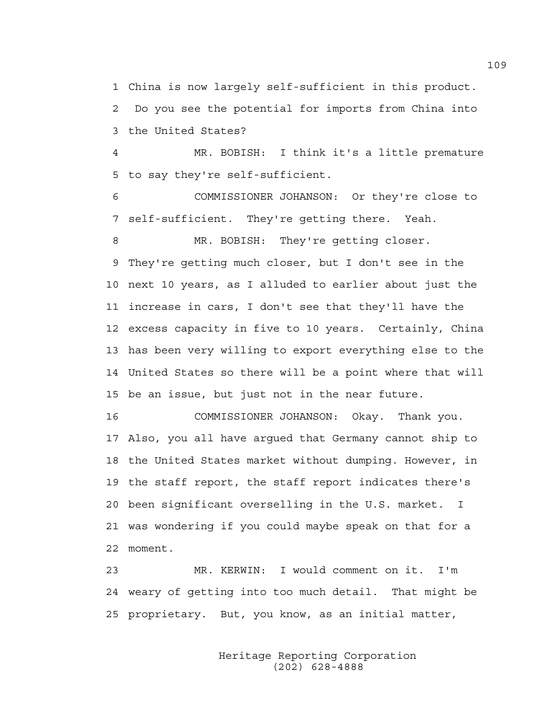1 China is now largely self-sufficient in this product. 2 Do you see the potential for imports from China into 3 the United States?

4 MR. BOBISH: I think it's a little premature 5 to say they're self-sufficient.

6 COMMISSIONER JOHANSON: Or they're close to 7 self-sufficient. They're getting there. Yeah.

8 MR. BOBISH: They're getting closer. 9 They're getting much closer, but I don't see in the 10 next 10 years, as I alluded to earlier about just the 11 increase in cars, I don't see that they'll have the 12 excess capacity in five to 10 years. Certainly, China 13 has been very willing to export everything else to the 14 United States so there will be a point where that will 15 be an issue, but just not in the near future.

16 COMMISSIONER JOHANSON: Okay. Thank you. 17 Also, you all have argued that Germany cannot ship to 18 the United States market without dumping. However, in 19 the staff report, the staff report indicates there's 20 been significant overselling in the U.S. market. I 21 was wondering if you could maybe speak on that for a 22 moment.

23 MR. KERWIN: I would comment on it. I'm 24 weary of getting into too much detail. That might be 25 proprietary. But, you know, as an initial matter,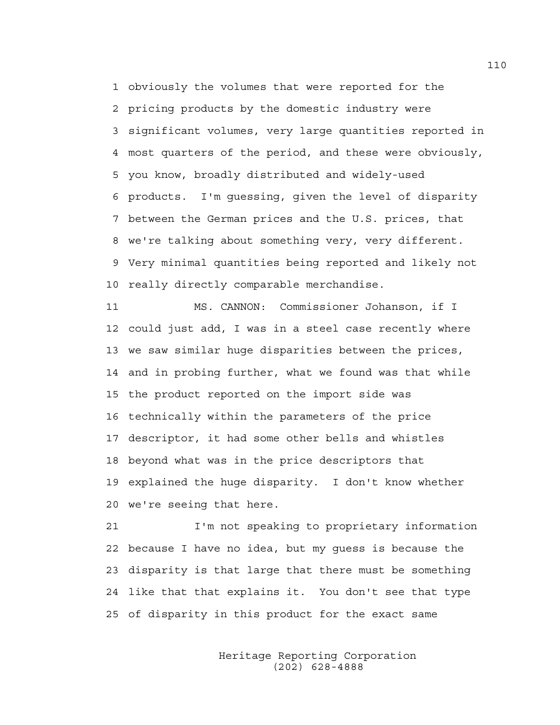1 obviously the volumes that were reported for the 2 pricing products by the domestic industry were 3 significant volumes, very large quantities reported in 4 most quarters of the period, and these were obviously, 5 you know, broadly distributed and widely-used 6 products. I'm guessing, given the level of disparity 7 between the German prices and the U.S. prices, that 8 we're talking about something very, very different. 9 Very minimal quantities being reported and likely not 10 really directly comparable merchandise.

11 MS. CANNON: Commissioner Johanson, if I 12 could just add, I was in a steel case recently where 13 we saw similar huge disparities between the prices, 14 and in probing further, what we found was that while 15 the product reported on the import side was 16 technically within the parameters of the price 17 descriptor, it had some other bells and whistles 18 beyond what was in the price descriptors that 19 explained the huge disparity. I don't know whether 20 we're seeing that here.

21 I'm not speaking to proprietary information 22 because I have no idea, but my guess is because the 23 disparity is that large that there must be something 24 like that that explains it. You don't see that type 25 of disparity in this product for the exact same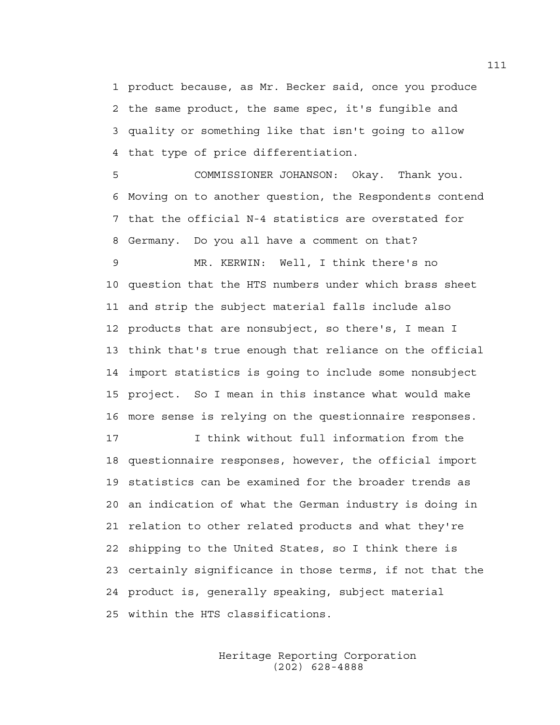1 product because, as Mr. Becker said, once you produce 2 the same product, the same spec, it's fungible and 3 quality or something like that isn't going to allow 4 that type of price differentiation.

5 COMMISSIONER JOHANSON: Okay. Thank you. 6 Moving on to another question, the Respondents contend 7 that the official N-4 statistics are overstated for 8 Germany. Do you all have a comment on that?

9 MR. KERWIN: Well, I think there's no 10 question that the HTS numbers under which brass sheet 11 and strip the subject material falls include also 12 products that are nonsubject, so there's, I mean I 13 think that's true enough that reliance on the official 14 import statistics is going to include some nonsubject 15 project. So I mean in this instance what would make 16 more sense is relying on the questionnaire responses.

17 I think without full information from the 18 questionnaire responses, however, the official import 19 statistics can be examined for the broader trends as 20 an indication of what the German industry is doing in 21 relation to other related products and what they're 22 shipping to the United States, so I think there is 23 certainly significance in those terms, if not that the 24 product is, generally speaking, subject material 25 within the HTS classifications.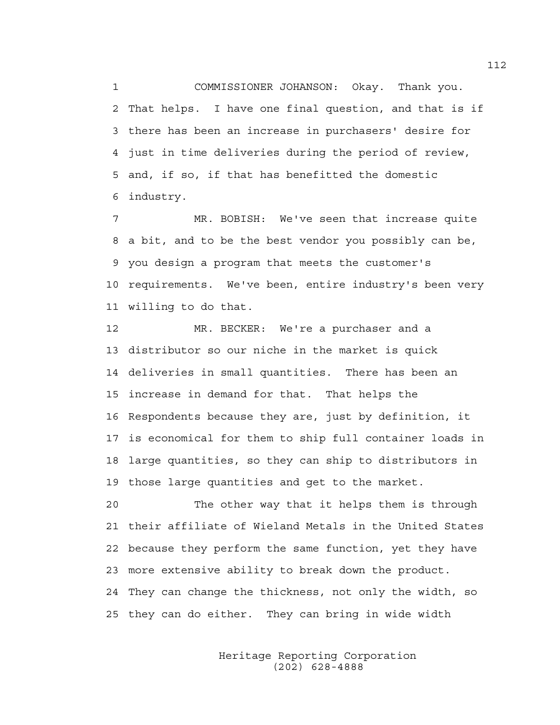1 COMMISSIONER JOHANSON: Okay. Thank you. 2 That helps. I have one final question, and that is if 3 there has been an increase in purchasers' desire for 4 just in time deliveries during the period of review, 5 and, if so, if that has benefitted the domestic 6 industry.

7 MR. BOBISH: We've seen that increase quite 8 a bit, and to be the best vendor you possibly can be, 9 you design a program that meets the customer's 10 requirements. We've been, entire industry's been very 11 willing to do that.

12 MR. BECKER: We're a purchaser and a 13 distributor so our niche in the market is quick 14 deliveries in small quantities. There has been an 15 increase in demand for that. That helps the 16 Respondents because they are, just by definition, it 17 is economical for them to ship full container loads in 18 large quantities, so they can ship to distributors in 19 those large quantities and get to the market.

20 The other way that it helps them is through 21 their affiliate of Wieland Metals in the United States 22 because they perform the same function, yet they have 23 more extensive ability to break down the product. 24 They can change the thickness, not only the width, so 25 they can do either. They can bring in wide width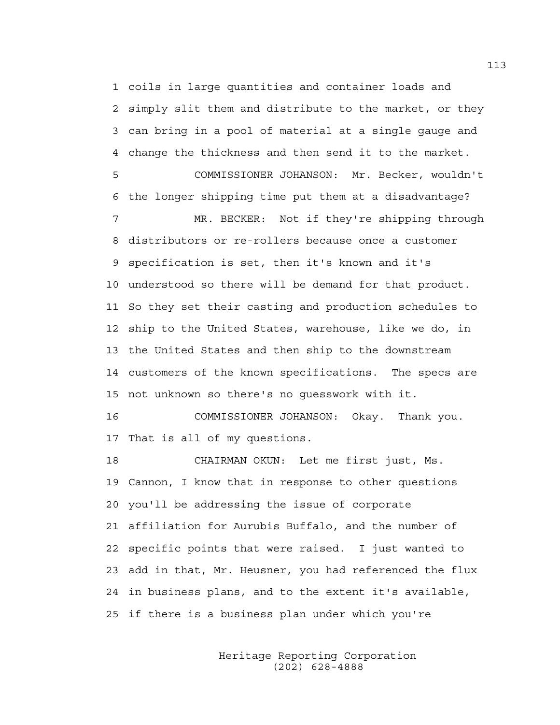1 coils in large quantities and container loads and 2 simply slit them and distribute to the market, or they 3 can bring in a pool of material at a single gauge and 4 change the thickness and then send it to the market. 5 COMMISSIONER JOHANSON: Mr. Becker, wouldn't 6 the longer shipping time put them at a disadvantage? 7 MR. BECKER: Not if they're shipping through 8 distributors or re-rollers because once a customer 9 specification is set, then it's known and it's 10 understood so there will be demand for that product. 11 So they set their casting and production schedules to 12 ship to the United States, warehouse, like we do, in 13 the United States and then ship to the downstream 14 customers of the known specifications. The specs are 15 not unknown so there's no guesswork with it. 16 COMMISSIONER JOHANSON: Okay. Thank you.

17 That is all of my questions.

18 CHAIRMAN OKUN: Let me first just, Ms. 19 Cannon, I know that in response to other questions 20 you'll be addressing the issue of corporate 21 affiliation for Aurubis Buffalo, and the number of 22 specific points that were raised. I just wanted to 23 add in that, Mr. Heusner, you had referenced the flux 24 in business plans, and to the extent it's available, 25 if there is a business plan under which you're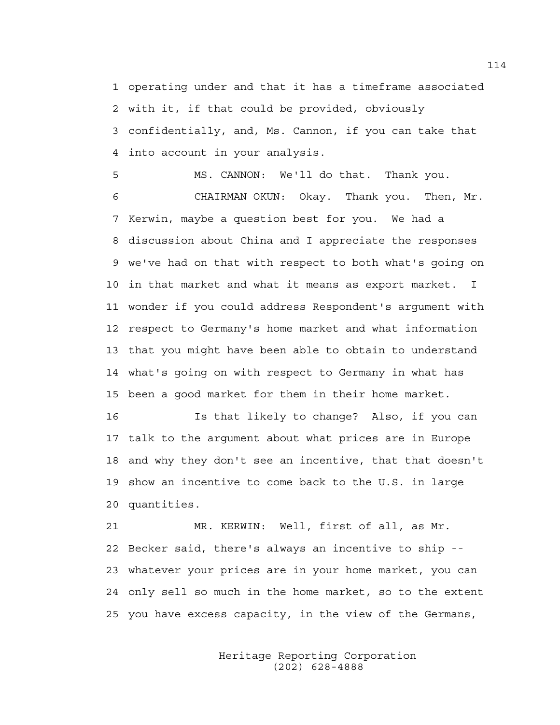1 operating under and that it has a timeframe associated 2 with it, if that could be provided, obviously 3 confidentially, and, Ms. Cannon, if you can take that 4 into account in your analysis.

5 MS. CANNON: We'll do that. Thank you. 6 CHAIRMAN OKUN: Okay. Thank you. Then, Mr. 7 Kerwin, maybe a question best for you. We had a 8 discussion about China and I appreciate the responses 9 we've had on that with respect to both what's going on 10 in that market and what it means as export market. I 11 wonder if you could address Respondent's argument with 12 respect to Germany's home market and what information 13 that you might have been able to obtain to understand 14 what's going on with respect to Germany in what has 15 been a good market for them in their home market.

16 Is that likely to change? Also, if you can 17 talk to the argument about what prices are in Europe 18 and why they don't see an incentive, that that doesn't 19 show an incentive to come back to the U.S. in large 20 quantities.

21 MR. KERWIN: Well, first of all, as Mr. 22 Becker said, there's always an incentive to ship -- 23 whatever your prices are in your home market, you can 24 only sell so much in the home market, so to the extent 25 you have excess capacity, in the view of the Germans,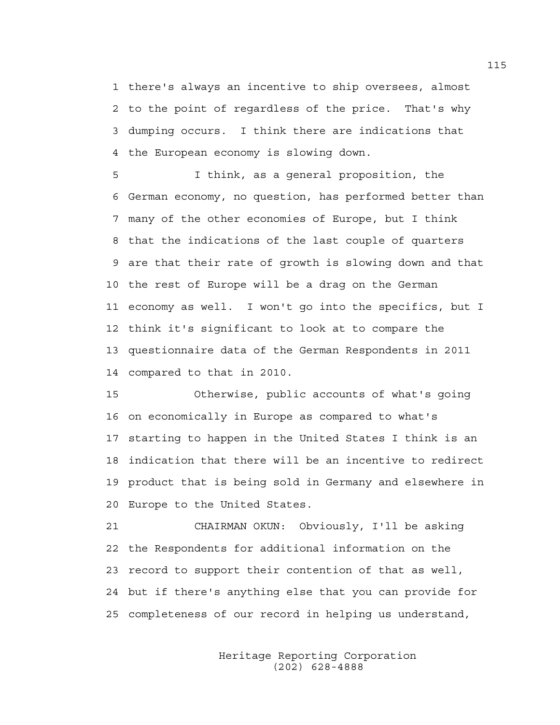1 there's always an incentive to ship oversees, almost 2 to the point of regardless of the price. That's why 3 dumping occurs. I think there are indications that 4 the European economy is slowing down.

5 I think, as a general proposition, the 6 German economy, no question, has performed better than 7 many of the other economies of Europe, but I think 8 that the indications of the last couple of quarters 9 are that their rate of growth is slowing down and that 10 the rest of Europe will be a drag on the German 11 economy as well. I won't go into the specifics, but I 12 think it's significant to look at to compare the 13 questionnaire data of the German Respondents in 2011 14 compared to that in 2010.

15 Otherwise, public accounts of what's going 16 on economically in Europe as compared to what's 17 starting to happen in the United States I think is an 18 indication that there will be an incentive to redirect 19 product that is being sold in Germany and elsewhere in 20 Europe to the United States.

21 CHAIRMAN OKUN: Obviously, I'll be asking 22 the Respondents for additional information on the 23 record to support their contention of that as well, 24 but if there's anything else that you can provide for 25 completeness of our record in helping us understand,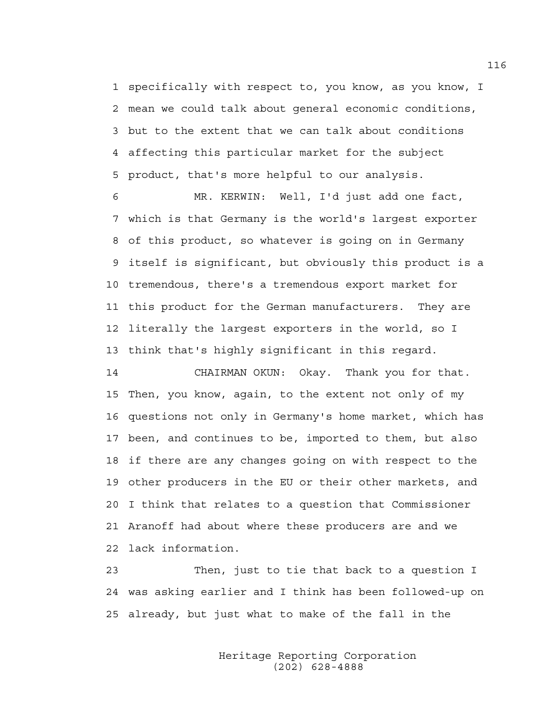1 specifically with respect to, you know, as you know, I 2 mean we could talk about general economic conditions, 3 but to the extent that we can talk about conditions 4 affecting this particular market for the subject 5 product, that's more helpful to our analysis.

6 MR. KERWIN: Well, I'd just add one fact, 7 which is that Germany is the world's largest exporter 8 of this product, so whatever is going on in Germany 9 itself is significant, but obviously this product is a 10 tremendous, there's a tremendous export market for 11 this product for the German manufacturers. They are 12 literally the largest exporters in the world, so I 13 think that's highly significant in this regard.

14 CHAIRMAN OKUN: Okay. Thank you for that. 15 Then, you know, again, to the extent not only of my 16 questions not only in Germany's home market, which has 17 been, and continues to be, imported to them, but also 18 if there are any changes going on with respect to the 19 other producers in the EU or their other markets, and 20 I think that relates to a question that Commissioner 21 Aranoff had about where these producers are and we 22 lack information.

23 Then, just to tie that back to a question I 24 was asking earlier and I think has been followed-up on 25 already, but just what to make of the fall in the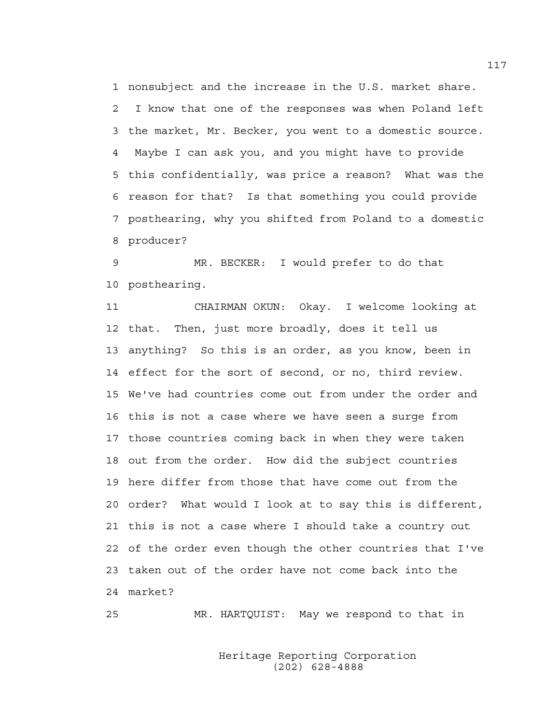1 nonsubject and the increase in the U.S. market share. 2 I know that one of the responses was when Poland left 3 the market, Mr. Becker, you went to a domestic source. 4 Maybe I can ask you, and you might have to provide 5 this confidentially, was price a reason? What was the 6 reason for that? Is that something you could provide 7 posthearing, why you shifted from Poland to a domestic 8 producer?

9 MR. BECKER: I would prefer to do that 10 posthearing.

11 CHAIRMAN OKUN: Okay. I welcome looking at 12 that. Then, just more broadly, does it tell us 13 anything? So this is an order, as you know, been in 14 effect for the sort of second, or no, third review. 15 We've had countries come out from under the order and 16 this is not a case where we have seen a surge from 17 those countries coming back in when they were taken 18 out from the order. How did the subject countries 19 here differ from those that have come out from the 20 order? What would I look at to say this is different, 21 this is not a case where I should take a country out 22 of the order even though the other countries that I've 23 taken out of the order have not come back into the 24 market?

25 MR. HARTQUIST: May we respond to that in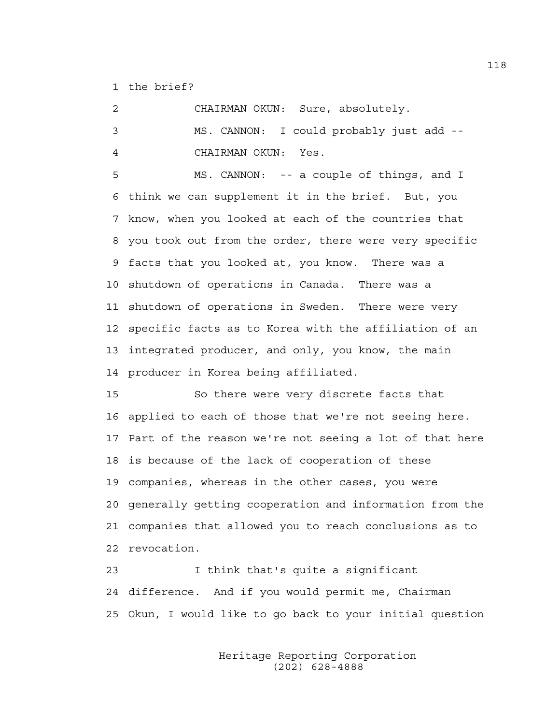1 the brief?

2 CHAIRMAN OKUN: Sure, absolutely. 3 MS. CANNON: I could probably just add -- 4 CHAIRMAN OKUN: Yes.

5 MS. CANNON: -- a couple of things, and I 6 think we can supplement it in the brief. But, you 7 know, when you looked at each of the countries that 8 you took out from the order, there were very specific 9 facts that you looked at, you know. There was a 10 shutdown of operations in Canada. There was a 11 shutdown of operations in Sweden. There were very 12 specific facts as to Korea with the affiliation of an 13 integrated producer, and only, you know, the main 14 producer in Korea being affiliated.

15 So there were very discrete facts that 16 applied to each of those that we're not seeing here. 17 Part of the reason we're not seeing a lot of that here 18 is because of the lack of cooperation of these 19 companies, whereas in the other cases, you were 20 generally getting cooperation and information from the 21 companies that allowed you to reach conclusions as to 22 revocation.

23 I think that's quite a significant 24 difference. And if you would permit me, Chairman 25 Okun, I would like to go back to your initial question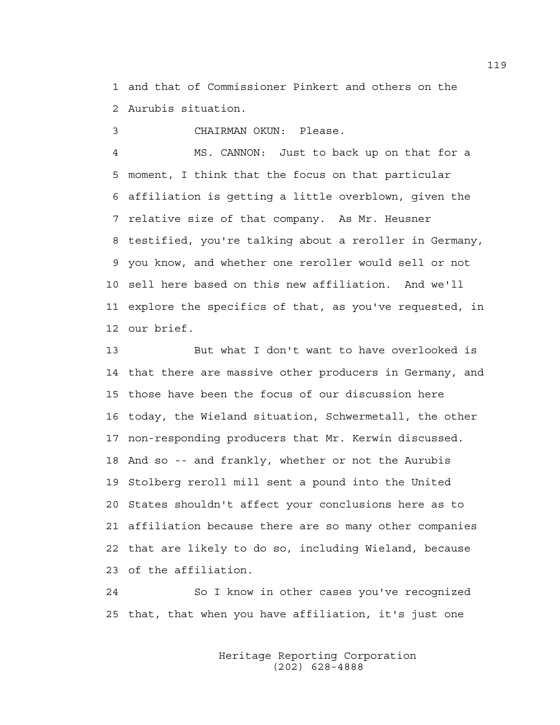1 and that of Commissioner Pinkert and others on the 2 Aurubis situation.

3 CHAIRMAN OKUN: Please.

4 MS. CANNON: Just to back up on that for a 5 moment, I think that the focus on that particular 6 affiliation is getting a little overblown, given the 7 relative size of that company. As Mr. Heusner 8 testified, you're talking about a reroller in Germany, 9 you know, and whether one reroller would sell or not 10 sell here based on this new affiliation. And we'll 11 explore the specifics of that, as you've requested, in 12 our brief.

13 But what I don't want to have overlooked is 14 that there are massive other producers in Germany, and 15 those have been the focus of our discussion here 16 today, the Wieland situation, Schwermetall, the other 17 non-responding producers that Mr. Kerwin discussed. 18 And so -- and frankly, whether or not the Aurubis 19 Stolberg reroll mill sent a pound into the United 20 States shouldn't affect your conclusions here as to 21 affiliation because there are so many other companies 22 that are likely to do so, including Wieland, because 23 of the affiliation.

24 So I know in other cases you've recognized 25 that, that when you have affiliation, it's just one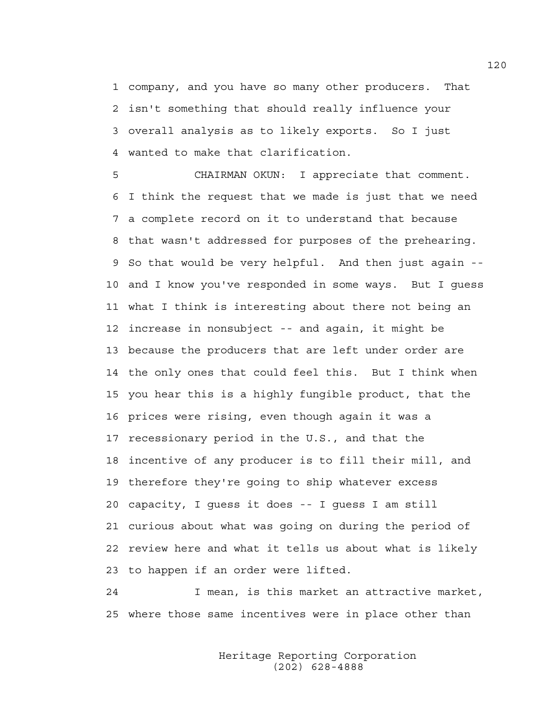1 company, and you have so many other producers. That 2 isn't something that should really influence your 3 overall analysis as to likely exports. So I just 4 wanted to make that clarification.

5 CHAIRMAN OKUN: I appreciate that comment. 6 I think the request that we made is just that we need 7 a complete record on it to understand that because 8 that wasn't addressed for purposes of the prehearing. 9 So that would be very helpful. And then just again -- 10 and I know you've responded in some ways. But I guess 11 what I think is interesting about there not being an 12 increase in nonsubject -- and again, it might be 13 because the producers that are left under order are 14 the only ones that could feel this. But I think when 15 you hear this is a highly fungible product, that the 16 prices were rising, even though again it was a 17 recessionary period in the U.S., and that the 18 incentive of any producer is to fill their mill, and 19 therefore they're going to ship whatever excess 20 capacity, I guess it does -- I guess I am still 21 curious about what was going on during the period of 22 review here and what it tells us about what is likely 23 to happen if an order were lifted.

24 I mean, is this market an attractive market, 25 where those same incentives were in place other than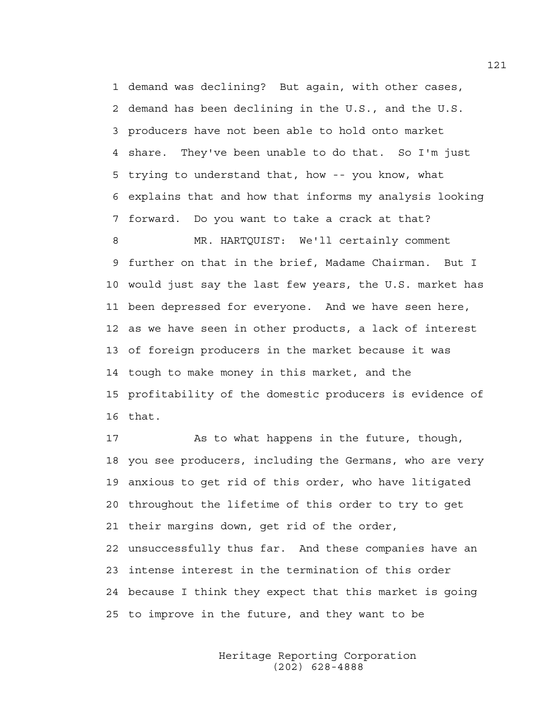1 demand was declining? But again, with other cases, 2 demand has been declining in the U.S., and the U.S. 3 producers have not been able to hold onto market 4 share. They've been unable to do that. So I'm just 5 trying to understand that, how -- you know, what 6 explains that and how that informs my analysis looking 7 forward. Do you want to take a crack at that?

8 MR. HARTQUIST: We'll certainly comment 9 further on that in the brief, Madame Chairman. But I 10 would just say the last few years, the U.S. market has 11 been depressed for everyone. And we have seen here, 12 as we have seen in other products, a lack of interest 13 of foreign producers in the market because it was 14 tough to make money in this market, and the 15 profitability of the domestic producers is evidence of 16 that.

17 As to what happens in the future, though, 18 you see producers, including the Germans, who are very 19 anxious to get rid of this order, who have litigated 20 throughout the lifetime of this order to try to get 21 their margins down, get rid of the order, 22 unsuccessfully thus far. And these companies have an 23 intense interest in the termination of this order 24 because I think they expect that this market is going 25 to improve in the future, and they want to be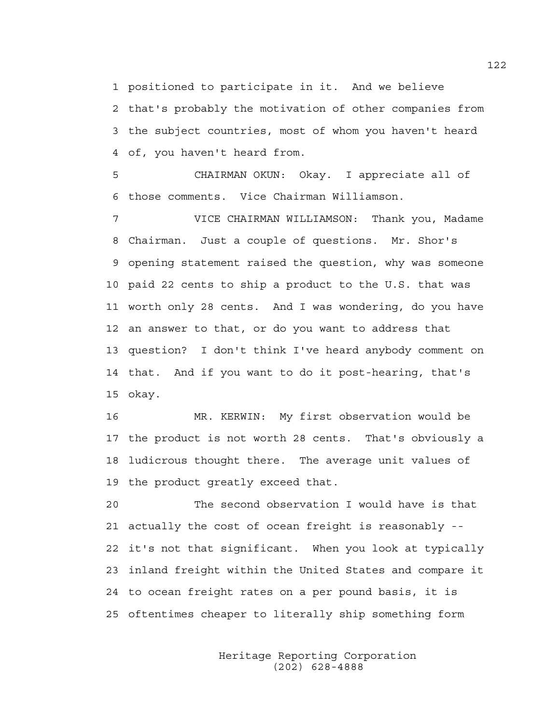1 positioned to participate in it. And we believe

2 that's probably the motivation of other companies from 3 the subject countries, most of whom you haven't heard 4 of, you haven't heard from.

5 CHAIRMAN OKUN: Okay. I appreciate all of 6 those comments. Vice Chairman Williamson.

7 VICE CHAIRMAN WILLIAMSON: Thank you, Madame 8 Chairman. Just a couple of questions. Mr. Shor's 9 opening statement raised the question, why was someone 10 paid 22 cents to ship a product to the U.S. that was 11 worth only 28 cents. And I was wondering, do you have 12 an answer to that, or do you want to address that 13 question? I don't think I've heard anybody comment on 14 that. And if you want to do it post-hearing, that's 15 okay.

16 MR. KERWIN: My first observation would be 17 the product is not worth 28 cents. That's obviously a 18 ludicrous thought there. The average unit values of 19 the product greatly exceed that.

20 The second observation I would have is that 21 actually the cost of ocean freight is reasonably -- 22 it's not that significant. When you look at typically 23 inland freight within the United States and compare it 24 to ocean freight rates on a per pound basis, it is 25 oftentimes cheaper to literally ship something form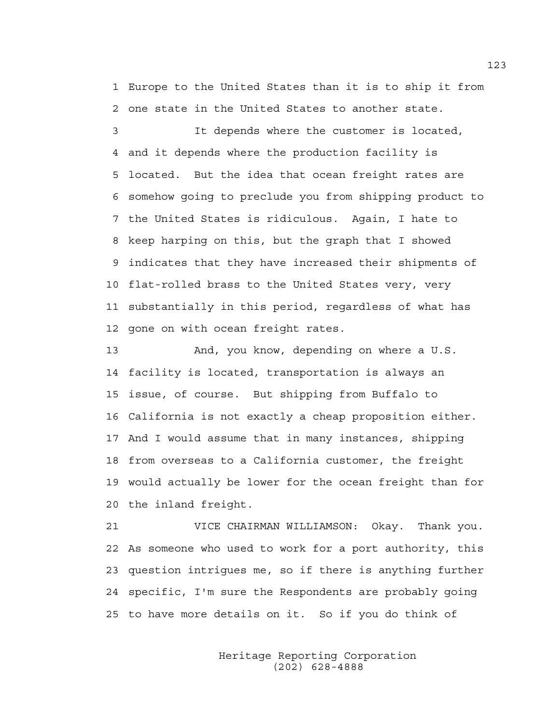1 Europe to the United States than it is to ship it from 2 one state in the United States to another state.

3 It depends where the customer is located, 4 and it depends where the production facility is 5 located. But the idea that ocean freight rates are 6 somehow going to preclude you from shipping product to 7 the United States is ridiculous. Again, I hate to 8 keep harping on this, but the graph that I showed 9 indicates that they have increased their shipments of 10 flat-rolled brass to the United States very, very 11 substantially in this period, regardless of what has 12 gone on with ocean freight rates.

13 And, you know, depending on where a U.S. 14 facility is located, transportation is always an 15 issue, of course. But shipping from Buffalo to 16 California is not exactly a cheap proposition either. 17 And I would assume that in many instances, shipping 18 from overseas to a California customer, the freight 19 would actually be lower for the ocean freight than for 20 the inland freight.

21 VICE CHAIRMAN WILLIAMSON: Okay. Thank you. 22 As someone who used to work for a port authority, this 23 question intrigues me, so if there is anything further 24 specific, I'm sure the Respondents are probably going 25 to have more details on it. So if you do think of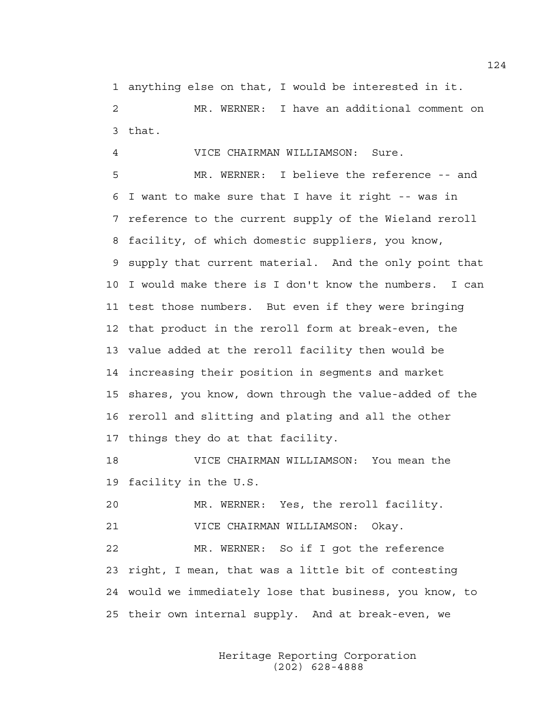1 anything else on that, I would be interested in it. 2 MR. WERNER: I have an additional comment on 3 that.

4 VICE CHAIRMAN WILLIAMSON: Sure.

5 MR. WERNER: I believe the reference -- and 6 I want to make sure that I have it right -- was in 7 reference to the current supply of the Wieland reroll 8 facility, of which domestic suppliers, you know, 9 supply that current material. And the only point that 10 I would make there is I don't know the numbers. I can 11 test those numbers. But even if they were bringing 12 that product in the reroll form at break-even, the 13 value added at the reroll facility then would be 14 increasing their position in segments and market 15 shares, you know, down through the value-added of the 16 reroll and slitting and plating and all the other 17 things they do at that facility.

18 VICE CHAIRMAN WILLIAMSON: You mean the 19 facility in the U.S.

20 MR. WERNER: Yes, the reroll facility.

21 VICE CHAIRMAN WILLIAMSON: Okay.

22 MR. WERNER: So if I got the reference 23 right, I mean, that was a little bit of contesting 24 would we immediately lose that business, you know, to 25 their own internal supply. And at break-even, we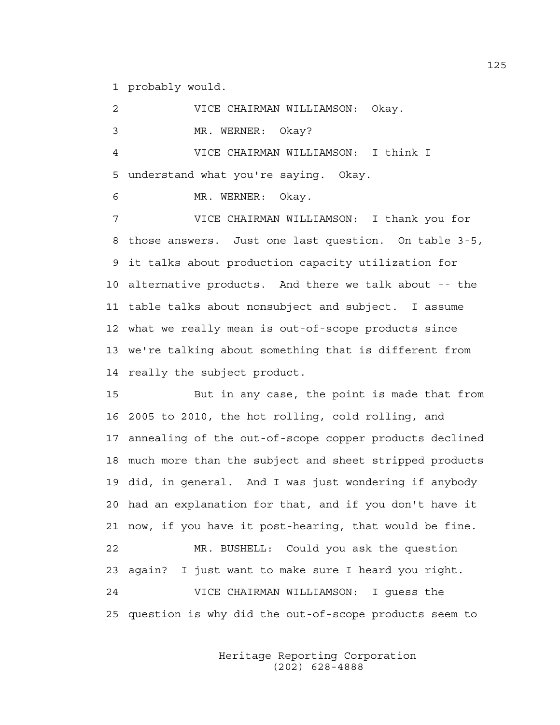1 probably would.

2 VICE CHAIRMAN WILLIAMSON: Okay. 3 MR. WERNER: Okay? 4 VICE CHAIRMAN WILLIAMSON: I think I 5 understand what you're saying. Okay.

6 MR. WERNER: Okay.

7 VICE CHAIRMAN WILLIAMSON: I thank you for 8 those answers. Just one last question. On table 3-5, 9 it talks about production capacity utilization for 10 alternative products. And there we talk about -- the 11 table talks about nonsubject and subject. I assume 12 what we really mean is out-of-scope products since 13 we're talking about something that is different from 14 really the subject product.

15 But in any case, the point is made that from 16 2005 to 2010, the hot rolling, cold rolling, and 17 annealing of the out-of-scope copper products declined 18 much more than the subject and sheet stripped products 19 did, in general. And I was just wondering if anybody 20 had an explanation for that, and if you don't have it 21 now, if you have it post-hearing, that would be fine. 22 MR. BUSHELL: Could you ask the question 23 again? I just want to make sure I heard you right. 24 VICE CHAIRMAN WILLIAMSON: I guess the 25 question is why did the out-of-scope products seem to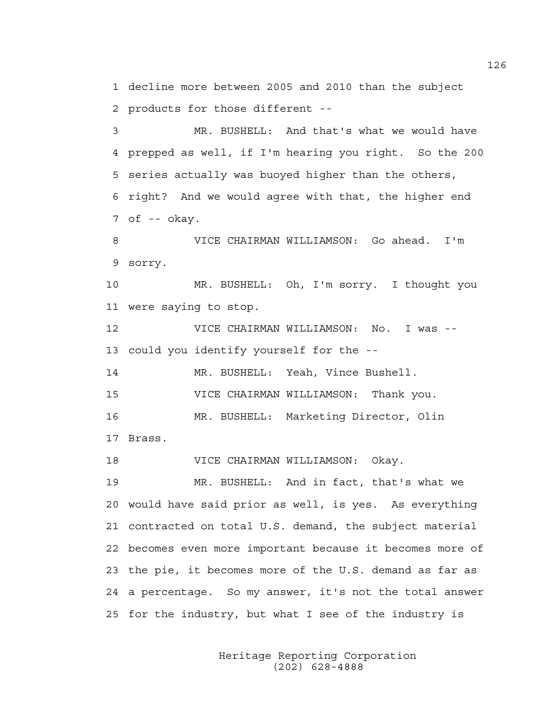1 decline more between 2005 and 2010 than the subject 2 products for those different --

3 MR. BUSHELL: And that's what we would have 4 prepped as well, if I'm hearing you right. So the 200 5 series actually was buoyed higher than the others, 6 right? And we would agree with that, the higher end 7 of -- okay.

8 VICE CHAIRMAN WILLIAMSON: Go ahead. I'm 9 sorry.

10 MR. BUSHELL: Oh, I'm sorry. I thought you 11 were saying to stop.

12 VICE CHAIRMAN WILLIAMSON: No. I was -- 13 could you identify yourself for the --

14 MR. BUSHELL: Yeah, Vince Bushell.

15 VICE CHAIRMAN WILLIAMSON: Thank you.

16 MR. BUSHELL: Marketing Director, Olin

17 Brass.

18 VICE CHAIRMAN WILLIAMSON: Okay.

19 MR. BUSHELL: And in fact, that's what we 20 would have said prior as well, is yes. As everything 21 contracted on total U.S. demand, the subject material 22 becomes even more important because it becomes more of 23 the pie, it becomes more of the U.S. demand as far as 24 a percentage. So my answer, it's not the total answer 25 for the industry, but what I see of the industry is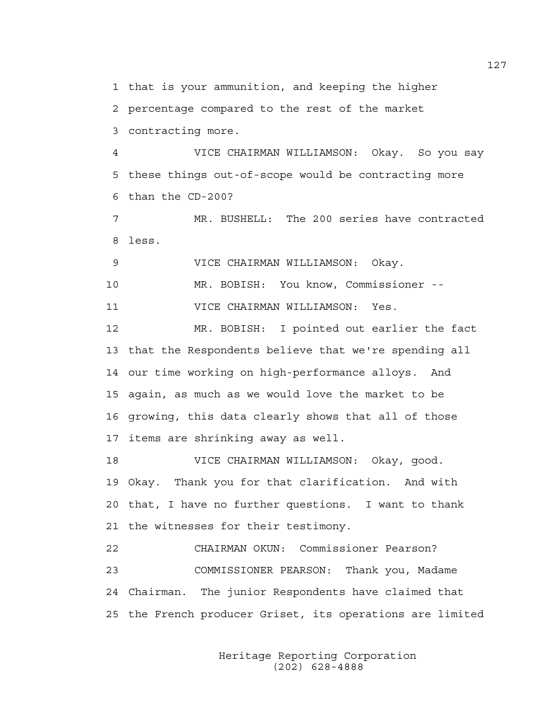1 that is your ammunition, and keeping the higher

2 percentage compared to the rest of the market

3 contracting more.

4 VICE CHAIRMAN WILLIAMSON: Okay. So you say 5 these things out-of-scope would be contracting more 6 than the CD-200?

7 MR. BUSHELL: The 200 series have contracted 8 less.

9 VICE CHAIRMAN WILLIAMSON: Okay.

10 MR. BOBISH: You know, Commissioner --

11 VICE CHAIRMAN WILLIAMSON: Yes.

12 MR. BOBISH: I pointed out earlier the fact 13 that the Respondents believe that we're spending all 14 our time working on high-performance alloys. And 15 again, as much as we would love the market to be 16 growing, this data clearly shows that all of those 17 items are shrinking away as well.

18 VICE CHAIRMAN WILLIAMSON: Okay, good. 19 Okay. Thank you for that clarification. And with 20 that, I have no further questions. I want to thank 21 the witnesses for their testimony.

22 CHAIRMAN OKUN: Commissioner Pearson? 23 COMMISSIONER PEARSON: Thank you, Madame 24 Chairman. The junior Respondents have claimed that 25 the French producer Griset, its operations are limited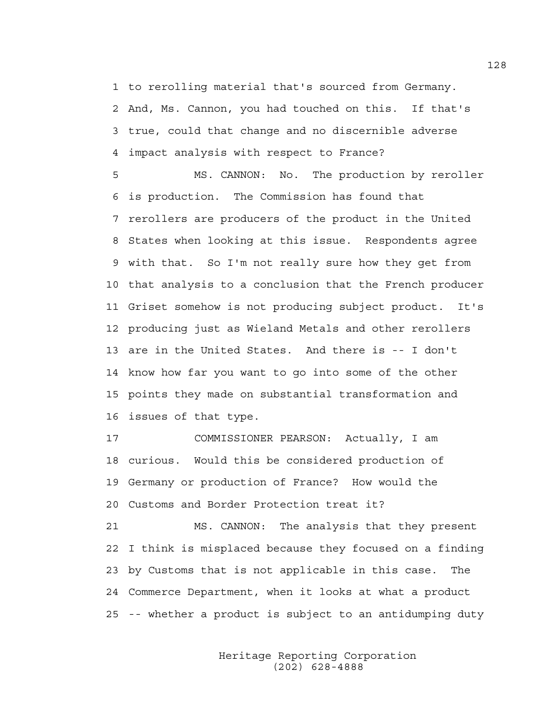1 to rerolling material that's sourced from Germany. 2 And, Ms. Cannon, you had touched on this. If that's 3 true, could that change and no discernible adverse 4 impact analysis with respect to France?

5 MS. CANNON: No. The production by reroller 6 is production. The Commission has found that 7 rerollers are producers of the product in the United 8 States when looking at this issue. Respondents agree 9 with that. So I'm not really sure how they get from 10 that analysis to a conclusion that the French producer 11 Griset somehow is not producing subject product. It's 12 producing just as Wieland Metals and other rerollers 13 are in the United States. And there is -- I don't 14 know how far you want to go into some of the other 15 points they made on substantial transformation and 16 issues of that type.

17 COMMISSIONER PEARSON: Actually, I am 18 curious. Would this be considered production of 19 Germany or production of France? How would the 20 Customs and Border Protection treat it?

21 MS. CANNON: The analysis that they present 22 I think is misplaced because they focused on a finding 23 by Customs that is not applicable in this case. The 24 Commerce Department, when it looks at what a product 25 -- whether a product is subject to an antidumping duty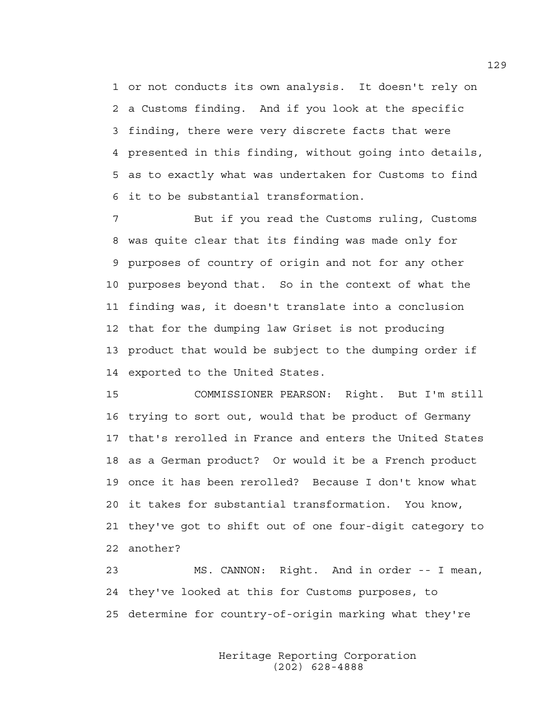1 or not conducts its own analysis. It doesn't rely on 2 a Customs finding. And if you look at the specific 3 finding, there were very discrete facts that were 4 presented in this finding, without going into details, 5 as to exactly what was undertaken for Customs to find 6 it to be substantial transformation.

7 But if you read the Customs ruling, Customs 8 was quite clear that its finding was made only for 9 purposes of country of origin and not for any other 10 purposes beyond that. So in the context of what the 11 finding was, it doesn't translate into a conclusion 12 that for the dumping law Griset is not producing 13 product that would be subject to the dumping order if 14 exported to the United States.

15 COMMISSIONER PEARSON: Right. But I'm still 16 trying to sort out, would that be product of Germany 17 that's rerolled in France and enters the United States 18 as a German product? Or would it be a French product 19 once it has been rerolled? Because I don't know what 20 it takes for substantial transformation. You know, 21 they've got to shift out of one four-digit category to 22 another?

23 MS. CANNON: Right. And in order -- I mean, 24 they've looked at this for Customs purposes, to 25 determine for country-of-origin marking what they're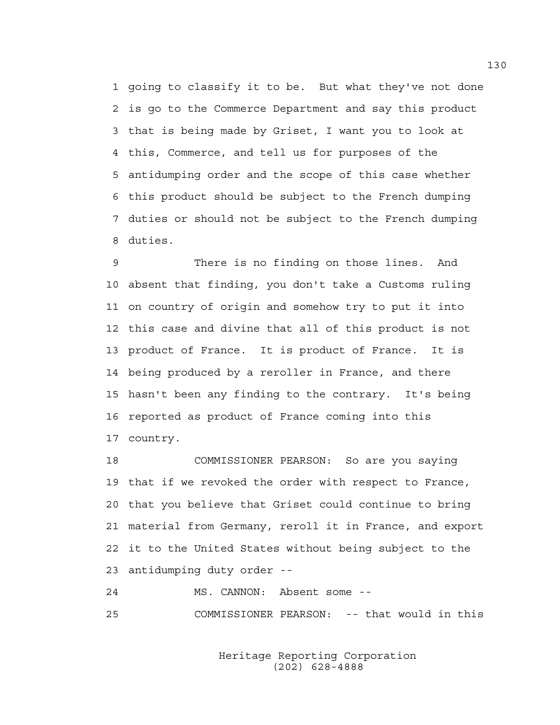1 going to classify it to be. But what they've not done 2 is go to the Commerce Department and say this product 3 that is being made by Griset, I want you to look at 4 this, Commerce, and tell us for purposes of the 5 antidumping order and the scope of this case whether 6 this product should be subject to the French dumping 7 duties or should not be subject to the French dumping 8 duties.

9 There is no finding on those lines. And 10 absent that finding, you don't take a Customs ruling 11 on country of origin and somehow try to put it into 12 this case and divine that all of this product is not 13 product of France. It is product of France. It is 14 being produced by a reroller in France, and there 15 hasn't been any finding to the contrary. It's being 16 reported as product of France coming into this 17 country.

18 COMMISSIONER PEARSON: So are you saying 19 that if we revoked the order with respect to France, 20 that you believe that Griset could continue to bring 21 material from Germany, reroll it in France, and export 22 it to the United States without being subject to the 23 antidumping duty order --

24 MS. CANNON: Absent some -- 25 COMMISSIONER PEARSON: -- that would in this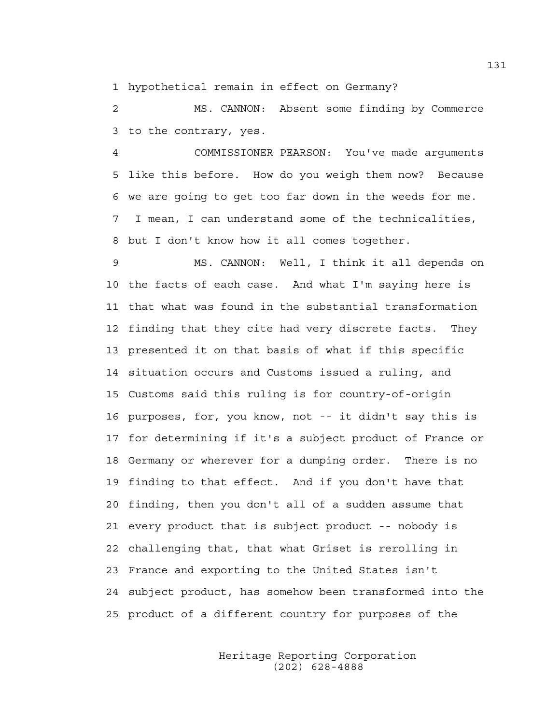1 hypothetical remain in effect on Germany?

2 MS. CANNON: Absent some finding by Commerce 3 to the contrary, yes.

4 COMMISSIONER PEARSON: You've made arguments 5 like this before. How do you weigh them now? Because 6 we are going to get too far down in the weeds for me. 7 I mean, I can understand some of the technicalities, 8 but I don't know how it all comes together.

9 MS. CANNON: Well, I think it all depends on 10 the facts of each case. And what I'm saying here is 11 that what was found in the substantial transformation 12 finding that they cite had very discrete facts. They 13 presented it on that basis of what if this specific 14 situation occurs and Customs issued a ruling, and 15 Customs said this ruling is for country-of-origin 16 purposes, for, you know, not -- it didn't say this is 17 for determining if it's a subject product of France or 18 Germany or wherever for a dumping order. There is no 19 finding to that effect. And if you don't have that 20 finding, then you don't all of a sudden assume that 21 every product that is subject product -- nobody is 22 challenging that, that what Griset is rerolling in 23 France and exporting to the United States isn't 24 subject product, has somehow been transformed into the 25 product of a different country for purposes of the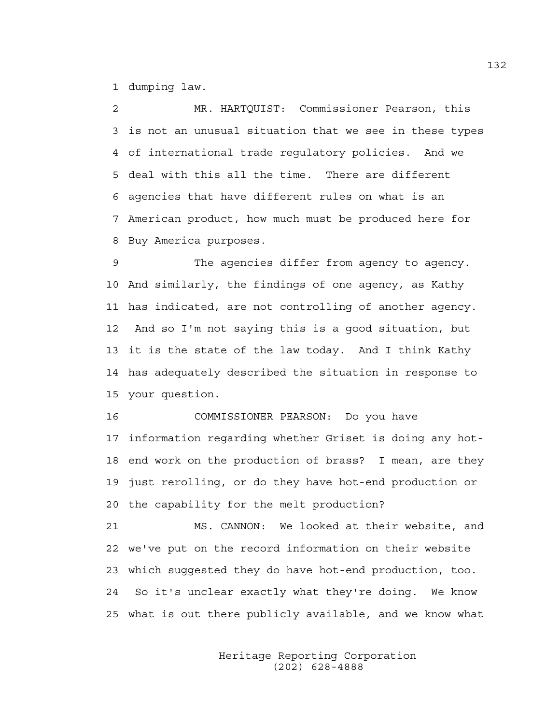1 dumping law.

2 MR. HARTQUIST: Commissioner Pearson, this 3 is not an unusual situation that we see in these types 4 of international trade regulatory policies. And we 5 deal with this all the time. There are different 6 agencies that have different rules on what is an 7 American product, how much must be produced here for 8 Buy America purposes.

9 The agencies differ from agency to agency. 10 And similarly, the findings of one agency, as Kathy 11 has indicated, are not controlling of another agency. 12 And so I'm not saying this is a good situation, but 13 it is the state of the law today. And I think Kathy 14 has adequately described the situation in response to 15 your question.

16 COMMISSIONER PEARSON: Do you have 17 information regarding whether Griset is doing any hot-18 end work on the production of brass? I mean, are they 19 just rerolling, or do they have hot-end production or 20 the capability for the melt production?

21 MS. CANNON: We looked at their website, and 22 we've put on the record information on their website 23 which suggested they do have hot-end production, too. 24 So it's unclear exactly what they're doing. We know 25 what is out there publicly available, and we know what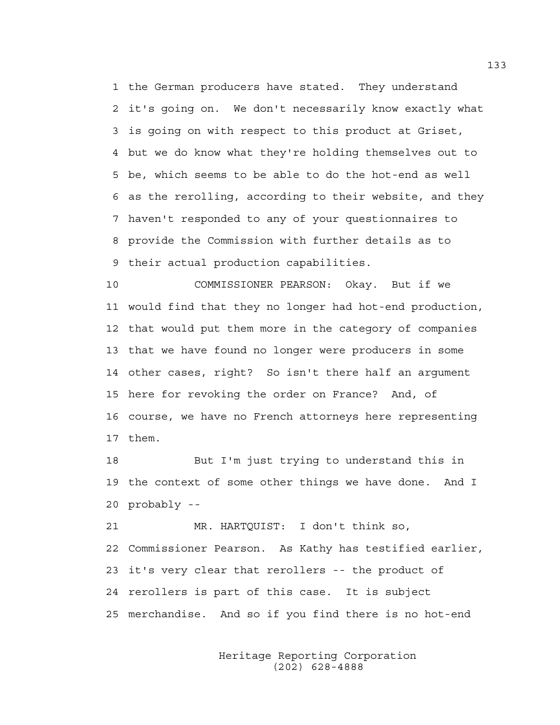1 the German producers have stated. They understand 2 it's going on. We don't necessarily know exactly what 3 is going on with respect to this product at Griset, 4 but we do know what they're holding themselves out to 5 be, which seems to be able to do the hot-end as well 6 as the rerolling, according to their website, and they 7 haven't responded to any of your questionnaires to 8 provide the Commission with further details as to 9 their actual production capabilities.

10 COMMISSIONER PEARSON: Okay. But if we 11 would find that they no longer had hot-end production, 12 that would put them more in the category of companies 13 that we have found no longer were producers in some 14 other cases, right? So isn't there half an argument 15 here for revoking the order on France? And, of 16 course, we have no French attorneys here representing 17 them.

18 But I'm just trying to understand this in 19 the context of some other things we have done. And I 20 probably --

21 MR. HARTQUIST: I don't think so, 22 Commissioner Pearson. As Kathy has testified earlier, 23 it's very clear that rerollers -- the product of 24 rerollers is part of this case. It is subject 25 merchandise. And so if you find there is no hot-end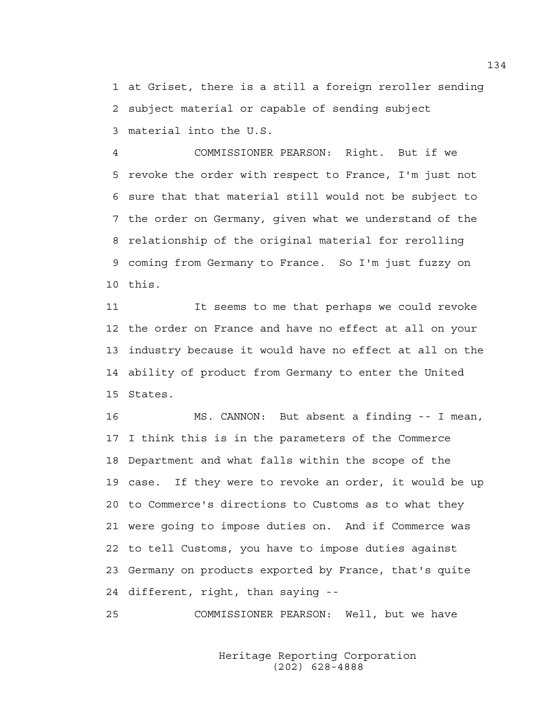1 at Griset, there is a still a foreign reroller sending 2 subject material or capable of sending subject 3 material into the U.S.

4 COMMISSIONER PEARSON: Right. But if we 5 revoke the order with respect to France, I'm just not 6 sure that that material still would not be subject to 7 the order on Germany, given what we understand of the 8 relationship of the original material for rerolling 9 coming from Germany to France. So I'm just fuzzy on 10 this.

11 It seems to me that perhaps we could revoke 12 the order on France and have no effect at all on your 13 industry because it would have no effect at all on the 14 ability of product from Germany to enter the United 15 States.

16 MS. CANNON: But absent a finding -- I mean, 17 I think this is in the parameters of the Commerce 18 Department and what falls within the scope of the 19 case. If they were to revoke an order, it would be up 20 to Commerce's directions to Customs as to what they 21 were going to impose duties on. And if Commerce was 22 to tell Customs, you have to impose duties against 23 Germany on products exported by France, that's quite 24 different, right, than saying --

25 COMMISSIONER PEARSON: Well, but we have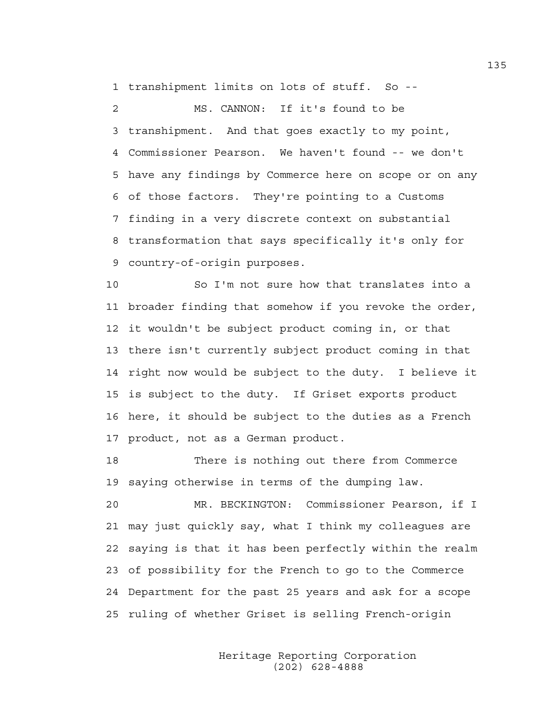1 transhipment limits on lots of stuff. So --

2 MS. CANNON: If it's found to be 3 transhipment. And that goes exactly to my point, 4 Commissioner Pearson. We haven't found -- we don't 5 have any findings by Commerce here on scope or on any 6 of those factors. They're pointing to a Customs 7 finding in a very discrete context on substantial 8 transformation that says specifically it's only for 9 country-of-origin purposes.

10 So I'm not sure how that translates into a 11 broader finding that somehow if you revoke the order, 12 it wouldn't be subject product coming in, or that 13 there isn't currently subject product coming in that 14 right now would be subject to the duty. I believe it 15 is subject to the duty. If Griset exports product 16 here, it should be subject to the duties as a French 17 product, not as a German product.

18 There is nothing out there from Commerce 19 saying otherwise in terms of the dumping law.

20 MR. BECKINGTON: Commissioner Pearson, if I 21 may just quickly say, what I think my colleagues are 22 saying is that it has been perfectly within the realm 23 of possibility for the French to go to the Commerce 24 Department for the past 25 years and ask for a scope 25 ruling of whether Griset is selling French-origin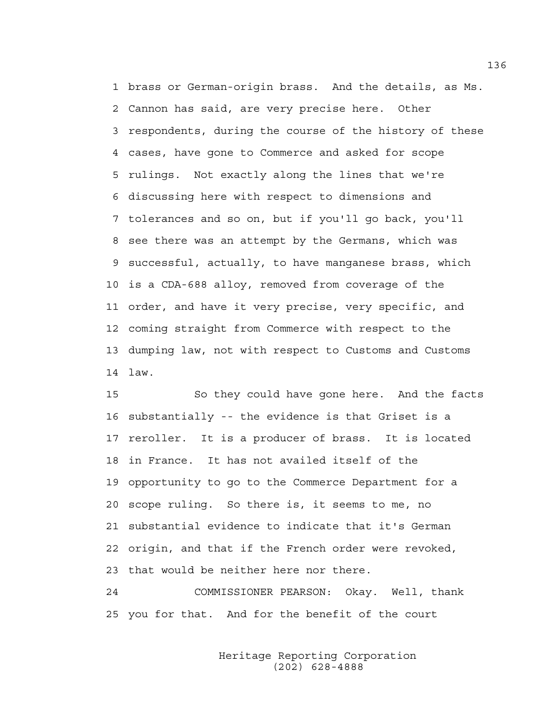1 brass or German-origin brass. And the details, as Ms. 2 Cannon has said, are very precise here. Other 3 respondents, during the course of the history of these 4 cases, have gone to Commerce and asked for scope 5 rulings. Not exactly along the lines that we're 6 discussing here with respect to dimensions and 7 tolerances and so on, but if you'll go back, you'll 8 see there was an attempt by the Germans, which was 9 successful, actually, to have manganese brass, which 10 is a CDA-688 alloy, removed from coverage of the 11 order, and have it very precise, very specific, and 12 coming straight from Commerce with respect to the 13 dumping law, not with respect to Customs and Customs 14 law.

15 So they could have gone here. And the facts 16 substantially -- the evidence is that Griset is a 17 reroller. It is a producer of brass. It is located 18 in France. It has not availed itself of the 19 opportunity to go to the Commerce Department for a 20 scope ruling. So there is, it seems to me, no 21 substantial evidence to indicate that it's German 22 origin, and that if the French order were revoked, 23 that would be neither here nor there.

24 COMMISSIONER PEARSON: Okay. Well, thank 25 you for that. And for the benefit of the court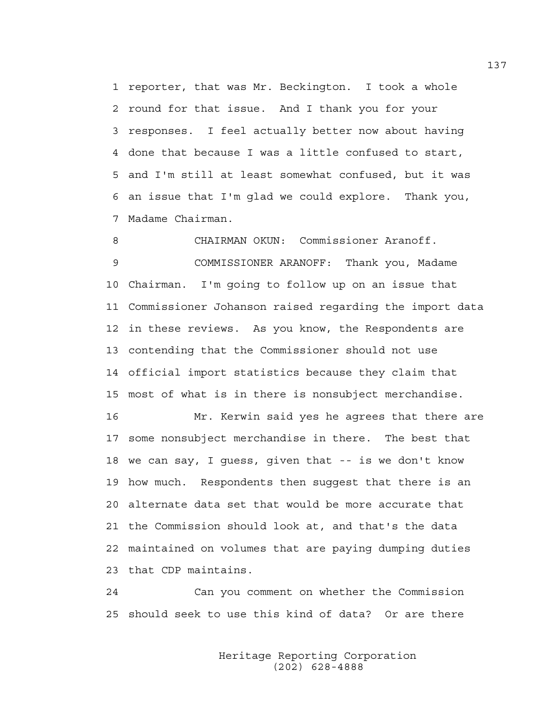1 reporter, that was Mr. Beckington. I took a whole 2 round for that issue. And I thank you for your 3 responses. I feel actually better now about having 4 done that because I was a little confused to start, 5 and I'm still at least somewhat confused, but it was 6 an issue that I'm glad we could explore. Thank you, 7 Madame Chairman.

8 CHAIRMAN OKUN: Commissioner Aranoff. 9 COMMISSIONER ARANOFF: Thank you, Madame 10 Chairman. I'm going to follow up on an issue that 11 Commissioner Johanson raised regarding the import data 12 in these reviews. As you know, the Respondents are 13 contending that the Commissioner should not use 14 official import statistics because they claim that 15 most of what is in there is nonsubject merchandise.

16 Mr. Kerwin said yes he agrees that there are 17 some nonsubject merchandise in there. The best that 18 we can say, I guess, given that -- is we don't know 19 how much. Respondents then suggest that there is an 20 alternate data set that would be more accurate that 21 the Commission should look at, and that's the data 22 maintained on volumes that are paying dumping duties 23 that CDP maintains.

24 Can you comment on whether the Commission 25 should seek to use this kind of data? Or are there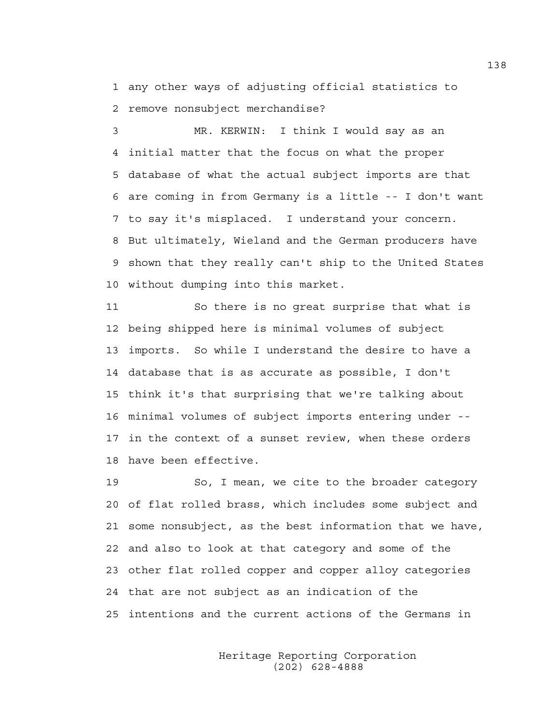1 any other ways of adjusting official statistics to 2 remove nonsubject merchandise?

3 MR. KERWIN: I think I would say as an 4 initial matter that the focus on what the proper 5 database of what the actual subject imports are that 6 are coming in from Germany is a little -- I don't want 7 to say it's misplaced. I understand your concern. 8 But ultimately, Wieland and the German producers have 9 shown that they really can't ship to the United States 10 without dumping into this market.

11 So there is no great surprise that what is 12 being shipped here is minimal volumes of subject 13 imports. So while I understand the desire to have a 14 database that is as accurate as possible, I don't 15 think it's that surprising that we're talking about 16 minimal volumes of subject imports entering under -- 17 in the context of a sunset review, when these orders 18 have been effective.

19 So, I mean, we cite to the broader category 20 of flat rolled brass, which includes some subject and 21 some nonsubject, as the best information that we have, 22 and also to look at that category and some of the 23 other flat rolled copper and copper alloy categories 24 that are not subject as an indication of the 25 intentions and the current actions of the Germans in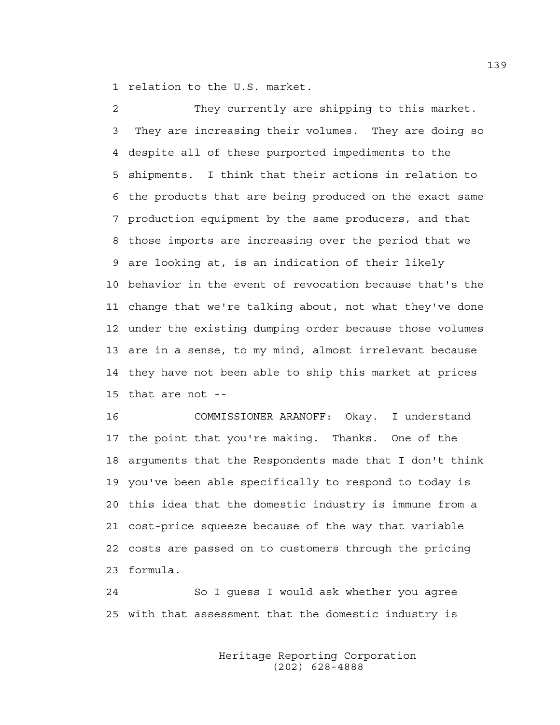1 relation to the U.S. market.

2 They currently are shipping to this market. 3 They are increasing their volumes. They are doing so 4 despite all of these purported impediments to the 5 shipments. I think that their actions in relation to 6 the products that are being produced on the exact same 7 production equipment by the same producers, and that 8 those imports are increasing over the period that we 9 are looking at, is an indication of their likely 10 behavior in the event of revocation because that's the 11 change that we're talking about, not what they've done 12 under the existing dumping order because those volumes 13 are in a sense, to my mind, almost irrelevant because 14 they have not been able to ship this market at prices 15 that are not --

16 COMMISSIONER ARANOFF: Okay. I understand 17 the point that you're making. Thanks. One of the 18 arguments that the Respondents made that I don't think 19 you've been able specifically to respond to today is 20 this idea that the domestic industry is immune from a 21 cost-price squeeze because of the way that variable 22 costs are passed on to customers through the pricing 23 formula.

24 So I guess I would ask whether you agree 25 with that assessment that the domestic industry is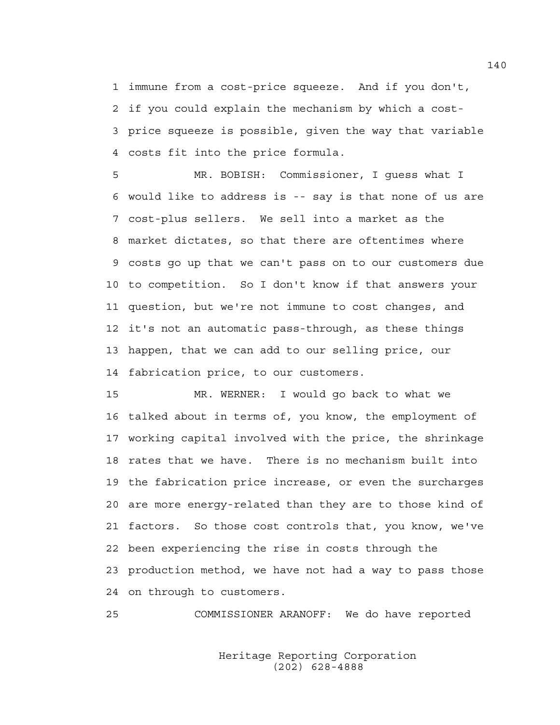1 immune from a cost-price squeeze. And if you don't, 2 if you could explain the mechanism by which a cost-3 price squeeze is possible, given the way that variable 4 costs fit into the price formula.

5 MR. BOBISH: Commissioner, I guess what I 6 would like to address is -- say is that none of us are 7 cost-plus sellers. We sell into a market as the 8 market dictates, so that there are oftentimes where 9 costs go up that we can't pass on to our customers due 10 to competition. So I don't know if that answers your 11 question, but we're not immune to cost changes, and 12 it's not an automatic pass-through, as these things 13 happen, that we can add to our selling price, our 14 fabrication price, to our customers.

15 MR. WERNER: I would go back to what we 16 talked about in terms of, you know, the employment of 17 working capital involved with the price, the shrinkage 18 rates that we have. There is no mechanism built into 19 the fabrication price increase, or even the surcharges 20 are more energy-related than they are to those kind of 21 factors. So those cost controls that, you know, we've 22 been experiencing the rise in costs through the 23 production method, we have not had a way to pass those 24 on through to customers.

25 COMMISSIONER ARANOFF: We do have reported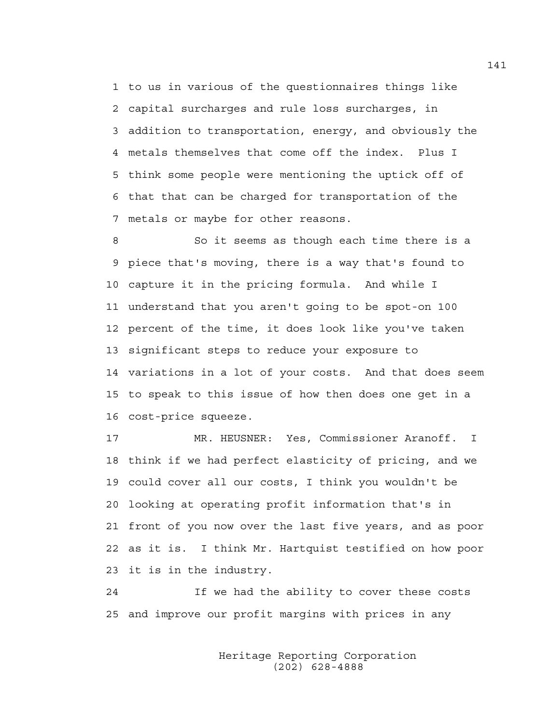1 to us in various of the questionnaires things like 2 capital surcharges and rule loss surcharges, in 3 addition to transportation, energy, and obviously the 4 metals themselves that come off the index. Plus I 5 think some people were mentioning the uptick off of 6 that that can be charged for transportation of the 7 metals or maybe for other reasons.

8 So it seems as though each time there is a 9 piece that's moving, there is a way that's found to 10 capture it in the pricing formula. And while I 11 understand that you aren't going to be spot-on 100 12 percent of the time, it does look like you've taken 13 significant steps to reduce your exposure to 14 variations in a lot of your costs. And that does seem 15 to speak to this issue of how then does one get in a 16 cost-price squeeze.

17 MR. HEUSNER: Yes, Commissioner Aranoff. I 18 think if we had perfect elasticity of pricing, and we 19 could cover all our costs, I think you wouldn't be 20 looking at operating profit information that's in 21 front of you now over the last five years, and as poor 22 as it is. I think Mr. Hartquist testified on how poor 23 it is in the industry.

24 If we had the ability to cover these costs 25 and improve our profit margins with prices in any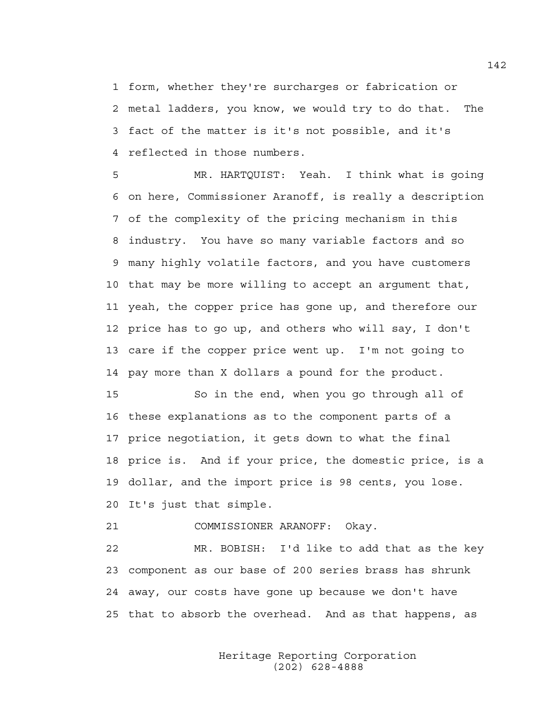1 form, whether they're surcharges or fabrication or 2 metal ladders, you know, we would try to do that. The 3 fact of the matter is it's not possible, and it's 4 reflected in those numbers.

5 MR. HARTQUIST: Yeah. I think what is going 6 on here, Commissioner Aranoff, is really a description 7 of the complexity of the pricing mechanism in this 8 industry. You have so many variable factors and so 9 many highly volatile factors, and you have customers 10 that may be more willing to accept an argument that, 11 yeah, the copper price has gone up, and therefore our 12 price has to go up, and others who will say, I don't 13 care if the copper price went up. I'm not going to 14 pay more than X dollars a pound for the product.

15 So in the end, when you go through all of 16 these explanations as to the component parts of a 17 price negotiation, it gets down to what the final 18 price is. And if your price, the domestic price, is a 19 dollar, and the import price is 98 cents, you lose. 20 It's just that simple.

21 COMMISSIONER ARANOFF: Okay.

22 MR. BOBISH: I'd like to add that as the key 23 component as our base of 200 series brass has shrunk 24 away, our costs have gone up because we don't have 25 that to absorb the overhead. And as that happens, as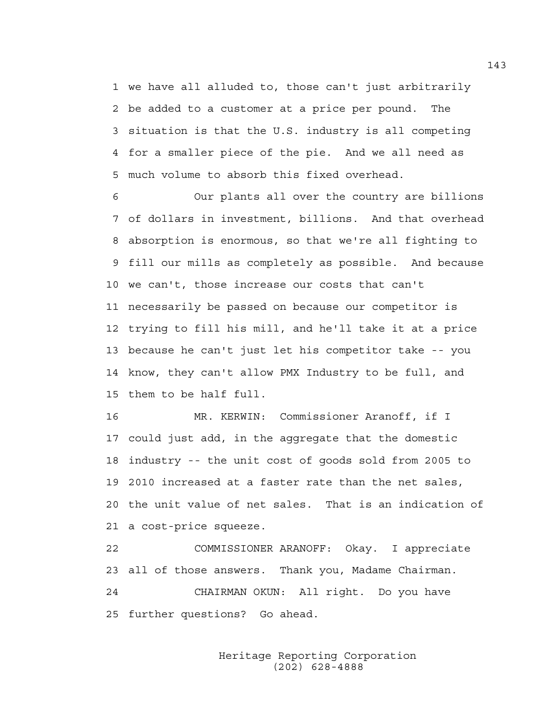1 we have all alluded to, those can't just arbitrarily 2 be added to a customer at a price per pound. The 3 situation is that the U.S. industry is all competing 4 for a smaller piece of the pie. And we all need as 5 much volume to absorb this fixed overhead.

6 Our plants all over the country are billions 7 of dollars in investment, billions. And that overhead 8 absorption is enormous, so that we're all fighting to 9 fill our mills as completely as possible. And because 10 we can't, those increase our costs that can't 11 necessarily be passed on because our competitor is 12 trying to fill his mill, and he'll take it at a price 13 because he can't just let his competitor take -- you 14 know, they can't allow PMX Industry to be full, and 15 them to be half full.

16 MR. KERWIN: Commissioner Aranoff, if I 17 could just add, in the aggregate that the domestic 18 industry -- the unit cost of goods sold from 2005 to 19 2010 increased at a faster rate than the net sales, 20 the unit value of net sales. That is an indication of 21 a cost-price squeeze.

22 COMMISSIONER ARANOFF: Okay. I appreciate 23 all of those answers. Thank you, Madame Chairman. 24 CHAIRMAN OKUN: All right. Do you have 25 further questions? Go ahead.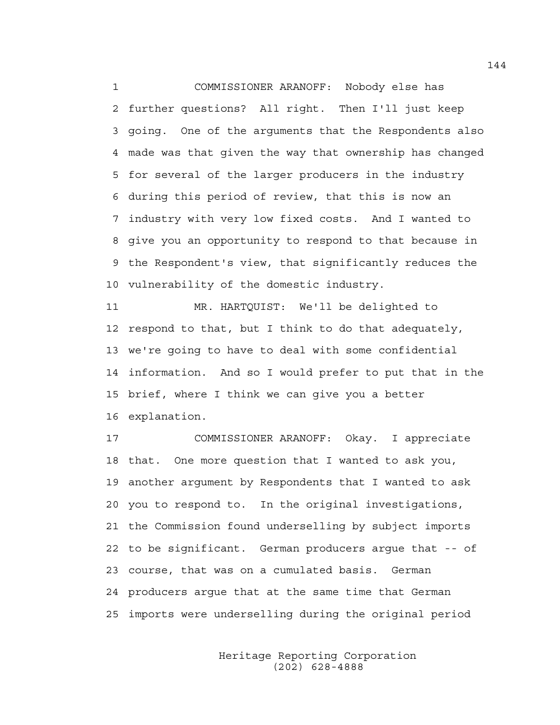1 COMMISSIONER ARANOFF: Nobody else has 2 further questions? All right. Then I'll just keep 3 going. One of the arguments that the Respondents also 4 made was that given the way that ownership has changed 5 for several of the larger producers in the industry 6 during this period of review, that this is now an 7 industry with very low fixed costs. And I wanted to 8 give you an opportunity to respond to that because in 9 the Respondent's view, that significantly reduces the 10 vulnerability of the domestic industry.

11 MR. HARTQUIST: We'll be delighted to 12 respond to that, but I think to do that adequately, 13 we're going to have to deal with some confidential 14 information. And so I would prefer to put that in the 15 brief, where I think we can give you a better 16 explanation.

17 COMMISSIONER ARANOFF: Okay. I appreciate 18 that. One more question that I wanted to ask you, 19 another argument by Respondents that I wanted to ask 20 you to respond to. In the original investigations, 21 the Commission found underselling by subject imports 22 to be significant. German producers argue that -- of 23 course, that was on a cumulated basis. German 24 producers argue that at the same time that German 25 imports were underselling during the original period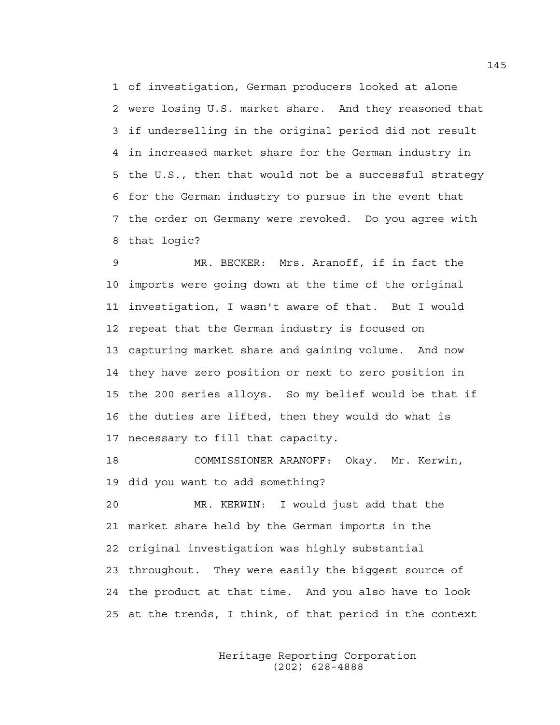1 of investigation, German producers looked at alone 2 were losing U.S. market share. And they reasoned that 3 if underselling in the original period did not result 4 in increased market share for the German industry in 5 the U.S., then that would not be a successful strategy 6 for the German industry to pursue in the event that 7 the order on Germany were revoked. Do you agree with 8 that logic?

9 MR. BECKER: Mrs. Aranoff, if in fact the 10 imports were going down at the time of the original 11 investigation, I wasn't aware of that. But I would 12 repeat that the German industry is focused on 13 capturing market share and gaining volume. And now 14 they have zero position or next to zero position in 15 the 200 series alloys. So my belief would be that if 16 the duties are lifted, then they would do what is 17 necessary to fill that capacity.

18 COMMISSIONER ARANOFF: Okay. Mr. Kerwin, 19 did you want to add something?

20 MR. KERWIN: I would just add that the 21 market share held by the German imports in the 22 original investigation was highly substantial 23 throughout. They were easily the biggest source of 24 the product at that time. And you also have to look 25 at the trends, I think, of that period in the context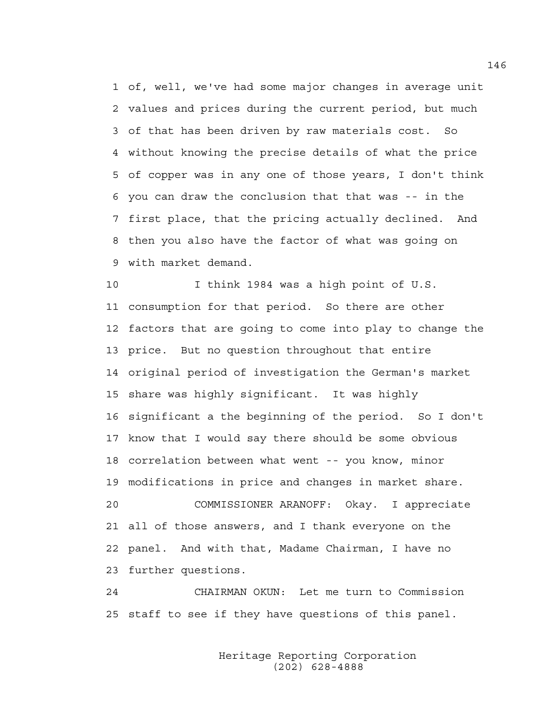1 of, well, we've had some major changes in average unit 2 values and prices during the current period, but much 3 of that has been driven by raw materials cost. So 4 without knowing the precise details of what the price 5 of copper was in any one of those years, I don't think 6 you can draw the conclusion that that was -- in the 7 first place, that the pricing actually declined. And 8 then you also have the factor of what was going on 9 with market demand.

10 I think 1984 was a high point of U.S. 11 consumption for that period. So there are other 12 factors that are going to come into play to change the 13 price. But no question throughout that entire 14 original period of investigation the German's market 15 share was highly significant. It was highly 16 significant a the beginning of the period. So I don't 17 know that I would say there should be some obvious 18 correlation between what went -- you know, minor 19 modifications in price and changes in market share. 20 COMMISSIONER ARANOFF: Okay. I appreciate 21 all of those answers, and I thank everyone on the 22 panel. And with that, Madame Chairman, I have no 23 further questions.

24 CHAIRMAN OKUN: Let me turn to Commission 25 staff to see if they have questions of this panel.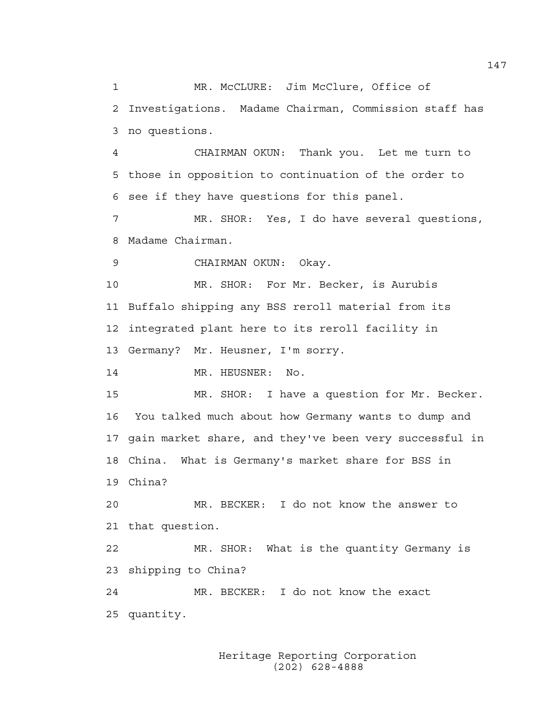1 MR. McCLURE: Jim McClure, Office of 2 Investigations. Madame Chairman, Commission staff has 3 no questions.

4 CHAIRMAN OKUN: Thank you. Let me turn to 5 those in opposition to continuation of the order to 6 see if they have questions for this panel.

7 MR. SHOR: Yes, I do have several questions, 8 Madame Chairman.

9 CHAIRMAN OKUN: Okay.

10 MR. SHOR: For Mr. Becker, is Aurubis 11 Buffalo shipping any BSS reroll material from its 12 integrated plant here to its reroll facility in 13 Germany? Mr. Heusner, I'm sorry.

14 MR. HEUSNER: No.

15 MR. SHOR: I have a question for Mr. Becker. 16 You talked much about how Germany wants to dump and 17 gain market share, and they've been very successful in 18 China. What is Germany's market share for BSS in 19 China?

20 MR. BECKER: I do not know the answer to 21 that question.

22 MR. SHOR: What is the quantity Germany is 23 shipping to China?

24 MR. BECKER: I do not know the exact 25 quantity.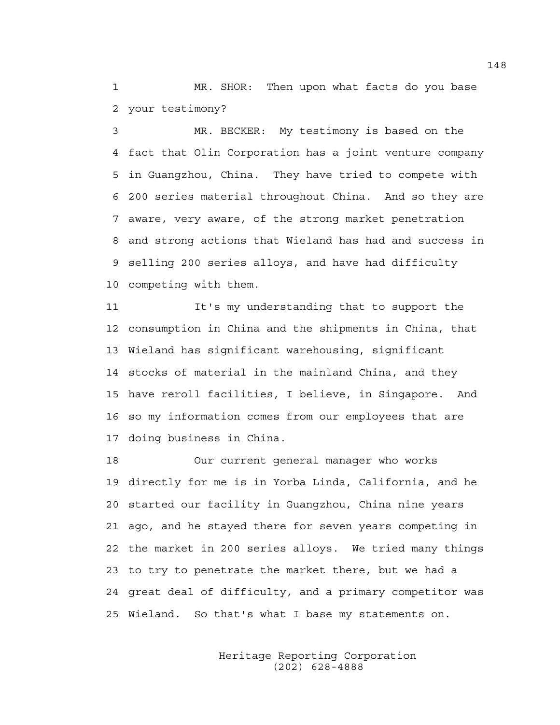1 MR. SHOR: Then upon what facts do you base 2 your testimony?

3 MR. BECKER: My testimony is based on the 4 fact that Olin Corporation has a joint venture company 5 in Guangzhou, China. They have tried to compete with 6 200 series material throughout China. And so they are 7 aware, very aware, of the strong market penetration 8 and strong actions that Wieland has had and success in 9 selling 200 series alloys, and have had difficulty 10 competing with them.

11 It's my understanding that to support the 12 consumption in China and the shipments in China, that 13 Wieland has significant warehousing, significant 14 stocks of material in the mainland China, and they 15 have reroll facilities, I believe, in Singapore. And 16 so my information comes from our employees that are 17 doing business in China.

18 Our current general manager who works 19 directly for me is in Yorba Linda, California, and he 20 started our facility in Guangzhou, China nine years 21 ago, and he stayed there for seven years competing in 22 the market in 200 series alloys. We tried many things 23 to try to penetrate the market there, but we had a 24 great deal of difficulty, and a primary competitor was 25 Wieland. So that's what I base my statements on.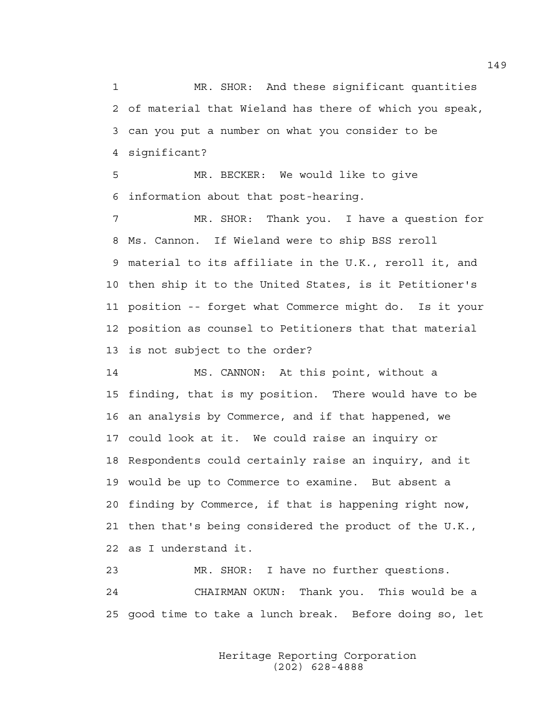1 MR. SHOR: And these significant quantities 2 of material that Wieland has there of which you speak, 3 can you put a number on what you consider to be 4 significant?

5 MR. BECKER: We would like to give 6 information about that post-hearing.

7 MR. SHOR: Thank you. I have a question for 8 Ms. Cannon. If Wieland were to ship BSS reroll 9 material to its affiliate in the U.K., reroll it, and 10 then ship it to the United States, is it Petitioner's 11 position -- forget what Commerce might do. Is it your 12 position as counsel to Petitioners that that material 13 is not subject to the order?

14 MS. CANNON: At this point, without a 15 finding, that is my position. There would have to be 16 an analysis by Commerce, and if that happened, we 17 could look at it. We could raise an inquiry or 18 Respondents could certainly raise an inquiry, and it 19 would be up to Commerce to examine. But absent a 20 finding by Commerce, if that is happening right now, 21 then that's being considered the product of the U.K., 22 as I understand it.

23 MR. SHOR: I have no further questions. 24 CHAIRMAN OKUN: Thank you. This would be a 25 good time to take a lunch break. Before doing so, let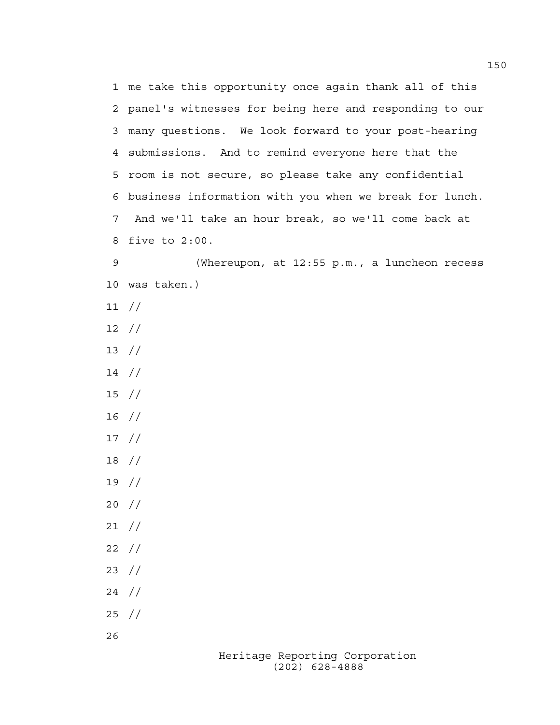Heritage Reporting Corporation 1 me take this opportunity once again thank all of this 2 panel's witnesses for being here and responding to our 3 many questions. We look forward to your post-hearing 4 submissions. And to remind everyone here that the 5 room is not secure, so please take any confidential 6 business information with you when we break for lunch. 7 And we'll take an hour break, so we'll come back at 8 five to 2:00. 9 (Whereupon, at 12:55 p.m., a luncheon recess 10 was taken.) 11 // 12 // 13 // 14 // 15 // 16 // 17 // 18 // 19 // 20 // 21 // 22 // 23 // 24 // 25 // 26

(202) 628-4888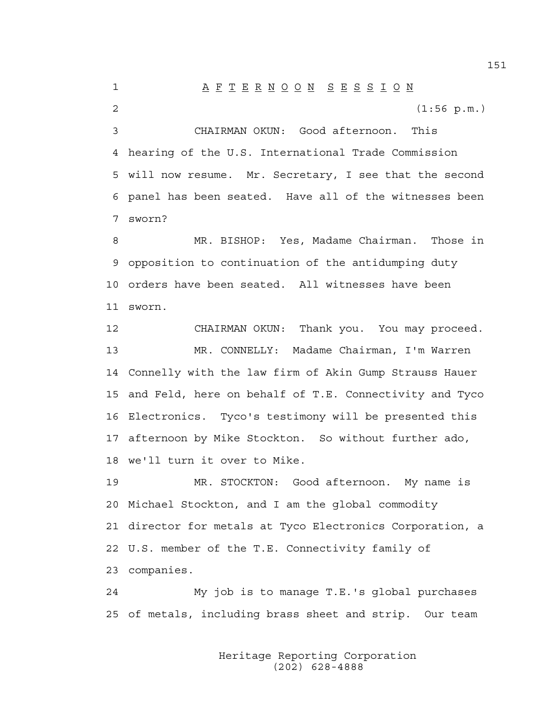1 A F T E R N O O N S E S S I O N 2 (1:56 p.m.) 3 CHAIRMAN OKUN: Good afternoon. This 4 hearing of the U.S. International Trade Commission 5 will now resume. Mr. Secretary, I see that the second 6 panel has been seated. Have all of the witnesses been 7 sworn? 8 MR. BISHOP: Yes, Madame Chairman. Those in 9 opposition to continuation of the antidumping duty 10 orders have been seated. All witnesses have been 11 sworn. 12 CHAIRMAN OKUN: Thank you. You may proceed. 13 MR. CONNELLY: Madame Chairman, I'm Warren 14 Connelly with the law firm of Akin Gump Strauss Hauer 15 and Feld, here on behalf of T.E. Connectivity and Tyco 16 Electronics. Tyco's testimony will be presented this 17 afternoon by Mike Stockton. So without further ado, 18 we'll turn it over to Mike. 19 MR. STOCKTON: Good afternoon. My name is 20 Michael Stockton, and I am the global commodity 21 director for metals at Tyco Electronics Corporation, a 22 U.S. member of the T.E. Connectivity family of 23 companies. 24 My job is to manage T.E.'s global purchases 25 of metals, including brass sheet and strip. Our team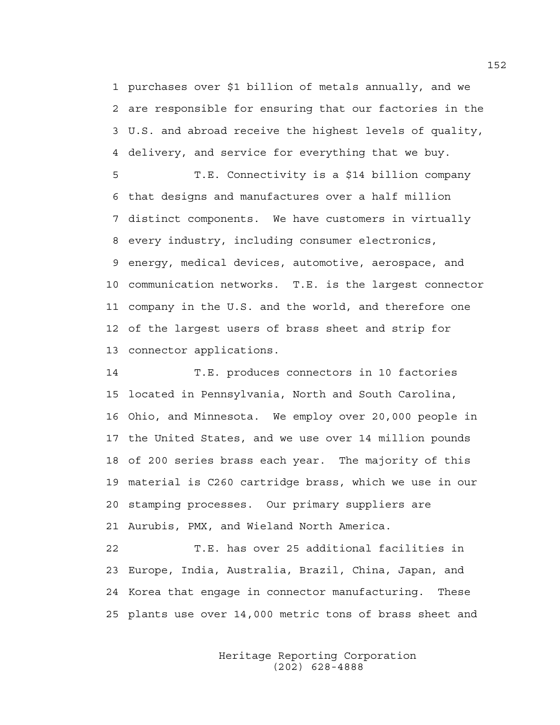1 purchases over \$1 billion of metals annually, and we 2 are responsible for ensuring that our factories in the 3 U.S. and abroad receive the highest levels of quality, 4 delivery, and service for everything that we buy.

5 T.E. Connectivity is a \$14 billion company 6 that designs and manufactures over a half million 7 distinct components. We have customers in virtually 8 every industry, including consumer electronics, 9 energy, medical devices, automotive, aerospace, and 10 communication networks. T.E. is the largest connector 11 company in the U.S. and the world, and therefore one 12 of the largest users of brass sheet and strip for 13 connector applications.

14 T.E. produces connectors in 10 factories 15 located in Pennsylvania, North and South Carolina, 16 Ohio, and Minnesota. We employ over 20,000 people in 17 the United States, and we use over 14 million pounds 18 of 200 series brass each year. The majority of this 19 material is C260 cartridge brass, which we use in our 20 stamping processes. Our primary suppliers are 21 Aurubis, PMX, and Wieland North America.

22 T.E. has over 25 additional facilities in 23 Europe, India, Australia, Brazil, China, Japan, and 24 Korea that engage in connector manufacturing. These 25 plants use over 14,000 metric tons of brass sheet and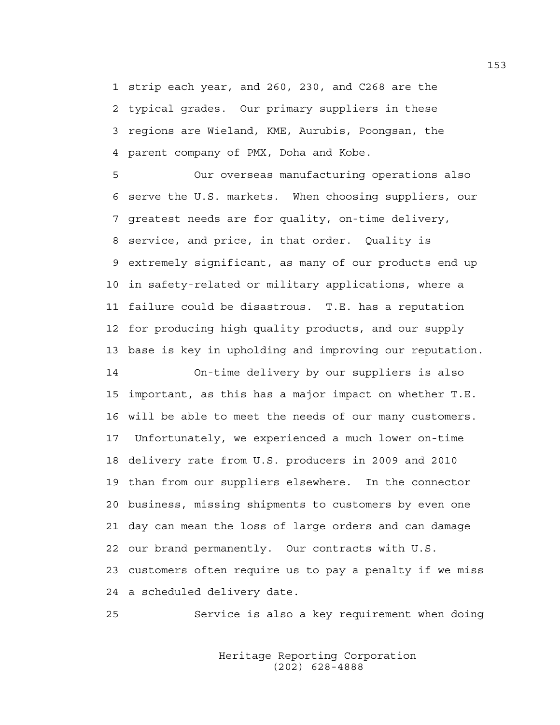1 strip each year, and 260, 230, and C268 are the 2 typical grades. Our primary suppliers in these 3 regions are Wieland, KME, Aurubis, Poongsan, the 4 parent company of PMX, Doha and Kobe.

5 Our overseas manufacturing operations also 6 serve the U.S. markets. When choosing suppliers, our 7 greatest needs are for quality, on-time delivery, 8 service, and price, in that order. Quality is 9 extremely significant, as many of our products end up 10 in safety-related or military applications, where a 11 failure could be disastrous. T.E. has a reputation 12 for producing high quality products, and our supply 13 base is key in upholding and improving our reputation.

14 On-time delivery by our suppliers is also 15 important, as this has a major impact on whether T.E. 16 will be able to meet the needs of our many customers. 17 Unfortunately, we experienced a much lower on-time 18 delivery rate from U.S. producers in 2009 and 2010 19 than from our suppliers elsewhere. In the connector 20 business, missing shipments to customers by even one 21 day can mean the loss of large orders and can damage 22 our brand permanently. Our contracts with U.S. 23 customers often require us to pay a penalty if we miss 24 a scheduled delivery date.

25 Service is also a key requirement when doing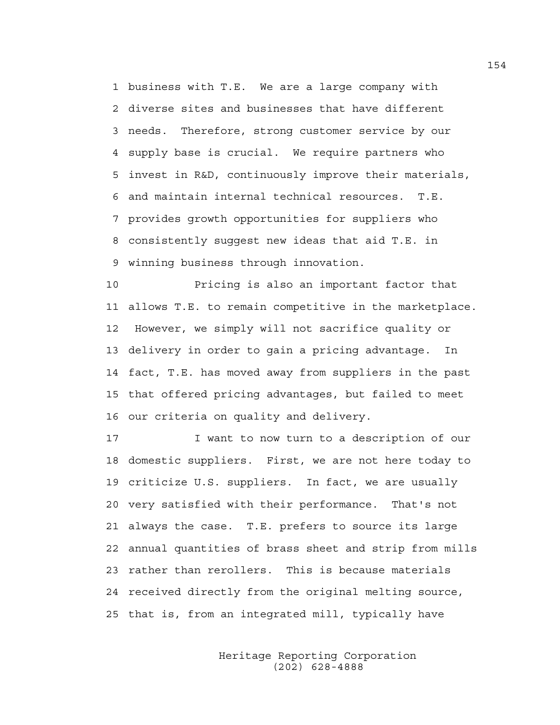1 business with T.E. We are a large company with 2 diverse sites and businesses that have different 3 needs. Therefore, strong customer service by our 4 supply base is crucial. We require partners who 5 invest in R&D, continuously improve their materials, 6 and maintain internal technical resources. T.E. 7 provides growth opportunities for suppliers who 8 consistently suggest new ideas that aid T.E. in 9 winning business through innovation.

10 Pricing is also an important factor that 11 allows T.E. to remain competitive in the marketplace. 12 However, we simply will not sacrifice quality or 13 delivery in order to gain a pricing advantage. In 14 fact, T.E. has moved away from suppliers in the past 15 that offered pricing advantages, but failed to meet 16 our criteria on quality and delivery.

17 I want to now turn to a description of our 18 domestic suppliers. First, we are not here today to 19 criticize U.S. suppliers. In fact, we are usually 20 very satisfied with their performance. That's not 21 always the case. T.E. prefers to source its large 22 annual quantities of brass sheet and strip from mills 23 rather than rerollers. This is because materials 24 received directly from the original melting source, 25 that is, from an integrated mill, typically have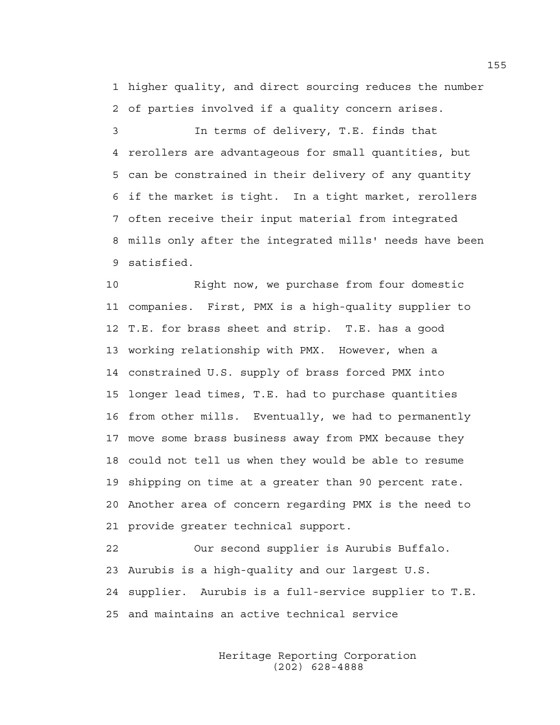1 higher quality, and direct sourcing reduces the number 2 of parties involved if a quality concern arises.

3 In terms of delivery, T.E. finds that 4 rerollers are advantageous for small quantities, but 5 can be constrained in their delivery of any quantity 6 if the market is tight. In a tight market, rerollers 7 often receive their input material from integrated 8 mills only after the integrated mills' needs have been 9 satisfied.

10 Right now, we purchase from four domestic 11 companies. First, PMX is a high-quality supplier to 12 T.E. for brass sheet and strip. T.E. has a good 13 working relationship with PMX. However, when a 14 constrained U.S. supply of brass forced PMX into 15 longer lead times, T.E. had to purchase quantities 16 from other mills. Eventually, we had to permanently 17 move some brass business away from PMX because they 18 could not tell us when they would be able to resume 19 shipping on time at a greater than 90 percent rate. 20 Another area of concern regarding PMX is the need to 21 provide greater technical support.

22 Our second supplier is Aurubis Buffalo. 23 Aurubis is a high-quality and our largest U.S. 24 supplier. Aurubis is a full-service supplier to T.E. 25 and maintains an active technical service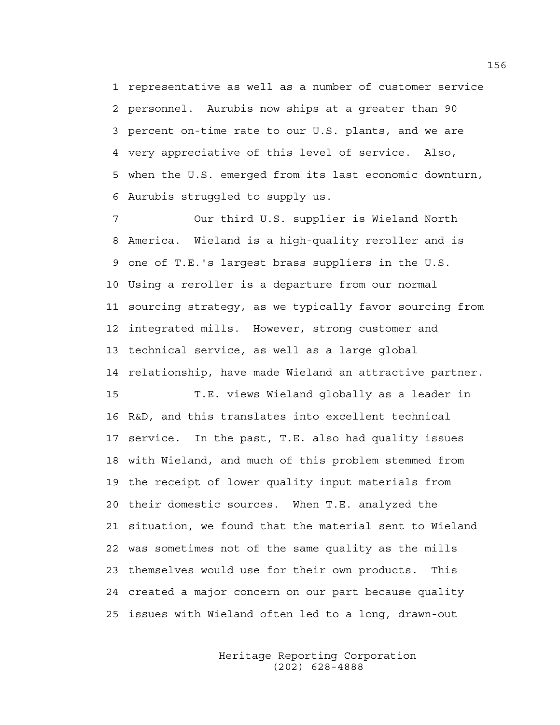1 representative as well as a number of customer service 2 personnel. Aurubis now ships at a greater than 90 3 percent on-time rate to our U.S. plants, and we are 4 very appreciative of this level of service. Also, 5 when the U.S. emerged from its last economic downturn, 6 Aurubis struggled to supply us.

7 Our third U.S. supplier is Wieland North 8 America. Wieland is a high-quality reroller and is 9 one of T.E.'s largest brass suppliers in the U.S. 10 Using a reroller is a departure from our normal 11 sourcing strategy, as we typically favor sourcing from 12 integrated mills. However, strong customer and 13 technical service, as well as a large global 14 relationship, have made Wieland an attractive partner.

15 T.E. views Wieland globally as a leader in 16 R&D, and this translates into excellent technical 17 service. In the past, T.E. also had quality issues 18 with Wieland, and much of this problem stemmed from 19 the receipt of lower quality input materials from 20 their domestic sources. When T.E. analyzed the 21 situation, we found that the material sent to Wieland 22 was sometimes not of the same quality as the mills 23 themselves would use for their own products. This 24 created a major concern on our part because quality 25 issues with Wieland often led to a long, drawn-out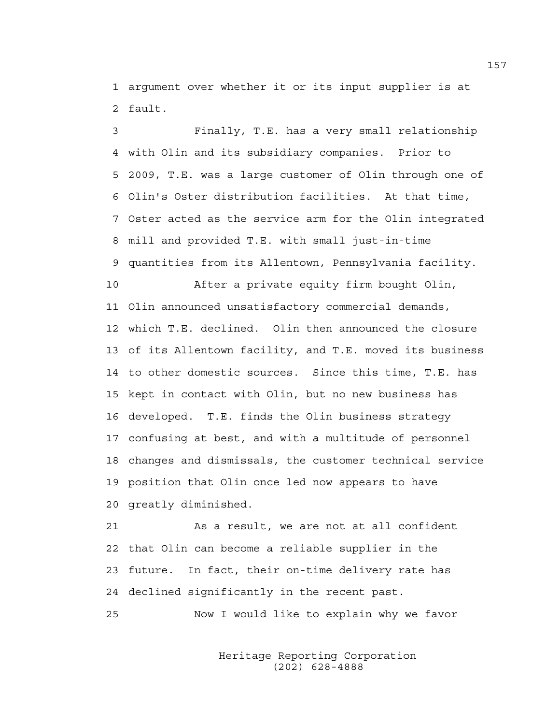1 argument over whether it or its input supplier is at 2 fault.

3 Finally, T.E. has a very small relationship 4 with Olin and its subsidiary companies. Prior to 5 2009, T.E. was a large customer of Olin through one of 6 Olin's Oster distribution facilities. At that time, 7 Oster acted as the service arm for the Olin integrated 8 mill and provided T.E. with small just-in-time 9 quantities from its Allentown, Pennsylvania facility. 10 After a private equity firm bought Olin, 11 Olin announced unsatisfactory commercial demands, 12 which T.E. declined. Olin then announced the closure 13 of its Allentown facility, and T.E. moved its business 14 to other domestic sources. Since this time, T.E. has 15 kept in contact with Olin, but no new business has 16 developed. T.E. finds the Olin business strategy 17 confusing at best, and with a multitude of personnel 18 changes and dismissals, the customer technical service 19 position that Olin once led now appears to have

20 greatly diminished.

21 As a result, we are not at all confident 22 that Olin can become a reliable supplier in the 23 future. In fact, their on-time delivery rate has 24 declined significantly in the recent past.

25 Now I would like to explain why we favor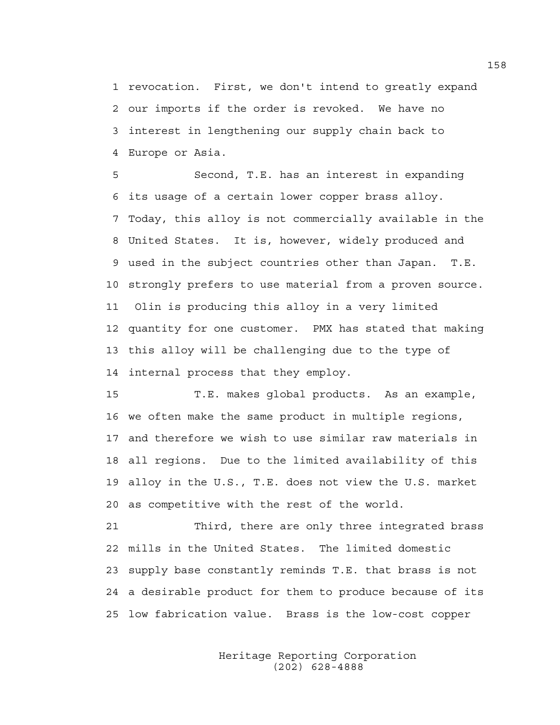1 revocation. First, we don't intend to greatly expand 2 our imports if the order is revoked. We have no 3 interest in lengthening our supply chain back to 4 Europe or Asia.

5 Second, T.E. has an interest in expanding 6 its usage of a certain lower copper brass alloy. 7 Today, this alloy is not commercially available in the 8 United States. It is, however, widely produced and 9 used in the subject countries other than Japan. T.E. 10 strongly prefers to use material from a proven source. 11 Olin is producing this alloy in a very limited 12 quantity for one customer. PMX has stated that making 13 this alloy will be challenging due to the type of 14 internal process that they employ.

15 T.E. makes global products. As an example, 16 we often make the same product in multiple regions, 17 and therefore we wish to use similar raw materials in 18 all regions. Due to the limited availability of this 19 alloy in the U.S., T.E. does not view the U.S. market 20 as competitive with the rest of the world.

21 Third, there are only three integrated brass 22 mills in the United States. The limited domestic 23 supply base constantly reminds T.E. that brass is not 24 a desirable product for them to produce because of its 25 low fabrication value. Brass is the low-cost copper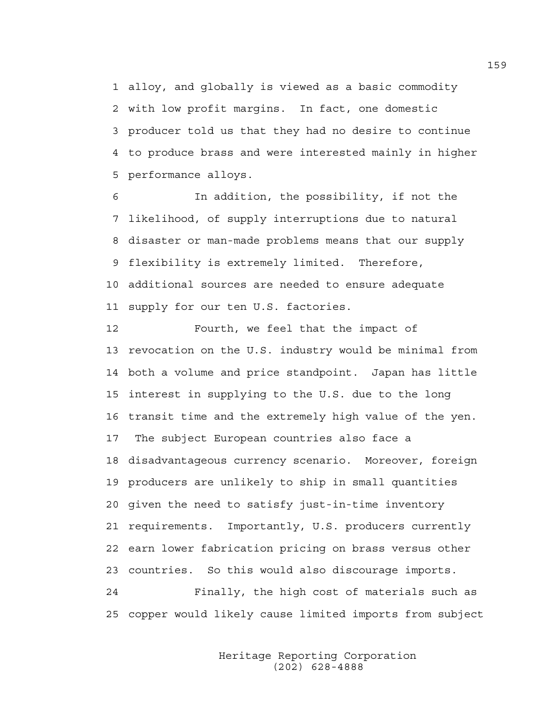1 alloy, and globally is viewed as a basic commodity 2 with low profit margins. In fact, one domestic 3 producer told us that they had no desire to continue 4 to produce brass and were interested mainly in higher 5 performance alloys.

6 In addition, the possibility, if not the 7 likelihood, of supply interruptions due to natural 8 disaster or man-made problems means that our supply 9 flexibility is extremely limited. Therefore, 10 additional sources are needed to ensure adequate 11 supply for our ten U.S. factories.

12 Fourth, we feel that the impact of 13 revocation on the U.S. industry would be minimal from 14 both a volume and price standpoint. Japan has little 15 interest in supplying to the U.S. due to the long 16 transit time and the extremely high value of the yen. 17 The subject European countries also face a 18 disadvantageous currency scenario. Moreover, foreign 19 producers are unlikely to ship in small quantities 20 given the need to satisfy just-in-time inventory 21 requirements. Importantly, U.S. producers currently 22 earn lower fabrication pricing on brass versus other 23 countries. So this would also discourage imports. 24 Finally, the high cost of materials such as 25 copper would likely cause limited imports from subject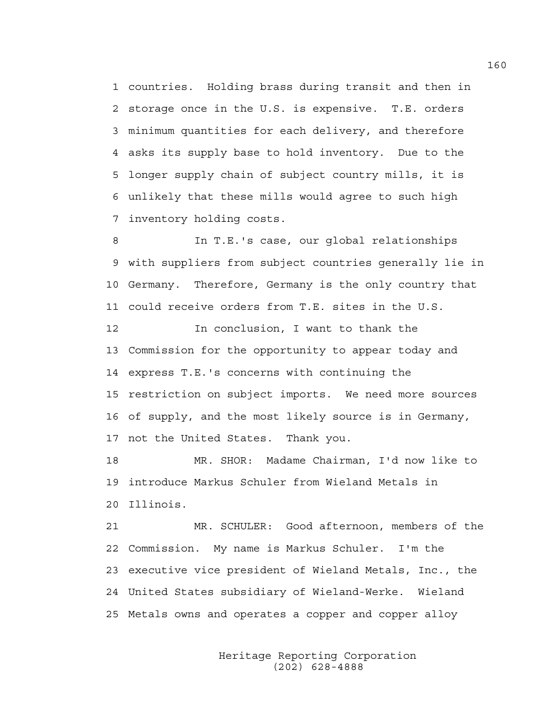1 countries. Holding brass during transit and then in 2 storage once in the U.S. is expensive. T.E. orders 3 minimum quantities for each delivery, and therefore 4 asks its supply base to hold inventory. Due to the 5 longer supply chain of subject country mills, it is 6 unlikely that these mills would agree to such high 7 inventory holding costs.

8 In T.E.'s case, our global relationships 9 with suppliers from subject countries generally lie in 10 Germany. Therefore, Germany is the only country that 11 could receive orders from T.E. sites in the U.S.

12 In conclusion, I want to thank the 13 Commission for the opportunity to appear today and 14 express T.E.'s concerns with continuing the 15 restriction on subject imports. We need more sources 16 of supply, and the most likely source is in Germany, 17 not the United States. Thank you.

18 MR. SHOR: Madame Chairman, I'd now like to 19 introduce Markus Schuler from Wieland Metals in 20 Illinois.

21 MR. SCHULER: Good afternoon, members of the 22 Commission. My name is Markus Schuler. I'm the 23 executive vice president of Wieland Metals, Inc., the 24 United States subsidiary of Wieland-Werke. Wieland 25 Metals owns and operates a copper and copper alloy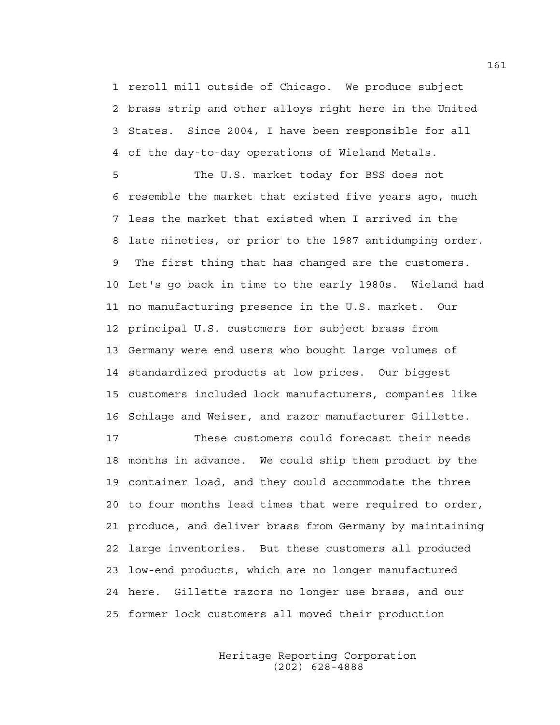1 reroll mill outside of Chicago. We produce subject 2 brass strip and other alloys right here in the United 3 States. Since 2004, I have been responsible for all 4 of the day-to-day operations of Wieland Metals.

5 The U.S. market today for BSS does not 6 resemble the market that existed five years ago, much 7 less the market that existed when I arrived in the 8 late nineties, or prior to the 1987 antidumping order. 9 The first thing that has changed are the customers. 10 Let's go back in time to the early 1980s. Wieland had 11 no manufacturing presence in the U.S. market. Our 12 principal U.S. customers for subject brass from 13 Germany were end users who bought large volumes of 14 standardized products at low prices. Our biggest 15 customers included lock manufacturers, companies like 16 Schlage and Weiser, and razor manufacturer Gillette.

17 These customers could forecast their needs 18 months in advance. We could ship them product by the 19 container load, and they could accommodate the three 20 to four months lead times that were required to order, 21 produce, and deliver brass from Germany by maintaining 22 large inventories. But these customers all produced 23 low-end products, which are no longer manufactured 24 here. Gillette razors no longer use brass, and our 25 former lock customers all moved their production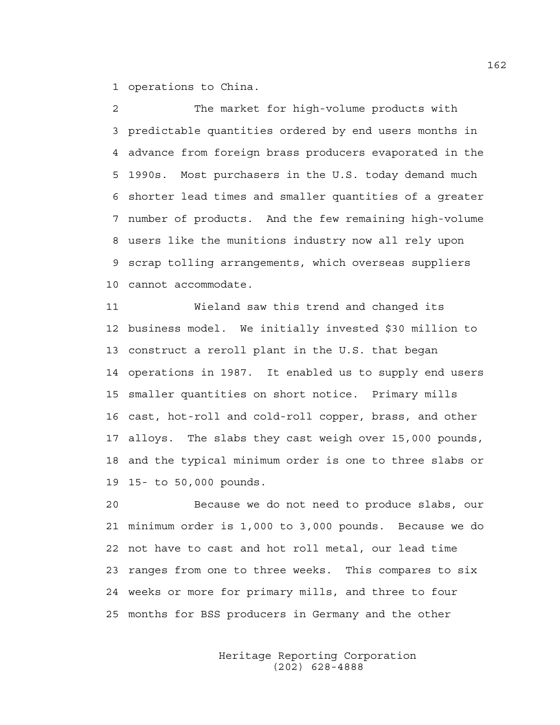1 operations to China.

2 The market for high-volume products with 3 predictable quantities ordered by end users months in 4 advance from foreign brass producers evaporated in the 5 1990s. Most purchasers in the U.S. today demand much 6 shorter lead times and smaller quantities of a greater 7 number of products. And the few remaining high-volume 8 users like the munitions industry now all rely upon 9 scrap tolling arrangements, which overseas suppliers 10 cannot accommodate.

11 Wieland saw this trend and changed its 12 business model. We initially invested \$30 million to 13 construct a reroll plant in the U.S. that began 14 operations in 1987. It enabled us to supply end users 15 smaller quantities on short notice. Primary mills 16 cast, hot-roll and cold-roll copper, brass, and other 17 alloys. The slabs they cast weigh over 15,000 pounds, 18 and the typical minimum order is one to three slabs or 19 15- to 50,000 pounds.

20 Because we do not need to produce slabs, our 21 minimum order is 1,000 to 3,000 pounds. Because we do 22 not have to cast and hot roll metal, our lead time 23 ranges from one to three weeks. This compares to six 24 weeks or more for primary mills, and three to four 25 months for BSS producers in Germany and the other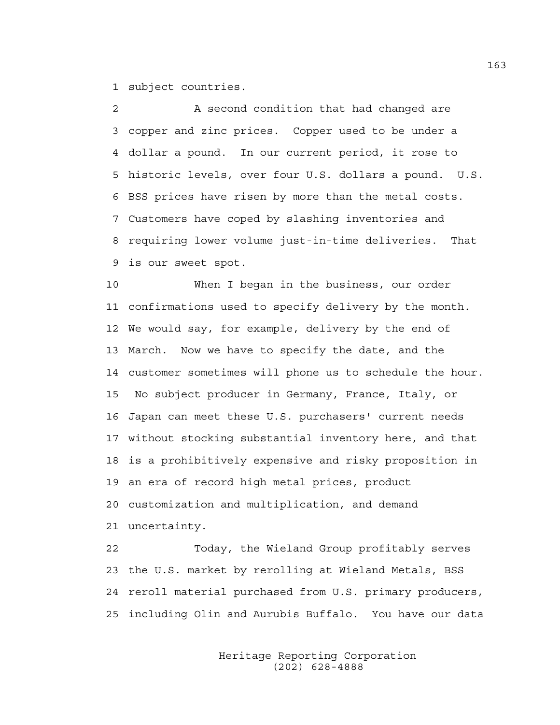1 subject countries.

2 A second condition that had changed are 3 copper and zinc prices. Copper used to be under a 4 dollar a pound. In our current period, it rose to 5 historic levels, over four U.S. dollars a pound. U.S. 6 BSS prices have risen by more than the metal costs. 7 Customers have coped by slashing inventories and 8 requiring lower volume just-in-time deliveries. That 9 is our sweet spot.

10 When I began in the business, our order 11 confirmations used to specify delivery by the month. 12 We would say, for example, delivery by the end of 13 March. Now we have to specify the date, and the 14 customer sometimes will phone us to schedule the hour. 15 No subject producer in Germany, France, Italy, or 16 Japan can meet these U.S. purchasers' current needs 17 without stocking substantial inventory here, and that 18 is a prohibitively expensive and risky proposition in 19 an era of record high metal prices, product 20 customization and multiplication, and demand 21 uncertainty.

22 Today, the Wieland Group profitably serves 23 the U.S. market by rerolling at Wieland Metals, BSS 24 reroll material purchased from U.S. primary producers, 25 including Olin and Aurubis Buffalo. You have our data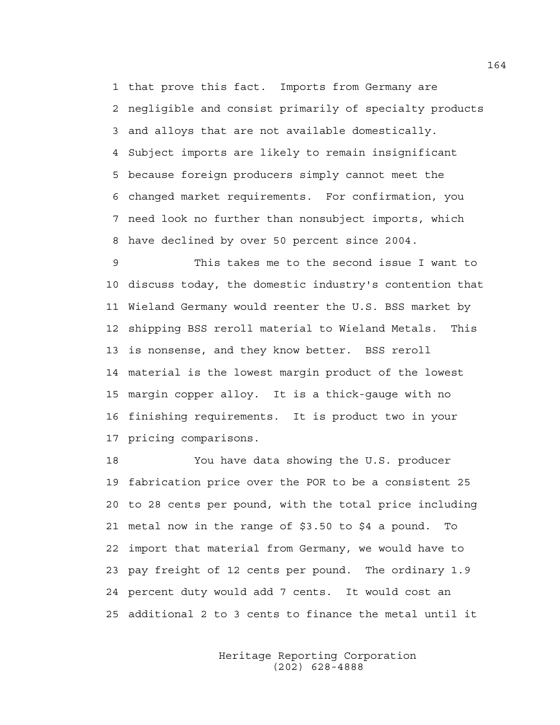1 that prove this fact. Imports from Germany are 2 negligible and consist primarily of specialty products 3 and alloys that are not available domestically. 4 Subject imports are likely to remain insignificant 5 because foreign producers simply cannot meet the 6 changed market requirements. For confirmation, you 7 need look no further than nonsubject imports, which 8 have declined by over 50 percent since 2004.

9 This takes me to the second issue I want to 10 discuss today, the domestic industry's contention that 11 Wieland Germany would reenter the U.S. BSS market by 12 shipping BSS reroll material to Wieland Metals. This 13 is nonsense, and they know better. BSS reroll 14 material is the lowest margin product of the lowest 15 margin copper alloy. It is a thick-gauge with no 16 finishing requirements. It is product two in your 17 pricing comparisons.

18 You have data showing the U.S. producer 19 fabrication price over the POR to be a consistent 25 20 to 28 cents per pound, with the total price including 21 metal now in the range of \$3.50 to \$4 a pound. To 22 import that material from Germany, we would have to 23 pay freight of 12 cents per pound. The ordinary 1.9 24 percent duty would add 7 cents. It would cost an 25 additional 2 to 3 cents to finance the metal until it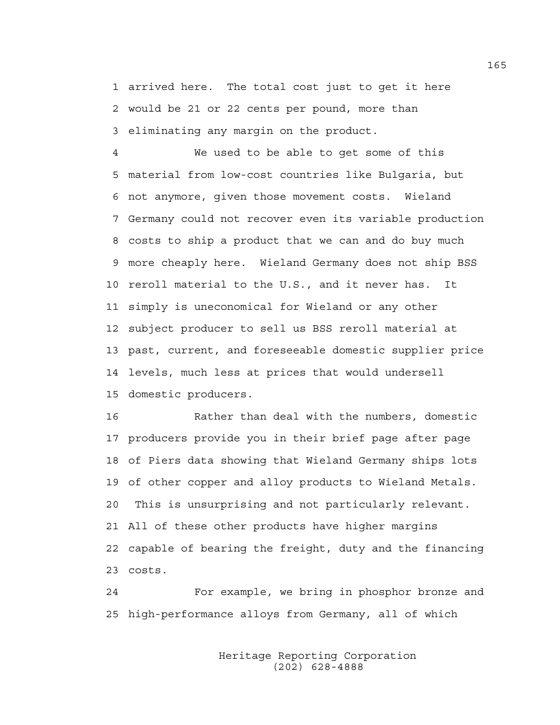1 arrived here. The total cost just to get it here 2 would be 21 or 22 cents per pound, more than 3 eliminating any margin on the product.

4 We used to be able to get some of this 5 material from low-cost countries like Bulgaria, but 6 not anymore, given those movement costs. Wieland 7 Germany could not recover even its variable production 8 costs to ship a product that we can and do buy much 9 more cheaply here. Wieland Germany does not ship BSS 10 reroll material to the U.S., and it never has. It 11 simply is uneconomical for Wieland or any other 12 subject producer to sell us BSS reroll material at 13 past, current, and foreseeable domestic supplier price 14 levels, much less at prices that would undersell 15 domestic producers.

16 Rather than deal with the numbers, domestic 17 producers provide you in their brief page after page 18 of Piers data showing that Wieland Germany ships lots 19 of other copper and alloy products to Wieland Metals. 20 This is unsurprising and not particularly relevant. 21 All of these other products have higher margins 22 capable of bearing the freight, duty and the financing 23 costs.

24 For example, we bring in phosphor bronze and 25 high-performance alloys from Germany, all of which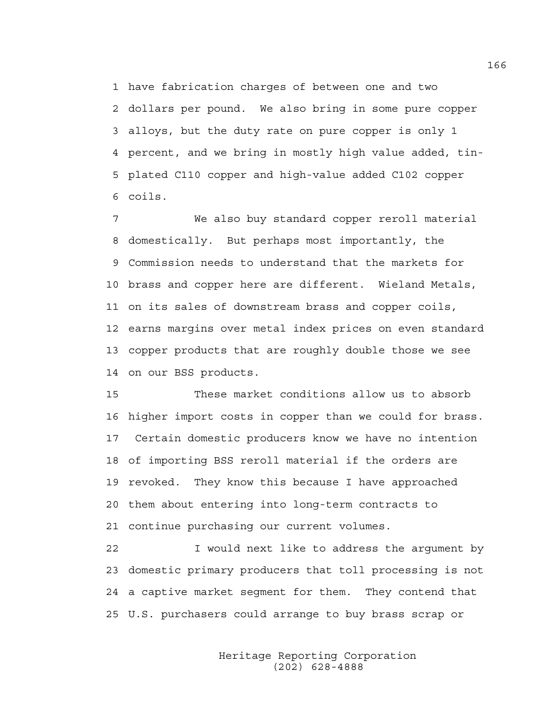1 have fabrication charges of between one and two 2 dollars per pound. We also bring in some pure copper 3 alloys, but the duty rate on pure copper is only 1 4 percent, and we bring in mostly high value added, tin-5 plated C110 copper and high-value added C102 copper 6 coils.

7 We also buy standard copper reroll material 8 domestically. But perhaps most importantly, the 9 Commission needs to understand that the markets for 10 brass and copper here are different. Wieland Metals, 11 on its sales of downstream brass and copper coils, 12 earns margins over metal index prices on even standard 13 copper products that are roughly double those we see 14 on our BSS products.

15 These market conditions allow us to absorb 16 higher import costs in copper than we could for brass. 17 Certain domestic producers know we have no intention 18 of importing BSS reroll material if the orders are 19 revoked. They know this because I have approached 20 them about entering into long-term contracts to 21 continue purchasing our current volumes.

22 I would next like to address the argument by 23 domestic primary producers that toll processing is not 24 a captive market segment for them. They contend that 25 U.S. purchasers could arrange to buy brass scrap or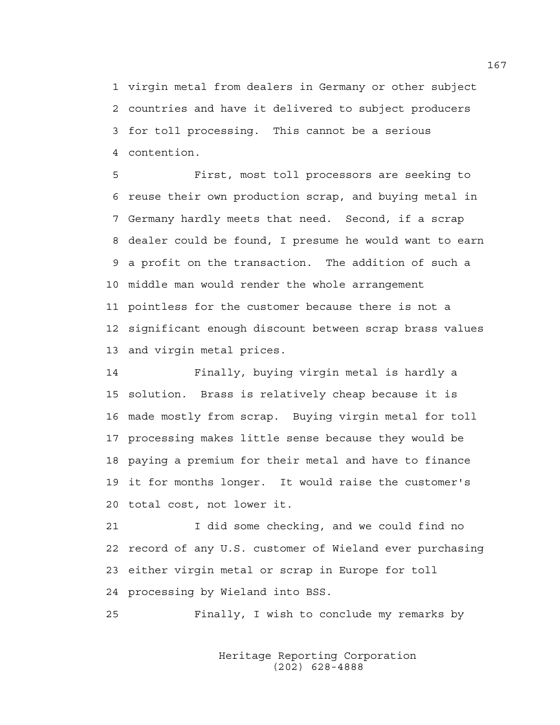1 virgin metal from dealers in Germany or other subject 2 countries and have it delivered to subject producers 3 for toll processing. This cannot be a serious 4 contention.

5 First, most toll processors are seeking to 6 reuse their own production scrap, and buying metal in 7 Germany hardly meets that need. Second, if a scrap 8 dealer could be found, I presume he would want to earn 9 a profit on the transaction. The addition of such a 10 middle man would render the whole arrangement 11 pointless for the customer because there is not a 12 significant enough discount between scrap brass values 13 and virgin metal prices.

14 Finally, buying virgin metal is hardly a 15 solution. Brass is relatively cheap because it is 16 made mostly from scrap. Buying virgin metal for toll 17 processing makes little sense because they would be 18 paying a premium for their metal and have to finance 19 it for months longer. It would raise the customer's 20 total cost, not lower it.

21 I did some checking, and we could find no 22 record of any U.S. customer of Wieland ever purchasing 23 either virgin metal or scrap in Europe for toll 24 processing by Wieland into BSS.

25 Finally, I wish to conclude my remarks by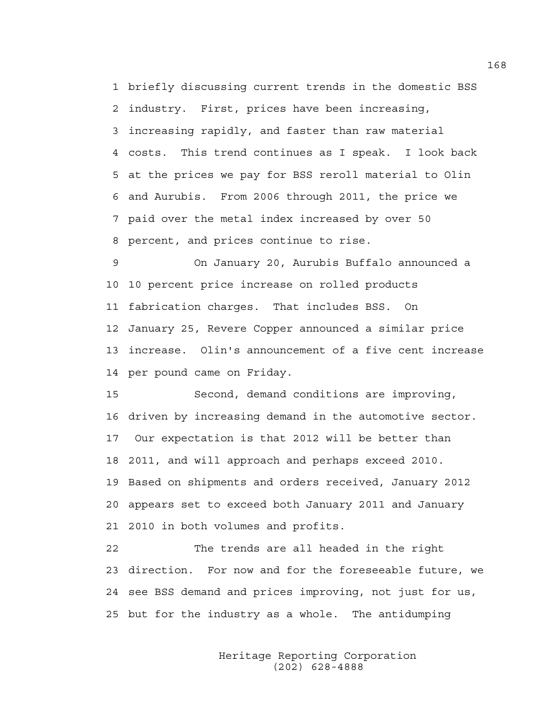1 briefly discussing current trends in the domestic BSS 2 industry. First, prices have been increasing, 3 increasing rapidly, and faster than raw material 4 costs. This trend continues as I speak. I look back 5 at the prices we pay for BSS reroll material to Olin 6 and Aurubis. From 2006 through 2011, the price we 7 paid over the metal index increased by over 50 8 percent, and prices continue to rise.

9 On January 20, Aurubis Buffalo announced a 10 10 percent price increase on rolled products 11 fabrication charges. That includes BSS. On 12 January 25, Revere Copper announced a similar price 13 increase. Olin's announcement of a five cent increase 14 per pound came on Friday.

15 Second, demand conditions are improving, 16 driven by increasing demand in the automotive sector. 17 Our expectation is that 2012 will be better than 18 2011, and will approach and perhaps exceed 2010. 19 Based on shipments and orders received, January 2012 20 appears set to exceed both January 2011 and January 21 2010 in both volumes and profits.

22 The trends are all headed in the right 23 direction. For now and for the foreseeable future, we 24 see BSS demand and prices improving, not just for us, 25 but for the industry as a whole. The antidumping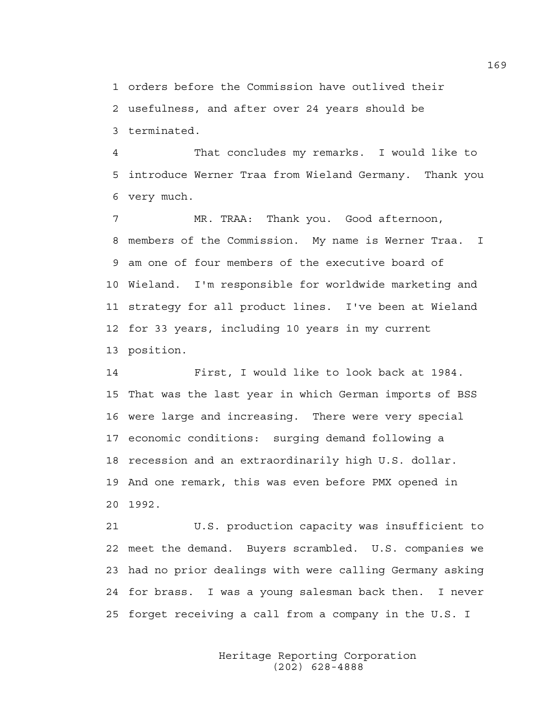1 orders before the Commission have outlived their 2 usefulness, and after over 24 years should be 3 terminated.

4 That concludes my remarks. I would like to 5 introduce Werner Traa from Wieland Germany. Thank you 6 very much.

7 MR. TRAA: Thank you. Good afternoon, 8 members of the Commission. My name is Werner Traa. I 9 am one of four members of the executive board of 10 Wieland. I'm responsible for worldwide marketing and 11 strategy for all product lines. I've been at Wieland 12 for 33 years, including 10 years in my current 13 position.

14 First, I would like to look back at 1984. 15 That was the last year in which German imports of BSS 16 were large and increasing. There were very special 17 economic conditions: surging demand following a 18 recession and an extraordinarily high U.S. dollar. 19 And one remark, this was even before PMX opened in 20 1992.

21 U.S. production capacity was insufficient to 22 meet the demand. Buyers scrambled. U.S. companies we 23 had no prior dealings with were calling Germany asking 24 for brass. I was a young salesman back then. I never 25 forget receiving a call from a company in the U.S. I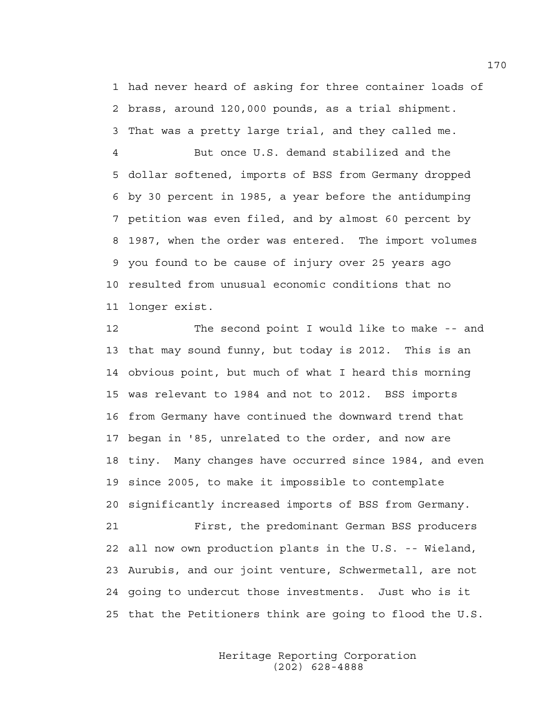1 had never heard of asking for three container loads of 2 brass, around 120,000 pounds, as a trial shipment.

3 That was a pretty large trial, and they called me.

4 But once U.S. demand stabilized and the 5 dollar softened, imports of BSS from Germany dropped 6 by 30 percent in 1985, a year before the antidumping 7 petition was even filed, and by almost 60 percent by 8 1987, when the order was entered. The import volumes 9 you found to be cause of injury over 25 years ago 10 resulted from unusual economic conditions that no 11 longer exist.

12 The second point I would like to make -- and 13 that may sound funny, but today is 2012. This is an 14 obvious point, but much of what I heard this morning 15 was relevant to 1984 and not to 2012. BSS imports 16 from Germany have continued the downward trend that 17 began in '85, unrelated to the order, and now are 18 tiny. Many changes have occurred since 1984, and even 19 since 2005, to make it impossible to contemplate 20 significantly increased imports of BSS from Germany. 21 First, the predominant German BSS producers 22 all now own production plants in the U.S. -- Wieland, 23 Aurubis, and our joint venture, Schwermetall, are not 24 going to undercut those investments. Just who is it 25 that the Petitioners think are going to flood the U.S.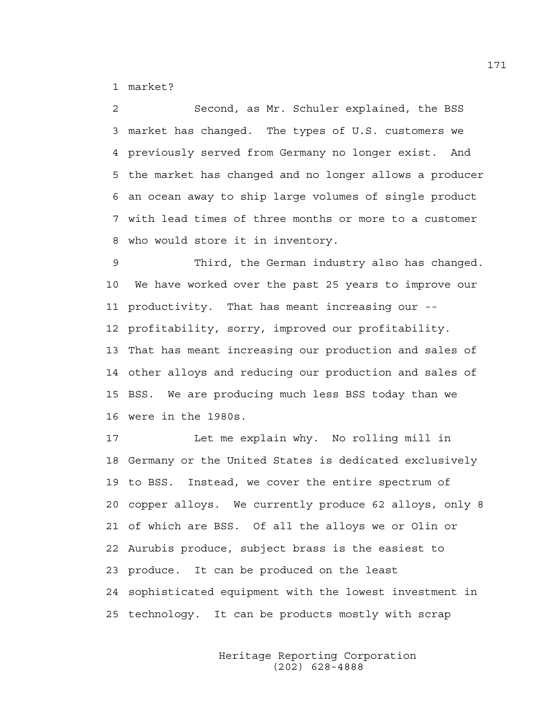1 market?

2 Second, as Mr. Schuler explained, the BSS 3 market has changed. The types of U.S. customers we 4 previously served from Germany no longer exist. And 5 the market has changed and no longer allows a producer 6 an ocean away to ship large volumes of single product 7 with lead times of three months or more to a customer 8 who would store it in inventory.

9 Third, the German industry also has changed. 10 We have worked over the past 25 years to improve our 11 productivity. That has meant increasing our -- 12 profitability, sorry, improved our profitability. 13 That has meant increasing our production and sales of 14 other alloys and reducing our production and sales of 15 BSS. We are producing much less BSS today than we 16 were in the 1980s.

17 Let me explain why. No rolling mill in 18 Germany or the United States is dedicated exclusively 19 to BSS. Instead, we cover the entire spectrum of 20 copper alloys. We currently produce 62 alloys, only 8 21 of which are BSS. Of all the alloys we or Olin or 22 Aurubis produce, subject brass is the easiest to 23 produce. It can be produced on the least 24 sophisticated equipment with the lowest investment in 25 technology. It can be products mostly with scrap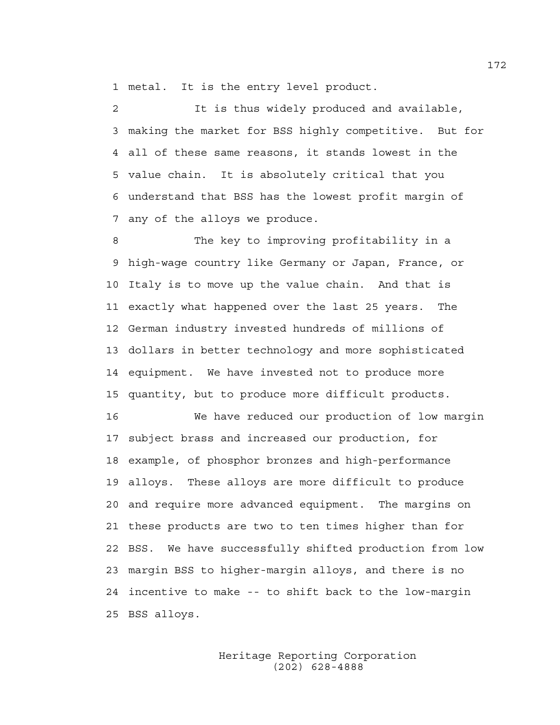1 metal. It is the entry level product.

2 It is thus widely produced and available, 3 making the market for BSS highly competitive. But for 4 all of these same reasons, it stands lowest in the 5 value chain. It is absolutely critical that you 6 understand that BSS has the lowest profit margin of 7 any of the alloys we produce.

8 The key to improving profitability in a 9 high-wage country like Germany or Japan, France, or 10 Italy is to move up the value chain. And that is 11 exactly what happened over the last 25 years. The 12 German industry invested hundreds of millions of 13 dollars in better technology and more sophisticated 14 equipment. We have invested not to produce more 15 quantity, but to produce more difficult products.

16 We have reduced our production of low margin 17 subject brass and increased our production, for 18 example, of phosphor bronzes and high-performance 19 alloys. These alloys are more difficult to produce 20 and require more advanced equipment. The margins on 21 these products are two to ten times higher than for 22 BSS. We have successfully shifted production from low 23 margin BSS to higher-margin alloys, and there is no 24 incentive to make -- to shift back to the low-margin 25 BSS alloys.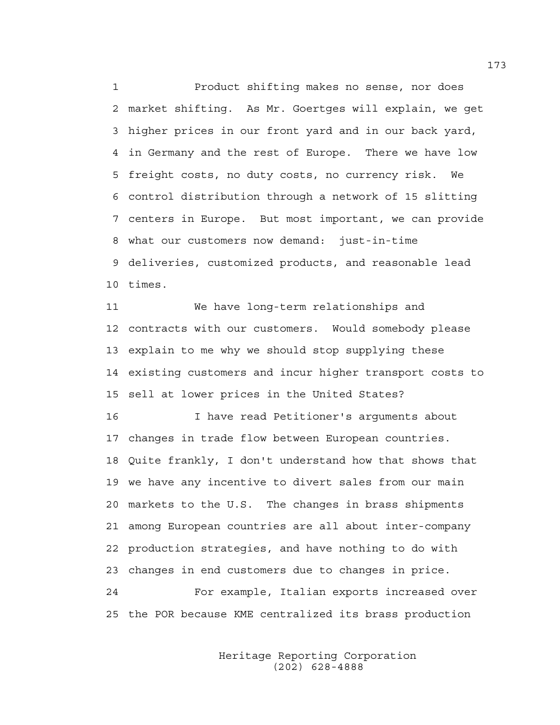1 Product shifting makes no sense, nor does 2 market shifting. As Mr. Goertges will explain, we get 3 higher prices in our front yard and in our back yard, 4 in Germany and the rest of Europe. There we have low 5 freight costs, no duty costs, no currency risk. We 6 control distribution through a network of 15 slitting 7 centers in Europe. But most important, we can provide 8 what our customers now demand: just-in-time 9 deliveries, customized products, and reasonable lead 10 times.

11 We have long-term relationships and 12 contracts with our customers. Would somebody please 13 explain to me why we should stop supplying these 14 existing customers and incur higher transport costs to 15 sell at lower prices in the United States?

16 I have read Petitioner's arguments about 17 changes in trade flow between European countries. 18 Quite frankly, I don't understand how that shows that 19 we have any incentive to divert sales from our main 20 markets to the U.S. The changes in brass shipments 21 among European countries are all about inter-company 22 production strategies, and have nothing to do with 23 changes in end customers due to changes in price. 24 For example, Italian exports increased over

25 the POR because KME centralized its brass production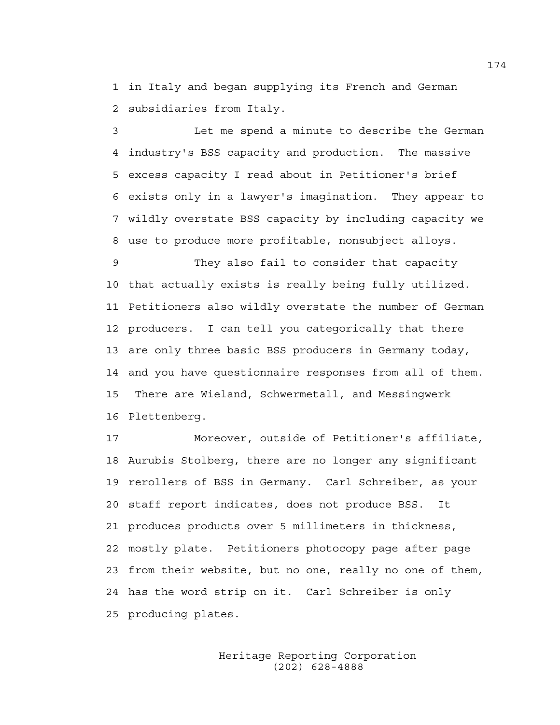1 in Italy and began supplying its French and German 2 subsidiaries from Italy.

3 Let me spend a minute to describe the German 4 industry's BSS capacity and production. The massive 5 excess capacity I read about in Petitioner's brief 6 exists only in a lawyer's imagination. They appear to 7 wildly overstate BSS capacity by including capacity we 8 use to produce more profitable, nonsubject alloys.

9 They also fail to consider that capacity 10 that actually exists is really being fully utilized. 11 Petitioners also wildly overstate the number of German 12 producers. I can tell you categorically that there 13 are only three basic BSS producers in Germany today, 14 and you have questionnaire responses from all of them. 15 There are Wieland, Schwermetall, and Messingwerk 16 Plettenberg.

17 Moreover, outside of Petitioner's affiliate, 18 Aurubis Stolberg, there are no longer any significant 19 rerollers of BSS in Germany. Carl Schreiber, as your 20 staff report indicates, does not produce BSS. It 21 produces products over 5 millimeters in thickness, 22 mostly plate. Petitioners photocopy page after page 23 from their website, but no one, really no one of them, 24 has the word strip on it. Carl Schreiber is only 25 producing plates.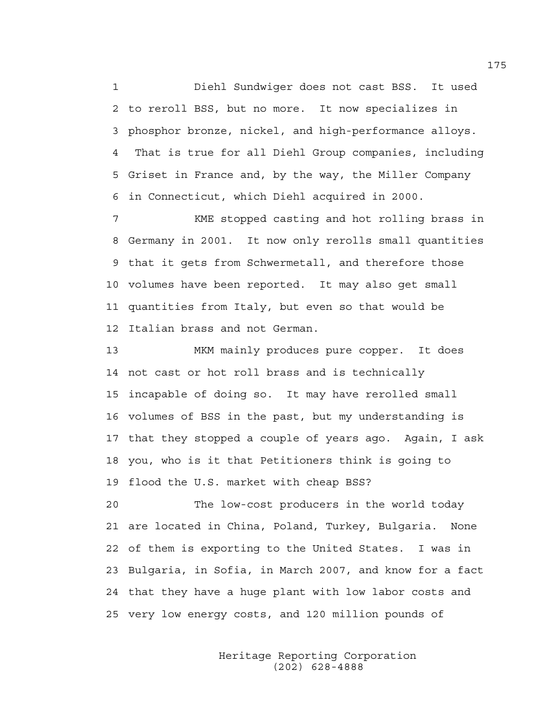1 Diehl Sundwiger does not cast BSS. It used 2 to reroll BSS, but no more. It now specializes in 3 phosphor bronze, nickel, and high-performance alloys. 4 That is true for all Diehl Group companies, including 5 Griset in France and, by the way, the Miller Company 6 in Connecticut, which Diehl acquired in 2000.

7 KME stopped casting and hot rolling brass in 8 Germany in 2001. It now only rerolls small quantities 9 that it gets from Schwermetall, and therefore those 10 volumes have been reported. It may also get small 11 quantities from Italy, but even so that would be 12 Italian brass and not German.

13 MKM mainly produces pure copper. It does 14 not cast or hot roll brass and is technically 15 incapable of doing so. It may have rerolled small 16 volumes of BSS in the past, but my understanding is 17 that they stopped a couple of years ago. Again, I ask 18 you, who is it that Petitioners think is going to 19 flood the U.S. market with cheap BSS?

20 The low-cost producers in the world today 21 are located in China, Poland, Turkey, Bulgaria. None 22 of them is exporting to the United States. I was in 23 Bulgaria, in Sofia, in March 2007, and know for a fact 24 that they have a huge plant with low labor costs and 25 very low energy costs, and 120 million pounds of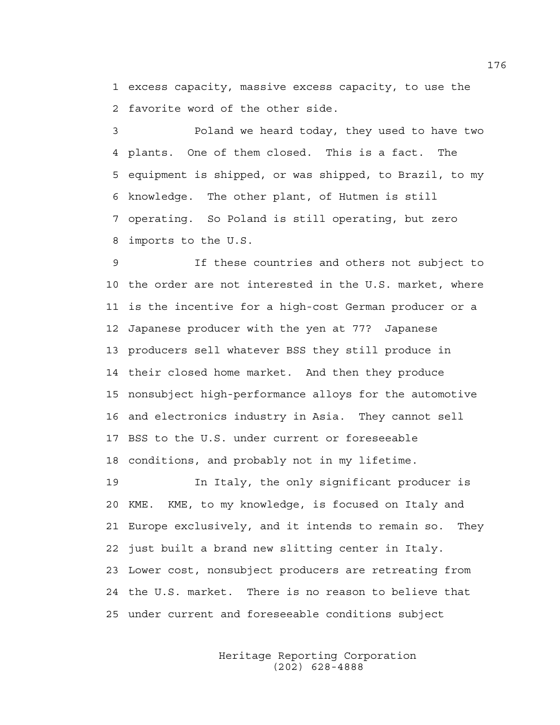1 excess capacity, massive excess capacity, to use the 2 favorite word of the other side.

3 Poland we heard today, they used to have two 4 plants. One of them closed. This is a fact. The 5 equipment is shipped, or was shipped, to Brazil, to my 6 knowledge. The other plant, of Hutmen is still 7 operating. So Poland is still operating, but zero 8 imports to the U.S.

9 If these countries and others not subject to 10 the order are not interested in the U.S. market, where 11 is the incentive for a high-cost German producer or a 12 Japanese producer with the yen at 77? Japanese 13 producers sell whatever BSS they still produce in 14 their closed home market. And then they produce 15 nonsubject high-performance alloys for the automotive 16 and electronics industry in Asia. They cannot sell 17 BSS to the U.S. under current or foreseeable 18 conditions, and probably not in my lifetime.

19 In Italy, the only significant producer is 20 KME. KME, to my knowledge, is focused on Italy and 21 Europe exclusively, and it intends to remain so. They 22 just built a brand new slitting center in Italy. 23 Lower cost, nonsubject producers are retreating from 24 the U.S. market. There is no reason to believe that 25 under current and foreseeable conditions subject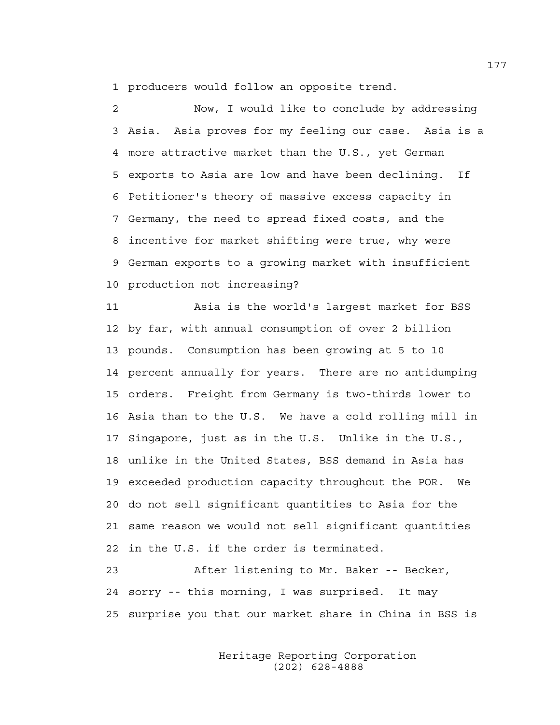1 producers would follow an opposite trend.

2 Now, I would like to conclude by addressing 3 Asia. Asia proves for my feeling our case. Asia is a 4 more attractive market than the U.S., yet German 5 exports to Asia are low and have been declining. If 6 Petitioner's theory of massive excess capacity in 7 Germany, the need to spread fixed costs, and the 8 incentive for market shifting were true, why were 9 German exports to a growing market with insufficient 10 production not increasing?

11 Asia is the world's largest market for BSS 12 by far, with annual consumption of over 2 billion 13 pounds. Consumption has been growing at 5 to 10 14 percent annually for years. There are no antidumping 15 orders. Freight from Germany is two-thirds lower to 16 Asia than to the U.S. We have a cold rolling mill in 17 Singapore, just as in the U.S. Unlike in the U.S., 18 unlike in the United States, BSS demand in Asia has 19 exceeded production capacity throughout the POR. We 20 do not sell significant quantities to Asia for the 21 same reason we would not sell significant quantities 22 in the U.S. if the order is terminated.

23 After listening to Mr. Baker -- Becker, 24 sorry -- this morning, I was surprised. It may 25 surprise you that our market share in China in BSS is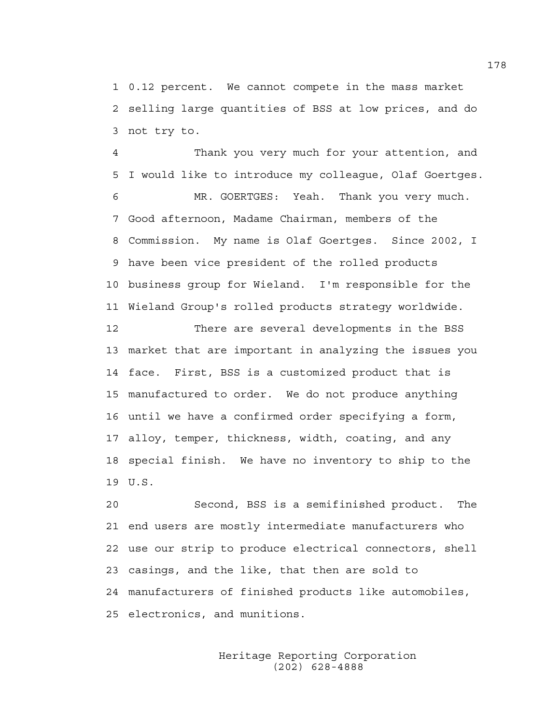1 0.12 percent. We cannot compete in the mass market 2 selling large quantities of BSS at low prices, and do 3 not try to.

4 Thank you very much for your attention, and 5 I would like to introduce my colleague, Olaf Goertges.

6 MR. GOERTGES: Yeah. Thank you very much. 7 Good afternoon, Madame Chairman, members of the 8 Commission. My name is Olaf Goertges. Since 2002, I 9 have been vice president of the rolled products 10 business group for Wieland. I'm responsible for the 11 Wieland Group's rolled products strategy worldwide.

12 There are several developments in the BSS 13 market that are important in analyzing the issues you 14 face. First, BSS is a customized product that is 15 manufactured to order. We do not produce anything 16 until we have a confirmed order specifying a form, 17 alloy, temper, thickness, width, coating, and any 18 special finish. We have no inventory to ship to the 19 U.S.

20 Second, BSS is a semifinished product. The 21 end users are mostly intermediate manufacturers who 22 use our strip to produce electrical connectors, shell 23 casings, and the like, that then are sold to 24 manufacturers of finished products like automobiles, 25 electronics, and munitions.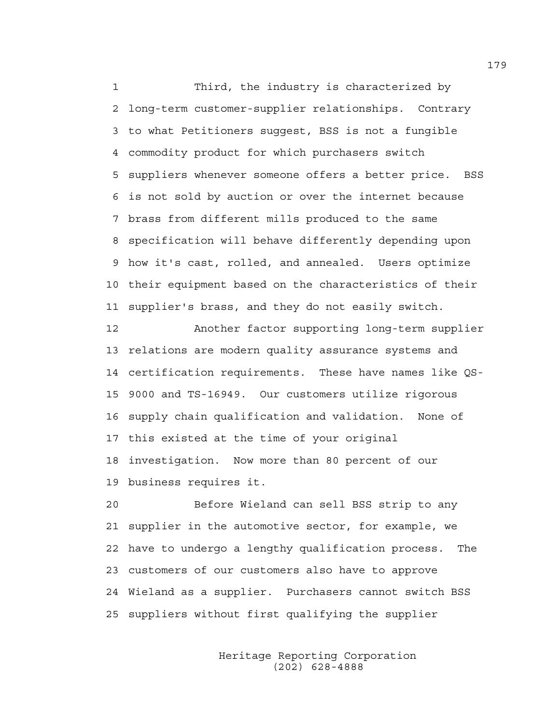1 Third, the industry is characterized by 2 long-term customer-supplier relationships. Contrary 3 to what Petitioners suggest, BSS is not a fungible 4 commodity product for which purchasers switch 5 suppliers whenever someone offers a better price. BSS 6 is not sold by auction or over the internet because 7 brass from different mills produced to the same 8 specification will behave differently depending upon 9 how it's cast, rolled, and annealed. Users optimize 10 their equipment based on the characteristics of their 11 supplier's brass, and they do not easily switch.

12 Another factor supporting long-term supplier 13 relations are modern quality assurance systems and 14 certification requirements. These have names like QS-15 9000 and TS-16949. Our customers utilize rigorous 16 supply chain qualification and validation. None of 17 this existed at the time of your original 18 investigation. Now more than 80 percent of our 19 business requires it.

20 Before Wieland can sell BSS strip to any 21 supplier in the automotive sector, for example, we 22 have to undergo a lengthy qualification process. The 23 customers of our customers also have to approve 24 Wieland as a supplier. Purchasers cannot switch BSS 25 suppliers without first qualifying the supplier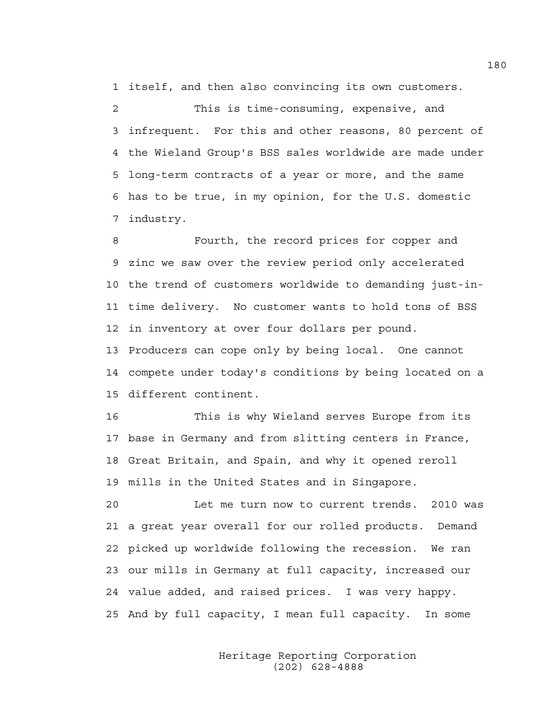1 itself, and then also convincing its own customers.

2 This is time-consuming, expensive, and 3 infrequent. For this and other reasons, 80 percent of 4 the Wieland Group's BSS sales worldwide are made under 5 long-term contracts of a year or more, and the same 6 has to be true, in my opinion, for the U.S. domestic 7 industry.

8 Fourth, the record prices for copper and 9 zinc we saw over the review period only accelerated 10 the trend of customers worldwide to demanding just-in-11 time delivery. No customer wants to hold tons of BSS 12 in inventory at over four dollars per pound. 13 Producers can cope only by being local. One cannot 14 compete under today's conditions by being located on a 15 different continent.

16 This is why Wieland serves Europe from its 17 base in Germany and from slitting centers in France, 18 Great Britain, and Spain, and why it opened reroll 19 mills in the United States and in Singapore.

20 Let me turn now to current trends. 2010 was 21 a great year overall for our rolled products. Demand 22 picked up worldwide following the recession. We ran 23 our mills in Germany at full capacity, increased our 24 value added, and raised prices. I was very happy. 25 And by full capacity, I mean full capacity. In some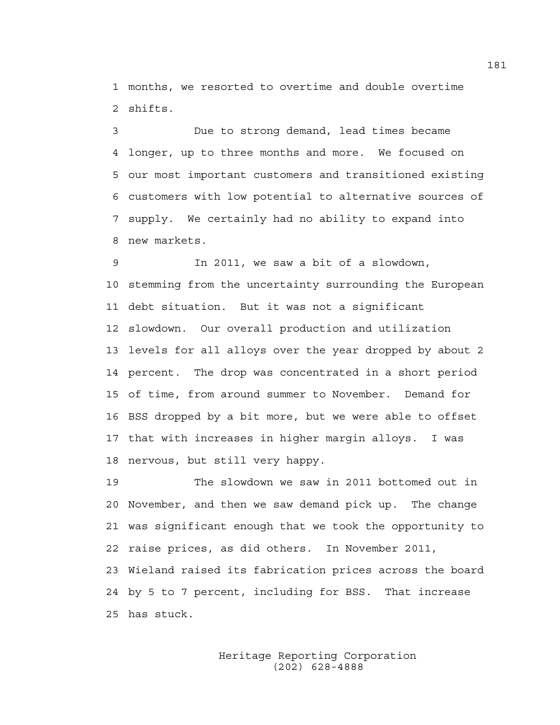1 months, we resorted to overtime and double overtime 2 shifts.

3 Due to strong demand, lead times became 4 longer, up to three months and more. We focused on 5 our most important customers and transitioned existing 6 customers with low potential to alternative sources of 7 supply. We certainly had no ability to expand into 8 new markets.

9 In 2011, we saw a bit of a slowdown, 10 stemming from the uncertainty surrounding the European 11 debt situation. But it was not a significant 12 slowdown. Our overall production and utilization 13 levels for all alloys over the year dropped by about 2 14 percent. The drop was concentrated in a short period 15 of time, from around summer to November. Demand for 16 BSS dropped by a bit more, but we were able to offset 17 that with increases in higher margin alloys. I was 18 nervous, but still very happy.

19 The slowdown we saw in 2011 bottomed out in 20 November, and then we saw demand pick up. The change 21 was significant enough that we took the opportunity to 22 raise prices, as did others. In November 2011, 23 Wieland raised its fabrication prices across the board 24 by 5 to 7 percent, including for BSS. That increase 25 has stuck.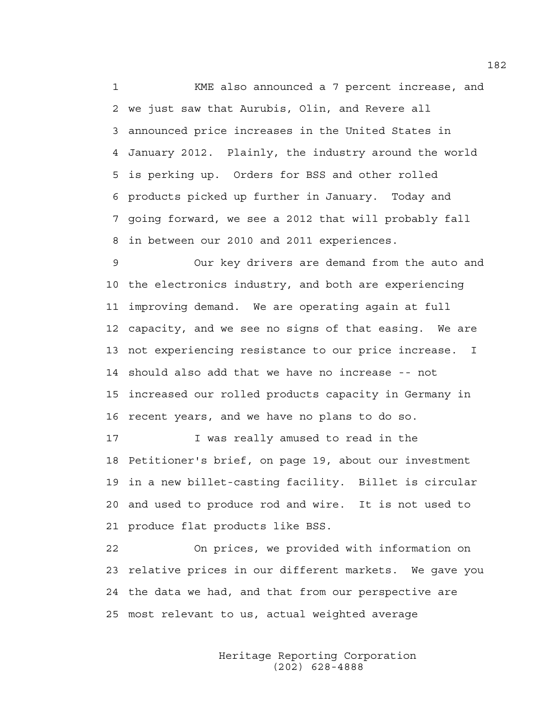1 KME also announced a 7 percent increase, and 2 we just saw that Aurubis, Olin, and Revere all 3 announced price increases in the United States in 4 January 2012. Plainly, the industry around the world 5 is perking up. Orders for BSS and other rolled 6 products picked up further in January. Today and 7 going forward, we see a 2012 that will probably fall 8 in between our 2010 and 2011 experiences.

9 Our key drivers are demand from the auto and 10 the electronics industry, and both are experiencing 11 improving demand. We are operating again at full 12 capacity, and we see no signs of that easing. We are 13 not experiencing resistance to our price increase. I 14 should also add that we have no increase -- not 15 increased our rolled products capacity in Germany in 16 recent years, and we have no plans to do so.

17 I was really amused to read in the 18 Petitioner's brief, on page 19, about our investment 19 in a new billet-casting facility. Billet is circular 20 and used to produce rod and wire. It is not used to 21 produce flat products like BSS.

22 On prices, we provided with information on 23 relative prices in our different markets. We gave you 24 the data we had, and that from our perspective are 25 most relevant to us, actual weighted average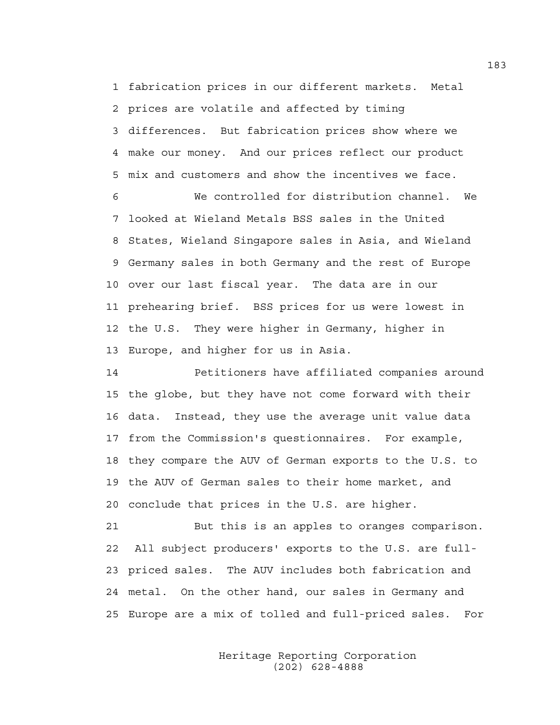1 fabrication prices in our different markets. Metal 2 prices are volatile and affected by timing 3 differences. But fabrication prices show where we 4 make our money. And our prices reflect our product 5 mix and customers and show the incentives we face.

6 We controlled for distribution channel. We 7 looked at Wieland Metals BSS sales in the United 8 States, Wieland Singapore sales in Asia, and Wieland 9 Germany sales in both Germany and the rest of Europe 10 over our last fiscal year. The data are in our 11 prehearing brief. BSS prices for us were lowest in 12 the U.S. They were higher in Germany, higher in 13 Europe, and higher for us in Asia.

14 Petitioners have affiliated companies around 15 the globe, but they have not come forward with their 16 data. Instead, they use the average unit value data 17 from the Commission's questionnaires. For example, 18 they compare the AUV of German exports to the U.S. to 19 the AUV of German sales to their home market, and 20 conclude that prices in the U.S. are higher.

21 But this is an apples to oranges comparison. 22 All subject producers' exports to the U.S. are full-23 priced sales. The AUV includes both fabrication and 24 metal. On the other hand, our sales in Germany and 25 Europe are a mix of tolled and full-priced sales. For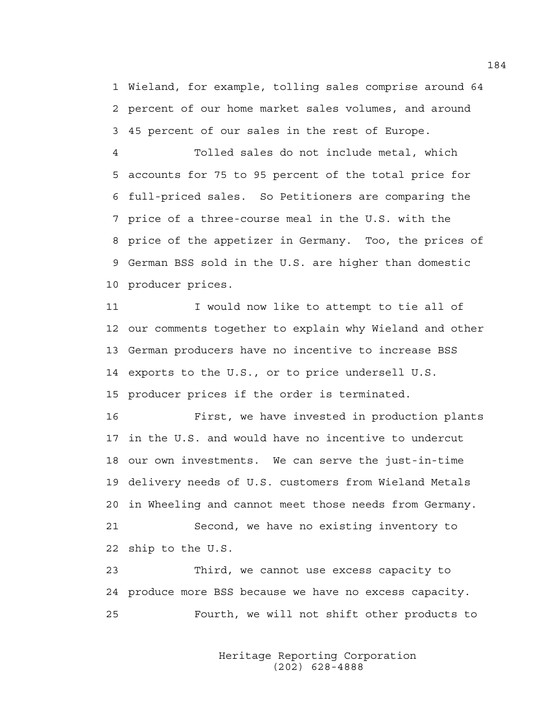1 Wieland, for example, tolling sales comprise around 64 2 percent of our home market sales volumes, and around 3 45 percent of our sales in the rest of Europe.

4 Tolled sales do not include metal, which 5 accounts for 75 to 95 percent of the total price for 6 full-priced sales. So Petitioners are comparing the 7 price of a three-course meal in the U.S. with the 8 price of the appetizer in Germany. Too, the prices of 9 German BSS sold in the U.S. are higher than domestic 10 producer prices.

11 I would now like to attempt to tie all of 12 our comments together to explain why Wieland and other 13 German producers have no incentive to increase BSS 14 exports to the U.S., or to price undersell U.S. 15 producer prices if the order is terminated.

16 First, we have invested in production plants 17 in the U.S. and would have no incentive to undercut 18 our own investments. We can serve the just-in-time 19 delivery needs of U.S. customers from Wieland Metals 20 in Wheeling and cannot meet those needs from Germany. 21 Second, we have no existing inventory to

22 ship to the U.S.

23 Third, we cannot use excess capacity to 24 produce more BSS because we have no excess capacity. 25 Fourth, we will not shift other products to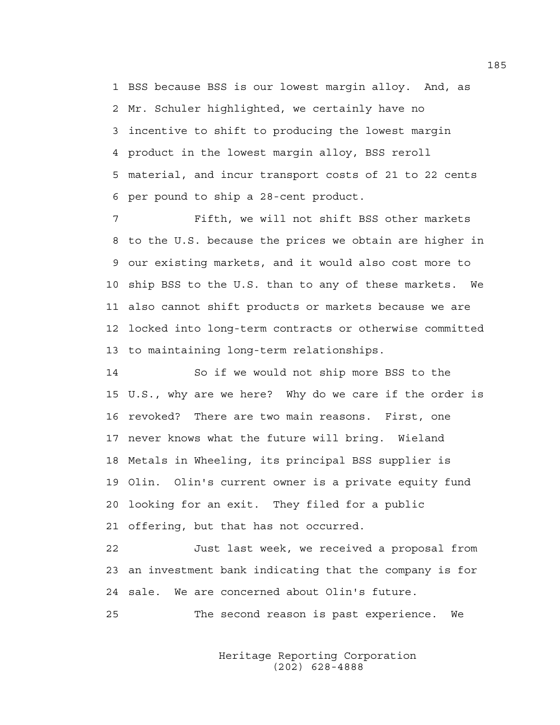1 BSS because BSS is our lowest margin alloy. And, as 2 Mr. Schuler highlighted, we certainly have no 3 incentive to shift to producing the lowest margin 4 product in the lowest margin alloy, BSS reroll 5 material, and incur transport costs of 21 to 22 cents 6 per pound to ship a 28-cent product.

7 Fifth, we will not shift BSS other markets 8 to the U.S. because the prices we obtain are higher in 9 our existing markets, and it would also cost more to 10 ship BSS to the U.S. than to any of these markets. We 11 also cannot shift products or markets because we are 12 locked into long-term contracts or otherwise committed 13 to maintaining long-term relationships.

14 So if we would not ship more BSS to the 15 U.S., why are we here? Why do we care if the order is 16 revoked? There are two main reasons. First, one 17 never knows what the future will bring. Wieland 18 Metals in Wheeling, its principal BSS supplier is 19 Olin. Olin's current owner is a private equity fund 20 looking for an exit. They filed for a public 21 offering, but that has not occurred.

22 Just last week, we received a proposal from 23 an investment bank indicating that the company is for 24 sale. We are concerned about Olin's future.

25 The second reason is past experience. We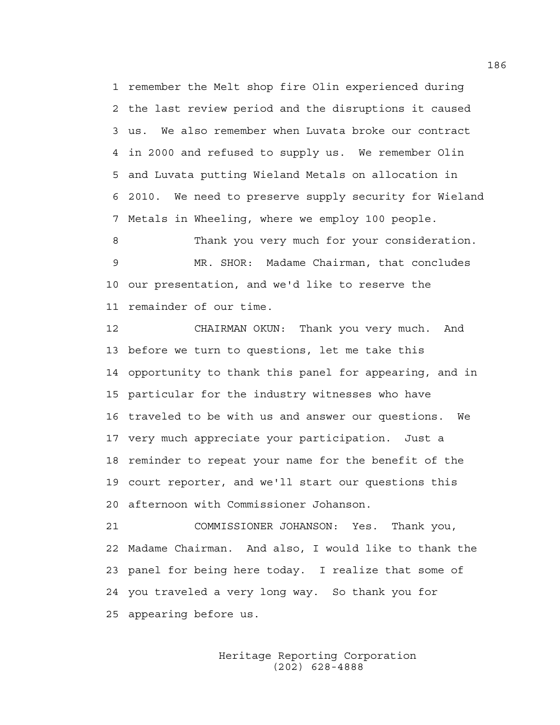1 remember the Melt shop fire Olin experienced during 2 the last review period and the disruptions it caused 3 us. We also remember when Luvata broke our contract 4 in 2000 and refused to supply us. We remember Olin 5 and Luvata putting Wieland Metals on allocation in 6 2010. We need to preserve supply security for Wieland 7 Metals in Wheeling, where we employ 100 people.

8 Thank you very much for your consideration. 9 MR. SHOR: Madame Chairman, that concludes 10 our presentation, and we'd like to reserve the 11 remainder of our time.

12 CHAIRMAN OKUN: Thank you very much. And 13 before we turn to questions, let me take this 14 opportunity to thank this panel for appearing, and in 15 particular for the industry witnesses who have 16 traveled to be with us and answer our questions. We 17 very much appreciate your participation. Just a 18 reminder to repeat your name for the benefit of the 19 court reporter, and we'll start our questions this 20 afternoon with Commissioner Johanson.

21 COMMISSIONER JOHANSON: Yes. Thank you, 22 Madame Chairman. And also, I would like to thank the 23 panel for being here today. I realize that some of 24 you traveled a very long way. So thank you for 25 appearing before us.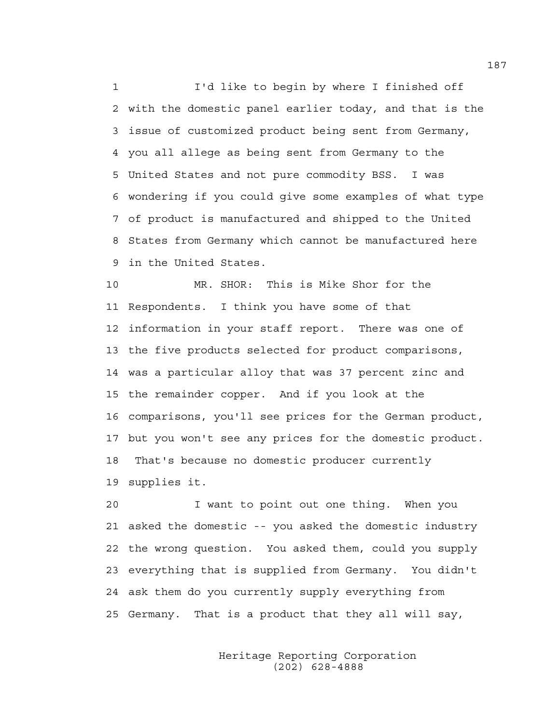1 I'd like to begin by where I finished off 2 with the domestic panel earlier today, and that is the 3 issue of customized product being sent from Germany, 4 you all allege as being sent from Germany to the 5 United States and not pure commodity BSS. I was 6 wondering if you could give some examples of what type 7 of product is manufactured and shipped to the United 8 States from Germany which cannot be manufactured here 9 in the United States.

10 MR. SHOR: This is Mike Shor for the 11 Respondents. I think you have some of that 12 information in your staff report. There was one of 13 the five products selected for product comparisons, 14 was a particular alloy that was 37 percent zinc and 15 the remainder copper. And if you look at the 16 comparisons, you'll see prices for the German product, 17 but you won't see any prices for the domestic product. 18 That's because no domestic producer currently 19 supplies it.

20 I want to point out one thing. When you 21 asked the domestic -- you asked the domestic industry 22 the wrong question. You asked them, could you supply 23 everything that is supplied from Germany. You didn't 24 ask them do you currently supply everything from 25 Germany. That is a product that they all will say,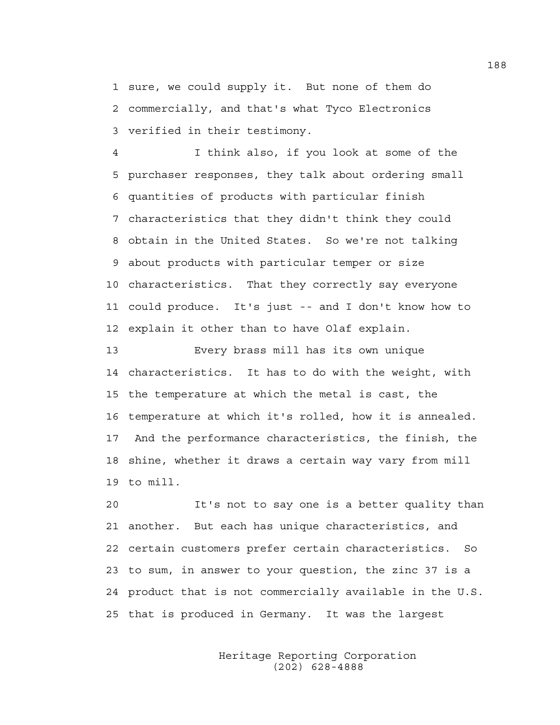1 sure, we could supply it. But none of them do 2 commercially, and that's what Tyco Electronics 3 verified in their testimony.

4 I think also, if you look at some of the 5 purchaser responses, they talk about ordering small 6 quantities of products with particular finish 7 characteristics that they didn't think they could 8 obtain in the United States. So we're not talking 9 about products with particular temper or size 10 characteristics. That they correctly say everyone 11 could produce. It's just -- and I don't know how to 12 explain it other than to have Olaf explain.

13 Every brass mill has its own unique 14 characteristics. It has to do with the weight, with 15 the temperature at which the metal is cast, the 16 temperature at which it's rolled, how it is annealed. 17 And the performance characteristics, the finish, the 18 shine, whether it draws a certain way vary from mill 19 to mill.

20 It's not to say one is a better quality than 21 another. But each has unique characteristics, and 22 certain customers prefer certain characteristics. So 23 to sum, in answer to your question, the zinc 37 is a 24 product that is not commercially available in the U.S. 25 that is produced in Germany. It was the largest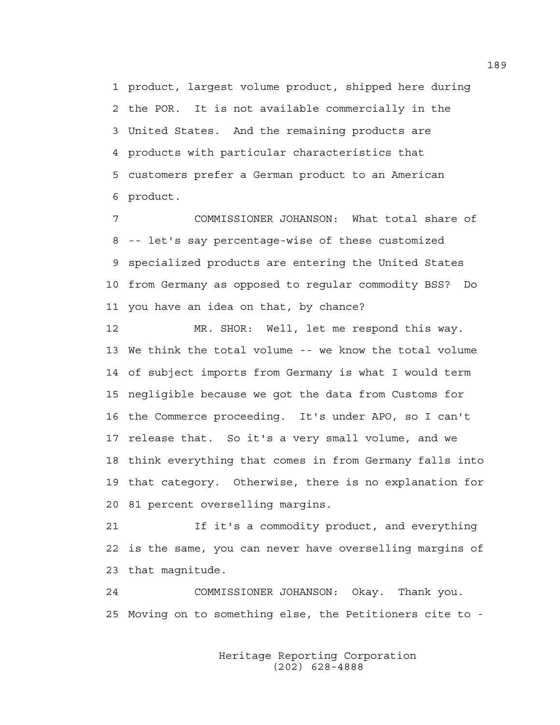1 product, largest volume product, shipped here during 2 the POR. It is not available commercially in the 3 United States. And the remaining products are 4 products with particular characteristics that 5 customers prefer a German product to an American 6 product.

7 COMMISSIONER JOHANSON: What total share of 8 -- let's say percentage-wise of these customized 9 specialized products are entering the United States 10 from Germany as opposed to regular commodity BSS? Do 11 you have an idea on that, by chance?

12 MR. SHOR: Well, let me respond this way. 13 We think the total volume -- we know the total volume 14 of subject imports from Germany is what I would term 15 negligible because we got the data from Customs for 16 the Commerce proceeding. It's under APO, so I can't 17 release that. So it's a very small volume, and we 18 think everything that comes in from Germany falls into 19 that category. Otherwise, there is no explanation for 20 81 percent overselling margins.

21 If it's a commodity product, and everything 22 is the same, you can never have overselling margins of 23 that magnitude.

24 COMMISSIONER JOHANSON: Okay. Thank you. 25 Moving on to something else, the Petitioners cite to -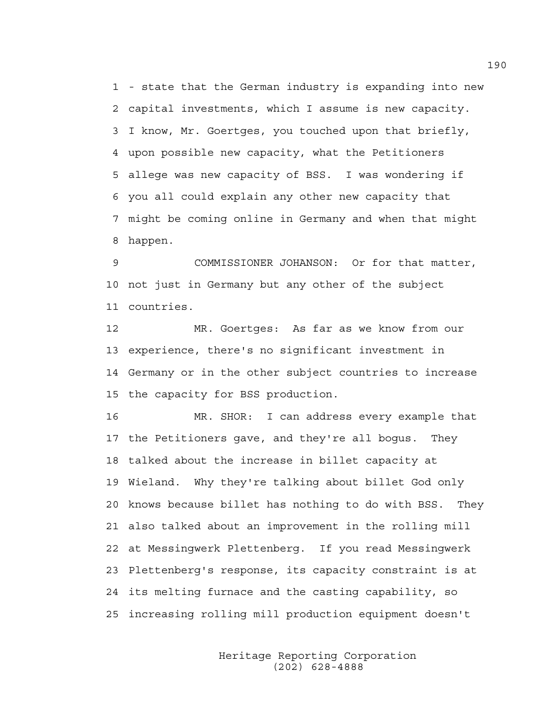1 - state that the German industry is expanding into new 2 capital investments, which I assume is new capacity. 3 I know, Mr. Goertges, you touched upon that briefly, 4 upon possible new capacity, what the Petitioners 5 allege was new capacity of BSS. I was wondering if 6 you all could explain any other new capacity that 7 might be coming online in Germany and when that might 8 happen.

9 COMMISSIONER JOHANSON: Or for that matter, 10 not just in Germany but any other of the subject 11 countries.

12 MR. Goertges: As far as we know from our 13 experience, there's no significant investment in 14 Germany or in the other subject countries to increase 15 the capacity for BSS production.

16 MR. SHOR: I can address every example that 17 the Petitioners gave, and they're all bogus. They 18 talked about the increase in billet capacity at 19 Wieland. Why they're talking about billet God only 20 knows because billet has nothing to do with BSS. They 21 also talked about an improvement in the rolling mill 22 at Messingwerk Plettenberg. If you read Messingwerk 23 Plettenberg's response, its capacity constraint is at 24 its melting furnace and the casting capability, so 25 increasing rolling mill production equipment doesn't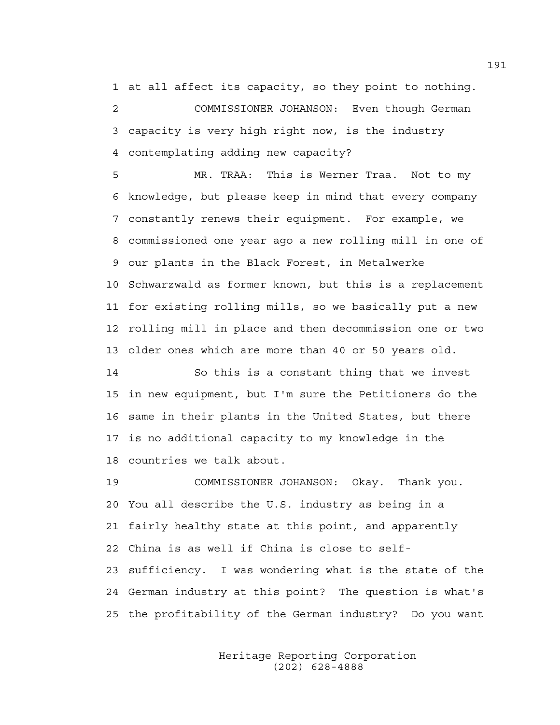1 at all affect its capacity, so they point to nothing. 2 COMMISSIONER JOHANSON: Even though German

3 capacity is very high right now, is the industry 4 contemplating adding new capacity?

5 MR. TRAA: This is Werner Traa. Not to my 6 knowledge, but please keep in mind that every company 7 constantly renews their equipment. For example, we 8 commissioned one year ago a new rolling mill in one of 9 our plants in the Black Forest, in Metalwerke 10 Schwarzwald as former known, but this is a replacement 11 for existing rolling mills, so we basically put a new 12 rolling mill in place and then decommission one or two 13 older ones which are more than 40 or 50 years old.

14 So this is a constant thing that we invest 15 in new equipment, but I'm sure the Petitioners do the 16 same in their plants in the United States, but there 17 is no additional capacity to my knowledge in the 18 countries we talk about.

19 COMMISSIONER JOHANSON: Okay. Thank you. 20 You all describe the U.S. industry as being in a 21 fairly healthy state at this point, and apparently 22 China is as well if China is close to self-23 sufficiency. I was wondering what is the state of the 24 German industry at this point? The question is what's 25 the profitability of the German industry? Do you want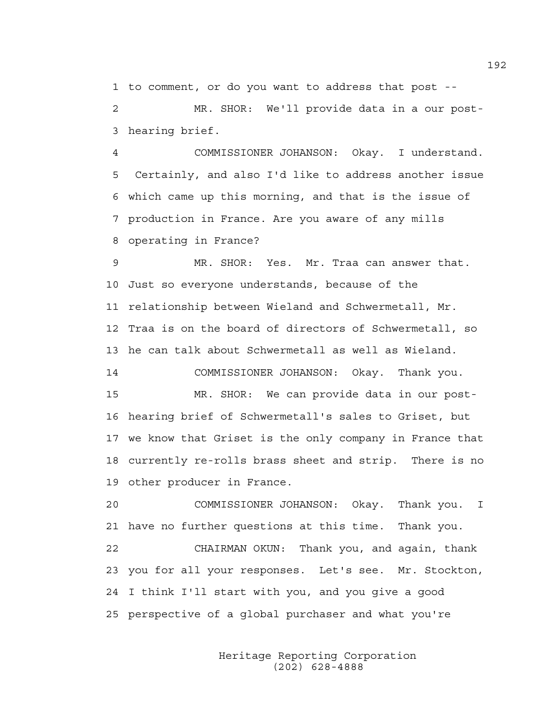1 to comment, or do you want to address that post --

2 MR. SHOR: We'll provide data in a our post-3 hearing brief.

4 COMMISSIONER JOHANSON: Okay. I understand. 5 Certainly, and also I'd like to address another issue 6 which came up this morning, and that is the issue of 7 production in France. Are you aware of any mills 8 operating in France?

9 MR. SHOR: Yes. Mr. Traa can answer that. 10 Just so everyone understands, because of the 11 relationship between Wieland and Schwermetall, Mr. 12 Traa is on the board of directors of Schwermetall, so 13 he can talk about Schwermetall as well as Wieland.

14 COMMISSIONER JOHANSON: Okay. Thank you. 15 MR. SHOR: We can provide data in our post-16 hearing brief of Schwermetall's sales to Griset, but 17 we know that Griset is the only company in France that 18 currently re-rolls brass sheet and strip. There is no 19 other producer in France.

20 COMMISSIONER JOHANSON: Okay. Thank you. I 21 have no further questions at this time. Thank you.

22 CHAIRMAN OKUN: Thank you, and again, thank 23 you for all your responses. Let's see. Mr. Stockton, 24 I think I'll start with you, and you give a good 25 perspective of a global purchaser and what you're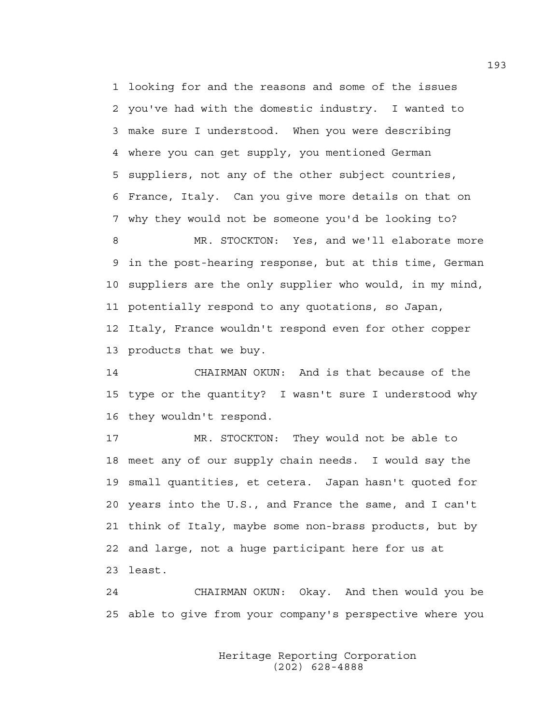1 looking for and the reasons and some of the issues 2 you've had with the domestic industry. I wanted to 3 make sure I understood. When you were describing 4 where you can get supply, you mentioned German 5 suppliers, not any of the other subject countries, 6 France, Italy. Can you give more details on that on 7 why they would not be someone you'd be looking to?

8 MR. STOCKTON: Yes, and we'll elaborate more 9 in the post-hearing response, but at this time, German 10 suppliers are the only supplier who would, in my mind, 11 potentially respond to any quotations, so Japan, 12 Italy, France wouldn't respond even for other copper 13 products that we buy.

14 CHAIRMAN OKUN: And is that because of the 15 type or the quantity? I wasn't sure I understood why 16 they wouldn't respond.

17 MR. STOCKTON: They would not be able to 18 meet any of our supply chain needs. I would say the 19 small quantities, et cetera. Japan hasn't quoted for 20 years into the U.S., and France the same, and I can't 21 think of Italy, maybe some non-brass products, but by 22 and large, not a huge participant here for us at 23 least.

24 CHAIRMAN OKUN: Okay. And then would you be 25 able to give from your company's perspective where you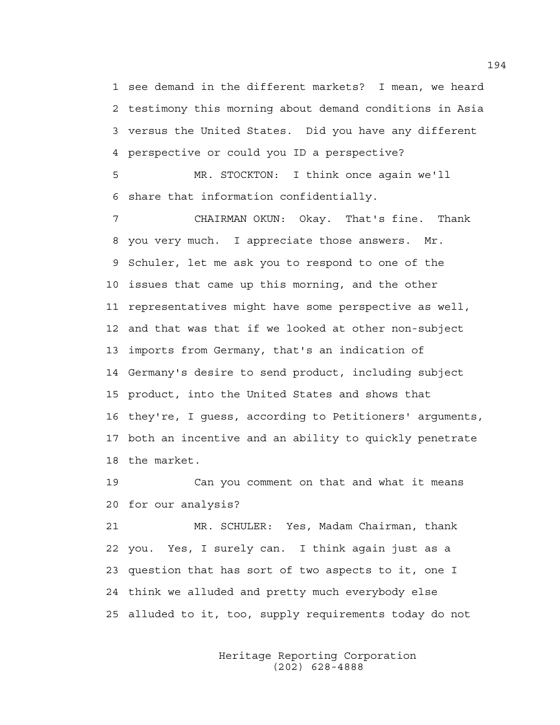1 see demand in the different markets? I mean, we heard 2 testimony this morning about demand conditions in Asia 3 versus the United States. Did you have any different 4 perspective or could you ID a perspective?

5 MR. STOCKTON: I think once again we'll 6 share that information confidentially.

7 CHAIRMAN OKUN: Okay. That's fine. Thank 8 you very much. I appreciate those answers. Mr. 9 Schuler, let me ask you to respond to one of the 10 issues that came up this morning, and the other 11 representatives might have some perspective as well, 12 and that was that if we looked at other non-subject 13 imports from Germany, that's an indication of 14 Germany's desire to send product, including subject 15 product, into the United States and shows that 16 they're, I guess, according to Petitioners' arguments, 17 both an incentive and an ability to quickly penetrate 18 the market.

19 Can you comment on that and what it means 20 for our analysis?

21 MR. SCHULER: Yes, Madam Chairman, thank 22 you. Yes, I surely can. I think again just as a 23 question that has sort of two aspects to it, one I 24 think we alluded and pretty much everybody else 25 alluded to it, too, supply requirements today do not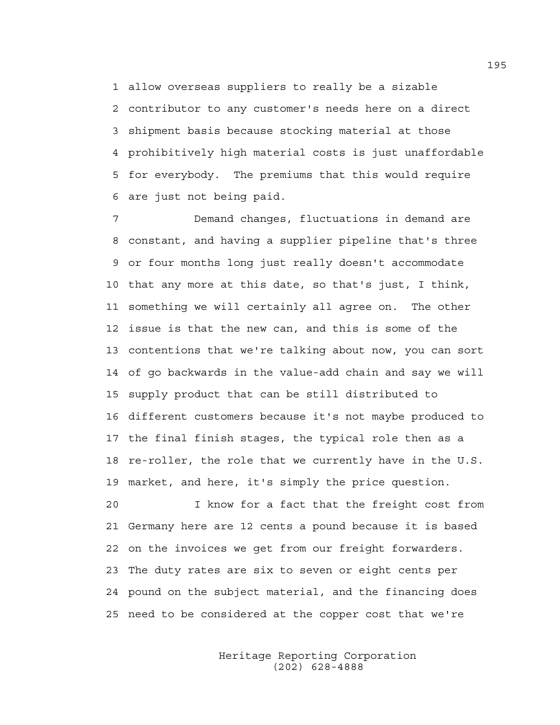1 allow overseas suppliers to really be a sizable 2 contributor to any customer's needs here on a direct 3 shipment basis because stocking material at those 4 prohibitively high material costs is just unaffordable 5 for everybody. The premiums that this would require 6 are just not being paid.

7 Demand changes, fluctuations in demand are 8 constant, and having a supplier pipeline that's three 9 or four months long just really doesn't accommodate 10 that any more at this date, so that's just, I think, 11 something we will certainly all agree on. The other 12 issue is that the new can, and this is some of the 13 contentions that we're talking about now, you can sort 14 of go backwards in the value-add chain and say we will 15 supply product that can be still distributed to 16 different customers because it's not maybe produced to 17 the final finish stages, the typical role then as a 18 re-roller, the role that we currently have in the U.S. 19 market, and here, it's simply the price question.

20 I know for a fact that the freight cost from 21 Germany here are 12 cents a pound because it is based 22 on the invoices we get from our freight forwarders. 23 The duty rates are six to seven or eight cents per 24 pound on the subject material, and the financing does 25 need to be considered at the copper cost that we're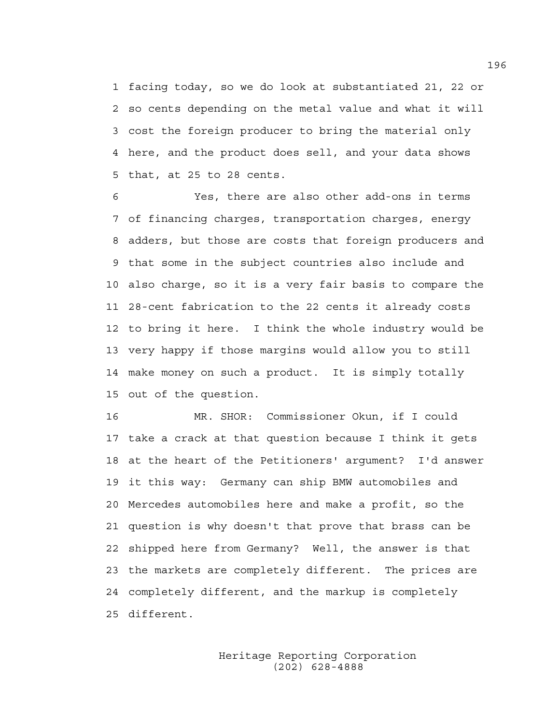1 facing today, so we do look at substantiated 21, 22 or 2 so cents depending on the metal value and what it will 3 cost the foreign producer to bring the material only 4 here, and the product does sell, and your data shows 5 that, at 25 to 28 cents.

6 Yes, there are also other add-ons in terms 7 of financing charges, transportation charges, energy 8 adders, but those are costs that foreign producers and 9 that some in the subject countries also include and 10 also charge, so it is a very fair basis to compare the 11 28-cent fabrication to the 22 cents it already costs 12 to bring it here. I think the whole industry would be 13 very happy if those margins would allow you to still 14 make money on such a product. It is simply totally 15 out of the question.

16 MR. SHOR: Commissioner Okun, if I could 17 take a crack at that question because I think it gets 18 at the heart of the Petitioners' argument? I'd answer 19 it this way: Germany can ship BMW automobiles and 20 Mercedes automobiles here and make a profit, so the 21 question is why doesn't that prove that brass can be 22 shipped here from Germany? Well, the answer is that 23 the markets are completely different. The prices are 24 completely different, and the markup is completely 25 different.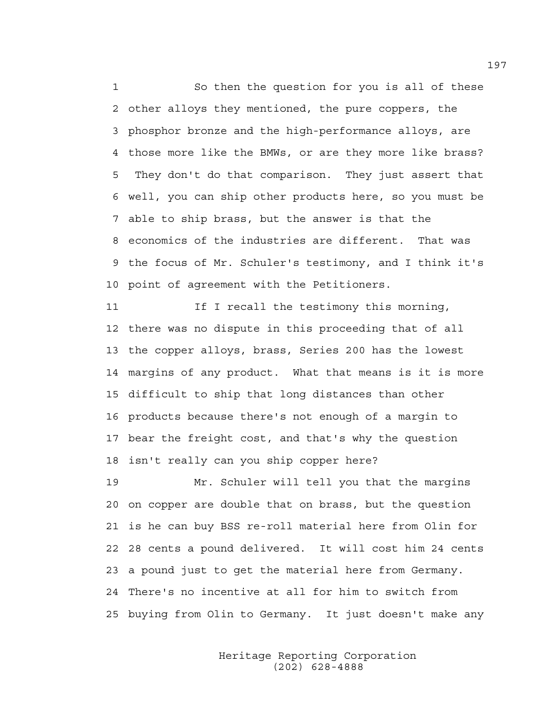1 So then the question for you is all of these 2 other alloys they mentioned, the pure coppers, the 3 phosphor bronze and the high-performance alloys, are 4 those more like the BMWs, or are they more like brass? 5 They don't do that comparison. They just assert that 6 well, you can ship other products here, so you must be 7 able to ship brass, but the answer is that the 8 economics of the industries are different. That was 9 the focus of Mr. Schuler's testimony, and I think it's 10 point of agreement with the Petitioners.

11 If I recall the testimony this morning, 12 there was no dispute in this proceeding that of all 13 the copper alloys, brass, Series 200 has the lowest 14 margins of any product. What that means is it is more 15 difficult to ship that long distances than other 16 products because there's not enough of a margin to 17 bear the freight cost, and that's why the question 18 isn't really can you ship copper here?

19 Mr. Schuler will tell you that the margins 20 on copper are double that on brass, but the question 21 is he can buy BSS re-roll material here from Olin for 22 28 cents a pound delivered. It will cost him 24 cents 23 a pound just to get the material here from Germany. 24 There's no incentive at all for him to switch from 25 buying from Olin to Germany. It just doesn't make any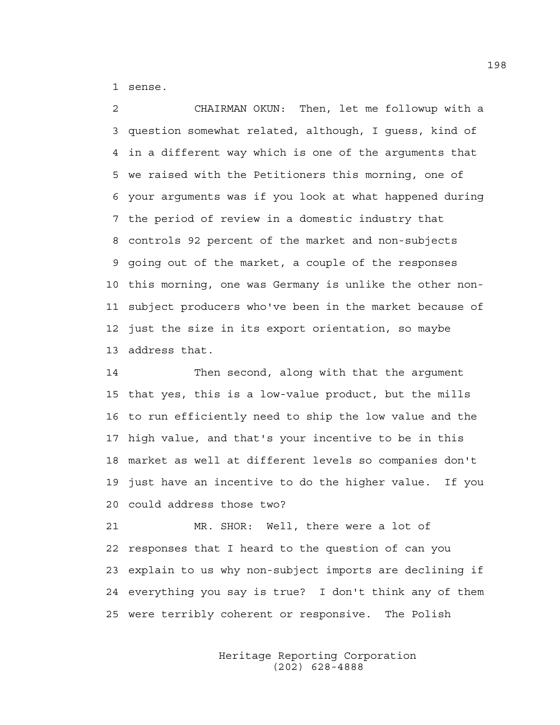1 sense.

2 CHAIRMAN OKUN: Then, let me followup with a 3 question somewhat related, although, I guess, kind of 4 in a different way which is one of the arguments that 5 we raised with the Petitioners this morning, one of 6 your arguments was if you look at what happened during 7 the period of review in a domestic industry that 8 controls 92 percent of the market and non-subjects 9 going out of the market, a couple of the responses 10 this morning, one was Germany is unlike the other non-11 subject producers who've been in the market because of 12 just the size in its export orientation, so maybe 13 address that.

14 Then second, along with that the argument 15 that yes, this is a low-value product, but the mills 16 to run efficiently need to ship the low value and the 17 high value, and that's your incentive to be in this 18 market as well at different levels so companies don't 19 just have an incentive to do the higher value. If you 20 could address those two?

21 MR. SHOR: Well, there were a lot of 22 responses that I heard to the question of can you 23 explain to us why non-subject imports are declining if 24 everything you say is true? I don't think any of them 25 were terribly coherent or responsive. The Polish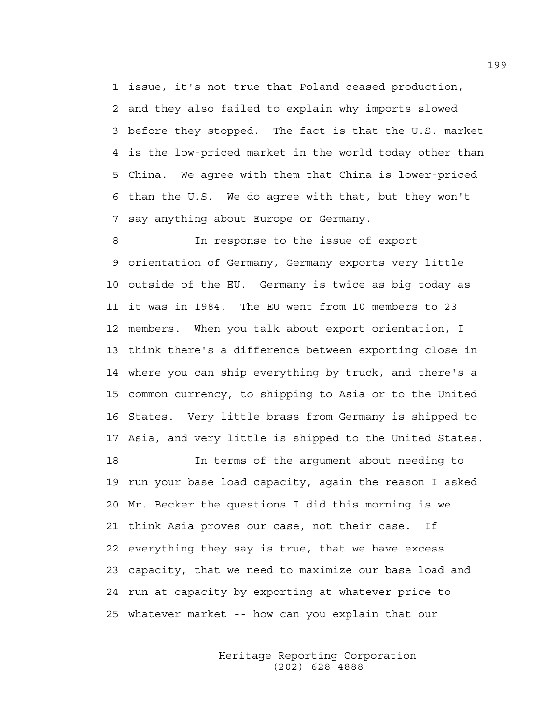1 issue, it's not true that Poland ceased production, 2 and they also failed to explain why imports slowed 3 before they stopped. The fact is that the U.S. market 4 is the low-priced market in the world today other than 5 China. We agree with them that China is lower-priced 6 than the U.S. We do agree with that, but they won't 7 say anything about Europe or Germany.

8 In response to the issue of export 9 orientation of Germany, Germany exports very little 10 outside of the EU. Germany is twice as big today as 11 it was in 1984. The EU went from 10 members to 23 12 members. When you talk about export orientation, I 13 think there's a difference between exporting close in 14 where you can ship everything by truck, and there's a 15 common currency, to shipping to Asia or to the United 16 States. Very little brass from Germany is shipped to 17 Asia, and very little is shipped to the United States.

18 In terms of the argument about needing to 19 run your base load capacity, again the reason I asked 20 Mr. Becker the questions I did this morning is we 21 think Asia proves our case, not their case. If 22 everything they say is true, that we have excess 23 capacity, that we need to maximize our base load and 24 run at capacity by exporting at whatever price to 25 whatever market -- how can you explain that our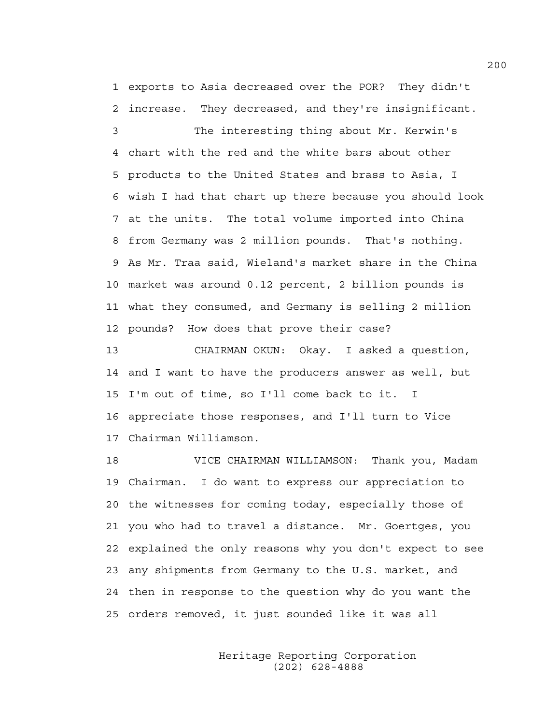1 exports to Asia decreased over the POR? They didn't 2 increase. They decreased, and they're insignificant.

3 The interesting thing about Mr. Kerwin's 4 chart with the red and the white bars about other 5 products to the United States and brass to Asia, I 6 wish I had that chart up there because you should look 7 at the units. The total volume imported into China 8 from Germany was 2 million pounds. That's nothing. 9 As Mr. Traa said, Wieland's market share in the China 10 market was around 0.12 percent, 2 billion pounds is 11 what they consumed, and Germany is selling 2 million 12 pounds? How does that prove their case?

13 CHAIRMAN OKUN: Okay. I asked a question, 14 and I want to have the producers answer as well, but 15 I'm out of time, so I'll come back to it. I 16 appreciate those responses, and I'll turn to Vice 17 Chairman Williamson.

18 VICE CHAIRMAN WILLIAMSON: Thank you, Madam 19 Chairman. I do want to express our appreciation to 20 the witnesses for coming today, especially those of 21 you who had to travel a distance. Mr. Goertges, you 22 explained the only reasons why you don't expect to see 23 any shipments from Germany to the U.S. market, and 24 then in response to the question why do you want the 25 orders removed, it just sounded like it was all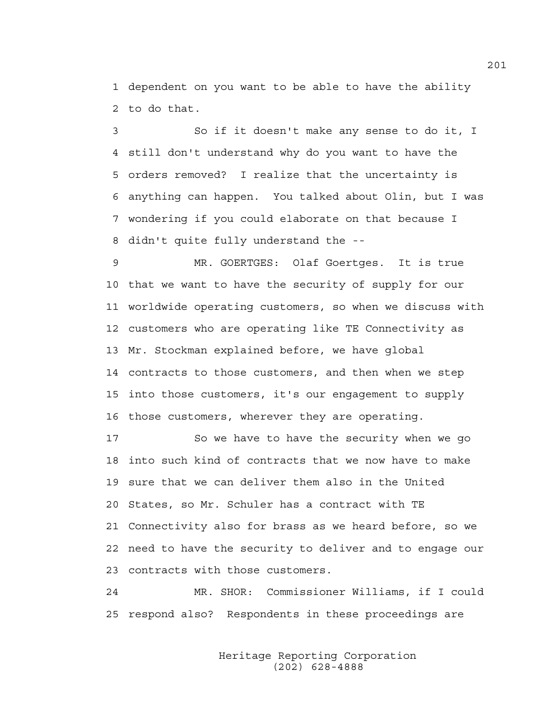1 dependent on you want to be able to have the ability 2 to do that.

3 So if it doesn't make any sense to do it, I 4 still don't understand why do you want to have the 5 orders removed? I realize that the uncertainty is 6 anything can happen. You talked about Olin, but I was 7 wondering if you could elaborate on that because I 8 didn't quite fully understand the --

9 MR. GOERTGES: Olaf Goertges. It is true 10 that we want to have the security of supply for our 11 worldwide operating customers, so when we discuss with 12 customers who are operating like TE Connectivity as 13 Mr. Stockman explained before, we have global 14 contracts to those customers, and then when we step 15 into those customers, it's our engagement to supply 16 those customers, wherever they are operating.

17 So we have to have the security when we go 18 into such kind of contracts that we now have to make 19 sure that we can deliver them also in the United 20 States, so Mr. Schuler has a contract with TE 21 Connectivity also for brass as we heard before, so we 22 need to have the security to deliver and to engage our 23 contracts with those customers.

24 MR. SHOR: Commissioner Williams, if I could 25 respond also? Respondents in these proceedings are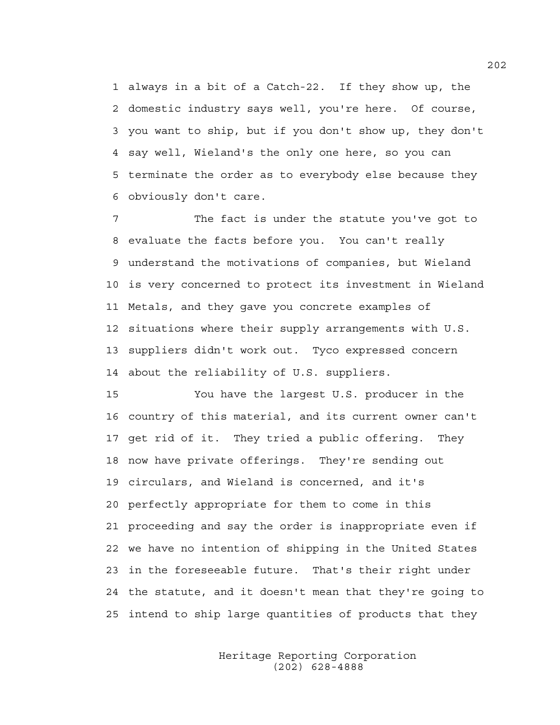1 always in a bit of a Catch-22. If they show up, the 2 domestic industry says well, you're here. Of course, 3 you want to ship, but if you don't show up, they don't 4 say well, Wieland's the only one here, so you can 5 terminate the order as to everybody else because they 6 obviously don't care.

7 The fact is under the statute you've got to 8 evaluate the facts before you. You can't really 9 understand the motivations of companies, but Wieland 10 is very concerned to protect its investment in Wieland 11 Metals, and they gave you concrete examples of 12 situations where their supply arrangements with U.S. 13 suppliers didn't work out. Tyco expressed concern 14 about the reliability of U.S. suppliers.

15 You have the largest U.S. producer in the 16 country of this material, and its current owner can't 17 get rid of it. They tried a public offering. They 18 now have private offerings. They're sending out 19 circulars, and Wieland is concerned, and it's 20 perfectly appropriate for them to come in this 21 proceeding and say the order is inappropriate even if 22 we have no intention of shipping in the United States 23 in the foreseeable future. That's their right under 24 the statute, and it doesn't mean that they're going to 25 intend to ship large quantities of products that they

> Heritage Reporting Corporation (202) 628-4888

202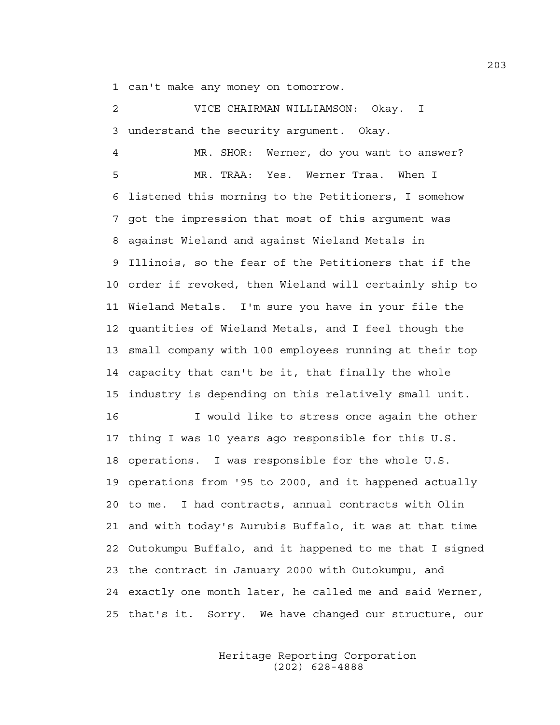1 can't make any money on tomorrow.

2 VICE CHAIRMAN WILLIAMSON: Okay. I 3 understand the security argument. Okay.

4 MR. SHOR: Werner, do you want to answer? 5 MR. TRAA: Yes. Werner Traa. When I 6 listened this morning to the Petitioners, I somehow 7 got the impression that most of this argument was 8 against Wieland and against Wieland Metals in 9 Illinois, so the fear of the Petitioners that if the 10 order if revoked, then Wieland will certainly ship to 11 Wieland Metals. I'm sure you have in your file the 12 quantities of Wieland Metals, and I feel though the 13 small company with 100 employees running at their top 14 capacity that can't be it, that finally the whole 15 industry is depending on this relatively small unit. 16 I would like to stress once again the other 17 thing I was 10 years ago responsible for this U.S. 18 operations. I was responsible for the whole U.S. 19 operations from '95 to 2000, and it happened actually 20 to me. I had contracts, annual contracts with Olin 21 and with today's Aurubis Buffalo, it was at that time 22 Outokumpu Buffalo, and it happened to me that I signed 23 the contract in January 2000 with Outokumpu, and 24 exactly one month later, he called me and said Werner,

> Heritage Reporting Corporation (202) 628-4888

25 that's it. Sorry. We have changed our structure, our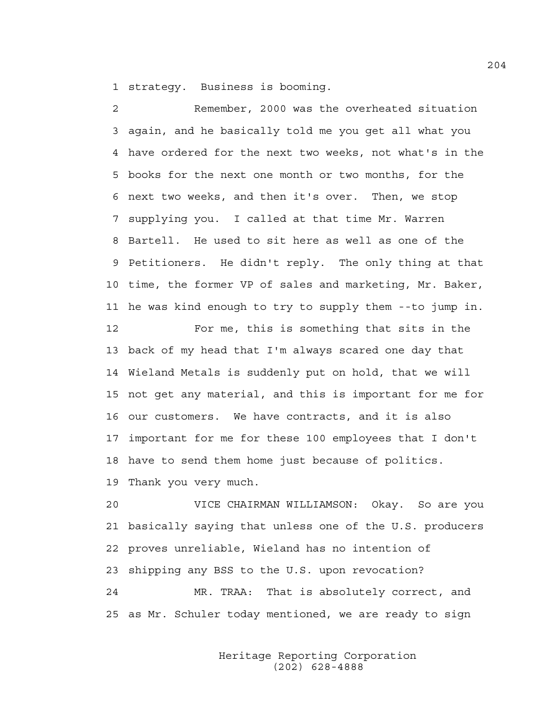1 strategy. Business is booming.

2 Remember, 2000 was the overheated situation 3 again, and he basically told me you get all what you 4 have ordered for the next two weeks, not what's in the 5 books for the next one month or two months, for the 6 next two weeks, and then it's over. Then, we stop 7 supplying you. I called at that time Mr. Warren 8 Bartell. He used to sit here as well as one of the 9 Petitioners. He didn't reply. The only thing at that 10 time, the former VP of sales and marketing, Mr. Baker, 11 he was kind enough to try to supply them --to jump in. 12 For me, this is something that sits in the

13 back of my head that I'm always scared one day that 14 Wieland Metals is suddenly put on hold, that we will 15 not get any material, and this is important for me for 16 our customers. We have contracts, and it is also 17 important for me for these 100 employees that I don't 18 have to send them home just because of politics.

19 Thank you very much.

20 VICE CHAIRMAN WILLIAMSON: Okay. So are you 21 basically saying that unless one of the U.S. producers 22 proves unreliable, Wieland has no intention of 23 shipping any BSS to the U.S. upon revocation? 24 MR. TRAA: That is absolutely correct, and 25 as Mr. Schuler today mentioned, we are ready to sign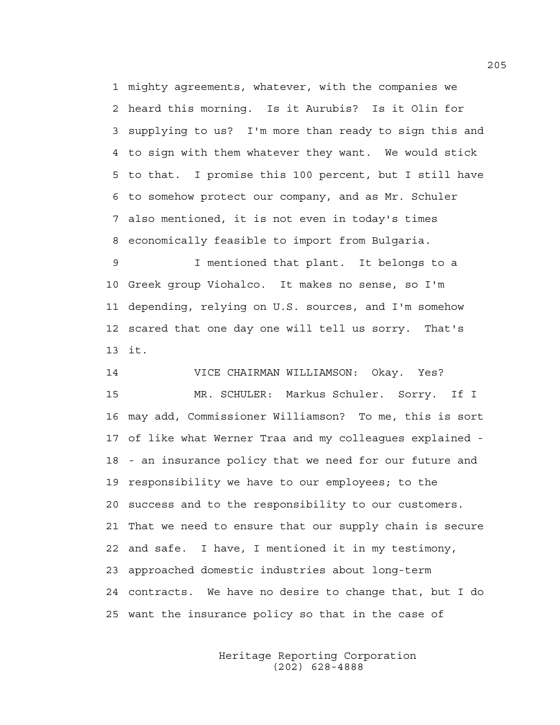1 mighty agreements, whatever, with the companies we 2 heard this morning. Is it Aurubis? Is it Olin for 3 supplying to us? I'm more than ready to sign this and 4 to sign with them whatever they want. We would stick 5 to that. I promise this 100 percent, but I still have 6 to somehow protect our company, and as Mr. Schuler 7 also mentioned, it is not even in today's times 8 economically feasible to import from Bulgaria.

9 I mentioned that plant. It belongs to a 10 Greek group Viohalco. It makes no sense, so I'm 11 depending, relying on U.S. sources, and I'm somehow 12 scared that one day one will tell us sorry. That's 13 it.

14 VICE CHAIRMAN WILLIAMSON: Okay. Yes? 15 MR. SCHULER: Markus Schuler. Sorry. If I 16 may add, Commissioner Williamson? To me, this is sort 17 of like what Werner Traa and my colleagues explained - 18 - an insurance policy that we need for our future and 19 responsibility we have to our employees; to the 20 success and to the responsibility to our customers. 21 That we need to ensure that our supply chain is secure 22 and safe. I have, I mentioned it in my testimony, 23 approached domestic industries about long-term 24 contracts. We have no desire to change that, but I do 25 want the insurance policy so that in the case of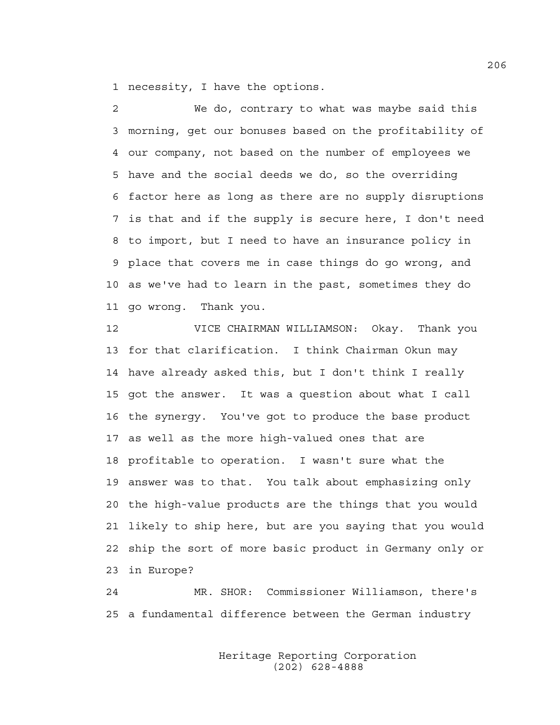1 necessity, I have the options.

2 We do, contrary to what was maybe said this 3 morning, get our bonuses based on the profitability of 4 our company, not based on the number of employees we 5 have and the social deeds we do, so the overriding 6 factor here as long as there are no supply disruptions 7 is that and if the supply is secure here, I don't need 8 to import, but I need to have an insurance policy in 9 place that covers me in case things do go wrong, and 10 as we've had to learn in the past, sometimes they do 11 go wrong. Thank you.

12 VICE CHAIRMAN WILLIAMSON: Okay. Thank you 13 for that clarification. I think Chairman Okun may 14 have already asked this, but I don't think I really 15 got the answer. It was a question about what I call 16 the synergy. You've got to produce the base product 17 as well as the more high-valued ones that are 18 profitable to operation. I wasn't sure what the 19 answer was to that. You talk about emphasizing only 20 the high-value products are the things that you would 21 likely to ship here, but are you saying that you would 22 ship the sort of more basic product in Germany only or 23 in Europe?

24 MR. SHOR: Commissioner Williamson, there's 25 a fundamental difference between the German industry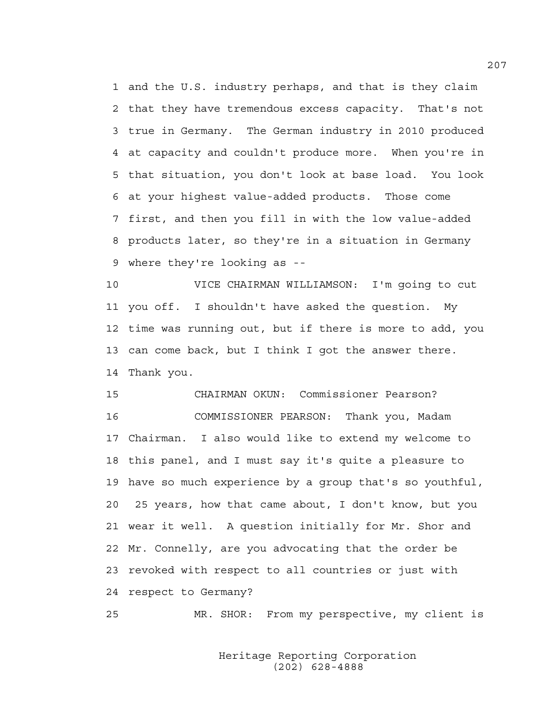1 and the U.S. industry perhaps, and that is they claim 2 that they have tremendous excess capacity. That's not 3 true in Germany. The German industry in 2010 produced 4 at capacity and couldn't produce more. When you're in 5 that situation, you don't look at base load. You look 6 at your highest value-added products. Those come 7 first, and then you fill in with the low value-added 8 products later, so they're in a situation in Germany 9 where they're looking as --

10 VICE CHAIRMAN WILLIAMSON: I'm going to cut 11 you off. I shouldn't have asked the question. My 12 time was running out, but if there is more to add, you 13 can come back, but I think I got the answer there. 14 Thank you.

15 CHAIRMAN OKUN: Commissioner Pearson? 16 COMMISSIONER PEARSON: Thank you, Madam 17 Chairman. I also would like to extend my welcome to 18 this panel, and I must say it's quite a pleasure to 19 have so much experience by a group that's so youthful, 20 25 years, how that came about, I don't know, but you 21 wear it well. A question initially for Mr. Shor and 22 Mr. Connelly, are you advocating that the order be 23 revoked with respect to all countries or just with 24 respect to Germany?

25 MR. SHOR: From my perspective, my client is

 Heritage Reporting Corporation (202) 628-4888

207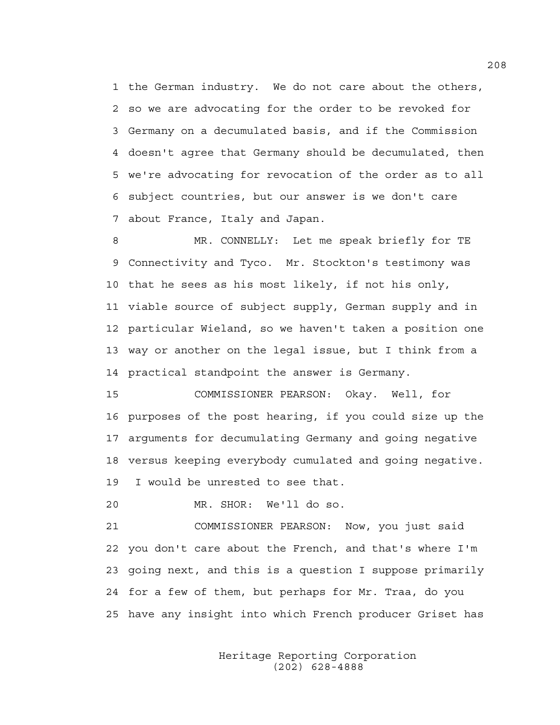1 the German industry. We do not care about the others, 2 so we are advocating for the order to be revoked for 3 Germany on a decumulated basis, and if the Commission 4 doesn't agree that Germany should be decumulated, then 5 we're advocating for revocation of the order as to all 6 subject countries, but our answer is we don't care 7 about France, Italy and Japan.

8 MR. CONNELLY: Let me speak briefly for TE 9 Connectivity and Tyco. Mr. Stockton's testimony was 10 that he sees as his most likely, if not his only, 11 viable source of subject supply, German supply and in 12 particular Wieland, so we haven't taken a position one 13 way or another on the legal issue, but I think from a 14 practical standpoint the answer is Germany.

15 COMMISSIONER PEARSON: Okay. Well, for 16 purposes of the post hearing, if you could size up the 17 arguments for decumulating Germany and going negative 18 versus keeping everybody cumulated and going negative. 19 I would be unrested to see that.

20 MR. SHOR: We'll do so.

21 COMMISSIONER PEARSON: Now, you just said 22 you don't care about the French, and that's where I'm 23 going next, and this is a question I suppose primarily 24 for a few of them, but perhaps for Mr. Traa, do you 25 have any insight into which French producer Griset has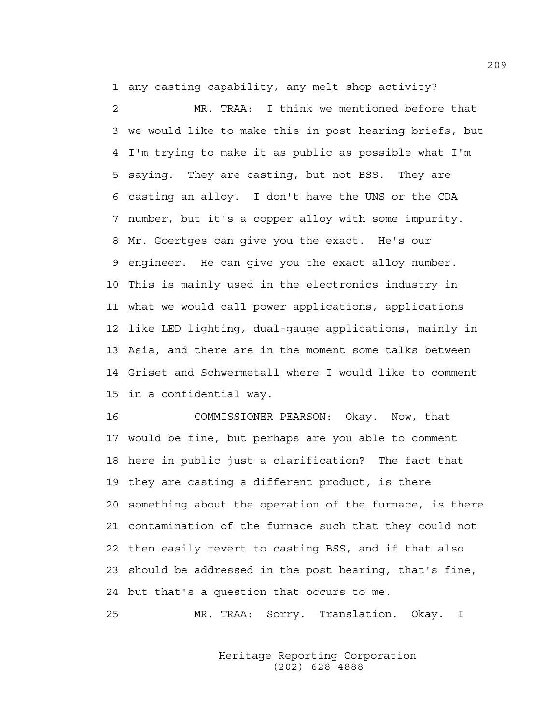1 any casting capability, any melt shop activity?

2 MR. TRAA: I think we mentioned before that 3 we would like to make this in post-hearing briefs, but 4 I'm trying to make it as public as possible what I'm 5 saying. They are casting, but not BSS. They are 6 casting an alloy. I don't have the UNS or the CDA 7 number, but it's a copper alloy with some impurity. 8 Mr. Goertges can give you the exact. He's our 9 engineer. He can give you the exact alloy number. 10 This is mainly used in the electronics industry in 11 what we would call power applications, applications 12 like LED lighting, dual-gauge applications, mainly in 13 Asia, and there are in the moment some talks between 14 Griset and Schwermetall where I would like to comment 15 in a confidential way.

16 COMMISSIONER PEARSON: Okay. Now, that 17 would be fine, but perhaps are you able to comment 18 here in public just a clarification? The fact that 19 they are casting a different product, is there 20 something about the operation of the furnace, is there 21 contamination of the furnace such that they could not 22 then easily revert to casting BSS, and if that also 23 should be addressed in the post hearing, that's fine, 24 but that's a question that occurs to me.

25 MR. TRAA: Sorry. Translation. Okay. I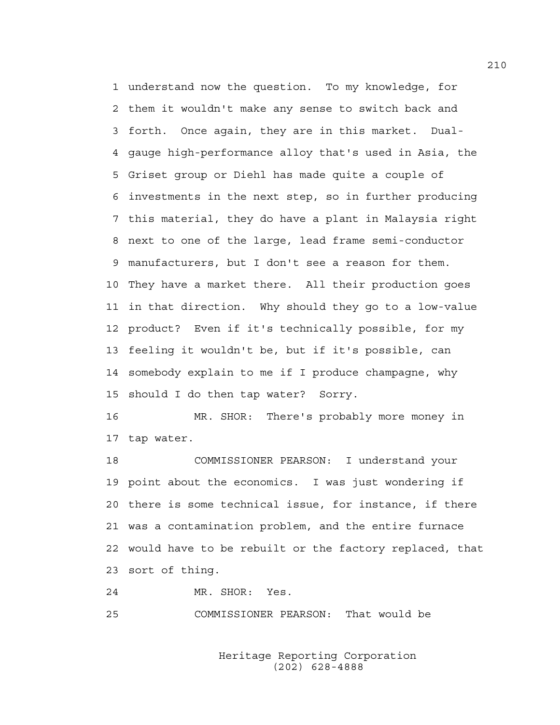1 understand now the question. To my knowledge, for 2 them it wouldn't make any sense to switch back and 3 forth. Once again, they are in this market. Dual-4 gauge high-performance alloy that's used in Asia, the 5 Griset group or Diehl has made quite a couple of 6 investments in the next step, so in further producing 7 this material, they do have a plant in Malaysia right 8 next to one of the large, lead frame semi-conductor 9 manufacturers, but I don't see a reason for them. 10 They have a market there. All their production goes 11 in that direction. Why should they go to a low-value 12 product? Even if it's technically possible, for my 13 feeling it wouldn't be, but if it's possible, can 14 somebody explain to me if I produce champagne, why 15 should I do then tap water? Sorry.

16 MR. SHOR: There's probably more money in 17 tap water.

18 COMMISSIONER PEARSON: I understand your 19 point about the economics. I was just wondering if 20 there is some technical issue, for instance, if there 21 was a contamination problem, and the entire furnace 22 would have to be rebuilt or the factory replaced, that 23 sort of thing.

24 MR. SHOR: Yes.

25 COMMISSIONER PEARSON: That would be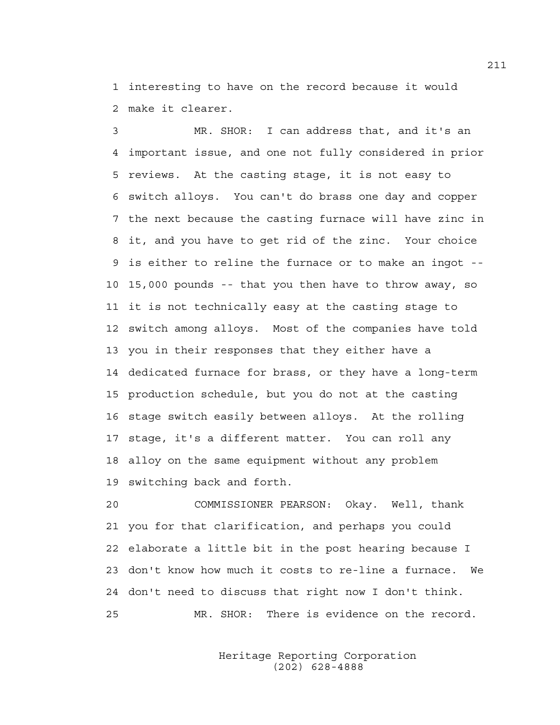1 interesting to have on the record because it would 2 make it clearer.

3 MR. SHOR: I can address that, and it's an 4 important issue, and one not fully considered in prior 5 reviews. At the casting stage, it is not easy to 6 switch alloys. You can't do brass one day and copper 7 the next because the casting furnace will have zinc in 8 it, and you have to get rid of the zinc. Your choice 9 is either to reline the furnace or to make an ingot -- 10 15,000 pounds -- that you then have to throw away, so 11 it is not technically easy at the casting stage to 12 switch among alloys. Most of the companies have told 13 you in their responses that they either have a 14 dedicated furnace for brass, or they have a long-term 15 production schedule, but you do not at the casting 16 stage switch easily between alloys. At the rolling 17 stage, it's a different matter. You can roll any 18 alloy on the same equipment without any problem 19 switching back and forth.

20 COMMISSIONER PEARSON: Okay. Well, thank 21 you for that clarification, and perhaps you could 22 elaborate a little bit in the post hearing because I 23 don't know how much it costs to re-line a furnace. We 24 don't need to discuss that right now I don't think. 25 MR. SHOR: There is evidence on the record.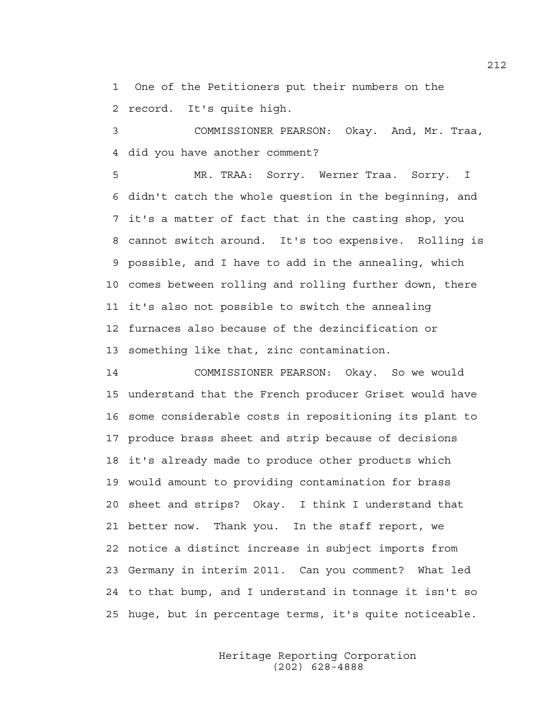1 One of the Petitioners put their numbers on the 2 record. It's quite high.

3 COMMISSIONER PEARSON: Okay. And, Mr. Traa, 4 did you have another comment?

5 MR. TRAA: Sorry. Werner Traa. Sorry. I 6 didn't catch the whole question in the beginning, and 7 it's a matter of fact that in the casting shop, you 8 cannot switch around. It's too expensive. Rolling is 9 possible, and I have to add in the annealing, which 10 comes between rolling and rolling further down, there 11 it's also not possible to switch the annealing 12 furnaces also because of the dezincification or 13 something like that, zinc contamination.

14 COMMISSIONER PEARSON: Okay. So we would 15 understand that the French producer Griset would have 16 some considerable costs in repositioning its plant to 17 produce brass sheet and strip because of decisions 18 it's already made to produce other products which 19 would amount to providing contamination for brass 20 sheet and strips? Okay. I think I understand that 21 better now. Thank you. In the staff report, we 22 notice a distinct increase in subject imports from 23 Germany in interim 2011. Can you comment? What led 24 to that bump, and I understand in tonnage it isn't so 25 huge, but in percentage terms, it's quite noticeable.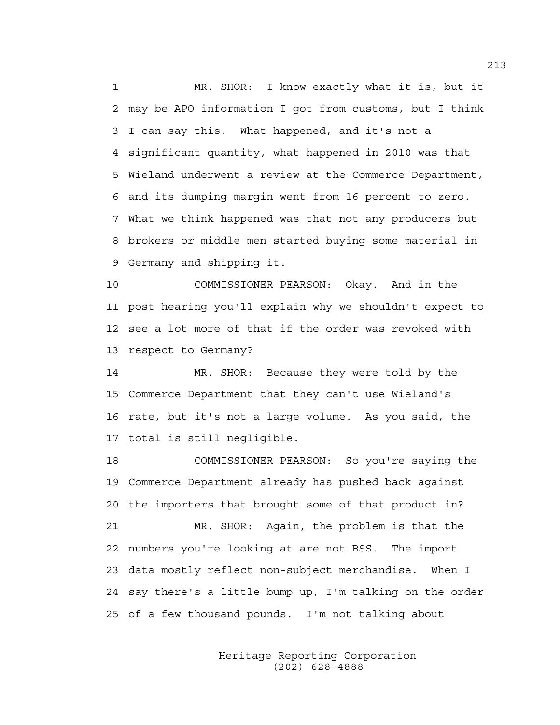1 MR. SHOR: I know exactly what it is, but it 2 may be APO information I got from customs, but I think 3 I can say this. What happened, and it's not a 4 significant quantity, what happened in 2010 was that 5 Wieland underwent a review at the Commerce Department, 6 and its dumping margin went from 16 percent to zero. 7 What we think happened was that not any producers but 8 brokers or middle men started buying some material in 9 Germany and shipping it.

10 COMMISSIONER PEARSON: Okay. And in the 11 post hearing you'll explain why we shouldn't expect to 12 see a lot more of that if the order was revoked with 13 respect to Germany?

14 MR. SHOR: Because they were told by the 15 Commerce Department that they can't use Wieland's 16 rate, but it's not a large volume. As you said, the 17 total is still negligible.

18 COMMISSIONER PEARSON: So you're saying the 19 Commerce Department already has pushed back against 20 the importers that brought some of that product in? 21 MR. SHOR: Again, the problem is that the 22 numbers you're looking at are not BSS. The import 23 data mostly reflect non-subject merchandise. When I 24 say there's a little bump up, I'm talking on the order 25 of a few thousand pounds. I'm not talking about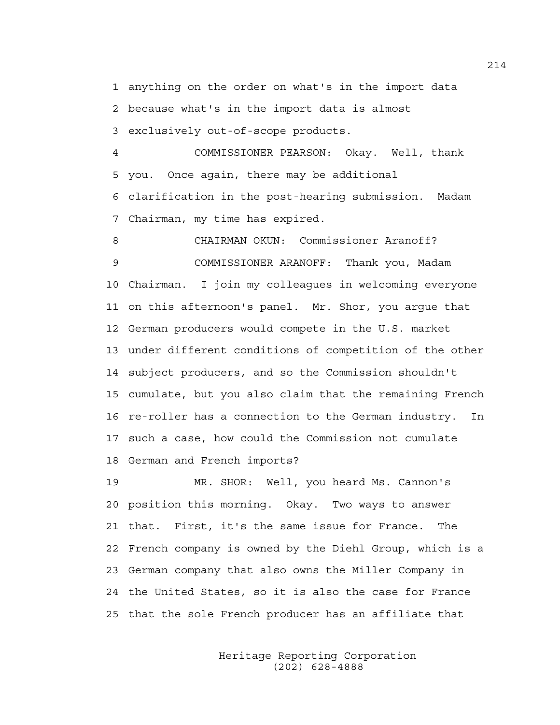1 anything on the order on what's in the import data 2 because what's in the import data is almost 3 exclusively out-of-scope products.

4 COMMISSIONER PEARSON: Okay. Well, thank 5 you. Once again, there may be additional 6 clarification in the post-hearing submission. Madam 7 Chairman, my time has expired.

8 CHAIRMAN OKUN: Commissioner Aranoff? 9 COMMISSIONER ARANOFF: Thank you, Madam 10 Chairman. I join my colleagues in welcoming everyone 11 on this afternoon's panel. Mr. Shor, you argue that 12 German producers would compete in the U.S. market 13 under different conditions of competition of the other 14 subject producers, and so the Commission shouldn't 15 cumulate, but you also claim that the remaining French 16 re-roller has a connection to the German industry. In 17 such a case, how could the Commission not cumulate 18 German and French imports?

19 MR. SHOR: Well, you heard Ms. Cannon's 20 position this morning. Okay. Two ways to answer 21 that. First, it's the same issue for France. The 22 French company is owned by the Diehl Group, which is a 23 German company that also owns the Miller Company in 24 the United States, so it is also the case for France 25 that the sole French producer has an affiliate that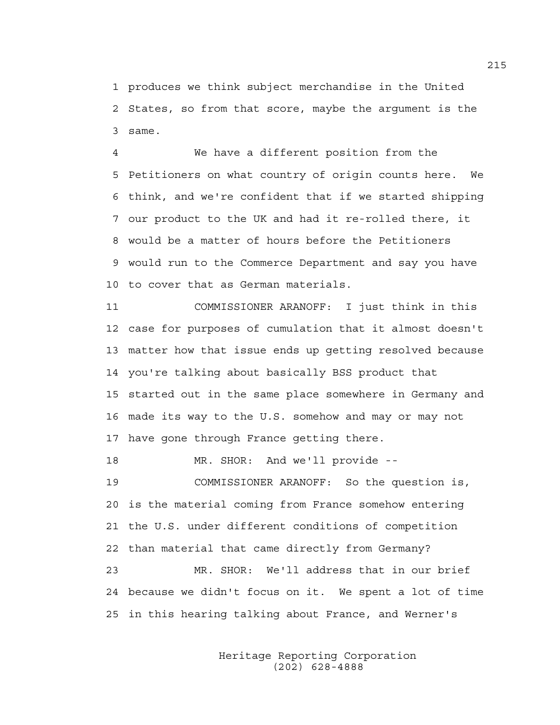1 produces we think subject merchandise in the United 2 States, so from that score, maybe the argument is the 3 same.

4 We have a different position from the 5 Petitioners on what country of origin counts here. We 6 think, and we're confident that if we started shipping 7 our product to the UK and had it re-rolled there, it 8 would be a matter of hours before the Petitioners 9 would run to the Commerce Department and say you have 10 to cover that as German materials.

11 COMMISSIONER ARANOFF: I just think in this 12 case for purposes of cumulation that it almost doesn't 13 matter how that issue ends up getting resolved because 14 you're talking about basically BSS product that 15 started out in the same place somewhere in Germany and 16 made its way to the U.S. somehow and may or may not 17 have gone through France getting there.

18 MR. SHOR: And we'll provide --

19 COMMISSIONER ARANOFF: So the question is, 20 is the material coming from France somehow entering 21 the U.S. under different conditions of competition 22 than material that came directly from Germany? 23 MR. SHOR: We'll address that in our brief 24 because we didn't focus on it. We spent a lot of time 25 in this hearing talking about France, and Werner's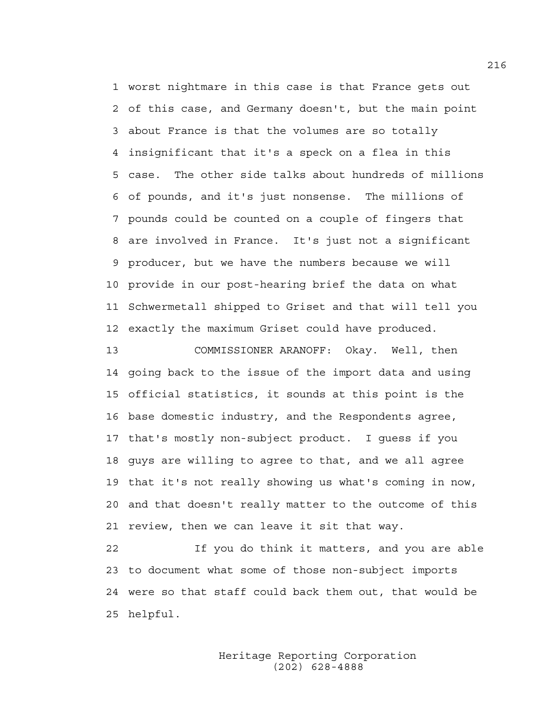1 worst nightmare in this case is that France gets out 2 of this case, and Germany doesn't, but the main point 3 about France is that the volumes are so totally 4 insignificant that it's a speck on a flea in this 5 case. The other side talks about hundreds of millions 6 of pounds, and it's just nonsense. The millions of 7 pounds could be counted on a couple of fingers that 8 are involved in France. It's just not a significant 9 producer, but we have the numbers because we will 10 provide in our post-hearing brief the data on what 11 Schwermetall shipped to Griset and that will tell you 12 exactly the maximum Griset could have produced.

13 COMMISSIONER ARANOFF: Okay. Well, then 14 going back to the issue of the import data and using 15 official statistics, it sounds at this point is the 16 base domestic industry, and the Respondents agree, 17 that's mostly non-subject product. I guess if you 18 guys are willing to agree to that, and we all agree 19 that it's not really showing us what's coming in now, 20 and that doesn't really matter to the outcome of this 21 review, then we can leave it sit that way.

22 If you do think it matters, and you are able 23 to document what some of those non-subject imports 24 were so that staff could back them out, that would be 25 helpful.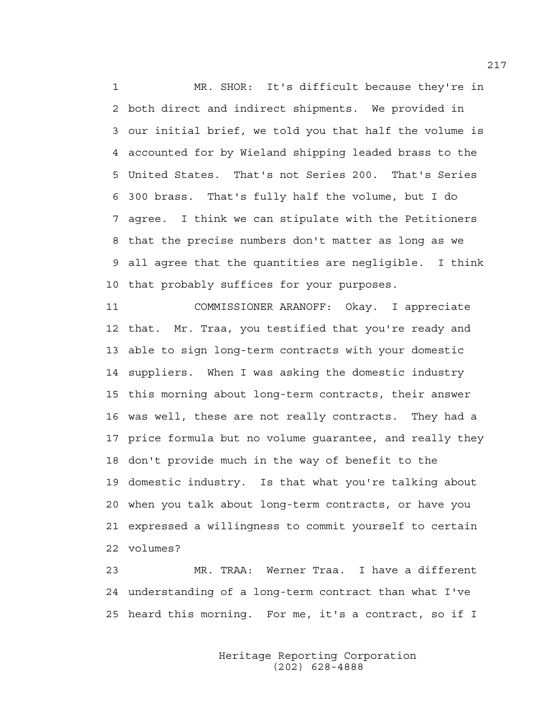1 MR. SHOR: It's difficult because they're in 2 both direct and indirect shipments. We provided in 3 our initial brief, we told you that half the volume is 4 accounted for by Wieland shipping leaded brass to the 5 United States. That's not Series 200. That's Series 6 300 brass. That's fully half the volume, but I do 7 agree. I think we can stipulate with the Petitioners 8 that the precise numbers don't matter as long as we 9 all agree that the quantities are negligible. I think 10 that probably suffices for your purposes.

11 COMMISSIONER ARANOFF: Okay. I appreciate 12 that. Mr. Traa, you testified that you're ready and 13 able to sign long-term contracts with your domestic 14 suppliers. When I was asking the domestic industry 15 this morning about long-term contracts, their answer 16 was well, these are not really contracts. They had a 17 price formula but no volume guarantee, and really they 18 don't provide much in the way of benefit to the 19 domestic industry. Is that what you're talking about 20 when you talk about long-term contracts, or have you 21 expressed a willingness to commit yourself to certain 22 volumes?

23 MR. TRAA: Werner Traa. I have a different 24 understanding of a long-term contract than what I've 25 heard this morning. For me, it's a contract, so if I

> Heritage Reporting Corporation (202) 628-4888

217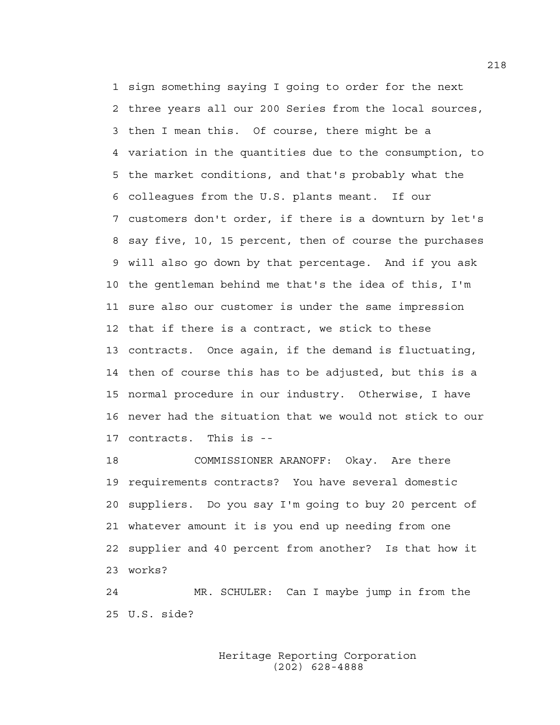1 sign something saying I going to order for the next 2 three years all our 200 Series from the local sources, 3 then I mean this. Of course, there might be a 4 variation in the quantities due to the consumption, to 5 the market conditions, and that's probably what the 6 colleagues from the U.S. plants meant. If our 7 customers don't order, if there is a downturn by let's 8 say five, 10, 15 percent, then of course the purchases 9 will also go down by that percentage. And if you ask 10 the gentleman behind me that's the idea of this, I'm 11 sure also our customer is under the same impression 12 that if there is a contract, we stick to these 13 contracts. Once again, if the demand is fluctuating, 14 then of course this has to be adjusted, but this is a 15 normal procedure in our industry. Otherwise, I have 16 never had the situation that we would not stick to our 17 contracts. This is --

18 COMMISSIONER ARANOFF: Okay. Are there 19 requirements contracts? You have several domestic 20 suppliers. Do you say I'm going to buy 20 percent of 21 whatever amount it is you end up needing from one 22 supplier and 40 percent from another? Is that how it 23 works?

24 MR. SCHULER: Can I maybe jump in from the 25 U.S. side?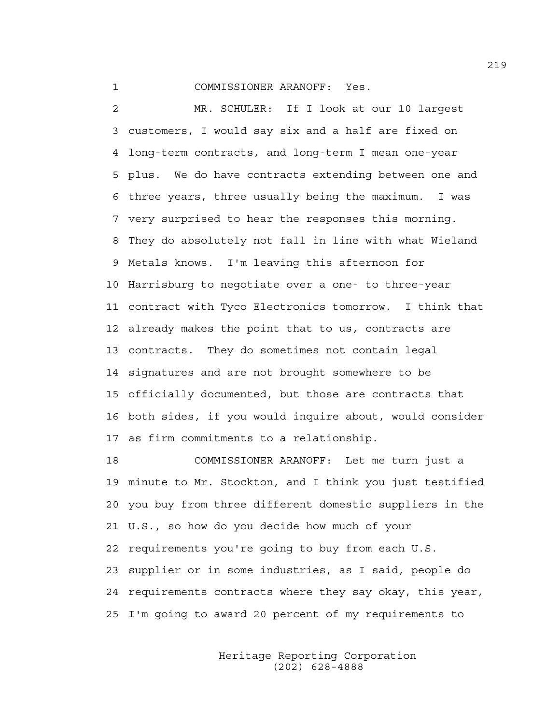1 COMMISSIONER ARANOFF: Yes.

2 MR. SCHULER: If I look at our 10 largest 3 customers, I would say six and a half are fixed on 4 long-term contracts, and long-term I mean one-year 5 plus. We do have contracts extending between one and 6 three years, three usually being the maximum. I was 7 very surprised to hear the responses this morning. 8 They do absolutely not fall in line with what Wieland 9 Metals knows. I'm leaving this afternoon for 10 Harrisburg to negotiate over a one- to three-year 11 contract with Tyco Electronics tomorrow. I think that 12 already makes the point that to us, contracts are 13 contracts. They do sometimes not contain legal 14 signatures and are not brought somewhere to be 15 officially documented, but those are contracts that 16 both sides, if you would inquire about, would consider 17 as firm commitments to a relationship.

18 COMMISSIONER ARANOFF: Let me turn just a 19 minute to Mr. Stockton, and I think you just testified 20 you buy from three different domestic suppliers in the 21 U.S., so how do you decide how much of your 22 requirements you're going to buy from each U.S. 23 supplier or in some industries, as I said, people do 24 requirements contracts where they say okay, this year, 25 I'm going to award 20 percent of my requirements to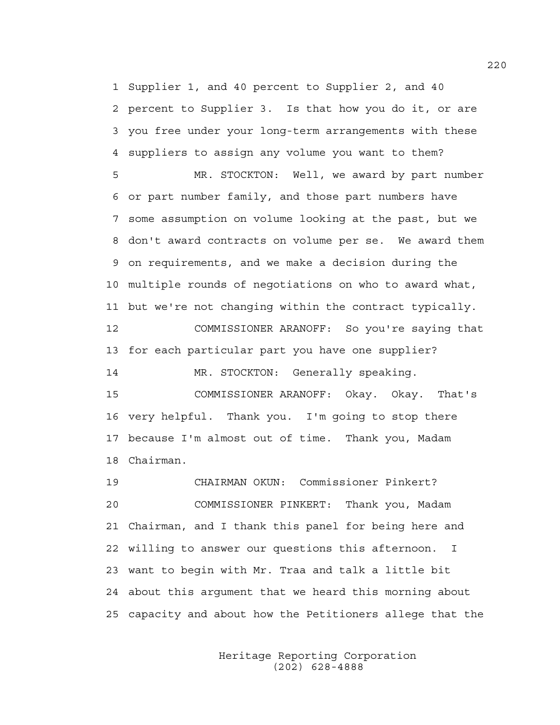1 Supplier 1, and 40 percent to Supplier 2, and 40 2 percent to Supplier 3. Is that how you do it, or are 3 you free under your long-term arrangements with these 4 suppliers to assign any volume you want to them?

5 MR. STOCKTON: Well, we award by part number 6 or part number family, and those part numbers have 7 some assumption on volume looking at the past, but we 8 don't award contracts on volume per se. We award them 9 on requirements, and we make a decision during the 10 multiple rounds of negotiations on who to award what, 11 but we're not changing within the contract typically. 12 COMMISSIONER ARANOFF: So you're saying that

13 for each particular part you have one supplier?

14 MR. STOCKTON: Generally speaking. 15 COMMISSIONER ARANOFF: Okay. Okay. That's 16 very helpful. Thank you. I'm going to stop there 17 because I'm almost out of time. Thank you, Madam 18 Chairman.

19 CHAIRMAN OKUN: Commissioner Pinkert? 20 COMMISSIONER PINKERT: Thank you, Madam 21 Chairman, and I thank this panel for being here and 22 willing to answer our questions this afternoon. I 23 want to begin with Mr. Traa and talk a little bit 24 about this argument that we heard this morning about 25 capacity and about how the Petitioners allege that the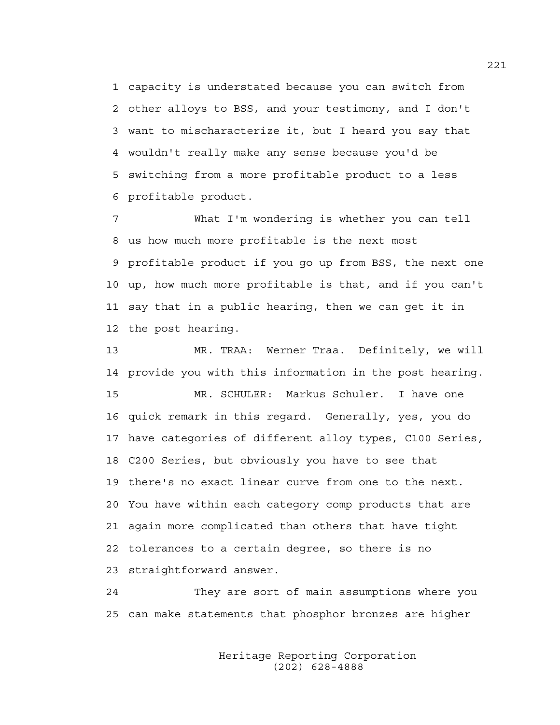1 capacity is understated because you can switch from 2 other alloys to BSS, and your testimony, and I don't 3 want to mischaracterize it, but I heard you say that 4 wouldn't really make any sense because you'd be 5 switching from a more profitable product to a less 6 profitable product.

7 What I'm wondering is whether you can tell 8 us how much more profitable is the next most 9 profitable product if you go up from BSS, the next one 10 up, how much more profitable is that, and if you can't 11 say that in a public hearing, then we can get it in 12 the post hearing.

13 MR. TRAA: Werner Traa. Definitely, we will 14 provide you with this information in the post hearing. 15 MR. SCHULER: Markus Schuler. I have one 16 quick remark in this regard. Generally, yes, you do 17 have categories of different alloy types, C100 Series, 18 C200 Series, but obviously you have to see that 19 there's no exact linear curve from one to the next. 20 You have within each category comp products that are 21 again more complicated than others that have tight 22 tolerances to a certain degree, so there is no 23 straightforward answer.

24 They are sort of main assumptions where you 25 can make statements that phosphor bronzes are higher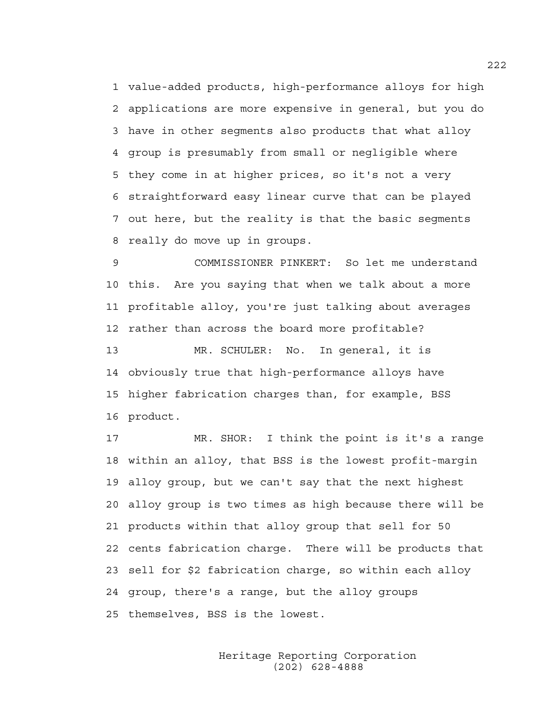1 value-added products, high-performance alloys for high 2 applications are more expensive in general, but you do 3 have in other segments also products that what alloy 4 group is presumably from small or negligible where 5 they come in at higher prices, so it's not a very 6 straightforward easy linear curve that can be played 7 out here, but the reality is that the basic segments 8 really do move up in groups.

9 COMMISSIONER PINKERT: So let me understand 10 this. Are you saying that when we talk about a more 11 profitable alloy, you're just talking about averages 12 rather than across the board more profitable? 13 MR. SCHULER: No. In general, it is 14 obviously true that high-performance alloys have 15 higher fabrication charges than, for example, BSS 16 product.

17 MR. SHOR: I think the point is it's a range 18 within an alloy, that BSS is the lowest profit-margin 19 alloy group, but we can't say that the next highest 20 alloy group is two times as high because there will be 21 products within that alloy group that sell for 50 22 cents fabrication charge. There will be products that 23 sell for \$2 fabrication charge, so within each alloy 24 group, there's a range, but the alloy groups 25 themselves, BSS is the lowest.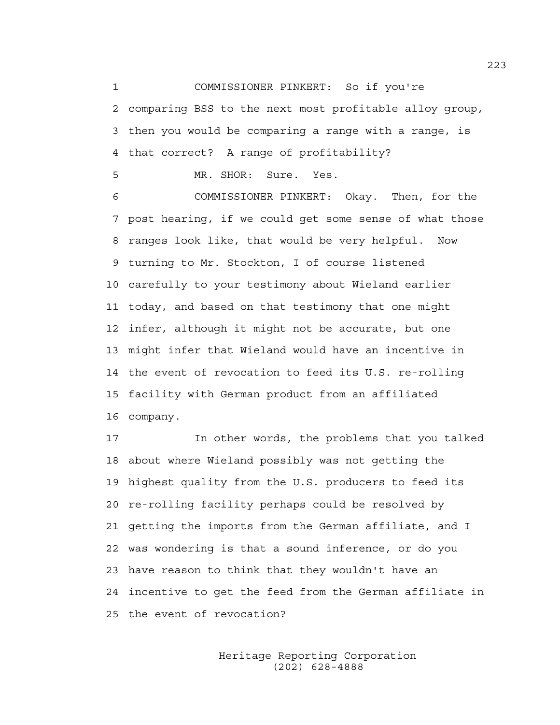1 COMMISSIONER PINKERT: So if you're 2 comparing BSS to the next most profitable alloy group, 3 then you would be comparing a range with a range, is 4 that correct? A range of profitability?

5 MR. SHOR: Sure. Yes.

6 COMMISSIONER PINKERT: Okay. Then, for the 7 post hearing, if we could get some sense of what those 8 ranges look like, that would be very helpful. Now 9 turning to Mr. Stockton, I of course listened 10 carefully to your testimony about Wieland earlier 11 today, and based on that testimony that one might 12 infer, although it might not be accurate, but one 13 might infer that Wieland would have an incentive in 14 the event of revocation to feed its U.S. re-rolling 15 facility with German product from an affiliated 16 company.

17 In other words, the problems that you talked 18 about where Wieland possibly was not getting the 19 highest quality from the U.S. producers to feed its 20 re-rolling facility perhaps could be resolved by 21 getting the imports from the German affiliate, and I 22 was wondering is that a sound inference, or do you 23 have reason to think that they wouldn't have an 24 incentive to get the feed from the German affiliate in 25 the event of revocation?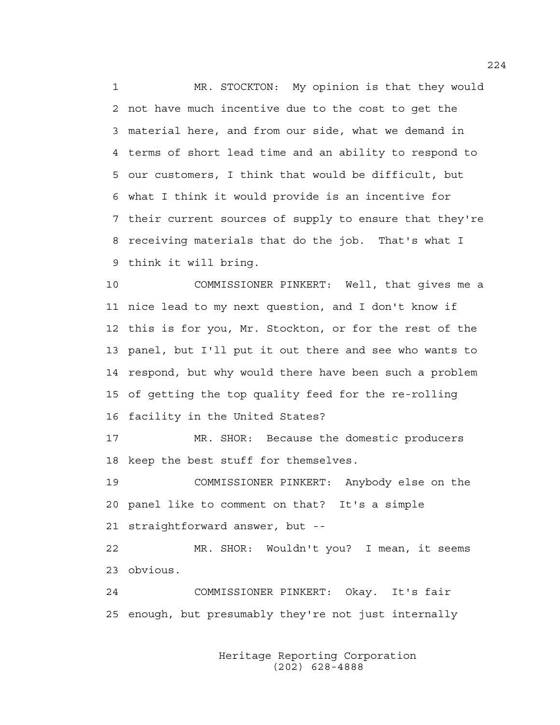1 MR. STOCKTON: My opinion is that they would 2 not have much incentive due to the cost to get the 3 material here, and from our side, what we demand in 4 terms of short lead time and an ability to respond to 5 our customers, I think that would be difficult, but 6 what I think it would provide is an incentive for 7 their current sources of supply to ensure that they're 8 receiving materials that do the job. That's what I 9 think it will bring.

10 COMMISSIONER PINKERT: Well, that gives me a 11 nice lead to my next question, and I don't know if 12 this is for you, Mr. Stockton, or for the rest of the 13 panel, but I'll put it out there and see who wants to 14 respond, but why would there have been such a problem 15 of getting the top quality feed for the re-rolling 16 facility in the United States?

17 MR. SHOR: Because the domestic producers 18 keep the best stuff for themselves.

19 COMMISSIONER PINKERT: Anybody else on the 20 panel like to comment on that? It's a simple 21 straightforward answer, but --

22 MR. SHOR: Wouldn't you? I mean, it seems 23 obvious.

24 COMMISSIONER PINKERT: Okay. It's fair 25 enough, but presumably they're not just internally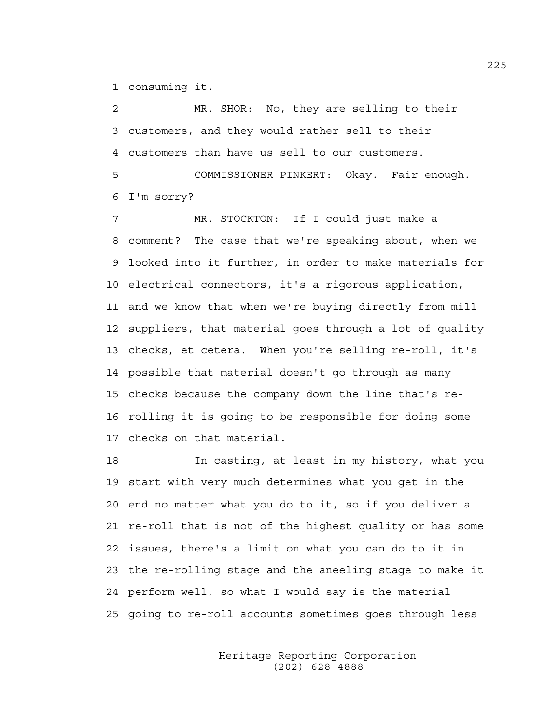1 consuming it.

2 MR. SHOR: No, they are selling to their 3 customers, and they would rather sell to their 4 customers than have us sell to our customers.

5 COMMISSIONER PINKERT: Okay. Fair enough. 6 I'm sorry?

7 MR. STOCKTON: If I could just make a 8 comment? The case that we're speaking about, when we 9 looked into it further, in order to make materials for 10 electrical connectors, it's a rigorous application, 11 and we know that when we're buying directly from mill 12 suppliers, that material goes through a lot of quality 13 checks, et cetera. When you're selling re-roll, it's 14 possible that material doesn't go through as many 15 checks because the company down the line that's re-16 rolling it is going to be responsible for doing some 17 checks on that material.

18 In casting, at least in my history, what you 19 start with very much determines what you get in the 20 end no matter what you do to it, so if you deliver a 21 re-roll that is not of the highest quality or has some 22 issues, there's a limit on what you can do to it in 23 the re-rolling stage and the aneeling stage to make it 24 perform well, so what I would say is the material 25 going to re-roll accounts sometimes goes through less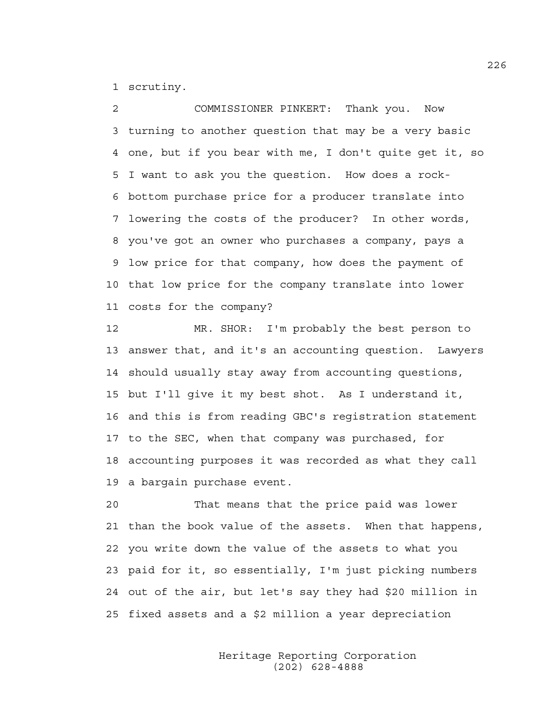1 scrutiny.

2 COMMISSIONER PINKERT: Thank you. Now 3 turning to another question that may be a very basic 4 one, but if you bear with me, I don't quite get it, so 5 I want to ask you the question. How does a rock-6 bottom purchase price for a producer translate into 7 lowering the costs of the producer? In other words, 8 you've got an owner who purchases a company, pays a 9 low price for that company, how does the payment of 10 that low price for the company translate into lower 11 costs for the company?

12 MR. SHOR: I'm probably the best person to 13 answer that, and it's an accounting question. Lawyers 14 should usually stay away from accounting questions, 15 but I'll give it my best shot. As I understand it, 16 and this is from reading GBC's registration statement 17 to the SEC, when that company was purchased, for 18 accounting purposes it was recorded as what they call 19 a bargain purchase event.

20 That means that the price paid was lower 21 than the book value of the assets. When that happens, 22 you write down the value of the assets to what you 23 paid for it, so essentially, I'm just picking numbers 24 out of the air, but let's say they had \$20 million in 25 fixed assets and a \$2 million a year depreciation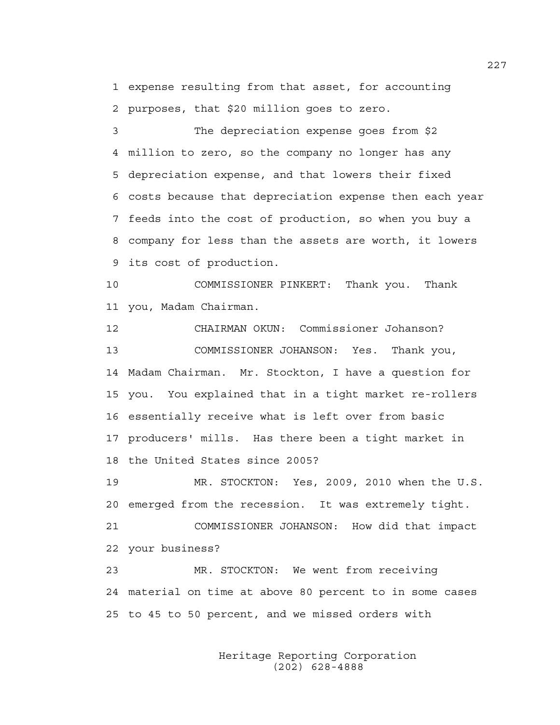1 expense resulting from that asset, for accounting 2 purposes, that \$20 million goes to zero.

3 The depreciation expense goes from \$2 4 million to zero, so the company no longer has any 5 depreciation expense, and that lowers their fixed 6 costs because that depreciation expense then each year 7 feeds into the cost of production, so when you buy a 8 company for less than the assets are worth, it lowers 9 its cost of production.

10 COMMISSIONER PINKERT: Thank you. Thank 11 you, Madam Chairman.

12 CHAIRMAN OKUN: Commissioner Johanson? 13 COMMISSIONER JOHANSON: Yes. Thank you, 14 Madam Chairman. Mr. Stockton, I have a question for 15 you. You explained that in a tight market re-rollers 16 essentially receive what is left over from basic 17 producers' mills. Has there been a tight market in 18 the United States since 2005?

19 MR. STOCKTON: Yes, 2009, 2010 when the U.S. 20 emerged from the recession. It was extremely tight. 21 COMMISSIONER JOHANSON: How did that impact 22 your business? 23 MR. STOCKTON: We went from receiving

24 material on time at above 80 percent to in some cases 25 to 45 to 50 percent, and we missed orders with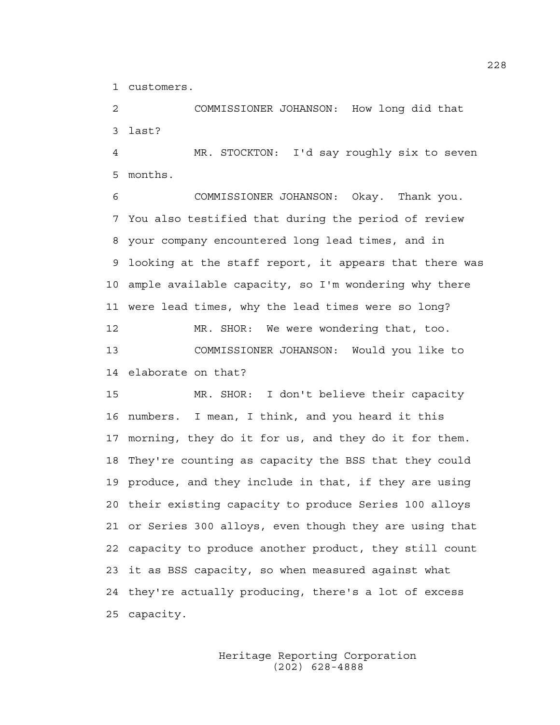1 customers.

2 COMMISSIONER JOHANSON: How long did that 3 last?

4 MR. STOCKTON: I'd say roughly six to seven 5 months.

6 COMMISSIONER JOHANSON: Okay. Thank you. 7 You also testified that during the period of review 8 your company encountered long lead times, and in 9 looking at the staff report, it appears that there was 10 ample available capacity, so I'm wondering why there 11 were lead times, why the lead times were so long? 12 MR. SHOR: We were wondering that, too. 13 COMMISSIONER JOHANSON: Would you like to 14 elaborate on that?

15 MR. SHOR: I don't believe their capacity 16 numbers. I mean, I think, and you heard it this 17 morning, they do it for us, and they do it for them. 18 They're counting as capacity the BSS that they could 19 produce, and they include in that, if they are using 20 their existing capacity to produce Series 100 alloys 21 or Series 300 alloys, even though they are using that 22 capacity to produce another product, they still count 23 it as BSS capacity, so when measured against what 24 they're actually producing, there's a lot of excess 25 capacity.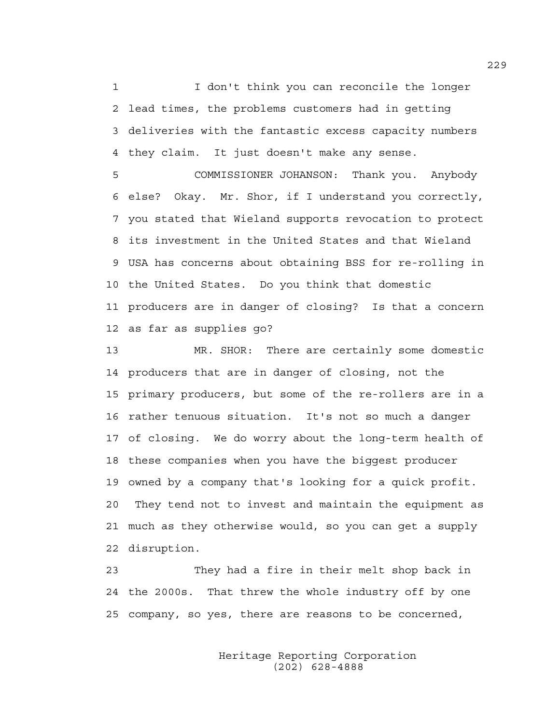1 I don't think you can reconcile the longer 2 lead times, the problems customers had in getting 3 deliveries with the fantastic excess capacity numbers 4 they claim. It just doesn't make any sense.

5 COMMISSIONER JOHANSON: Thank you. Anybody 6 else? Okay. Mr. Shor, if I understand you correctly, 7 you stated that Wieland supports revocation to protect 8 its investment in the United States and that Wieland 9 USA has concerns about obtaining BSS for re-rolling in 10 the United States. Do you think that domestic 11 producers are in danger of closing? Is that a concern 12 as far as supplies go?

13 MR. SHOR: There are certainly some domestic 14 producers that are in danger of closing, not the 15 primary producers, but some of the re-rollers are in a 16 rather tenuous situation. It's not so much a danger 17 of closing. We do worry about the long-term health of 18 these companies when you have the biggest producer 19 owned by a company that's looking for a quick profit. 20 They tend not to invest and maintain the equipment as 21 much as they otherwise would, so you can get a supply 22 disruption.

23 They had a fire in their melt shop back in 24 the 2000s. That threw the whole industry off by one 25 company, so yes, there are reasons to be concerned,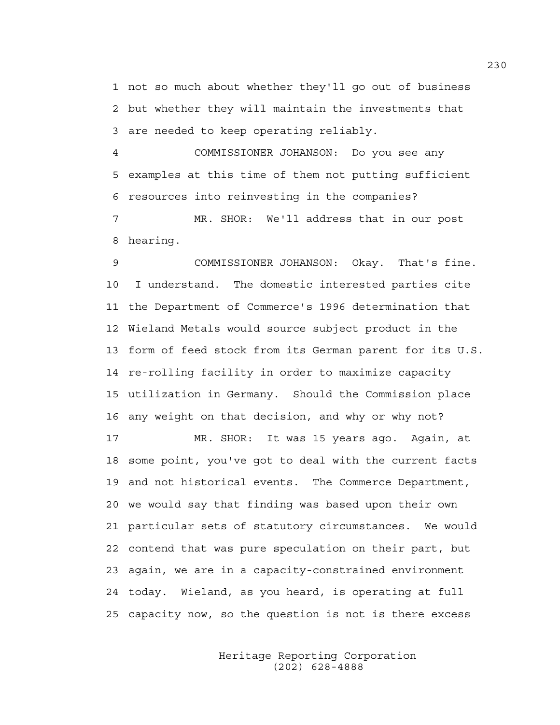1 not so much about whether they'll go out of business 2 but whether they will maintain the investments that 3 are needed to keep operating reliably.

4 COMMISSIONER JOHANSON: Do you see any 5 examples at this time of them not putting sufficient 6 resources into reinvesting in the companies? 7 MR. SHOR: We'll address that in our post

8 hearing.

9 COMMISSIONER JOHANSON: Okay. That's fine. 10 I understand. The domestic interested parties cite 11 the Department of Commerce's 1996 determination that 12 Wieland Metals would source subject product in the 13 form of feed stock from its German parent for its U.S. 14 re-rolling facility in order to maximize capacity 15 utilization in Germany. Should the Commission place 16 any weight on that decision, and why or why not?

17 MR. SHOR: It was 15 years ago. Again, at 18 some point, you've got to deal with the current facts 19 and not historical events. The Commerce Department, 20 we would say that finding was based upon their own 21 particular sets of statutory circumstances. We would 22 contend that was pure speculation on their part, but 23 again, we are in a capacity-constrained environment 24 today. Wieland, as you heard, is operating at full 25 capacity now, so the question is not is there excess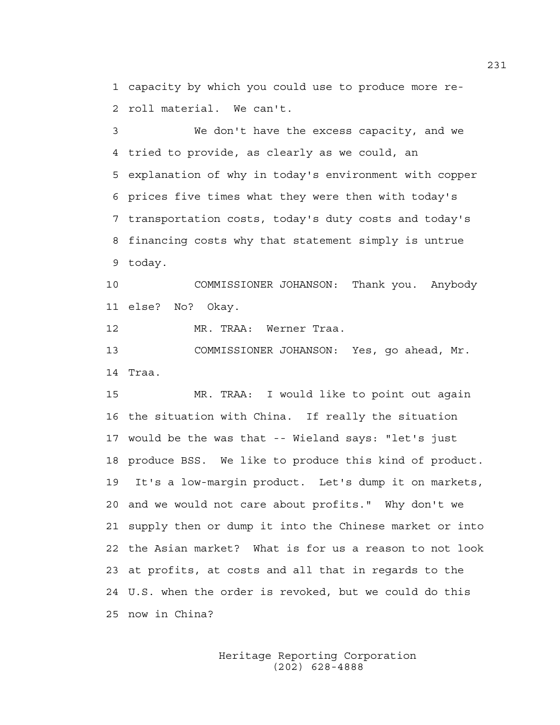1 capacity by which you could use to produce more re-2 roll material. We can't.

3 We don't have the excess capacity, and we 4 tried to provide, as clearly as we could, an 5 explanation of why in today's environment with copper 6 prices five times what they were then with today's 7 transportation costs, today's duty costs and today's 8 financing costs why that statement simply is untrue 9 today.

10 COMMISSIONER JOHANSON: Thank you. Anybody 11 else? No? Okay.

12 MR. TRAA: Werner Traa.

13 COMMISSIONER JOHANSON: Yes, go ahead, Mr. 14 Traa.

15 MR. TRAA: I would like to point out again 16 the situation with China. If really the situation 17 would be the was that -- Wieland says: "let's just 18 produce BSS. We like to produce this kind of product. 19 It's a low-margin product. Let's dump it on markets, 20 and we would not care about profits." Why don't we 21 supply then or dump it into the Chinese market or into 22 the Asian market? What is for us a reason to not look 23 at profits, at costs and all that in regards to the 24 U.S. when the order is revoked, but we could do this 25 now in China?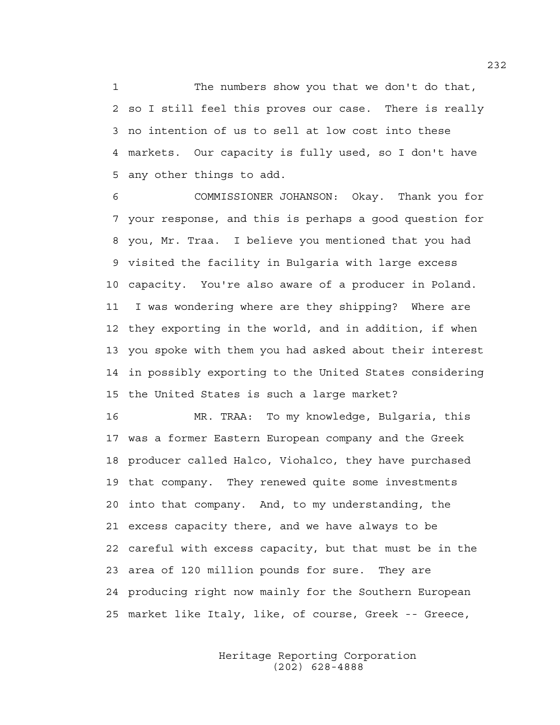1 The numbers show you that we don't do that, 2 so I still feel this proves our case. There is really 3 no intention of us to sell at low cost into these 4 markets. Our capacity is fully used, so I don't have 5 any other things to add.

6 COMMISSIONER JOHANSON: Okay. Thank you for 7 your response, and this is perhaps a good question for 8 you, Mr. Traa. I believe you mentioned that you had 9 visited the facility in Bulgaria with large excess 10 capacity. You're also aware of a producer in Poland. 11 I was wondering where are they shipping? Where are 12 they exporting in the world, and in addition, if when 13 you spoke with them you had asked about their interest 14 in possibly exporting to the United States considering 15 the United States is such a large market?

16 MR. TRAA: To my knowledge, Bulgaria, this 17 was a former Eastern European company and the Greek 18 producer called Halco, Viohalco, they have purchased 19 that company. They renewed quite some investments 20 into that company. And, to my understanding, the 21 excess capacity there, and we have always to be 22 careful with excess capacity, but that must be in the 23 area of 120 million pounds for sure. They are 24 producing right now mainly for the Southern European 25 market like Italy, like, of course, Greek -- Greece,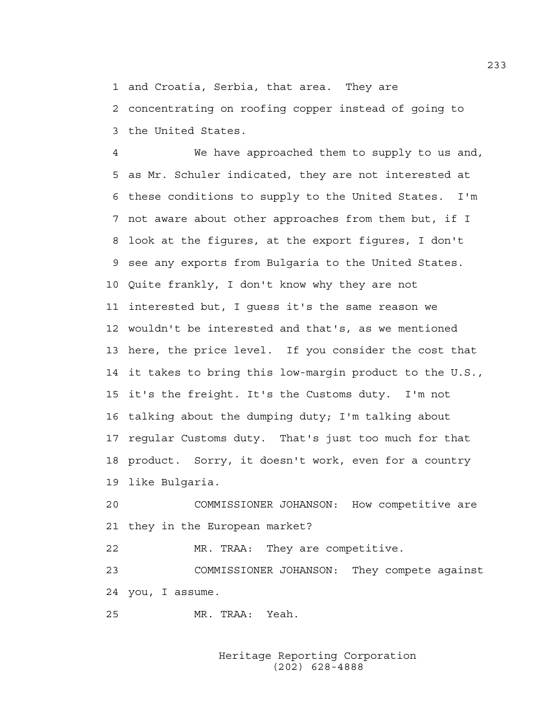1 and Croatia, Serbia, that area. They are

2 concentrating on roofing copper instead of going to 3 the United States.

4 We have approached them to supply to us and, 5 as Mr. Schuler indicated, they are not interested at 6 these conditions to supply to the United States. I'm 7 not aware about other approaches from them but, if I 8 look at the figures, at the export figures, I don't 9 see any exports from Bulgaria to the United States. 10 Quite frankly, I don't know why they are not 11 interested but, I guess it's the same reason we 12 wouldn't be interested and that's, as we mentioned 13 here, the price level. If you consider the cost that 14 it takes to bring this low-margin product to the U.S., 15 it's the freight. It's the Customs duty. I'm not 16 talking about the dumping duty; I'm talking about 17 regular Customs duty. That's just too much for that 18 product. Sorry, it doesn't work, even for a country 19 like Bulgaria.

20 COMMISSIONER JOHANSON: How competitive are 21 they in the European market?

22 MR. TRAA: They are competitive.

23 COMMISSIONER JOHANSON: They compete against 24 you, I assume.

25 MR. TRAA: Yeah.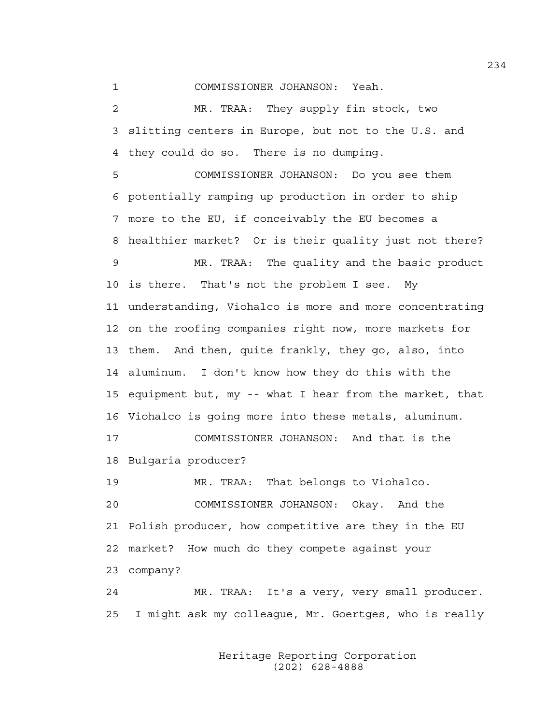1 COMMISSIONER JOHANSON: Yeah.

2 MR. TRAA: They supply fin stock, two 3 slitting centers in Europe, but not to the U.S. and 4 they could do so. There is no dumping.

5 COMMISSIONER JOHANSON: Do you see them 6 potentially ramping up production in order to ship 7 more to the EU, if conceivably the EU becomes a 8 healthier market? Or is their quality just not there? 9 MR. TRAA: The quality and the basic product 10 is there. That's not the problem I see. My 11 understanding, Viohalco is more and more concentrating 12 on the roofing companies right now, more markets for 13 them. And then, quite frankly, they go, also, into 14 aluminum. I don't know how they do this with the 15 equipment but, my -- what I hear from the market, that 16 Viohalco is going more into these metals, aluminum. 17 COMMISSIONER JOHANSON: And that is the 18 Bulgaria producer? 19 MR. TRAA: That belongs to Viohalco. 20 COMMISSIONER JOHANSON: Okay. And the 21 Polish producer, how competitive are they in the EU

22 market? How much do they compete against your

23 company?

24 MR. TRAA: It's a very, very small producer. 25 I might ask my colleague, Mr. Goertges, who is really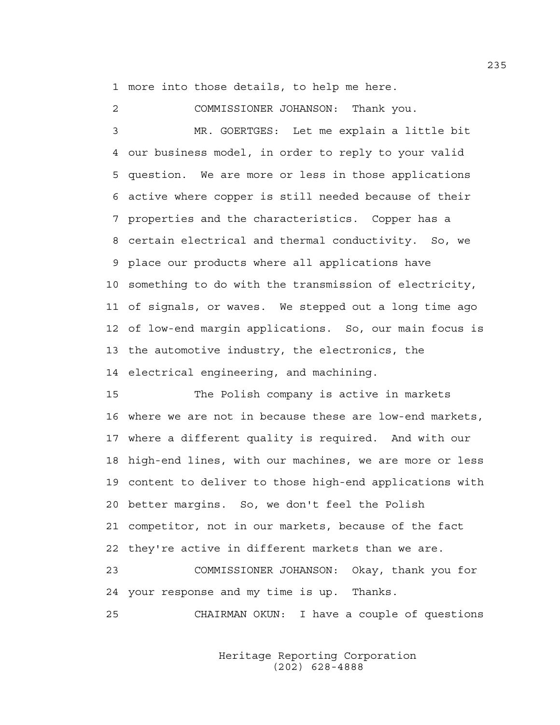1 more into those details, to help me here.

2 COMMISSIONER JOHANSON: Thank you. 3 MR. GOERTGES: Let me explain a little bit 4 our business model, in order to reply to your valid 5 question. We are more or less in those applications 6 active where copper is still needed because of their 7 properties and the characteristics. Copper has a 8 certain electrical and thermal conductivity. So, we 9 place our products where all applications have 10 something to do with the transmission of electricity, 11 of signals, or waves. We stepped out a long time ago 12 of low-end margin applications. So, our main focus is 13 the automotive industry, the electronics, the 14 electrical engineering, and machining.

15 The Polish company is active in markets 16 where we are not in because these are low-end markets, 17 where a different quality is required. And with our 18 high-end lines, with our machines, we are more or less 19 content to deliver to those high-end applications with 20 better margins. So, we don't feel the Polish 21 competitor, not in our markets, because of the fact 22 they're active in different markets than we are.

23 COMMISSIONER JOHANSON: Okay, thank you for 24 your response and my time is up. Thanks.

25 CHAIRMAN OKUN: I have a couple of questions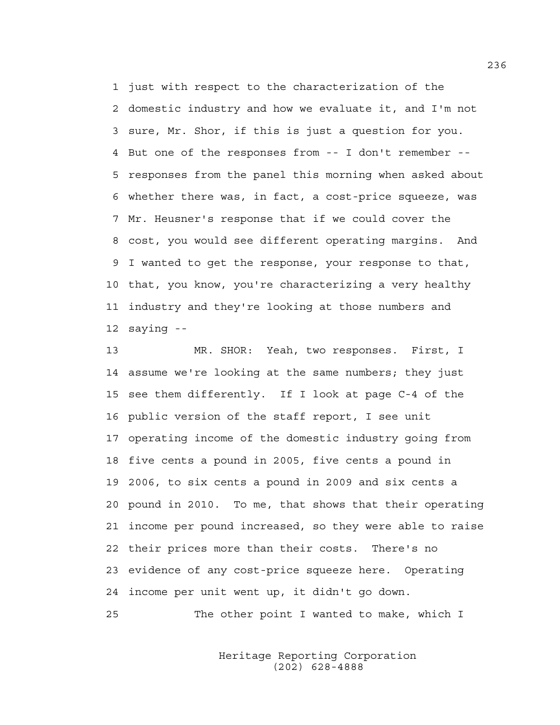1 just with respect to the characterization of the 2 domestic industry and how we evaluate it, and I'm not 3 sure, Mr. Shor, if this is just a question for you. 4 But one of the responses from -- I don't remember -- 5 responses from the panel this morning when asked about 6 whether there was, in fact, a cost-price squeeze, was 7 Mr. Heusner's response that if we could cover the 8 cost, you would see different operating margins. And 9 I wanted to get the response, your response to that, 10 that, you know, you're characterizing a very healthy 11 industry and they're looking at those numbers and 12 saying --

13 MR. SHOR: Yeah, two responses. First, I 14 assume we're looking at the same numbers; they just 15 see them differently. If I look at page C-4 of the 16 public version of the staff report, I see unit 17 operating income of the domestic industry going from 18 five cents a pound in 2005, five cents a pound in 19 2006, to six cents a pound in 2009 and six cents a 20 pound in 2010. To me, that shows that their operating 21 income per pound increased, so they were able to raise 22 their prices more than their costs. There's no 23 evidence of any cost-price squeeze here. Operating 24 income per unit went up, it didn't go down.

25 The other point I wanted to make, which I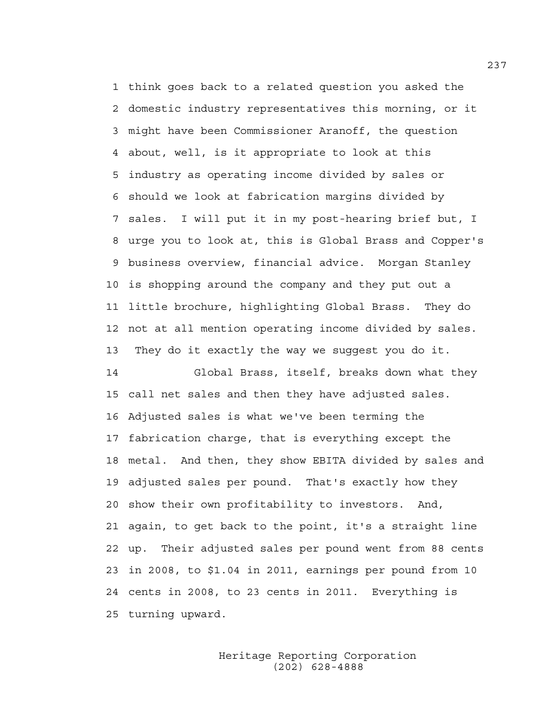1 think goes back to a related question you asked the 2 domestic industry representatives this morning, or it 3 might have been Commissioner Aranoff, the question 4 about, well, is it appropriate to look at this 5 industry as operating income divided by sales or 6 should we look at fabrication margins divided by 7 sales. I will put it in my post-hearing brief but, I 8 urge you to look at, this is Global Brass and Copper's 9 business overview, financial advice. Morgan Stanley 10 is shopping around the company and they put out a 11 little brochure, highlighting Global Brass. They do 12 not at all mention operating income divided by sales. 13 They do it exactly the way we suggest you do it.

14 Global Brass, itself, breaks down what they 15 call net sales and then they have adjusted sales. 16 Adjusted sales is what we've been terming the 17 fabrication charge, that is everything except the 18 metal. And then, they show EBITA divided by sales and 19 adjusted sales per pound. That's exactly how they 20 show their own profitability to investors. And, 21 again, to get back to the point, it's a straight line 22 up. Their adjusted sales per pound went from 88 cents 23 in 2008, to \$1.04 in 2011, earnings per pound from 10 24 cents in 2008, to 23 cents in 2011. Everything is 25 turning upward.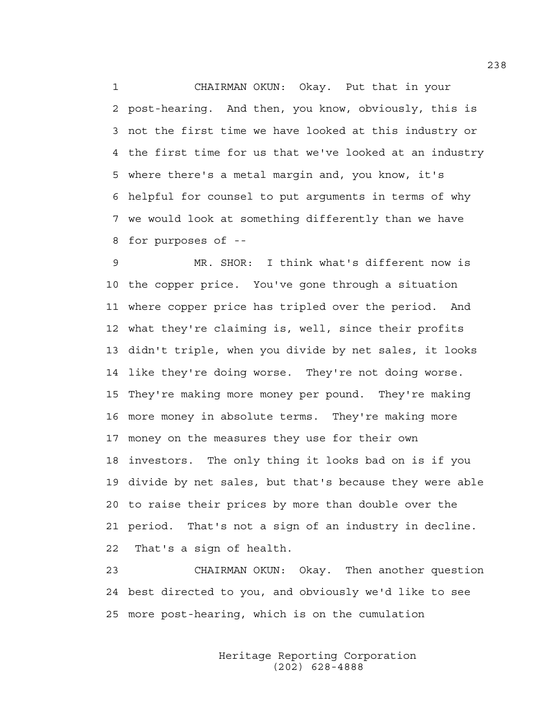1 CHAIRMAN OKUN: Okay. Put that in your 2 post-hearing. And then, you know, obviously, this is 3 not the first time we have looked at this industry or 4 the first time for us that we've looked at an industry 5 where there's a metal margin and, you know, it's 6 helpful for counsel to put arguments in terms of why 7 we would look at something differently than we have 8 for purposes of --

9 MR. SHOR: I think what's different now is 10 the copper price. You've gone through a situation 11 where copper price has tripled over the period. And 12 what they're claiming is, well, since their profits 13 didn't triple, when you divide by net sales, it looks 14 like they're doing worse. They're not doing worse. 15 They're making more money per pound. They're making 16 more money in absolute terms. They're making more 17 money on the measures they use for their own 18 investors. The only thing it looks bad on is if you 19 divide by net sales, but that's because they were able 20 to raise their prices by more than double over the 21 period. That's not a sign of an industry in decline. 22 That's a sign of health.

23 CHAIRMAN OKUN: Okay. Then another question 24 best directed to you, and obviously we'd like to see 25 more post-hearing, which is on the cumulation

> Heritage Reporting Corporation (202) 628-4888

238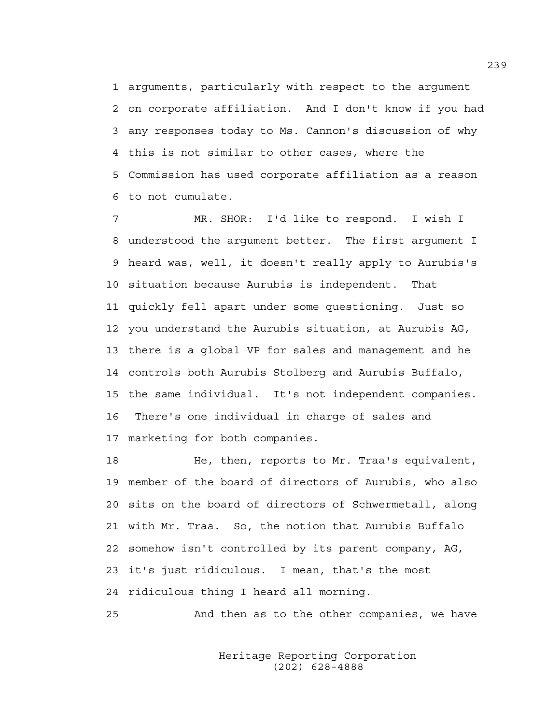1 arguments, particularly with respect to the argument 2 on corporate affiliation. And I don't know if you had 3 any responses today to Ms. Cannon's discussion of why 4 this is not similar to other cases, where the 5 Commission has used corporate affiliation as a reason 6 to not cumulate.

7 MR. SHOR: I'd like to respond. I wish I 8 understood the argument better. The first argument I 9 heard was, well, it doesn't really apply to Aurubis's 10 situation because Aurubis is independent. That 11 quickly fell apart under some questioning. Just so 12 you understand the Aurubis situation, at Aurubis AG, 13 there is a global VP for sales and management and he 14 controls both Aurubis Stolberg and Aurubis Buffalo, 15 the same individual. It's not independent companies. 16 There's one individual in charge of sales and 17 marketing for both companies.

18 He, then, reports to Mr. Traa's equivalent, 19 member of the board of directors of Aurubis, who also 20 sits on the board of directors of Schwermetall, along 21 with Mr. Traa. So, the notion that Aurubis Buffalo 22 somehow isn't controlled by its parent company, AG, 23 it's just ridiculous. I mean, that's the most 24 ridiculous thing I heard all morning.

25 And then as to the other companies, we have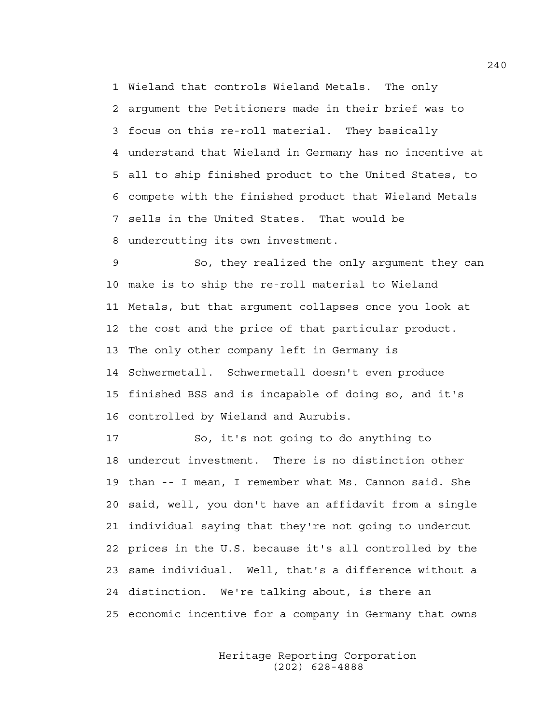1 Wieland that controls Wieland Metals. The only 2 argument the Petitioners made in their brief was to 3 focus on this re-roll material. They basically 4 understand that Wieland in Germany has no incentive at 5 all to ship finished product to the United States, to 6 compete with the finished product that Wieland Metals 7 sells in the United States. That would be 8 undercutting its own investment.

9 So, they realized the only argument they can 10 make is to ship the re-roll material to Wieland 11 Metals, but that argument collapses once you look at 12 the cost and the price of that particular product. 13 The only other company left in Germany is 14 Schwermetall. Schwermetall doesn't even produce 15 finished BSS and is incapable of doing so, and it's 16 controlled by Wieland and Aurubis.

17 So, it's not going to do anything to 18 undercut investment. There is no distinction other 19 than -- I mean, I remember what Ms. Cannon said. She 20 said, well, you don't have an affidavit from a single 21 individual saying that they're not going to undercut 22 prices in the U.S. because it's all controlled by the 23 same individual. Well, that's a difference without a 24 distinction. We're talking about, is there an 25 economic incentive for a company in Germany that owns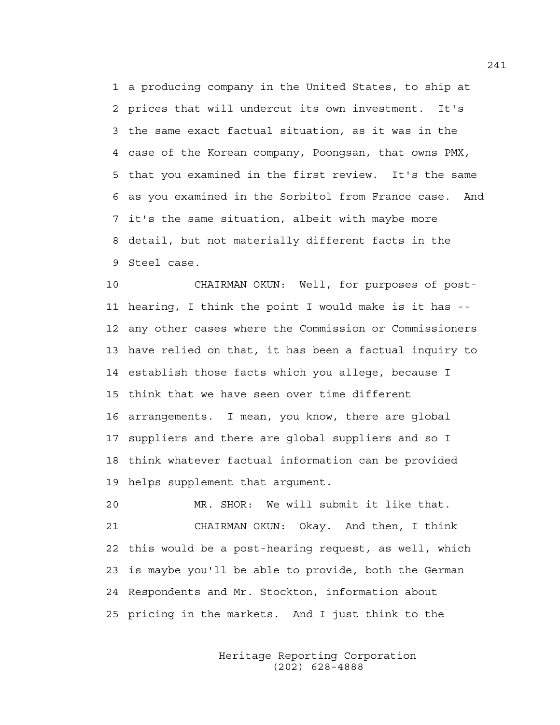1 a producing company in the United States, to ship at 2 prices that will undercut its own investment. It's 3 the same exact factual situation, as it was in the 4 case of the Korean company, Poongsan, that owns PMX, 5 that you examined in the first review. It's the same 6 as you examined in the Sorbitol from France case. And 7 it's the same situation, albeit with maybe more 8 detail, but not materially different facts in the 9 Steel case.

10 CHAIRMAN OKUN: Well, for purposes of post-11 hearing, I think the point I would make is it has -- 12 any other cases where the Commission or Commissioners 13 have relied on that, it has been a factual inquiry to 14 establish those facts which you allege, because I 15 think that we have seen over time different 16 arrangements. I mean, you know, there are global 17 suppliers and there are global suppliers and so I 18 think whatever factual information can be provided 19 helps supplement that argument.

20 MR. SHOR: We will submit it like that. 21 CHAIRMAN OKUN: Okay. And then, I think 22 this would be a post-hearing request, as well, which 23 is maybe you'll be able to provide, both the German 24 Respondents and Mr. Stockton, information about 25 pricing in the markets. And I just think to the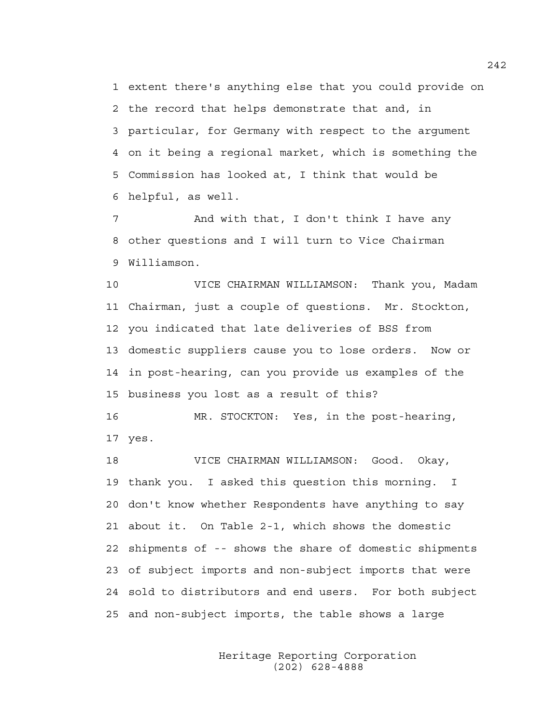1 extent there's anything else that you could provide on 2 the record that helps demonstrate that and, in 3 particular, for Germany with respect to the argument 4 on it being a regional market, which is something the 5 Commission has looked at, I think that would be 6 helpful, as well.

7 And with that, I don't think I have any 8 other questions and I will turn to Vice Chairman 9 Williamson.

10 VICE CHAIRMAN WILLIAMSON: Thank you, Madam 11 Chairman, just a couple of questions. Mr. Stockton, 12 you indicated that late deliveries of BSS from 13 domestic suppliers cause you to lose orders. Now or 14 in post-hearing, can you provide us examples of the 15 business you lost as a result of this?

16 MR. STOCKTON: Yes, in the post-hearing, 17 yes.

18 VICE CHAIRMAN WILLIAMSON: Good. Okay, 19 thank you. I asked this question this morning. I 20 don't know whether Respondents have anything to say 21 about it. On Table 2-1, which shows the domestic 22 shipments of -- shows the share of domestic shipments 23 of subject imports and non-subject imports that were 24 sold to distributors and end users. For both subject 25 and non-subject imports, the table shows a large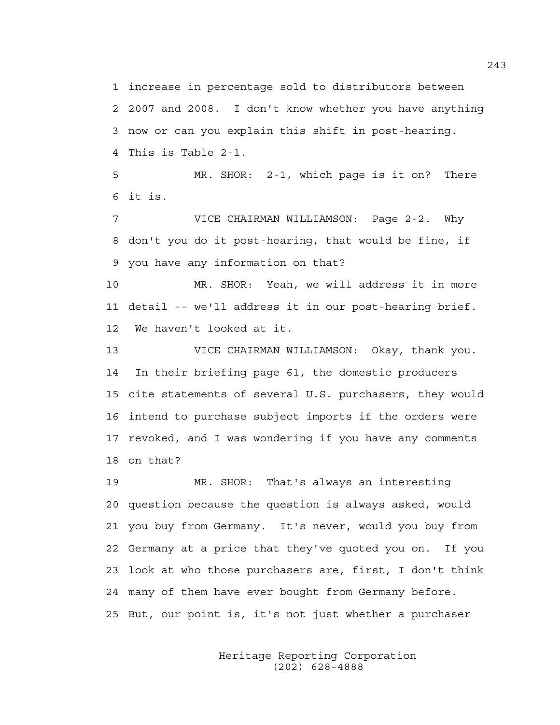1 increase in percentage sold to distributors between 2 2007 and 2008. I don't know whether you have anything 3 now or can you explain this shift in post-hearing. 4 This is Table 2-1.

5 MR. SHOR: 2-1, which page is it on? There 6 it is.

7 VICE CHAIRMAN WILLIAMSON: Page 2-2. Why 8 don't you do it post-hearing, that would be fine, if 9 you have any information on that?

10 MR. SHOR: Yeah, we will address it in more 11 detail -- we'll address it in our post-hearing brief. 12 We haven't looked at it.

13 VICE CHAIRMAN WILLIAMSON: Okay, thank you. 14 In their briefing page 61, the domestic producers 15 cite statements of several U.S. purchasers, they would 16 intend to purchase subject imports if the orders were 17 revoked, and I was wondering if you have any comments 18 on that?

19 MR. SHOR: That's always an interesting 20 question because the question is always asked, would 21 you buy from Germany. It's never, would you buy from 22 Germany at a price that they've quoted you on. If you 23 look at who those purchasers are, first, I don't think 24 many of them have ever bought from Germany before. 25 But, our point is, it's not just whether a purchaser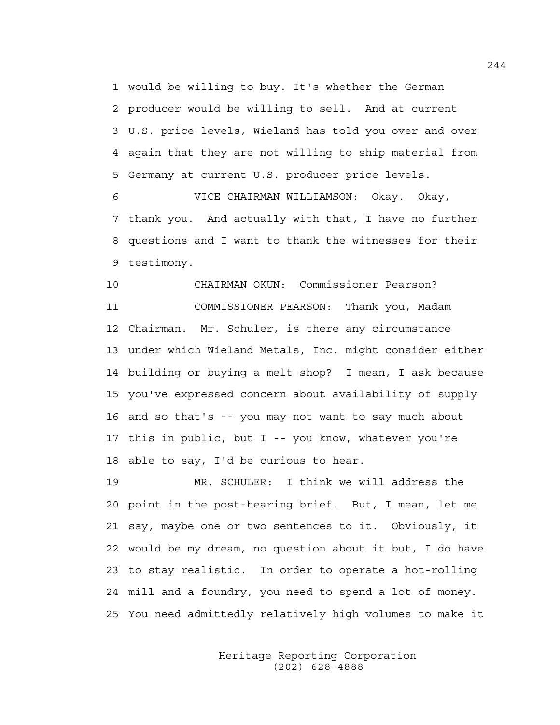1 would be willing to buy. It's whether the German 2 producer would be willing to sell. And at current 3 U.S. price levels, Wieland has told you over and over 4 again that they are not willing to ship material from 5 Germany at current U.S. producer price levels.

6 VICE CHAIRMAN WILLIAMSON: Okay. Okay, 7 thank you. And actually with that, I have no further 8 questions and I want to thank the witnesses for their 9 testimony.

10 CHAIRMAN OKUN: Commissioner Pearson? 11 COMMISSIONER PEARSON: Thank you, Madam 12 Chairman. Mr. Schuler, is there any circumstance 13 under which Wieland Metals, Inc. might consider either 14 building or buying a melt shop? I mean, I ask because 15 you've expressed concern about availability of supply 16 and so that's -- you may not want to say much about 17 this in public, but I -- you know, whatever you're 18 able to say, I'd be curious to hear.

19 MR. SCHULER: I think we will address the 20 point in the post-hearing brief. But, I mean, let me 21 say, maybe one or two sentences to it. Obviously, it 22 would be my dream, no question about it but, I do have 23 to stay realistic. In order to operate a hot-rolling 24 mill and a foundry, you need to spend a lot of money. 25 You need admittedly relatively high volumes to make it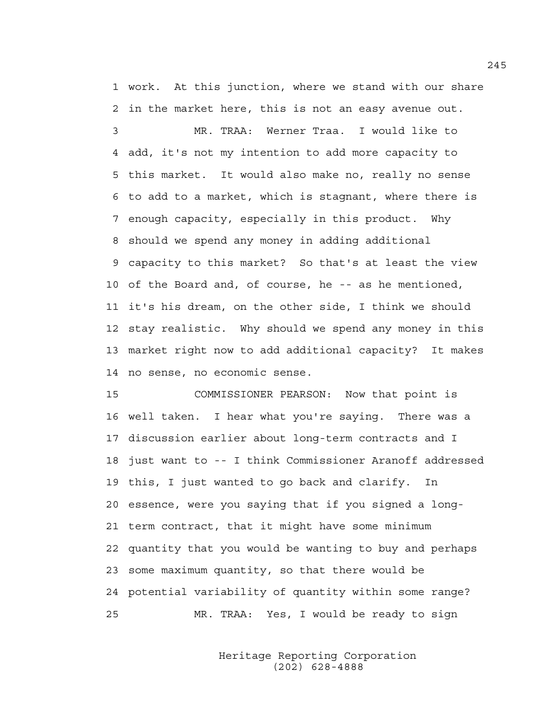1 work. At this junction, where we stand with our share 2 in the market here, this is not an easy avenue out.

3 MR. TRAA: Werner Traa. I would like to 4 add, it's not my intention to add more capacity to 5 this market. It would also make no, really no sense 6 to add to a market, which is stagnant, where there is 7 enough capacity, especially in this product. Why 8 should we spend any money in adding additional 9 capacity to this market? So that's at least the view 10 of the Board and, of course, he -- as he mentioned, 11 it's his dream, on the other side, I think we should 12 stay realistic. Why should we spend any money in this 13 market right now to add additional capacity? It makes 14 no sense, no economic sense.

15 COMMISSIONER PEARSON: Now that point is 16 well taken. I hear what you're saying. There was a 17 discussion earlier about long-term contracts and I 18 just want to -- I think Commissioner Aranoff addressed 19 this, I just wanted to go back and clarify. In 20 essence, were you saying that if you signed a long-21 term contract, that it might have some minimum 22 quantity that you would be wanting to buy and perhaps 23 some maximum quantity, so that there would be 24 potential variability of quantity within some range? 25 MR. TRAA: Yes, I would be ready to sign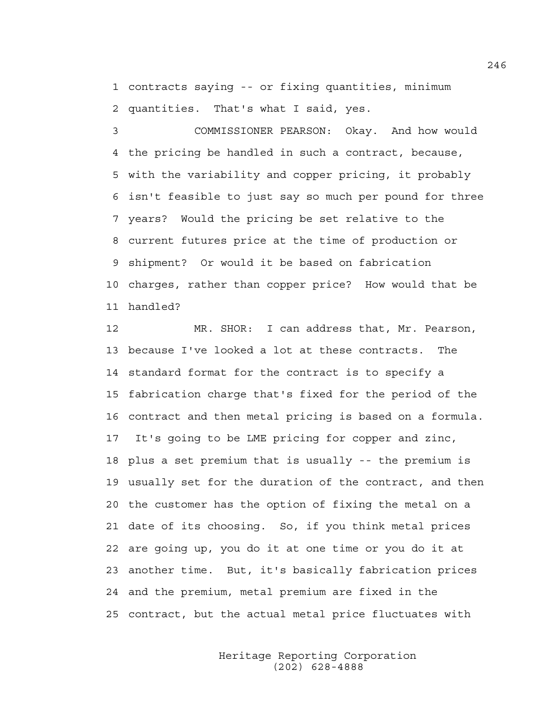1 contracts saying -- or fixing quantities, minimum 2 quantities. That's what I said, yes.

3 COMMISSIONER PEARSON: Okay. And how would 4 the pricing be handled in such a contract, because, 5 with the variability and copper pricing, it probably 6 isn't feasible to just say so much per pound for three 7 years? Would the pricing be set relative to the 8 current futures price at the time of production or 9 shipment? Or would it be based on fabrication 10 charges, rather than copper price? How would that be 11 handled?

12 MR. SHOR: I can address that, Mr. Pearson, 13 because I've looked a lot at these contracts. The 14 standard format for the contract is to specify a 15 fabrication charge that's fixed for the period of the 16 contract and then metal pricing is based on a formula. 17 It's going to be LME pricing for copper and zinc, 18 plus a set premium that is usually -- the premium is 19 usually set for the duration of the contract, and then 20 the customer has the option of fixing the metal on a 21 date of its choosing. So, if you think metal prices 22 are going up, you do it at one time or you do it at 23 another time. But, it's basically fabrication prices 24 and the premium, metal premium are fixed in the 25 contract, but the actual metal price fluctuates with

> Heritage Reporting Corporation (202) 628-4888

246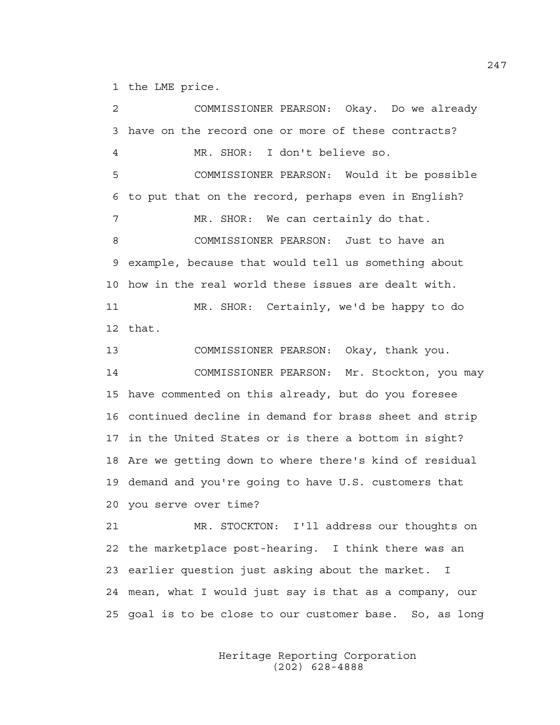1 the LME price.

2 COMMISSIONER PEARSON: Okay. Do we already 3 have on the record one or more of these contracts? 4 MR. SHOR: I don't believe so. 5 COMMISSIONER PEARSON: Would it be possible 6 to put that on the record, perhaps even in English? 7 MR. SHOR: We can certainly do that. 8 COMMISSIONER PEARSON: Just to have an 9 example, because that would tell us something about 10 how in the real world these issues are dealt with. 11 MR. SHOR: Certainly, we'd be happy to do 12 that. 13 COMMISSIONER PEARSON: Okay, thank you. 14 COMMISSIONER PEARSON: Mr. Stockton, you may 15 have commented on this already, but do you foresee 16 continued decline in demand for brass sheet and strip 17 in the United States or is there a bottom in sight? 18 Are we getting down to where there's kind of residual 19 demand and you're going to have U.S. customers that 20 you serve over time? 21 MR. STOCKTON: I'll address our thoughts on 22 the marketplace post-hearing. I think there was an 23 earlier question just asking about the market. I 24 mean, what I would just say is that as a company, our 25 goal is to be close to our customer base. So, as long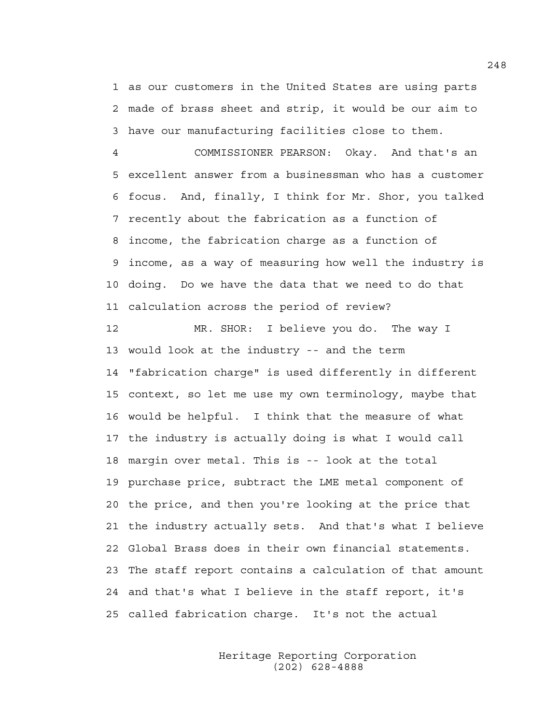1 as our customers in the United States are using parts 2 made of brass sheet and strip, it would be our aim to 3 have our manufacturing facilities close to them.

4 COMMISSIONER PEARSON: Okay. And that's an 5 excellent answer from a businessman who has a customer 6 focus. And, finally, I think for Mr. Shor, you talked 7 recently about the fabrication as a function of 8 income, the fabrication charge as a function of 9 income, as a way of measuring how well the industry is 10 doing. Do we have the data that we need to do that 11 calculation across the period of review?

12 MR. SHOR: I believe you do. The way I 13 would look at the industry -- and the term 14 "fabrication charge" is used differently in different 15 context, so let me use my own terminology, maybe that 16 would be helpful. I think that the measure of what 17 the industry is actually doing is what I would call 18 margin over metal. This is -- look at the total 19 purchase price, subtract the LME metal component of 20 the price, and then you're looking at the price that 21 the industry actually sets. And that's what I believe 22 Global Brass does in their own financial statements. 23 The staff report contains a calculation of that amount 24 and that's what I believe in the staff report, it's 25 called fabrication charge. It's not the actual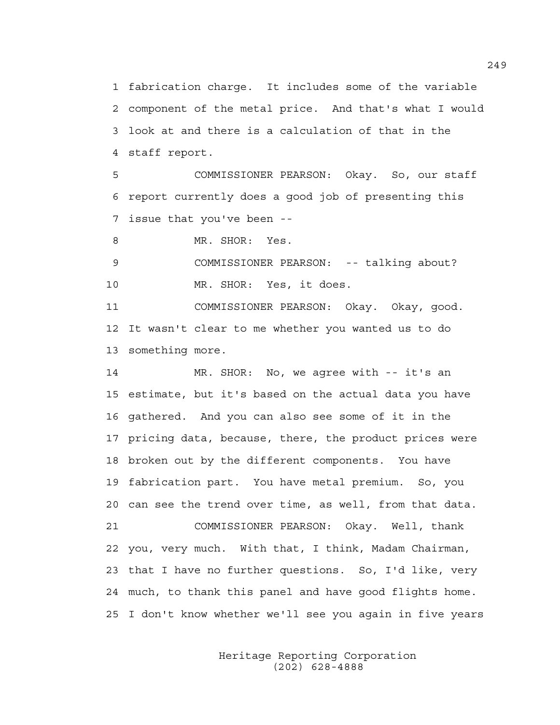1 fabrication charge. It includes some of the variable 2 component of the metal price. And that's what I would 3 look at and there is a calculation of that in the 4 staff report.

5 COMMISSIONER PEARSON: Okay. So, our staff 6 report currently does a good job of presenting this 7 issue that you've been --

8 MR. SHOR: Yes.

9 COMMISSIONER PEARSON: -- talking about? 10 MR. SHOR: Yes, it does.

11 COMMISSIONER PEARSON: Okay. Okay, good. 12 It wasn't clear to me whether you wanted us to do 13 something more.

14 MR. SHOR: No, we agree with -- it's an 15 estimate, but it's based on the actual data you have 16 gathered. And you can also see some of it in the 17 pricing data, because, there, the product prices were 18 broken out by the different components. You have 19 fabrication part. You have metal premium. So, you 20 can see the trend over time, as well, from that data. 21 COMMISSIONER PEARSON: Okay. Well, thank 22 you, very much. With that, I think, Madam Chairman, 23 that I have no further questions. So, I'd like, very 24 much, to thank this panel and have good flights home. 25 I don't know whether we'll see you again in five years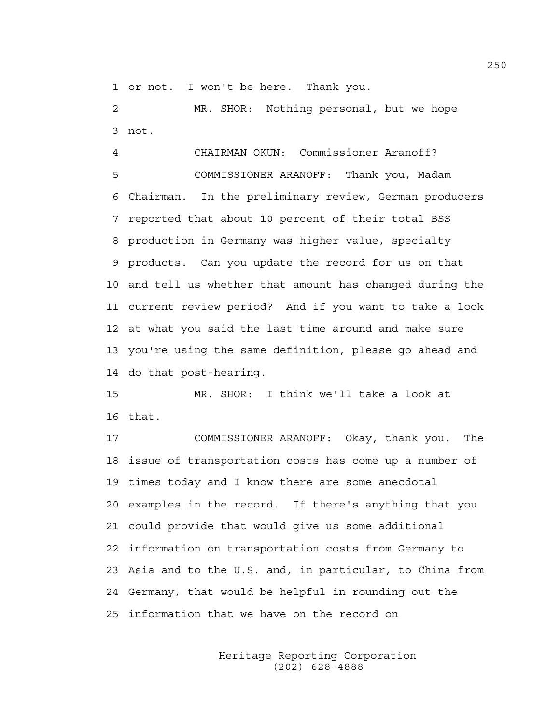1 or not. I won't be here. Thank you.

2 MR. SHOR: Nothing personal, but we hope 3 not.

4 CHAIRMAN OKUN: Commissioner Aranoff? 5 COMMISSIONER ARANOFF: Thank you, Madam 6 Chairman. In the preliminary review, German producers 7 reported that about 10 percent of their total BSS 8 production in Germany was higher value, specialty 9 products. Can you update the record for us on that 10 and tell us whether that amount has changed during the 11 current review period? And if you want to take a look 12 at what you said the last time around and make sure 13 you're using the same definition, please go ahead and 14 do that post-hearing.

15 MR. SHOR: I think we'll take a look at 16 that.

17 COMMISSIONER ARANOFF: Okay, thank you. The 18 issue of transportation costs has come up a number of 19 times today and I know there are some anecdotal 20 examples in the record. If there's anything that you 21 could provide that would give us some additional 22 information on transportation costs from Germany to 23 Asia and to the U.S. and, in particular, to China from 24 Germany, that would be helpful in rounding out the 25 information that we have on the record on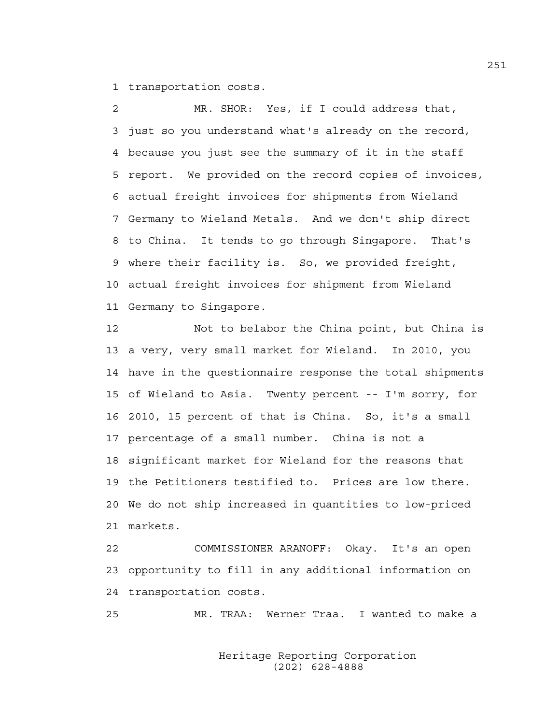1 transportation costs.

2 MR. SHOR: Yes, if I could address that, 3 just so you understand what's already on the record, 4 because you just see the summary of it in the staff 5 report. We provided on the record copies of invoices, 6 actual freight invoices for shipments from Wieland 7 Germany to Wieland Metals. And we don't ship direct 8 to China. It tends to go through Singapore. That's 9 where their facility is. So, we provided freight, 10 actual freight invoices for shipment from Wieland 11 Germany to Singapore.

12 Not to belabor the China point, but China is 13 a very, very small market for Wieland. In 2010, you 14 have in the questionnaire response the total shipments 15 of Wieland to Asia. Twenty percent -- I'm sorry, for 16 2010, 15 percent of that is China. So, it's a small 17 percentage of a small number. China is not a 18 significant market for Wieland for the reasons that 19 the Petitioners testified to. Prices are low there. 20 We do not ship increased in quantities to low-priced 21 markets.

22 COMMISSIONER ARANOFF: Okay. It's an open 23 opportunity to fill in any additional information on 24 transportation costs.

25 MR. TRAA: Werner Traa. I wanted to make a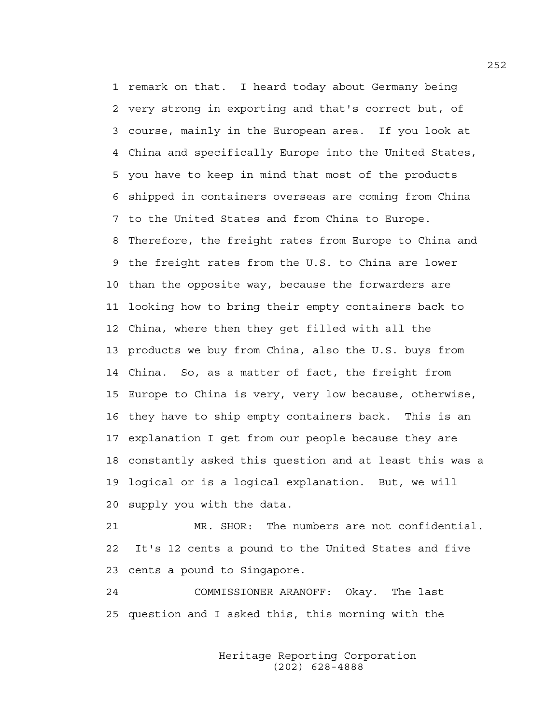1 remark on that. I heard today about Germany being 2 very strong in exporting and that's correct but, of 3 course, mainly in the European area. If you look at 4 China and specifically Europe into the United States, 5 you have to keep in mind that most of the products 6 shipped in containers overseas are coming from China 7 to the United States and from China to Europe. 8 Therefore, the freight rates from Europe to China and 9 the freight rates from the U.S. to China are lower 10 than the opposite way, because the forwarders are 11 looking how to bring their empty containers back to 12 China, where then they get filled with all the 13 products we buy from China, also the U.S. buys from 14 China. So, as a matter of fact, the freight from 15 Europe to China is very, very low because, otherwise, 16 they have to ship empty containers back. This is an 17 explanation I get from our people because they are 18 constantly asked this question and at least this was a 19 logical or is a logical explanation. But, we will 20 supply you with the data.

21 MR. SHOR: The numbers are not confidential. 22 It's 12 cents a pound to the United States and five 23 cents a pound to Singapore.

24 COMMISSIONER ARANOFF: Okay. The last 25 question and I asked this, this morning with the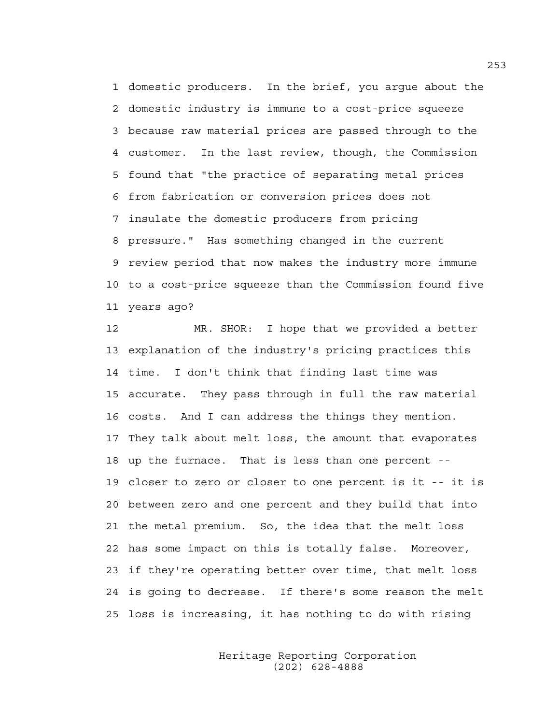1 domestic producers. In the brief, you argue about the 2 domestic industry is immune to a cost-price squeeze 3 because raw material prices are passed through to the 4 customer. In the last review, though, the Commission 5 found that "the practice of separating metal prices 6 from fabrication or conversion prices does not 7 insulate the domestic producers from pricing 8 pressure." Has something changed in the current 9 review period that now makes the industry more immune 10 to a cost-price squeeze than the Commission found five 11 years ago?

12 MR. SHOR: I hope that we provided a better 13 explanation of the industry's pricing practices this 14 time. I don't think that finding last time was 15 accurate. They pass through in full the raw material 16 costs. And I can address the things they mention. 17 They talk about melt loss, the amount that evaporates 18 up the furnace. That is less than one percent -- 19 closer to zero or closer to one percent is it -- it is 20 between zero and one percent and they build that into 21 the metal premium. So, the idea that the melt loss 22 has some impact on this is totally false. Moreover, 23 if they're operating better over time, that melt loss 24 is going to decrease. If there's some reason the melt 25 loss is increasing, it has nothing to do with rising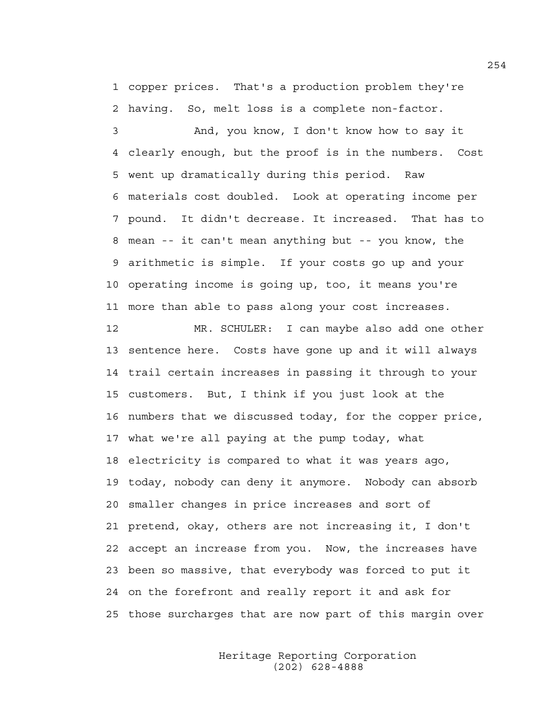1 copper prices. That's a production problem they're 2 having. So, melt loss is a complete non-factor.

3 And, you know, I don't know how to say it 4 clearly enough, but the proof is in the numbers. Cost 5 went up dramatically during this period. Raw 6 materials cost doubled. Look at operating income per 7 pound. It didn't decrease. It increased. That has to 8 mean -- it can't mean anything but -- you know, the 9 arithmetic is simple. If your costs go up and your 10 operating income is going up, too, it means you're 11 more than able to pass along your cost increases.

12 MR. SCHULER: I can maybe also add one other 13 sentence here. Costs have gone up and it will always 14 trail certain increases in passing it through to your 15 customers. But, I think if you just look at the 16 numbers that we discussed today, for the copper price, 17 what we're all paying at the pump today, what 18 electricity is compared to what it was years ago, 19 today, nobody can deny it anymore. Nobody can absorb 20 smaller changes in price increases and sort of 21 pretend, okay, others are not increasing it, I don't 22 accept an increase from you. Now, the increases have 23 been so massive, that everybody was forced to put it 24 on the forefront and really report it and ask for 25 those surcharges that are now part of this margin over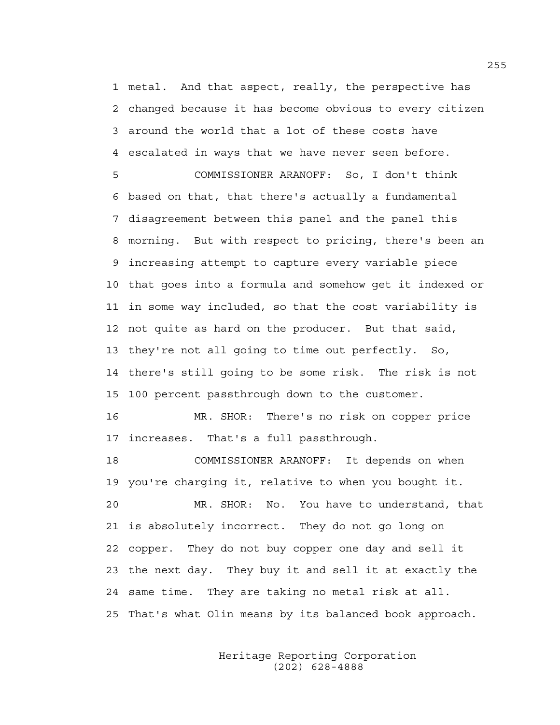1 metal. And that aspect, really, the perspective has 2 changed because it has become obvious to every citizen 3 around the world that a lot of these costs have 4 escalated in ways that we have never seen before.

5 COMMISSIONER ARANOFF: So, I don't think 6 based on that, that there's actually a fundamental 7 disagreement between this panel and the panel this 8 morning. But with respect to pricing, there's been an 9 increasing attempt to capture every variable piece 10 that goes into a formula and somehow get it indexed or 11 in some way included, so that the cost variability is 12 not quite as hard on the producer. But that said, 13 they're not all going to time out perfectly. So, 14 there's still going to be some risk. The risk is not 15 100 percent passthrough down to the customer.

16 MR. SHOR: There's no risk on copper price 17 increases. That's a full passthrough.

18 COMMISSIONER ARANOFF: It depends on when 19 you're charging it, relative to when you bought it. 20 MR. SHOR: No. You have to understand, that 21 is absolutely incorrect. They do not go long on 22 copper. They do not buy copper one day and sell it 23 the next day. They buy it and sell it at exactly the 24 same time. They are taking no metal risk at all. 25 That's what Olin means by its balanced book approach.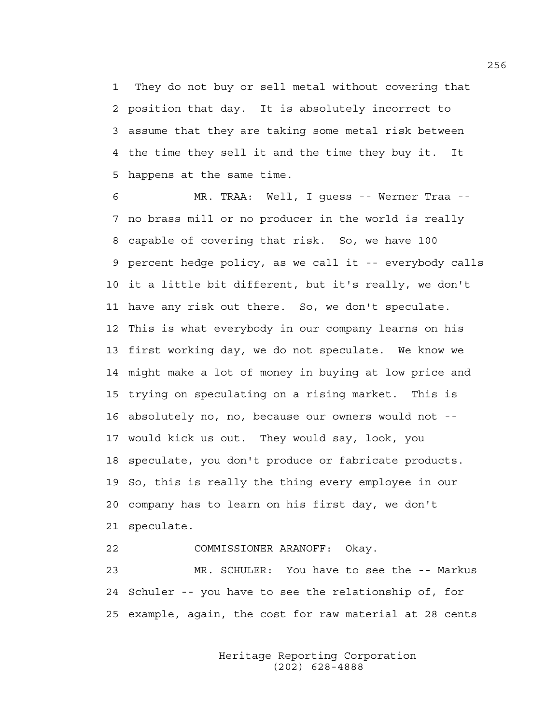1 They do not buy or sell metal without covering that 2 position that day. It is absolutely incorrect to 3 assume that they are taking some metal risk between 4 the time they sell it and the time they buy it. It 5 happens at the same time.

6 MR. TRAA: Well, I guess -- Werner Traa -- 7 no brass mill or no producer in the world is really 8 capable of covering that risk. So, we have 100 9 percent hedge policy, as we call it -- everybody calls 10 it a little bit different, but it's really, we don't 11 have any risk out there. So, we don't speculate. 12 This is what everybody in our company learns on his 13 first working day, we do not speculate. We know we 14 might make a lot of money in buying at low price and 15 trying on speculating on a rising market. This is 16 absolutely no, no, because our owners would not -- 17 would kick us out. They would say, look, you 18 speculate, you don't produce or fabricate products. 19 So, this is really the thing every employee in our 20 company has to learn on his first day, we don't 21 speculate.

22 COMMISSIONER ARANOFF: Okay.

23 MR. SCHULER: You have to see the -- Markus 24 Schuler -- you have to see the relationship of, for 25 example, again, the cost for raw material at 28 cents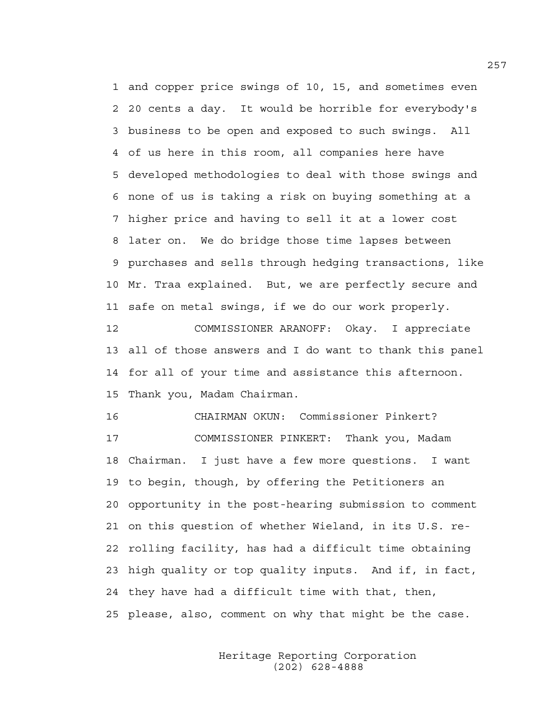1 and copper price swings of 10, 15, and sometimes even 2 20 cents a day. It would be horrible for everybody's 3 business to be open and exposed to such swings. All 4 of us here in this room, all companies here have 5 developed methodologies to deal with those swings and 6 none of us is taking a risk on buying something at a 7 higher price and having to sell it at a lower cost 8 later on. We do bridge those time lapses between 9 purchases and sells through hedging transactions, like 10 Mr. Traa explained. But, we are perfectly secure and 11 safe on metal swings, if we do our work properly. 12 COMMISSIONER ARANOFF: Okay. I appreciate 13 all of those answers and I do want to thank this panel 14 for all of your time and assistance this afternoon. 15 Thank you, Madam Chairman.

16 CHAIRMAN OKUN: Commissioner Pinkert? 17 COMMISSIONER PINKERT: Thank you, Madam 18 Chairman. I just have a few more questions. I want 19 to begin, though, by offering the Petitioners an 20 opportunity in the post-hearing submission to comment 21 on this question of whether Wieland, in its U.S. re-22 rolling facility, has had a difficult time obtaining 23 high quality or top quality inputs. And if, in fact, 24 they have had a difficult time with that, then, 25 please, also, comment on why that might be the case.

> Heritage Reporting Corporation (202) 628-4888

257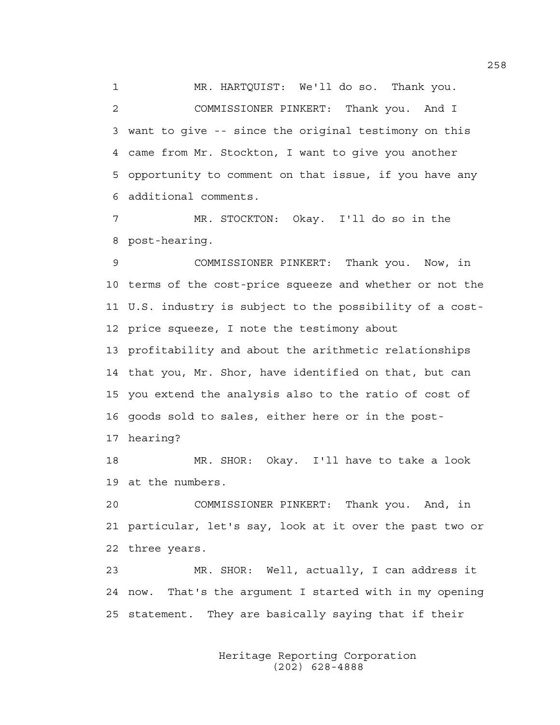1 MR. HARTQUIST: We'll do so. Thank you. 2 COMMISSIONER PINKERT: Thank you. And I 3 want to give -- since the original testimony on this 4 came from Mr. Stockton, I want to give you another 5 opportunity to comment on that issue, if you have any 6 additional comments.

7 MR. STOCKTON: Okay. I'll do so in the 8 post-hearing.

9 COMMISSIONER PINKERT: Thank you. Now, in 10 terms of the cost-price squeeze and whether or not the 11 U.S. industry is subject to the possibility of a cost-12 price squeeze, I note the testimony about 13 profitability and about the arithmetic relationships 14 that you, Mr. Shor, have identified on that, but can 15 you extend the analysis also to the ratio of cost of 16 goods sold to sales, either here or in the post-17 hearing?

18 MR. SHOR: Okay. I'll have to take a look 19 at the numbers.

20 COMMISSIONER PINKERT: Thank you. And, in 21 particular, let's say, look at it over the past two or 22 three years.

23 MR. SHOR: Well, actually, I can address it 24 now. That's the argument I started with in my opening 25 statement. They are basically saying that if their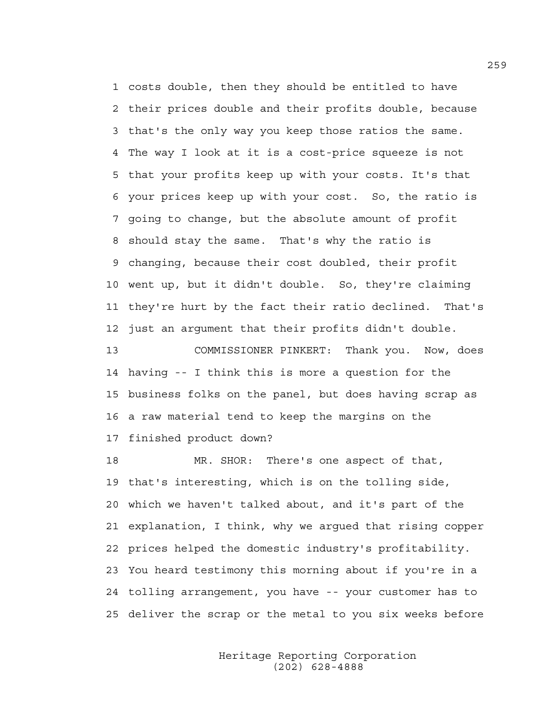1 costs double, then they should be entitled to have 2 their prices double and their profits double, because 3 that's the only way you keep those ratios the same. 4 The way I look at it is a cost-price squeeze is not 5 that your profits keep up with your costs. It's that 6 your prices keep up with your cost. So, the ratio is 7 going to change, but the absolute amount of profit 8 should stay the same. That's why the ratio is 9 changing, because their cost doubled, their profit 10 went up, but it didn't double. So, they're claiming 11 they're hurt by the fact their ratio declined. That's 12 just an argument that their profits didn't double.

13 COMMISSIONER PINKERT: Thank you. Now, does 14 having -- I think this is more a question for the 15 business folks on the panel, but does having scrap as 16 a raw material tend to keep the margins on the 17 finished product down?

18 MR. SHOR: There's one aspect of that, 19 that's interesting, which is on the tolling side, 20 which we haven't talked about, and it's part of the 21 explanation, I think, why we argued that rising copper 22 prices helped the domestic industry's profitability. 23 You heard testimony this morning about if you're in a 24 tolling arrangement, you have -- your customer has to 25 deliver the scrap or the metal to you six weeks before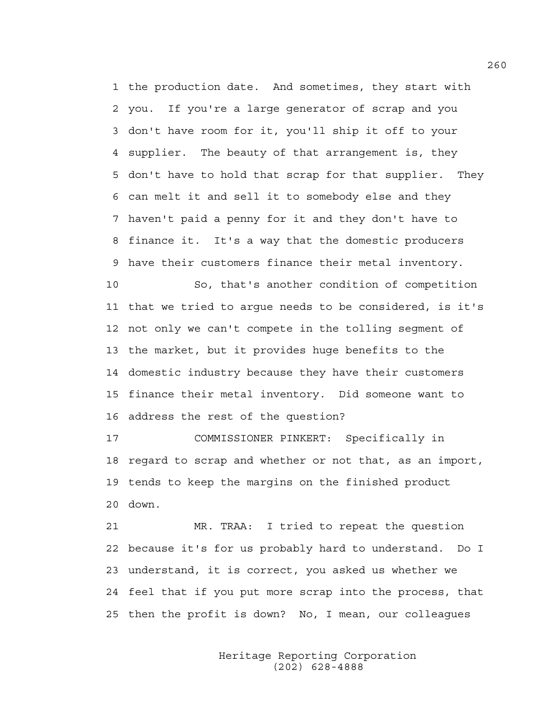1 the production date. And sometimes, they start with 2 you. If you're a large generator of scrap and you 3 don't have room for it, you'll ship it off to your 4 supplier. The beauty of that arrangement is, they 5 don't have to hold that scrap for that supplier. They 6 can melt it and sell it to somebody else and they 7 haven't paid a penny for it and they don't have to 8 finance it. It's a way that the domestic producers 9 have their customers finance their metal inventory.

10 So, that's another condition of competition 11 that we tried to argue needs to be considered, is it's 12 not only we can't compete in the tolling segment of 13 the market, but it provides huge benefits to the 14 domestic industry because they have their customers 15 finance their metal inventory. Did someone want to 16 address the rest of the question?

17 COMMISSIONER PINKERT: Specifically in 18 regard to scrap and whether or not that, as an import, 19 tends to keep the margins on the finished product 20 down.

21 MR. TRAA: I tried to repeat the question 22 because it's for us probably hard to understand. Do I 23 understand, it is correct, you asked us whether we 24 feel that if you put more scrap into the process, that 25 then the profit is down? No, I mean, our colleagues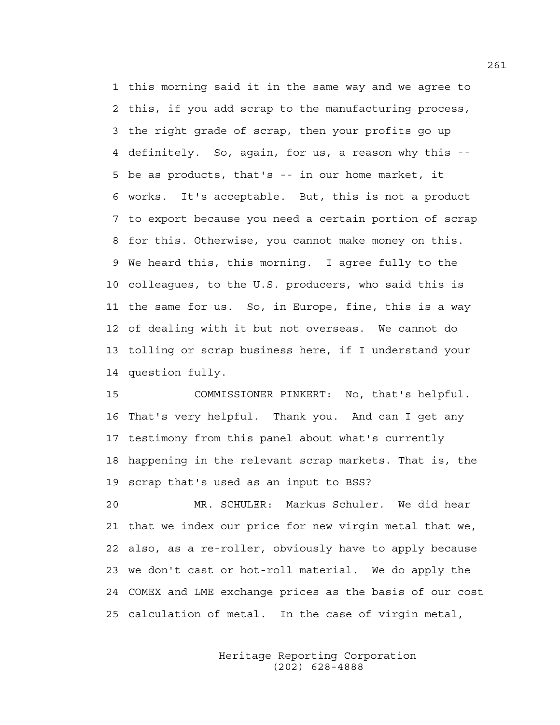1 this morning said it in the same way and we agree to 2 this, if you add scrap to the manufacturing process, 3 the right grade of scrap, then your profits go up 4 definitely. So, again, for us, a reason why this -- 5 be as products, that's -- in our home market, it 6 works. It's acceptable. But, this is not a product 7 to export because you need a certain portion of scrap 8 for this. Otherwise, you cannot make money on this. 9 We heard this, this morning. I agree fully to the 10 colleagues, to the U.S. producers, who said this is 11 the same for us. So, in Europe, fine, this is a way 12 of dealing with it but not overseas. We cannot do 13 tolling or scrap business here, if I understand your 14 question fully.

15 COMMISSIONER PINKERT: No, that's helpful. 16 That's very helpful. Thank you. And can I get any 17 testimony from this panel about what's currently 18 happening in the relevant scrap markets. That is, the 19 scrap that's used as an input to BSS?

20 MR. SCHULER: Markus Schuler. We did hear 21 that we index our price for new virgin metal that we, 22 also, as a re-roller, obviously have to apply because 23 we don't cast or hot-roll material. We do apply the 24 COMEX and LME exchange prices as the basis of our cost 25 calculation of metal. In the case of virgin metal,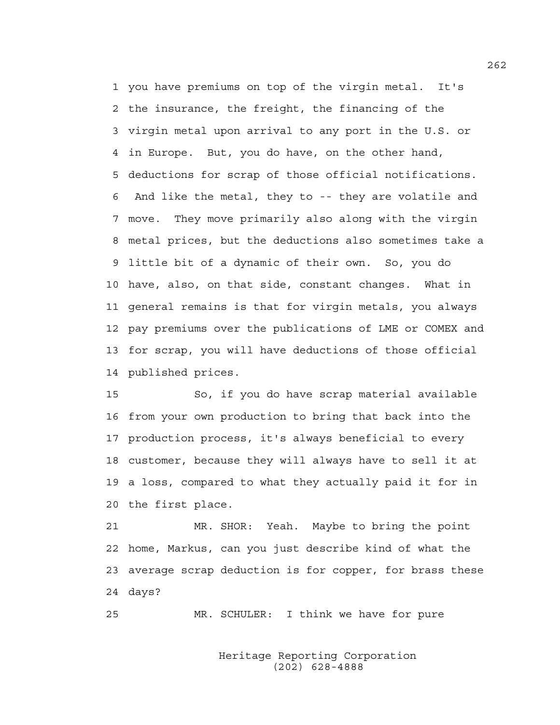1 you have premiums on top of the virgin metal. It's 2 the insurance, the freight, the financing of the 3 virgin metal upon arrival to any port in the U.S. or 4 in Europe. But, you do have, on the other hand, 5 deductions for scrap of those official notifications. 6 And like the metal, they to -- they are volatile and 7 move. They move primarily also along with the virgin 8 metal prices, but the deductions also sometimes take a 9 little bit of a dynamic of their own. So, you do 10 have, also, on that side, constant changes. What in 11 general remains is that for virgin metals, you always 12 pay premiums over the publications of LME or COMEX and 13 for scrap, you will have deductions of those official 14 published prices.

15 So, if you do have scrap material available 16 from your own production to bring that back into the 17 production process, it's always beneficial to every 18 customer, because they will always have to sell it at 19 a loss, compared to what they actually paid it for in 20 the first place.

21 MR. SHOR: Yeah. Maybe to bring the point 22 home, Markus, can you just describe kind of what the 23 average scrap deduction is for copper, for brass these 24 days?

25 MR. SCHULER: I think we have for pure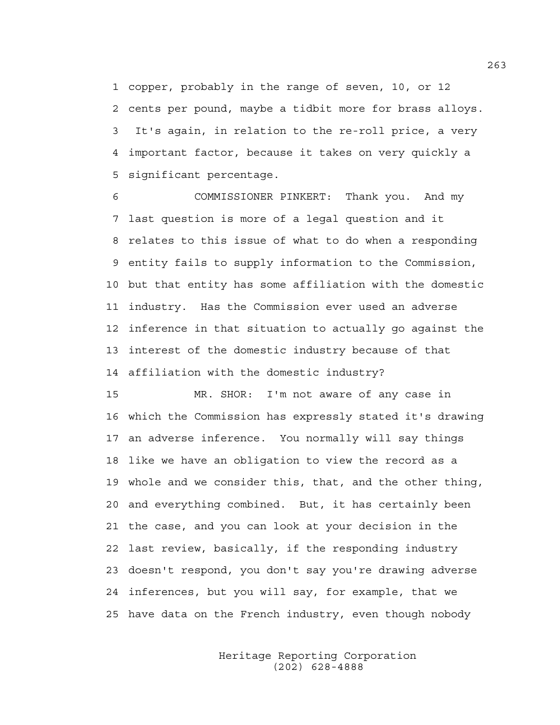1 copper, probably in the range of seven, 10, or 12 2 cents per pound, maybe a tidbit more for brass alloys. 3 It's again, in relation to the re-roll price, a very 4 important factor, because it takes on very quickly a 5 significant percentage.

6 COMMISSIONER PINKERT: Thank you. And my 7 last question is more of a legal question and it 8 relates to this issue of what to do when a responding 9 entity fails to supply information to the Commission, 10 but that entity has some affiliation with the domestic 11 industry. Has the Commission ever used an adverse 12 inference in that situation to actually go against the 13 interest of the domestic industry because of that 14 affiliation with the domestic industry?

15 MR. SHOR: I'm not aware of any case in 16 which the Commission has expressly stated it's drawing 17 an adverse inference. You normally will say things 18 like we have an obligation to view the record as a 19 whole and we consider this, that, and the other thing, 20 and everything combined. But, it has certainly been 21 the case, and you can look at your decision in the 22 last review, basically, if the responding industry 23 doesn't respond, you don't say you're drawing adverse 24 inferences, but you will say, for example, that we 25 have data on the French industry, even though nobody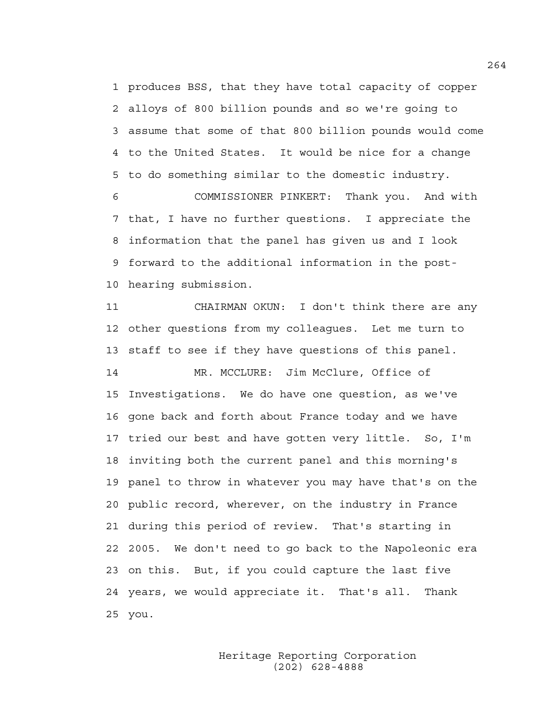1 produces BSS, that they have total capacity of copper 2 alloys of 800 billion pounds and so we're going to 3 assume that some of that 800 billion pounds would come 4 to the United States. It would be nice for a change 5 to do something similar to the domestic industry.

6 COMMISSIONER PINKERT: Thank you. And with 7 that, I have no further questions. I appreciate the 8 information that the panel has given us and I look 9 forward to the additional information in the post-10 hearing submission.

11 CHAIRMAN OKUN: I don't think there are any 12 other questions from my colleagues. Let me turn to 13 staff to see if they have questions of this panel. 14 MR. MCCLURE: Jim McClure, Office of 15 Investigations. We do have one question, as we've 16 gone back and forth about France today and we have 17 tried our best and have gotten very little. So, I'm 18 inviting both the current panel and this morning's 19 panel to throw in whatever you may have that's on the 20 public record, wherever, on the industry in France 21 during this period of review. That's starting in 22 2005. We don't need to go back to the Napoleonic era 23 on this. But, if you could capture the last five 24 years, we would appreciate it. That's all. Thank 25 you.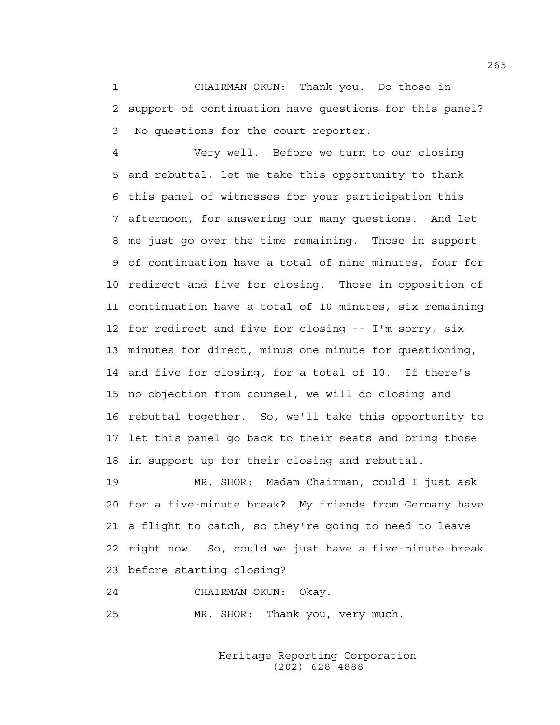1 CHAIRMAN OKUN: Thank you. Do those in 2 support of continuation have questions for this panel? 3 No questions for the court reporter.

4 Very well. Before we turn to our closing 5 and rebuttal, let me take this opportunity to thank 6 this panel of witnesses for your participation this 7 afternoon, for answering our many questions. And let 8 me just go over the time remaining. Those in support 9 of continuation have a total of nine minutes, four for 10 redirect and five for closing. Those in opposition of 11 continuation have a total of 10 minutes, six remaining 12 for redirect and five for closing -- I'm sorry, six 13 minutes for direct, minus one minute for questioning, 14 and five for closing, for a total of 10. If there's 15 no objection from counsel, we will do closing and 16 rebuttal together. So, we'll take this opportunity to 17 let this panel go back to their seats and bring those 18 in support up for their closing and rebuttal.

19 MR. SHOR: Madam Chairman, could I just ask 20 for a five-minute break? My friends from Germany have 21 a flight to catch, so they're going to need to leave 22 right now. So, could we just have a five-minute break 23 before starting closing?

24 CHAIRMAN OKUN: Okay.

25 MR. SHOR: Thank you, very much.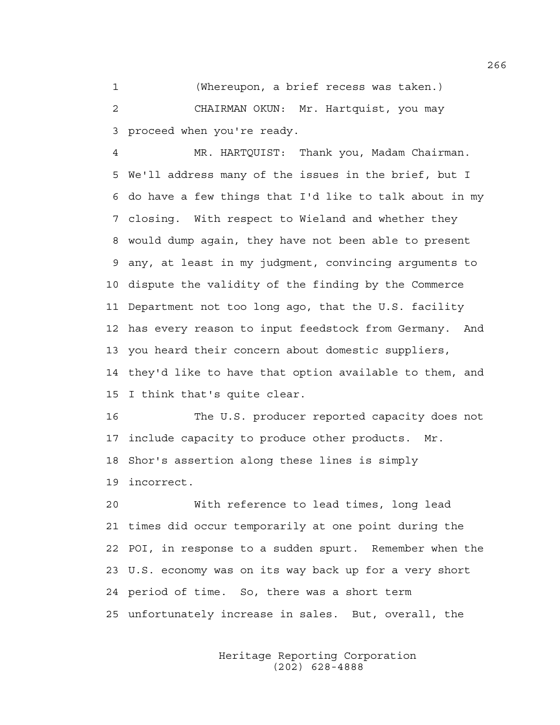1 (Whereupon, a brief recess was taken.) 2 CHAIRMAN OKUN: Mr. Hartquist, you may 3 proceed when you're ready.

4 MR. HARTQUIST: Thank you, Madam Chairman. 5 We'll address many of the issues in the brief, but I 6 do have a few things that I'd like to talk about in my 7 closing. With respect to Wieland and whether they 8 would dump again, they have not been able to present 9 any, at least in my judgment, convincing arguments to 10 dispute the validity of the finding by the Commerce 11 Department not too long ago, that the U.S. facility 12 has every reason to input feedstock from Germany. And 13 you heard their concern about domestic suppliers, 14 they'd like to have that option available to them, and 15 I think that's quite clear.

16 The U.S. producer reported capacity does not 17 include capacity to produce other products. Mr. 18 Shor's assertion along these lines is simply 19 incorrect.

20 With reference to lead times, long lead 21 times did occur temporarily at one point during the 22 POI, in response to a sudden spurt. Remember when the 23 U.S. economy was on its way back up for a very short 24 period of time. So, there was a short term 25 unfortunately increase in sales. But, overall, the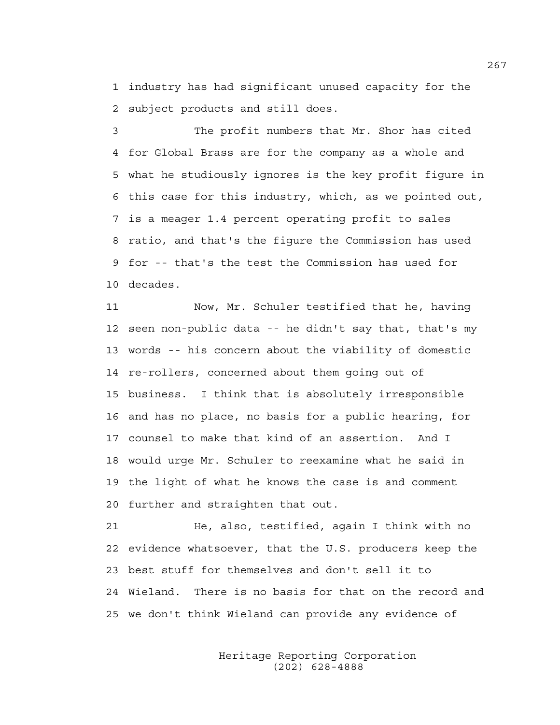1 industry has had significant unused capacity for the 2 subject products and still does.

3 The profit numbers that Mr. Shor has cited 4 for Global Brass are for the company as a whole and 5 what he studiously ignores is the key profit figure in 6 this case for this industry, which, as we pointed out, 7 is a meager 1.4 percent operating profit to sales 8 ratio, and that's the figure the Commission has used 9 for -- that's the test the Commission has used for 10 decades.

11 Now, Mr. Schuler testified that he, having 12 seen non-public data -- he didn't say that, that's my 13 words -- his concern about the viability of domestic 14 re-rollers, concerned about them going out of 15 business. I think that is absolutely irresponsible 16 and has no place, no basis for a public hearing, for 17 counsel to make that kind of an assertion. And I 18 would urge Mr. Schuler to reexamine what he said in 19 the light of what he knows the case is and comment 20 further and straighten that out.

21 He, also, testified, again I think with no 22 evidence whatsoever, that the U.S. producers keep the 23 best stuff for themselves and don't sell it to 24 Wieland. There is no basis for that on the record and 25 we don't think Wieland can provide any evidence of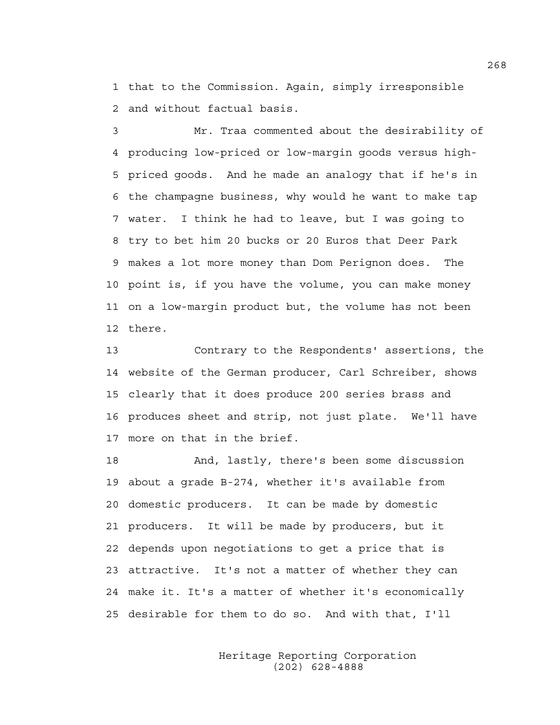1 that to the Commission. Again, simply irresponsible 2 and without factual basis.

3 Mr. Traa commented about the desirability of 4 producing low-priced or low-margin goods versus high-5 priced goods. And he made an analogy that if he's in 6 the champagne business, why would he want to make tap 7 water. I think he had to leave, but I was going to 8 try to bet him 20 bucks or 20 Euros that Deer Park 9 makes a lot more money than Dom Perignon does. The 10 point is, if you have the volume, you can make money 11 on a low-margin product but, the volume has not been 12 there.

13 Contrary to the Respondents' assertions, the 14 website of the German producer, Carl Schreiber, shows 15 clearly that it does produce 200 series brass and 16 produces sheet and strip, not just plate. We'll have 17 more on that in the brief.

18 And, lastly, there's been some discussion 19 about a grade B-274, whether it's available from 20 domestic producers. It can be made by domestic 21 producers. It will be made by producers, but it 22 depends upon negotiations to get a price that is 23 attractive. It's not a matter of whether they can 24 make it. It's a matter of whether it's economically 25 desirable for them to do so. And with that, I'll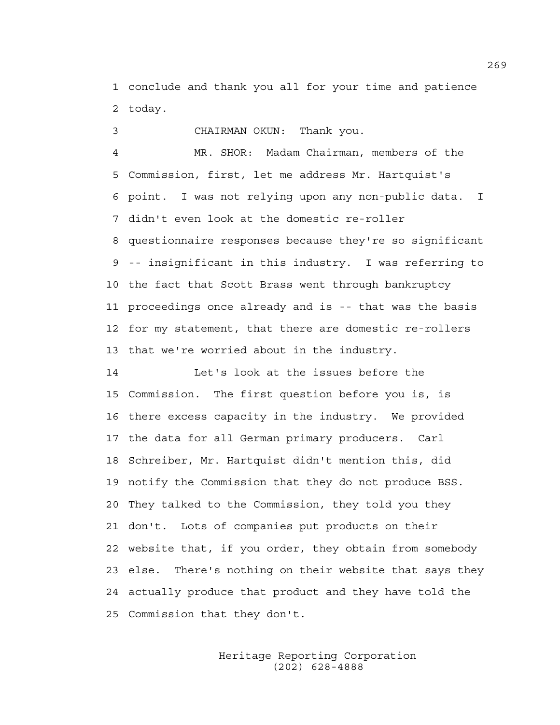1 conclude and thank you all for your time and patience 2 today.

3 CHAIRMAN OKUN: Thank you.

4 MR. SHOR: Madam Chairman, members of the 5 Commission, first, let me address Mr. Hartquist's 6 point. I was not relying upon any non-public data. I 7 didn't even look at the domestic re-roller 8 questionnaire responses because they're so significant 9 -- insignificant in this industry. I was referring to 10 the fact that Scott Brass went through bankruptcy 11 proceedings once already and is -- that was the basis 12 for my statement, that there are domestic re-rollers 13 that we're worried about in the industry.

14 Let's look at the issues before the 15 Commission. The first question before you is, is 16 there excess capacity in the industry. We provided 17 the data for all German primary producers. Carl 18 Schreiber, Mr. Hartquist didn't mention this, did 19 notify the Commission that they do not produce BSS. 20 They talked to the Commission, they told you they 21 don't. Lots of companies put products on their 22 website that, if you order, they obtain from somebody 23 else. There's nothing on their website that says they 24 actually produce that product and they have told the 25 Commission that they don't.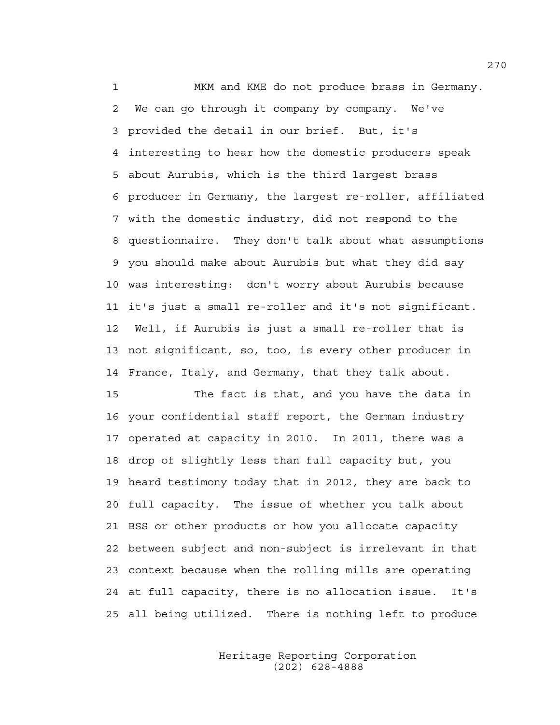1 MKM and KME do not produce brass in Germany. 2 We can go through it company by company. We've 3 provided the detail in our brief. But, it's 4 interesting to hear how the domestic producers speak 5 about Aurubis, which is the third largest brass 6 producer in Germany, the largest re-roller, affiliated 7 with the domestic industry, did not respond to the 8 questionnaire. They don't talk about what assumptions 9 you should make about Aurubis but what they did say 10 was interesting: don't worry about Aurubis because 11 it's just a small re-roller and it's not significant. 12 Well, if Aurubis is just a small re-roller that is 13 not significant, so, too, is every other producer in 14 France, Italy, and Germany, that they talk about.

15 The fact is that, and you have the data in 16 your confidential staff report, the German industry 17 operated at capacity in 2010. In 2011, there was a 18 drop of slightly less than full capacity but, you 19 heard testimony today that in 2012, they are back to 20 full capacity. The issue of whether you talk about 21 BSS or other products or how you allocate capacity 22 between subject and non-subject is irrelevant in that 23 context because when the rolling mills are operating 24 at full capacity, there is no allocation issue. It's 25 all being utilized. There is nothing left to produce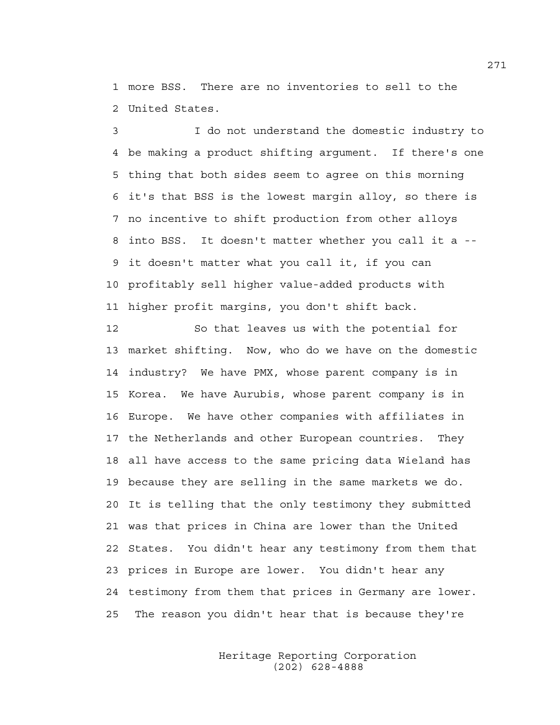1 more BSS. There are no inventories to sell to the 2 United States.

3 I do not understand the domestic industry to 4 be making a product shifting argument. If there's one 5 thing that both sides seem to agree on this morning 6 it's that BSS is the lowest margin alloy, so there is 7 no incentive to shift production from other alloys 8 into BSS. It doesn't matter whether you call it a -- 9 it doesn't matter what you call it, if you can 10 profitably sell higher value-added products with 11 higher profit margins, you don't shift back.

12 So that leaves us with the potential for 13 market shifting. Now, who do we have on the domestic 14 industry? We have PMX, whose parent company is in 15 Korea. We have Aurubis, whose parent company is in 16 Europe. We have other companies with affiliates in 17 the Netherlands and other European countries. They 18 all have access to the same pricing data Wieland has 19 because they are selling in the same markets we do. 20 It is telling that the only testimony they submitted 21 was that prices in China are lower than the United 22 States. You didn't hear any testimony from them that 23 prices in Europe are lower. You didn't hear any 24 testimony from them that prices in Germany are lower. 25 The reason you didn't hear that is because they're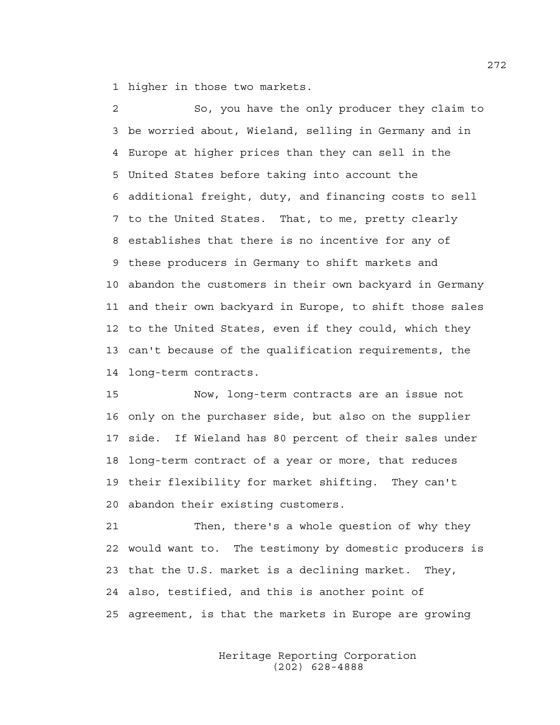1 higher in those two markets.

2 So, you have the only producer they claim to 3 be worried about, Wieland, selling in Germany and in 4 Europe at higher prices than they can sell in the 5 United States before taking into account the 6 additional freight, duty, and financing costs to sell 7 to the United States. That, to me, pretty clearly 8 establishes that there is no incentive for any of 9 these producers in Germany to shift markets and 10 abandon the customers in their own backyard in Germany 11 and their own backyard in Europe, to shift those sales 12 to the United States, even if they could, which they 13 can't because of the qualification requirements, the 14 long-term contracts.

15 Now, long-term contracts are an issue not 16 only on the purchaser side, but also on the supplier 17 side. If Wieland has 80 percent of their sales under 18 long-term contract of a year or more, that reduces 19 their flexibility for market shifting. They can't 20 abandon their existing customers.

21 Then, there's a whole question of why they 22 would want to. The testimony by domestic producers is 23 that the U.S. market is a declining market. They, 24 also, testified, and this is another point of 25 agreement, is that the markets in Europe are growing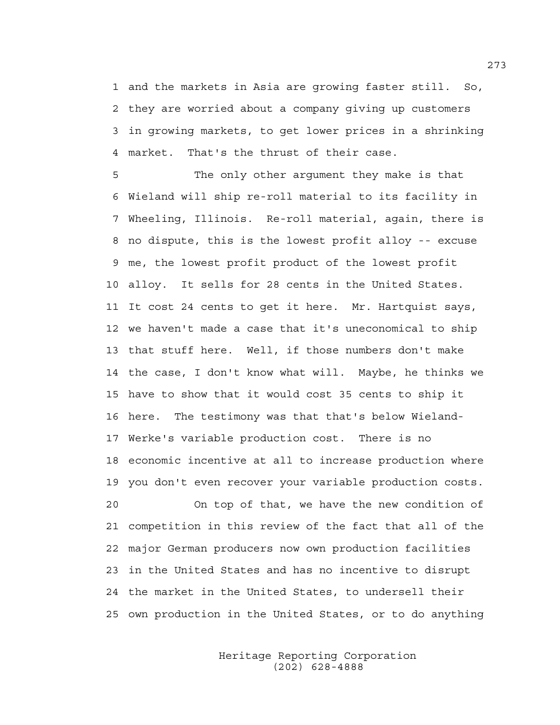1 and the markets in Asia are growing faster still. So, 2 they are worried about a company giving up customers 3 in growing markets, to get lower prices in a shrinking 4 market. That's the thrust of their case.

5 The only other argument they make is that 6 Wieland will ship re-roll material to its facility in 7 Wheeling, Illinois. Re-roll material, again, there is 8 no dispute, this is the lowest profit alloy -- excuse 9 me, the lowest profit product of the lowest profit 10 alloy. It sells for 28 cents in the United States. 11 It cost 24 cents to get it here. Mr. Hartquist says, 12 we haven't made a case that it's uneconomical to ship 13 that stuff here. Well, if those numbers don't make 14 the case, I don't know what will. Maybe, he thinks we 15 have to show that it would cost 35 cents to ship it 16 here. The testimony was that that's below Wieland-17 Werke's variable production cost. There is no 18 economic incentive at all to increase production where 19 you don't even recover your variable production costs. 20 On top of that, we have the new condition of

21 competition in this review of the fact that all of the 22 major German producers now own production facilities 23 in the United States and has no incentive to disrupt 24 the market in the United States, to undersell their 25 own production in the United States, or to do anything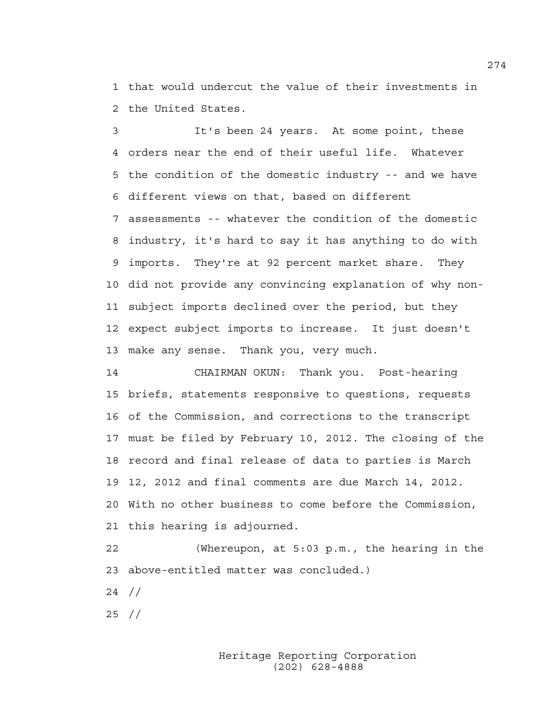1 that would undercut the value of their investments in 2 the United States.

3 It's been 24 years. At some point, these 4 orders near the end of their useful life. Whatever 5 the condition of the domestic industry -- and we have 6 different views on that, based on different 7 assessments -- whatever the condition of the domestic 8 industry, it's hard to say it has anything to do with 9 imports. They're at 92 percent market share. They 10 did not provide any convincing explanation of why non-11 subject imports declined over the period, but they 12 expect subject imports to increase. It just doesn't 13 make any sense. Thank you, very much.

14 CHAIRMAN OKUN: Thank you. Post-hearing 15 briefs, statements responsive to questions, requests 16 of the Commission, and corrections to the transcript 17 must be filed by February 10, 2012. The closing of the 18 record and final release of data to parties is March 19 12, 2012 and final comments are due March 14, 2012. 20 With no other business to come before the Commission, 21 this hearing is adjourned.

22 (Whereupon, at 5:03 p.m., the hearing in the 23 above-entitled matter was concluded.) 24 //

25 //